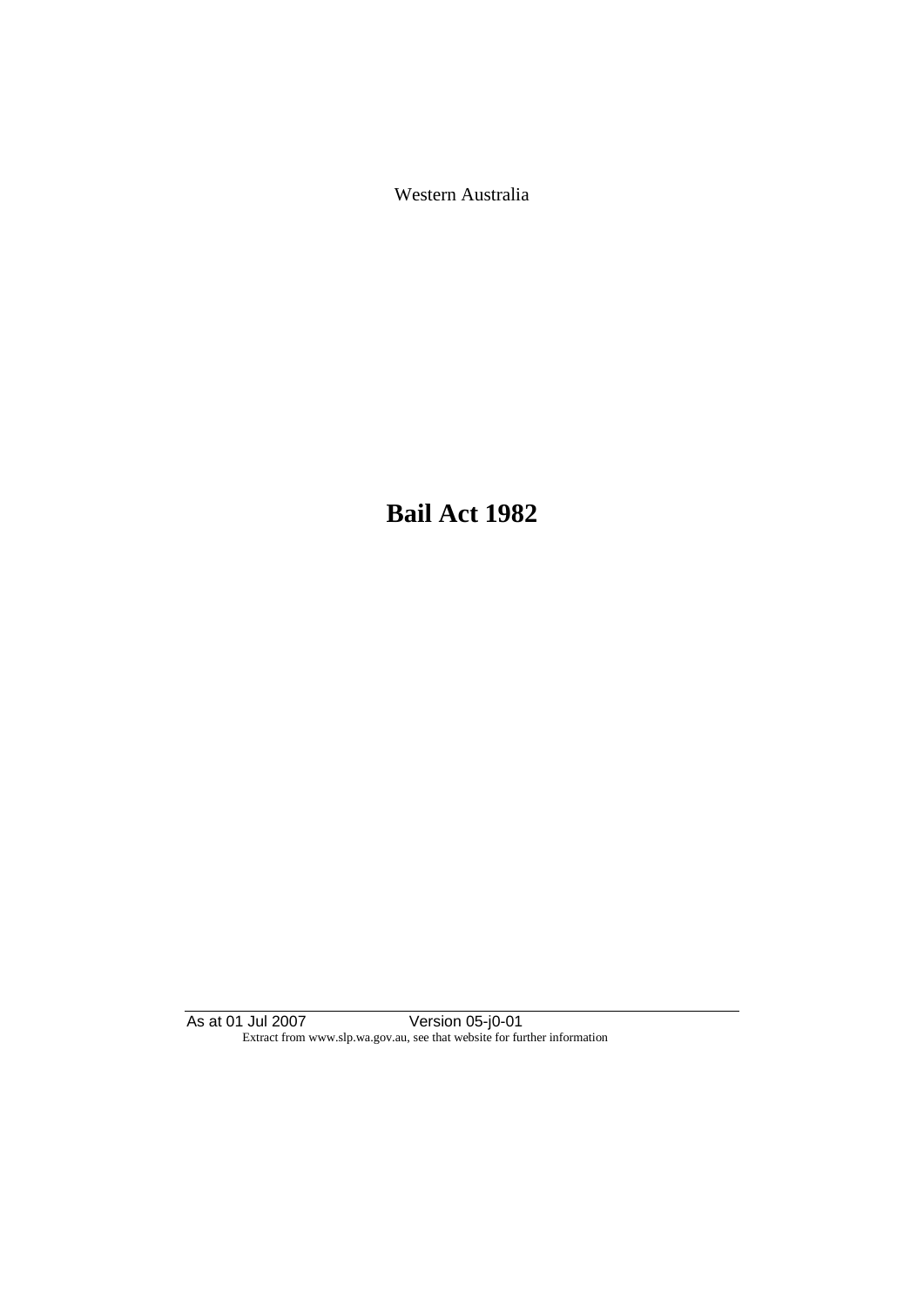Western Australia

**Bail Act 1982**

As at 01 Jul 2007 Version 05-j0-01 Extract from www.slp.wa.gov.au, see that website for further information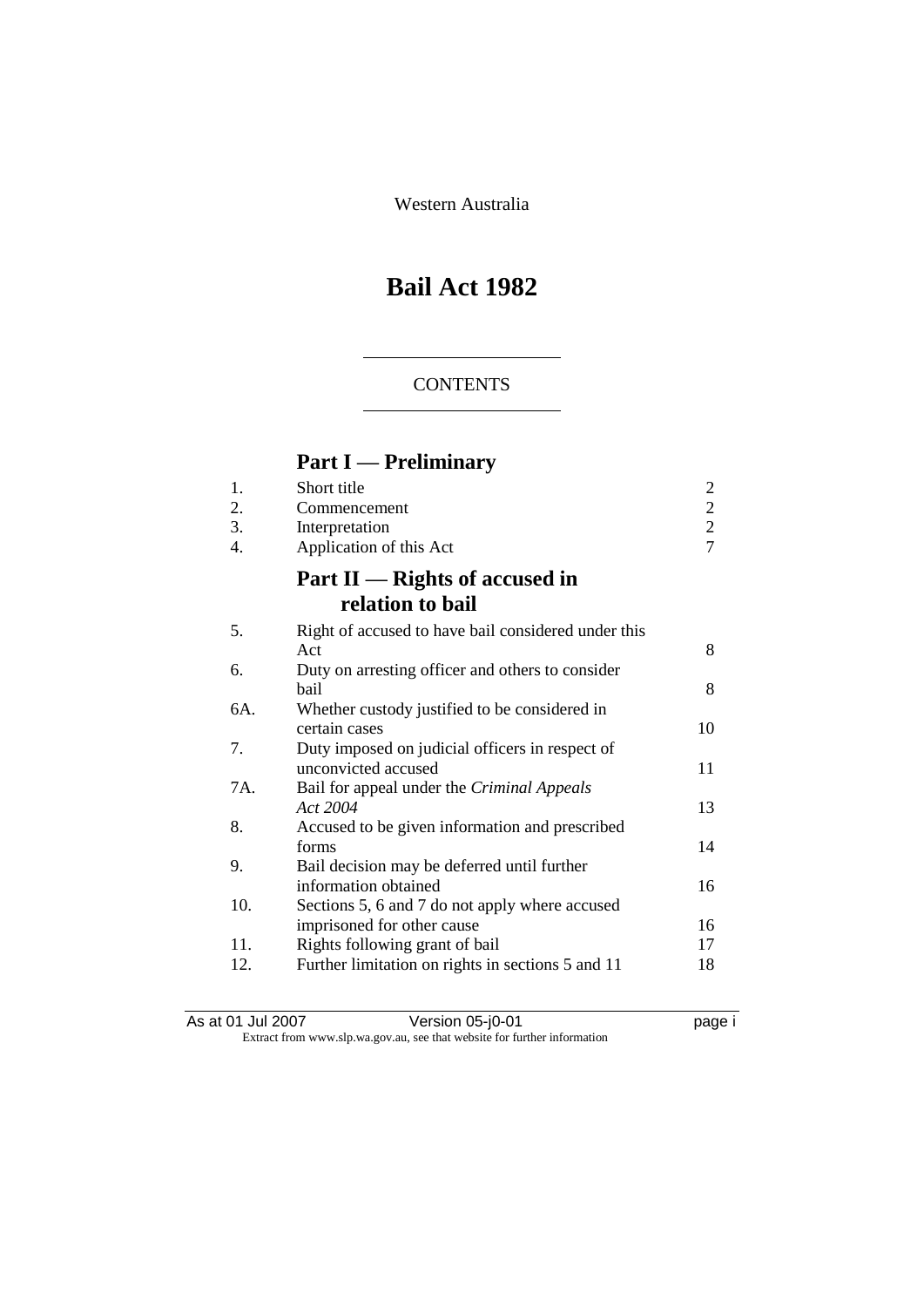Western Australia

# **Bail Act 1982**

#### **CONTENTS**

## **Part I — Preliminary**

| 1.  | Short title                                         | $\overline{c}$ |
|-----|-----------------------------------------------------|----------------|
| 2.  | Commencement                                        | $\overline{2}$ |
| 3.  | Interpretation                                      | $\overline{c}$ |
| 4.  | Application of this Act                             | $\overline{7}$ |
|     | Part II — Rights of accused in                      |                |
|     | relation to bail                                    |                |
| 5.  | Right of accused to have bail considered under this |                |
|     | Act                                                 | 8              |
| 6.  | Duty on arresting officer and others to consider    |                |
|     | hail                                                | 8              |
| 6A. | Whether custody justified to be considered in       |                |
|     | certain cases                                       | 10             |
| 7.  | Duty imposed on judicial officers in respect of     |                |
|     | unconvicted accused                                 | 11             |
| 7A. | Bail for appeal under the Criminal Appeals          |                |
|     | Act 2004                                            | 13             |
| 8.  | Accused to be given information and prescribed      |                |
|     | forms                                               | 14             |
| 9.  | Bail decision may be deferred until further         |                |
|     | information obtained                                | 16             |
| 10. | Sections 5, 6 and 7 do not apply where accused      |                |
|     | imprisoned for other cause                          | 16             |
| 11. | Rights following grant of bail                      | 17             |
| 12. | Further limitation on rights in sections 5 and 11   | 18             |
|     |                                                     |                |

As at 01 Jul 2007 Version 05-j0-01 page i Extract from www.slp.wa.gov.au, see that website for further information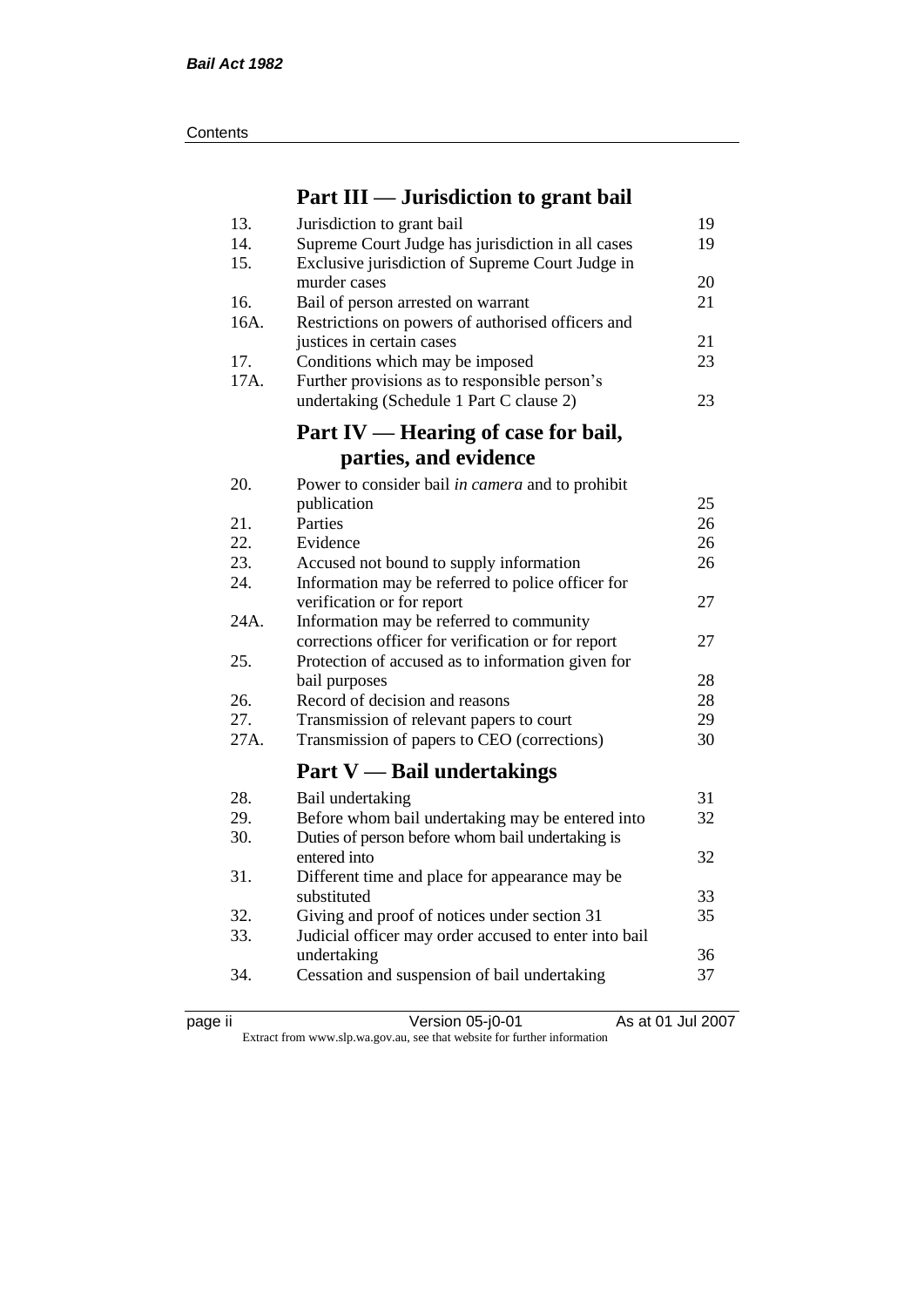| Contents |
|----------|
|----------|

### **Part III — Jurisdiction to grant bail**

| 13.  | Jurisdiction to grant bail                            | 19 |
|------|-------------------------------------------------------|----|
| 14.  | Supreme Court Judge has jurisdiction in all cases     | 19 |
| 15.  | Exclusive jurisdiction of Supreme Court Judge in      |    |
|      | murder cases                                          | 20 |
| 16.  | Bail of person arrested on warrant                    | 21 |
| 16A. | Restrictions on powers of authorised officers and     |    |
|      | justices in certain cases                             | 21 |
| 17.  | Conditions which may be imposed                       | 23 |
| 17A. | Further provisions as to responsible person's         |    |
|      | undertaking (Schedule 1 Part C clause 2)              | 23 |
|      | Part IV — Hearing of case for bail,                   |    |
|      |                                                       |    |
|      | parties, and evidence                                 |    |
| 20.  | Power to consider bail in camera and to prohibit      |    |
|      | publication                                           | 25 |
| 21.  | Parties                                               | 26 |
| 22.  | Evidence                                              | 26 |
| 23.  | Accused not bound to supply information               | 26 |
| 24.  | Information may be referred to police officer for     |    |
|      | verification or for report                            | 27 |
| 24A. | Information may be referred to community              |    |
|      | corrections officer for verification or for report    | 27 |
| 25.  | Protection of accused as to information given for     |    |
|      | bail purposes                                         | 28 |
| 26.  | Record of decision and reasons                        | 28 |
| 27.  | Transmission of relevant papers to court              | 29 |
| 27A. | Transmission of papers to CEO (corrections)           | 30 |
|      | <b>Part V</b> — Bail undertakings                     |    |
| 28.  | Bail undertaking                                      | 31 |
| 29.  | Before whom bail undertaking may be entered into      | 32 |
| 30.  | Duties of person before whom bail undertaking is      |    |
|      | entered into                                          | 32 |
| 31.  | Different time and place for appearance may be        |    |
|      | substituted                                           | 33 |
| 32.  | Giving and proof of notices under section 31          | 35 |
| 33.  | Judicial officer may order accused to enter into bail |    |
|      | undertaking                                           | 36 |
| 34.  | Cessation and suspension of bail undertaking          | 37 |
|      |                                                       |    |

page ii Version 05-j0-01 As at 01 Jul 2007 Extract from www.slp.wa.gov.au, see that website for further information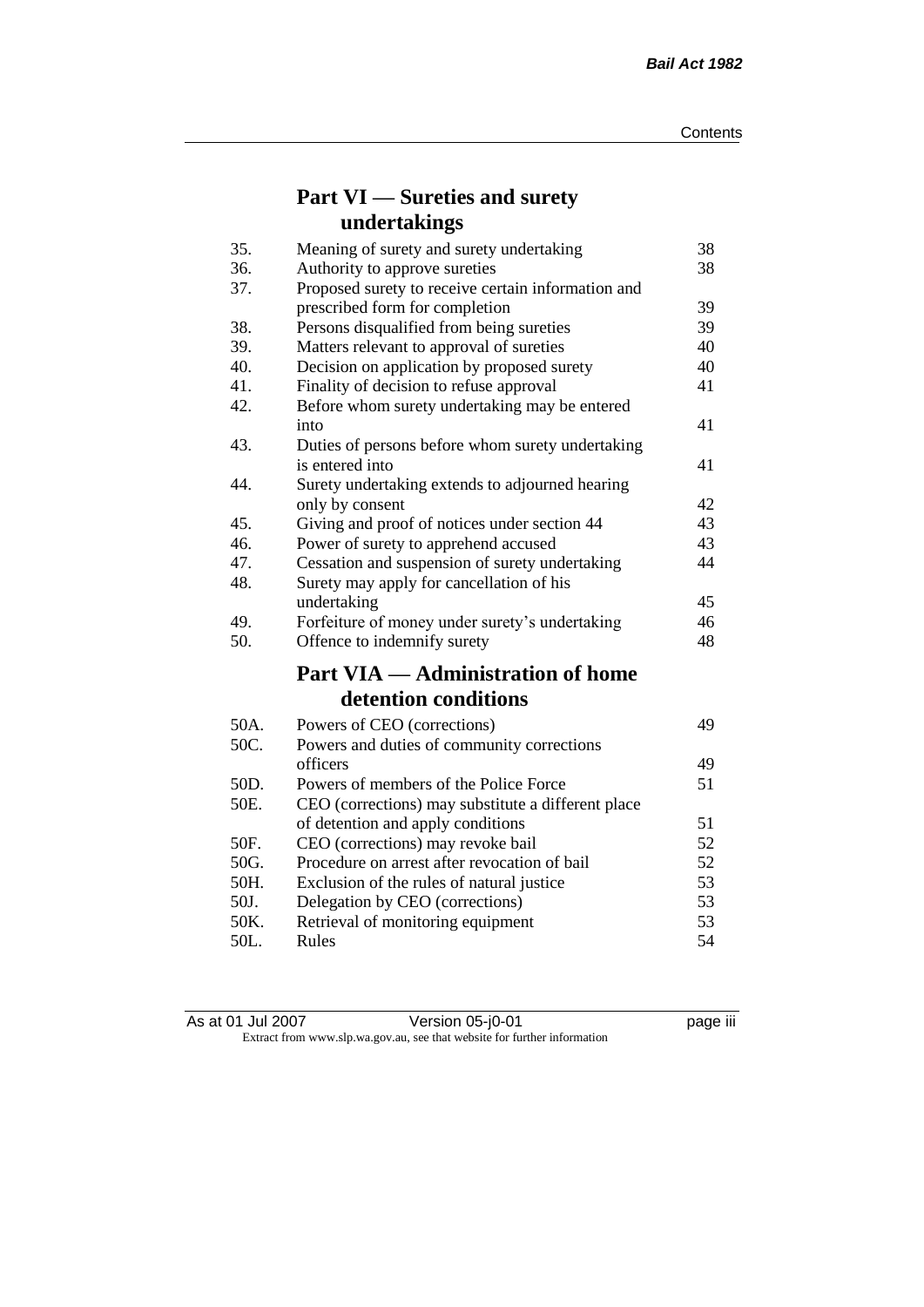### **Part VI — Sureties and surety undertakings**

| 35.  | Meaning of surety and surety undertaking           | 38 |
|------|----------------------------------------------------|----|
| 36.  | Authority to approve sureties                      | 38 |
| 37.  | Proposed surety to receive certain information and |    |
|      | prescribed form for completion                     | 39 |
| 38.  | Persons disqualified from being sureties           | 39 |
| 39.  | Matters relevant to approval of sureties           | 40 |
| 40.  | Decision on application by proposed surety         | 40 |
| 41.  | Finality of decision to refuse approval            | 41 |
| 42.  | Before whom surety undertaking may be entered      |    |
|      | into                                               | 41 |
| 43.  | Duties of persons before whom surety undertaking   |    |
|      | is entered into                                    | 41 |
| 44.  | Surety undertaking extends to adjourned hearing    |    |
|      | only by consent                                    | 42 |
| 45.  | Giving and proof of notices under section 44       | 43 |
| 46.  | Power of surety to apprehend accused               | 43 |
| 47.  | Cessation and suspension of surety undertaking     | 44 |
| 48.  | Surety may apply for cancellation of his           |    |
|      | undertaking                                        | 45 |
| 49.  | Forfeiture of money under surety's undertaking     | 46 |
| 50.  | Offence to indemnify surety                        | 48 |
|      | <b>Part VIA — Administration of home</b>           |    |
|      | detention conditions                               |    |
| 50A. | Powers of CEO (corrections)                        | 49 |
| 50C. | Powers and duties of community corrections         |    |
|      | officers                                           | 49 |
| 50D. | Powers of members of the Police Force              | 51 |
| 50E. | CEO (corrections) may substitute a different place |    |
|      | of detention and apply conditions                  | 51 |
| 50F. | CEO (corrections) may revoke bail                  | 52 |
| 50G. | Procedure on arrest after revocation of bail       | 52 |
| 50H. | Exclusion of the rules of natural justice          | 53 |
| 50J. | Delegation by CEO (corrections)                    | 53 |
| 50K. | Retrieval of monitoring equipment                  | 53 |
| 50L. | Rules                                              | 54 |

| As at 01 Jul 2007 | Version 05-j0-01                                                         | <br>page III |
|-------------------|--------------------------------------------------------------------------|--------------|
|                   | Extract from www.slp.wa.gov.au, see that website for further information |              |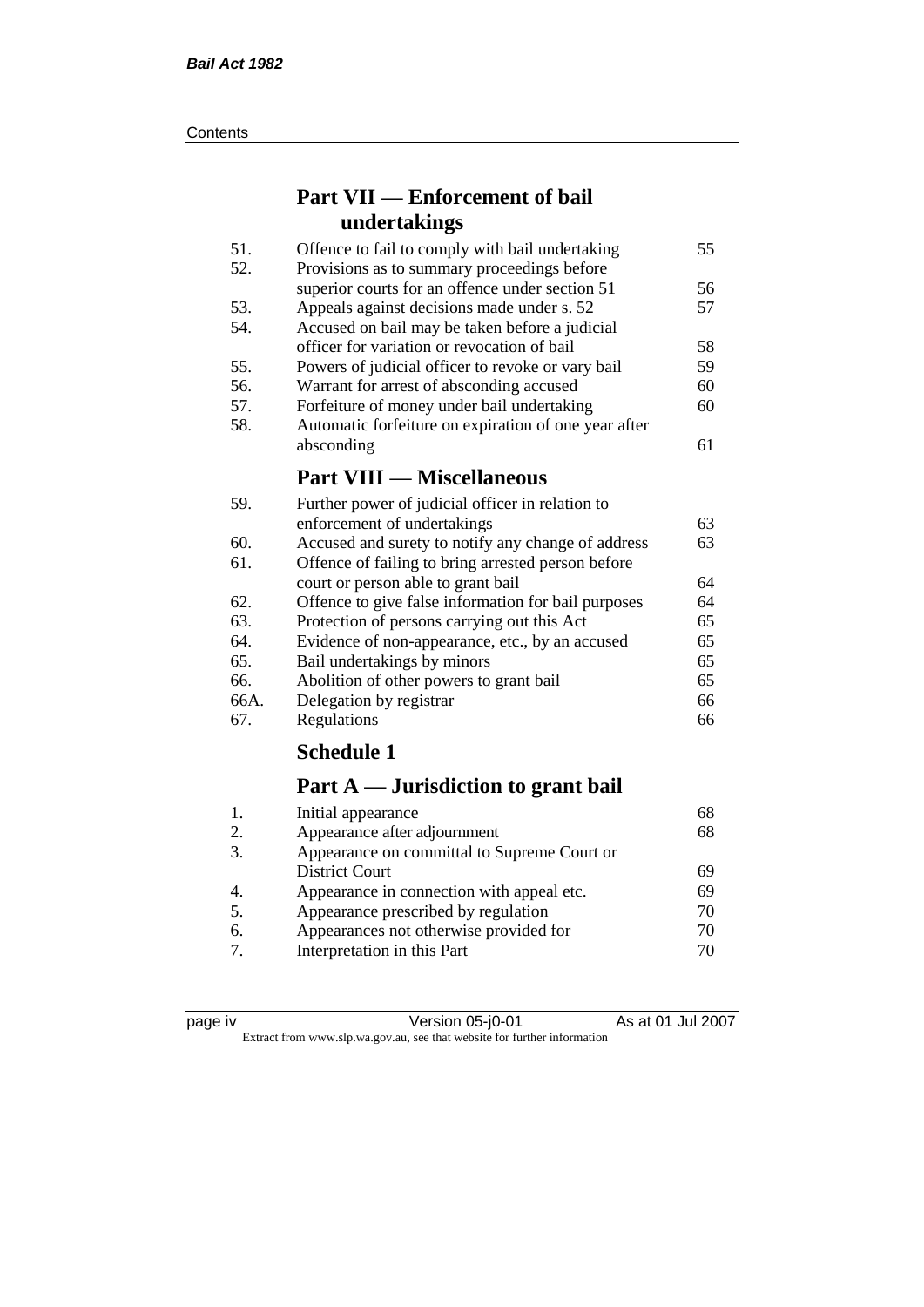#### **Contents**

### **Part VII — Enforcement of bail undertakings**

| 51. | Offence to fail to comply with bail undertaking      | 55 |
|-----|------------------------------------------------------|----|
| 52. | Provisions as to summary proceedings before          |    |
|     | superior courts for an offence under section 51      | 56 |
| 53. | Appeals against decisions made under s. 52           | 57 |
| 54. | Accused on bail may be taken before a judicial       |    |
|     | officer for variation or revocation of bail          | 58 |
| 55. | Powers of judicial officer to revoke or vary bail    | 59 |
| 56. | Warrant for arrest of absconding accused             | 60 |
| 57. | Forfeiture of money under bail undertaking           | 60 |
| 58. | Automatic forfeiture on expiration of one year after |    |
|     | absconding                                           | 61 |
|     | <b>Part VIII — Miscellaneous</b>                     |    |
| 59. | Further power of judicial officer in relation to     |    |
|     | enforcement of undertakings                          | 63 |

| enforcement of undertakings                         | 63 |
|-----------------------------------------------------|----|
| Accused and surety to notify any change of address  | 63 |
| Offence of failing to bring arrested person before  |    |
| court or person able to grant bail                  | 64 |
| Offence to give false information for bail purposes | 64 |
| Protection of persons carrying out this Act         | 65 |
| Evidence of non-appearance, etc., by an accused     | 65 |
| Bail undertakings by minors                         | 65 |
| Abolition of other powers to grant bail             | 65 |
| Delegation by registrar                             | 66 |
| Regulations                                         | 66 |
|                                                     |    |

### **Schedule 1**

### **Part A — Jurisdiction to grant bail**

| 68 |
|----|
| 68 |
|    |
| 69 |
| 69 |
| 70 |
| 70 |
| 70 |
|    |

| и<br>r |  |
|--------|--|
|        |  |
|        |  |

page iv Version 05-j0-01 As at 01 Jul 2007 Extract from www.slp.wa.gov.au, see that website for further information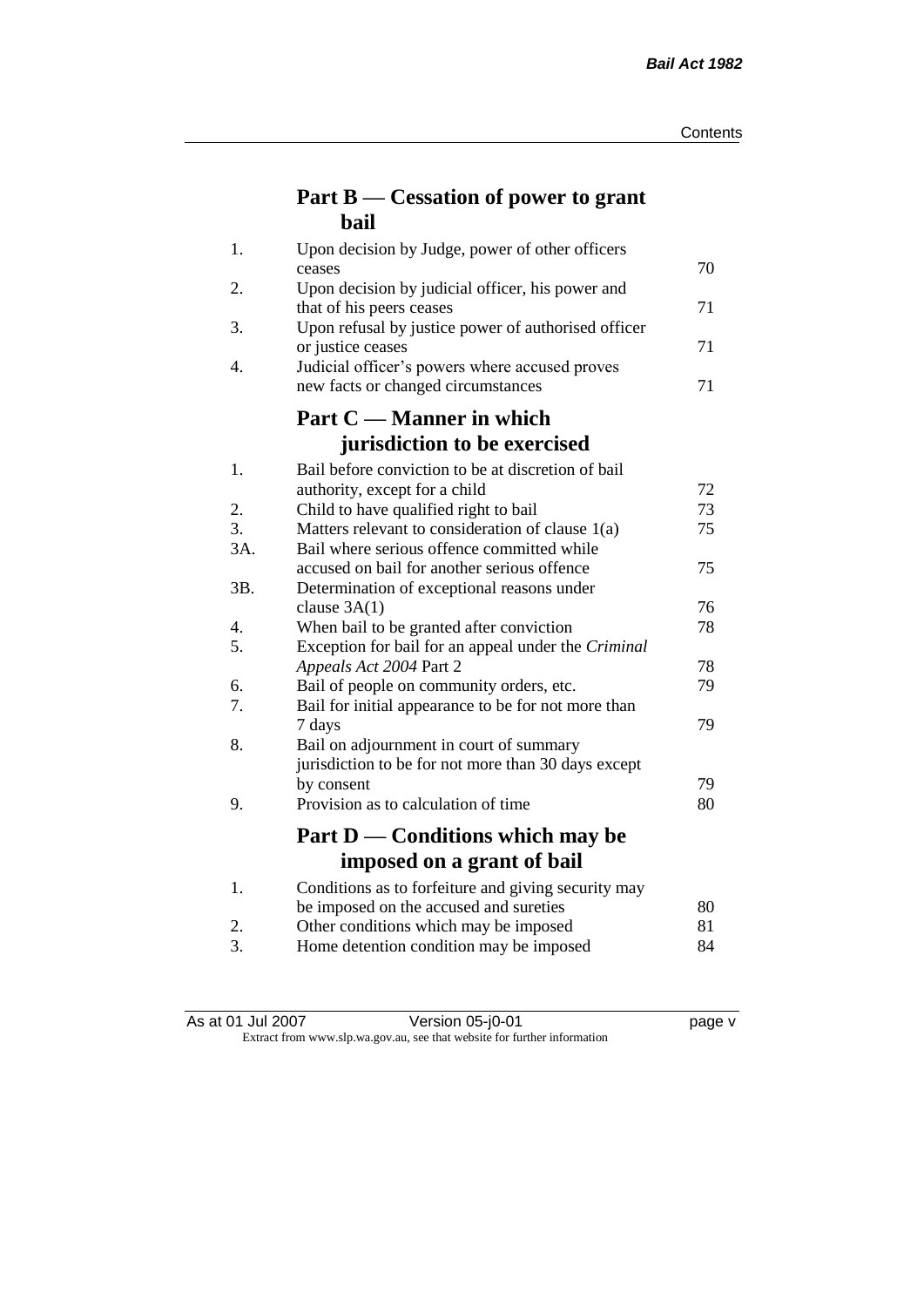### **Part B — Cessation of power to grant bail**

| 1.  | Upon decision by Judge, power of other officers                                                 |          |
|-----|-------------------------------------------------------------------------------------------------|----------|
| 2.  | ceases                                                                                          | 70       |
|     | Upon decision by judicial officer, his power and<br>that of his peers ceases                    | 71       |
| 3.  | Upon refusal by justice power of authorised officer                                             |          |
|     | or justice ceases                                                                               | 71       |
| 4.  | Judicial officer's powers where accused proves                                                  |          |
|     | new facts or changed circumstances                                                              | 71       |
|     | Part C — Manner in which                                                                        |          |
|     | jurisdiction to be exercised                                                                    |          |
| 1.  | Bail before conviction to be at discretion of bail                                              |          |
|     | authority, except for a child                                                                   | 72       |
| 2.  | Child to have qualified right to bail                                                           | 73       |
| 3.  | Matters relevant to consideration of clause 1(a)                                                | 75       |
| 3A. | Bail where serious offence committed while                                                      |          |
|     | accused on bail for another serious offence                                                     | 75       |
| 3B. | Determination of exceptional reasons under                                                      |          |
|     | clause $3A(1)$                                                                                  | 76       |
| 4.  | When bail to be granted after conviction                                                        | 78       |
| 5.  | Exception for bail for an appeal under the Criminal                                             |          |
| 6.  | Appeals Act 2004 Part 2                                                                         | 78<br>79 |
| 7.  | Bail of people on community orders, etc.<br>Bail for initial appearance to be for not more than |          |
|     | 7 days                                                                                          | 79       |
| 8.  | Bail on adjournment in court of summary                                                         |          |
|     | jurisdiction to be for not more than 30 days except                                             |          |
|     | by consent                                                                                      | 79       |
| 9.  | Provision as to calculation of time                                                             | 80       |
|     |                                                                                                 |          |
|     | Part D — Conditions which may be                                                                |          |
|     | imposed on a grant of bail                                                                      |          |
| 1.  | Conditions as to forfeiture and giving security may                                             |          |
|     | be imposed on the accused and sureties                                                          | 80       |
| 2.  | Other conditions which may be imposed                                                           | 81       |
| 3.  | Home detention condition may be imposed                                                         | 84       |

As at 01 Jul 2007 Version 05-j0-01 page v Extract from www.slp.wa.gov.au, see that website for further information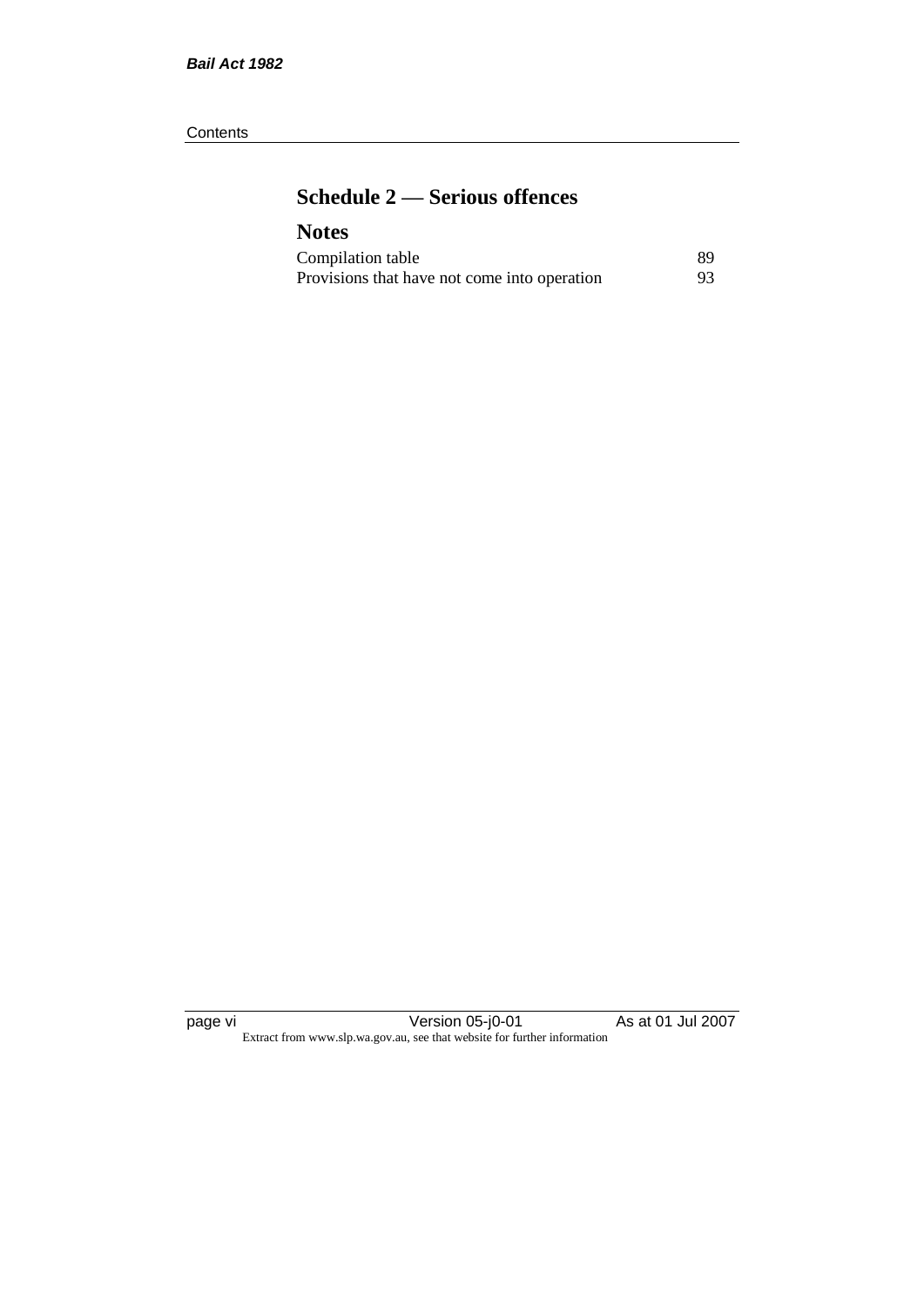#### **Contents**

### **Schedule 2 — Serious offences**

### **Notes**

| Compilation table                            | 89 |
|----------------------------------------------|----|
| Provisions that have not come into operation | 93 |

page vi Version 05-j0-01 As at 01 Jul 2007 Extract from www.slp.wa.gov.au, see that website for further information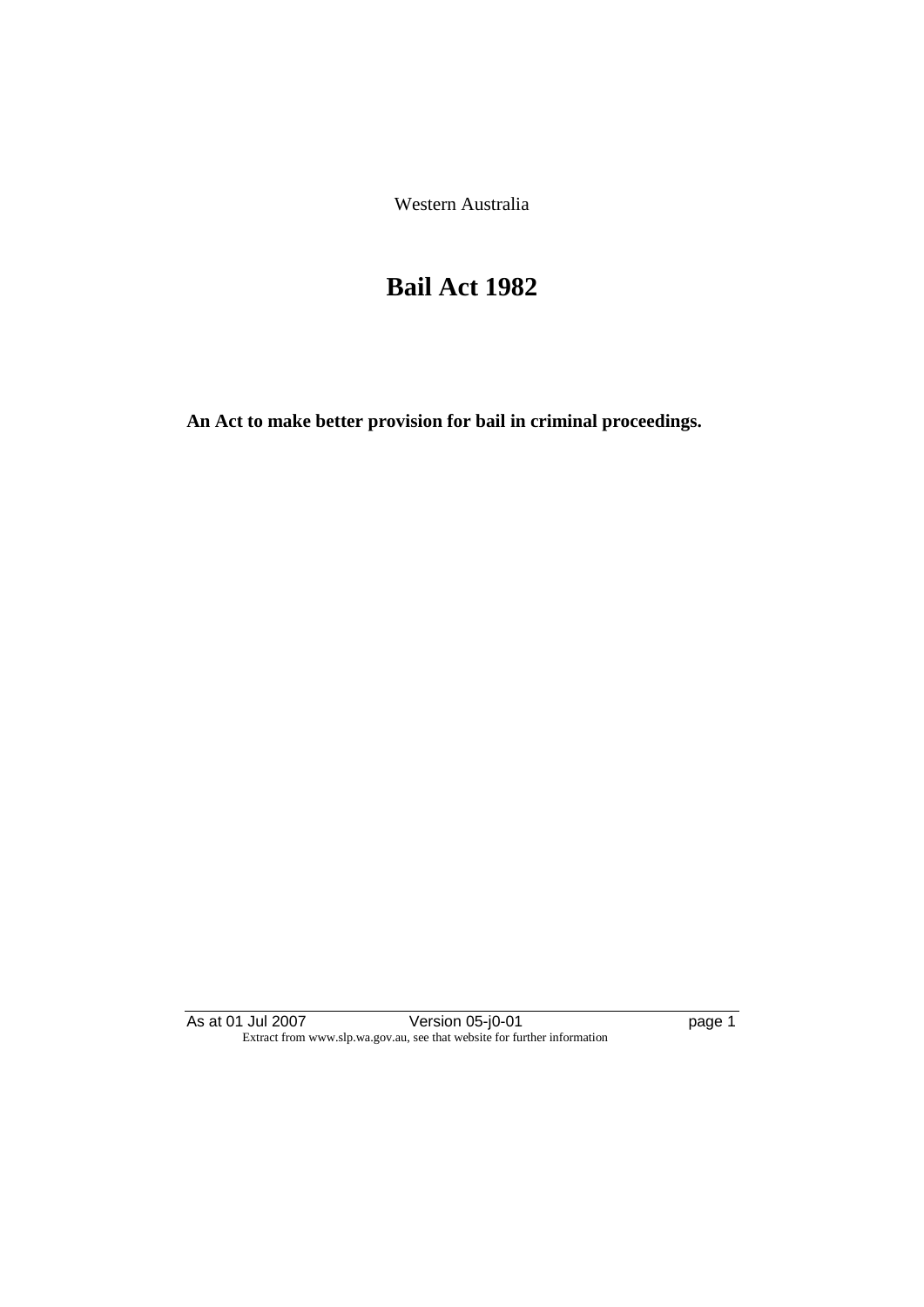Western Australia

# **Bail Act 1982**

**An Act to make better provision for bail in criminal proceedings.** 

As at 01 Jul 2007 **Version 05-j0-01 Dealing the State of Assaure 1** Extract from www.slp.wa.gov.au, see that website for further information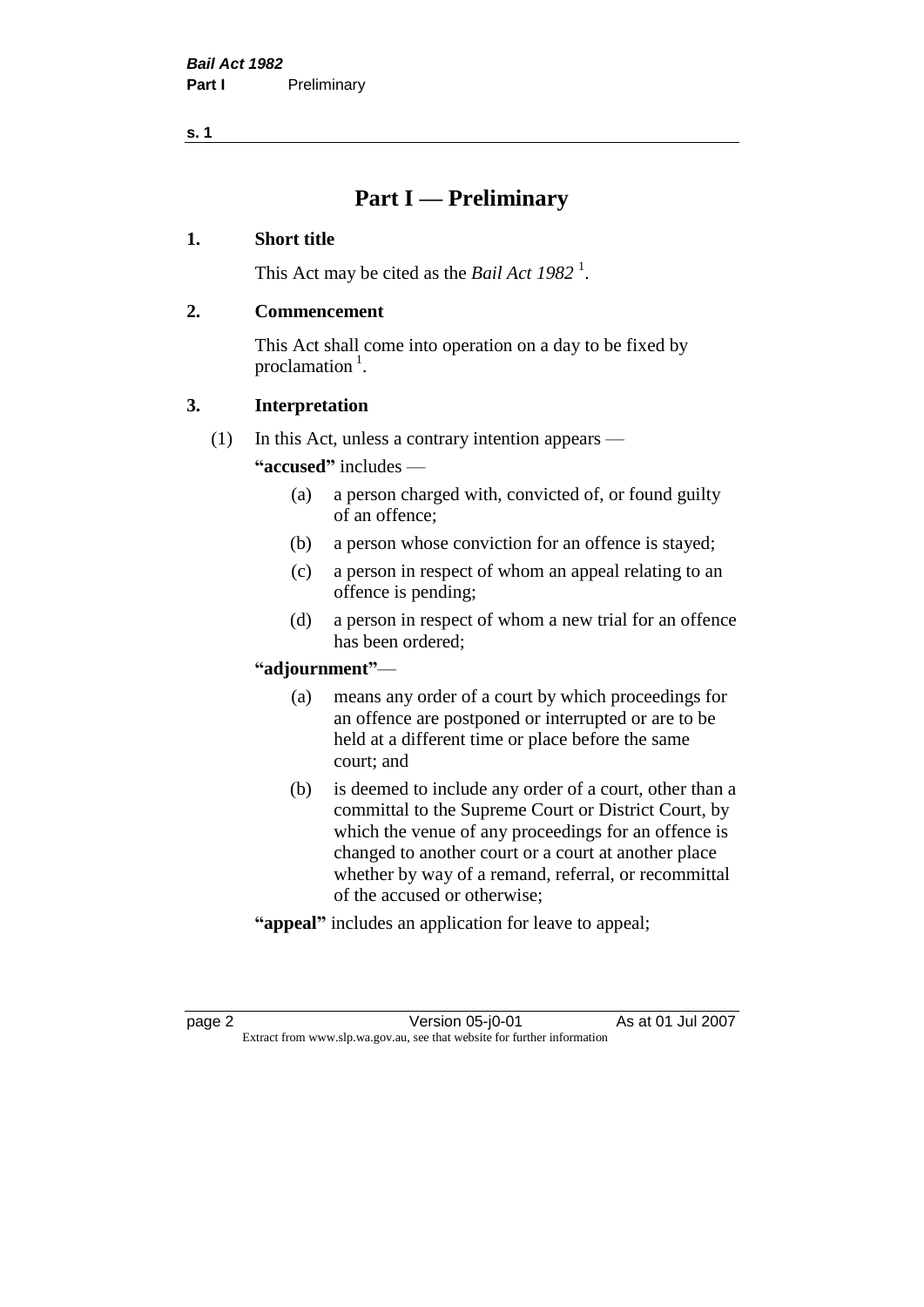### **Part I — Preliminary**

#### **1. Short title**

This Act may be cited as the *Bail Act* 1982<sup>1</sup>.

#### **2. Commencement**

This Act shall come into operation on a day to be fixed by proclamation  $<sup>1</sup>$ .</sup>

#### **3. Interpretation**

(1) In this Act, unless a contrary intention appears —

**"accused"** includes —

- (a) a person charged with, convicted of, or found guilty of an offence;
- (b) a person whose conviction for an offence is stayed;
- (c) a person in respect of whom an appeal relating to an offence is pending;
- (d) a person in respect of whom a new trial for an offence has been ordered;

#### **"adjournment"**—

- (a) means any order of a court by which proceedings for an offence are postponed or interrupted or are to be held at a different time or place before the same court; and
- (b) is deemed to include any order of a court, other than a committal to the Supreme Court or District Court, by which the venue of any proceedings for an offence is changed to another court or a court at another place whether by way of a remand, referral, or recommittal of the accused or otherwise;
- **"appeal"** includes an application for leave to appeal;

page 2 Version 05-j0-01 As at 01 Jul 2007 Extract from www.slp.wa.gov.au, see that website for further information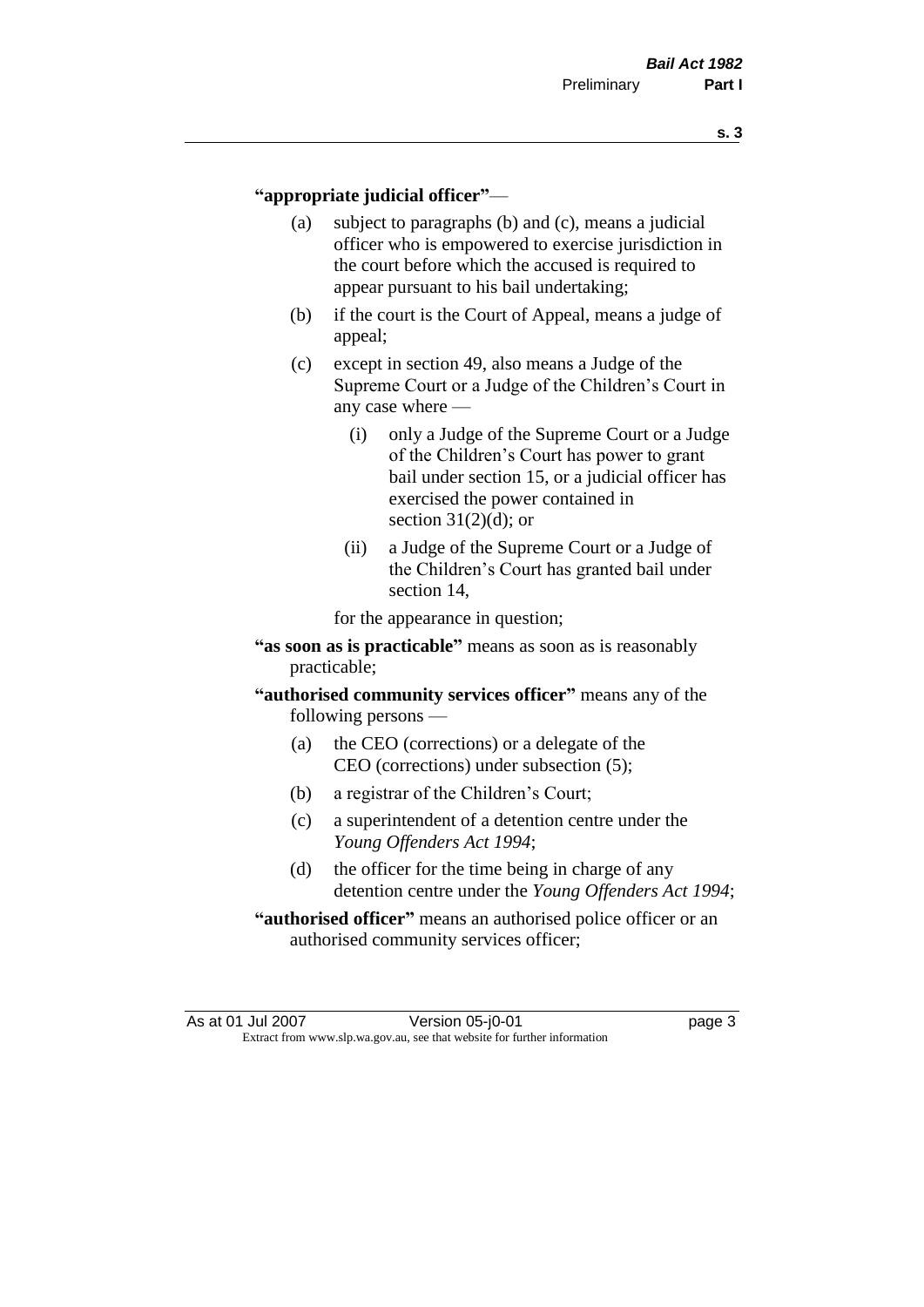#### **"appropriate judicial officer"**—

- (a) subject to paragraphs (b) and (c), means a judicial officer who is empowered to exercise jurisdiction in the court before which the accused is required to appear pursuant to his bail undertaking;
- (b) if the court is the Court of Appeal, means a judge of appeal;
- (c) except in section 49, also means a Judge of the Supreme Court or a Judge of the Children's Court in any case where —
	- (i) only a Judge of the Supreme Court or a Judge of the Children's Court has power to grant bail under section 15, or a judicial officer has exercised the power contained in section  $31(2)(d)$ ; or
	- (ii) a Judge of the Supreme Court or a Judge of the Children's Court has granted bail under section 14,

for the appearance in question;

- **"as soon as is practicable"** means as soon as is reasonably practicable;
- **"authorised community services officer"** means any of the following persons —
	- (a) the CEO (corrections) or a delegate of the CEO (corrections) under subsection (5);
	- (b) a registrar of the Children's Court;
	- (c) a superintendent of a detention centre under the *Young Offenders Act 1994*;
	- (d) the officer for the time being in charge of any detention centre under the *Young Offenders Act 1994*;
- **"authorised officer"** means an authorised police officer or an authorised community services officer;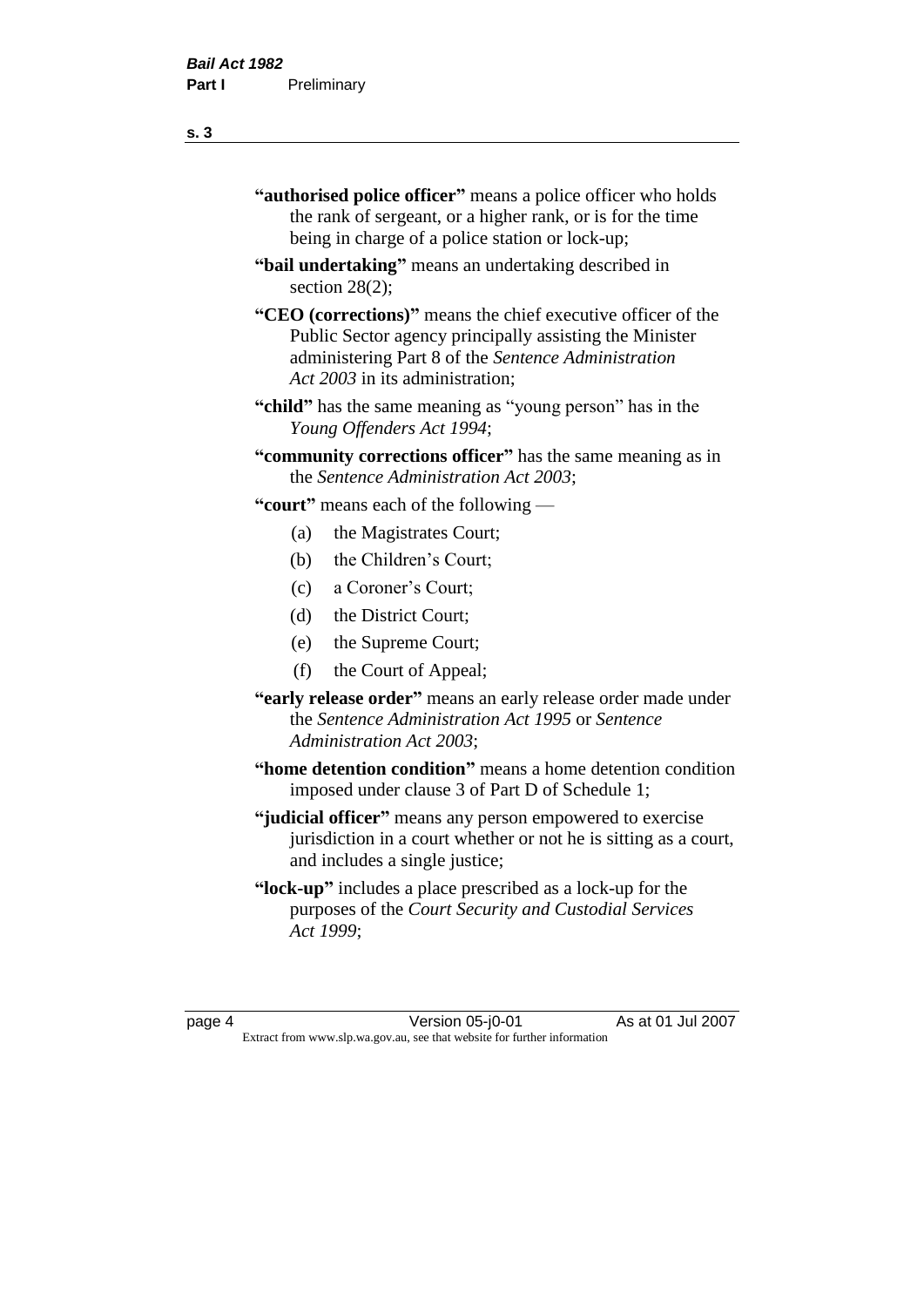- **"authorised police officer"** means a police officer who holds the rank of sergeant, or a higher rank, or is for the time being in charge of a police station or lock-up;
- **"bail undertaking"** means an undertaking described in section 28(2):
- **"CEO (corrections)"** means the chief executive officer of the Public Sector agency principally assisting the Minister administering Part 8 of the *Sentence Administration Act 2003* in its administration;
- **"child"** has the same meaning as "young person" has in the *Young Offenders Act 1994*;
- **"community corrections officer"** has the same meaning as in the *Sentence Administration Act 2003*;

**"court"** means each of the following —

- (a) the Magistrates Court;
- (b) the Children's Court;
- (c) a Coroner's Court;
- (d) the District Court;
- (e) the Supreme Court;
- (f) the Court of Appeal;
- **"early release order"** means an early release order made under the *Sentence Administration Act 1995* or *Sentence Administration Act 2003*;
- **"home detention condition"** means a home detention condition imposed under clause 3 of Part D of Schedule 1;
- **"judicial officer"** means any person empowered to exercise jurisdiction in a court whether or not he is sitting as a court, and includes a single justice;
- **"lock-up"** includes a place prescribed as a lock-up for the purposes of the *Court Security and Custodial Services Act 1999*;

page 4 Version 05-j0-01 As at 01 Jul 2007 Extract from www.slp.wa.gov.au, see that website for further information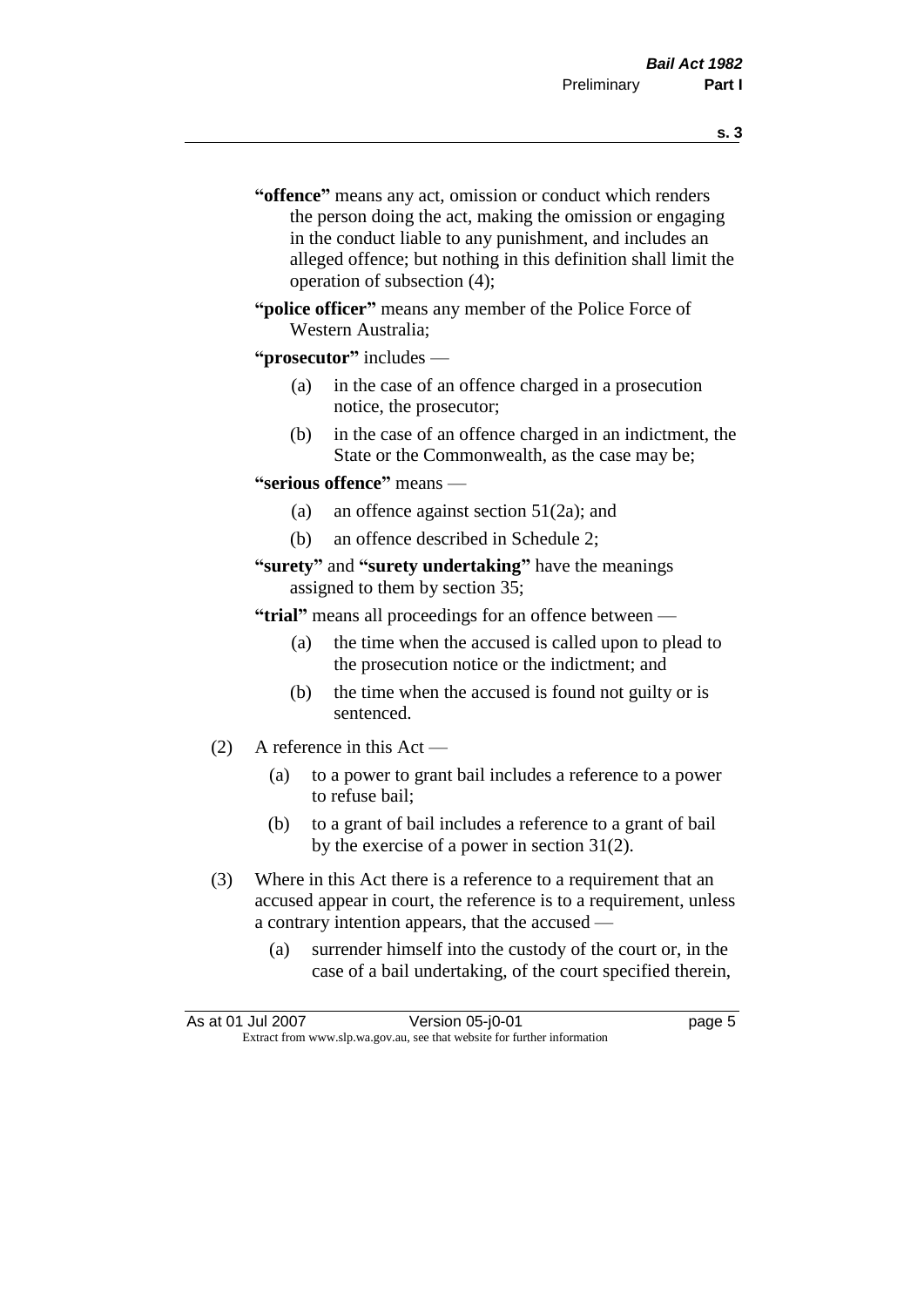- **s. 3**
- **"offence"** means any act, omission or conduct which renders the person doing the act, making the omission or engaging in the conduct liable to any punishment, and includes an alleged offence; but nothing in this definition shall limit the operation of subsection (4);
- **"police officer"** means any member of the Police Force of Western Australia;

#### **"prosecutor"** includes —

- (a) in the case of an offence charged in a prosecution notice, the prosecutor;
- (b) in the case of an offence charged in an indictment, the State or the Commonwealth, as the case may be;

#### **"serious offence"** means —

- (a) an offence against section 51(2a); and
- (b) an offence described in Schedule 2;
- **"surety"** and **"surety undertaking"** have the meanings assigned to them by section 35;

**"trial"** means all proceedings for an offence between —

- (a) the time when the accused is called upon to plead to the prosecution notice or the indictment; and
- (b) the time when the accused is found not guilty or is sentenced.
- (2) A reference in this Act
	- (a) to a power to grant bail includes a reference to a power to refuse bail;
	- (b) to a grant of bail includes a reference to a grant of bail by the exercise of a power in section 31(2).
- (3) Where in this Act there is a reference to a requirement that an accused appear in court, the reference is to a requirement, unless a contrary intention appears, that the accused —
	- (a) surrender himself into the custody of the court or, in the case of a bail undertaking, of the court specified therein,

| As at 01 Jul 2007 | Version 05-j0-01                                                         | page 5 |
|-------------------|--------------------------------------------------------------------------|--------|
|                   | Extract from www.slp.wa.gov.au, see that website for further information |        |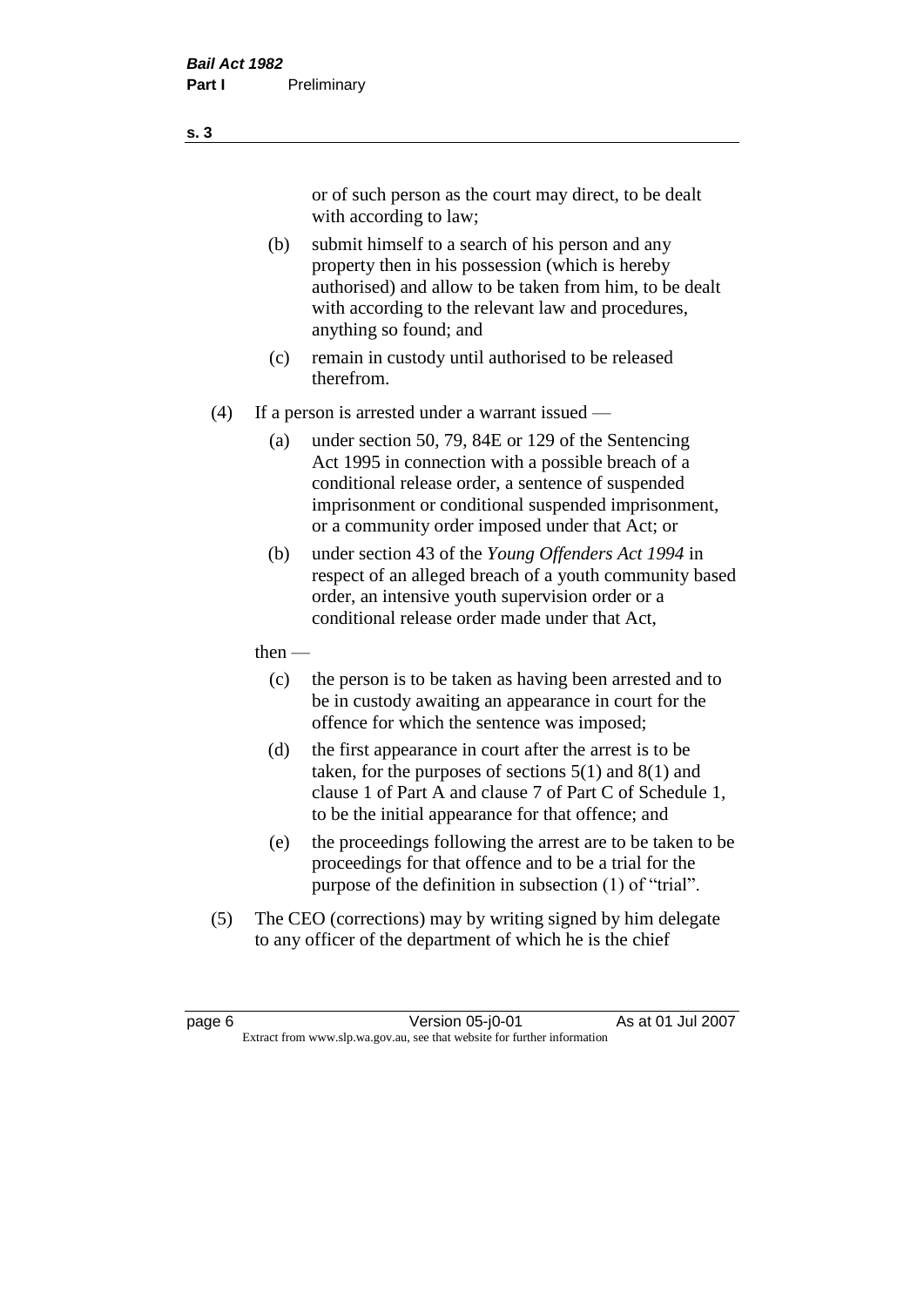or of such person as the court may direct, to be dealt with according to law;

(b) submit himself to a search of his person and any property then in his possession (which is hereby authorised) and allow to be taken from him, to be dealt with according to the relevant law and procedures, anything so found; and

- (c) remain in custody until authorised to be released therefrom.
- (4) If a person is arrested under a warrant issued
	- (a) under section 50, 79, 84E or 129 of the Sentencing Act 1995 in connection with a possible breach of a conditional release order, a sentence of suspended imprisonment or conditional suspended imprisonment, or a community order imposed under that Act; or
	- (b) under section 43 of the *Young Offenders Act 1994* in respect of an alleged breach of a youth community based order, an intensive youth supervision order or a conditional release order made under that Act,
	- then
		- (c) the person is to be taken as having been arrested and to be in custody awaiting an appearance in court for the offence for which the sentence was imposed;
		- (d) the first appearance in court after the arrest is to be taken, for the purposes of sections  $5(1)$  and  $8(1)$  and clause 1 of Part A and clause 7 of Part C of Schedule 1, to be the initial appearance for that offence; and
		- (e) the proceedings following the arrest are to be taken to be proceedings for that offence and to be a trial for the purpose of the definition in subsection (1) of "trial".
- (5) The CEO (corrections) may by writing signed by him delegate to any officer of the department of which he is the chief

page 6 Version 05-j0-01 As at 01 Jul 2007 Extract from www.slp.wa.gov.au, see that website for further information

**s. 3**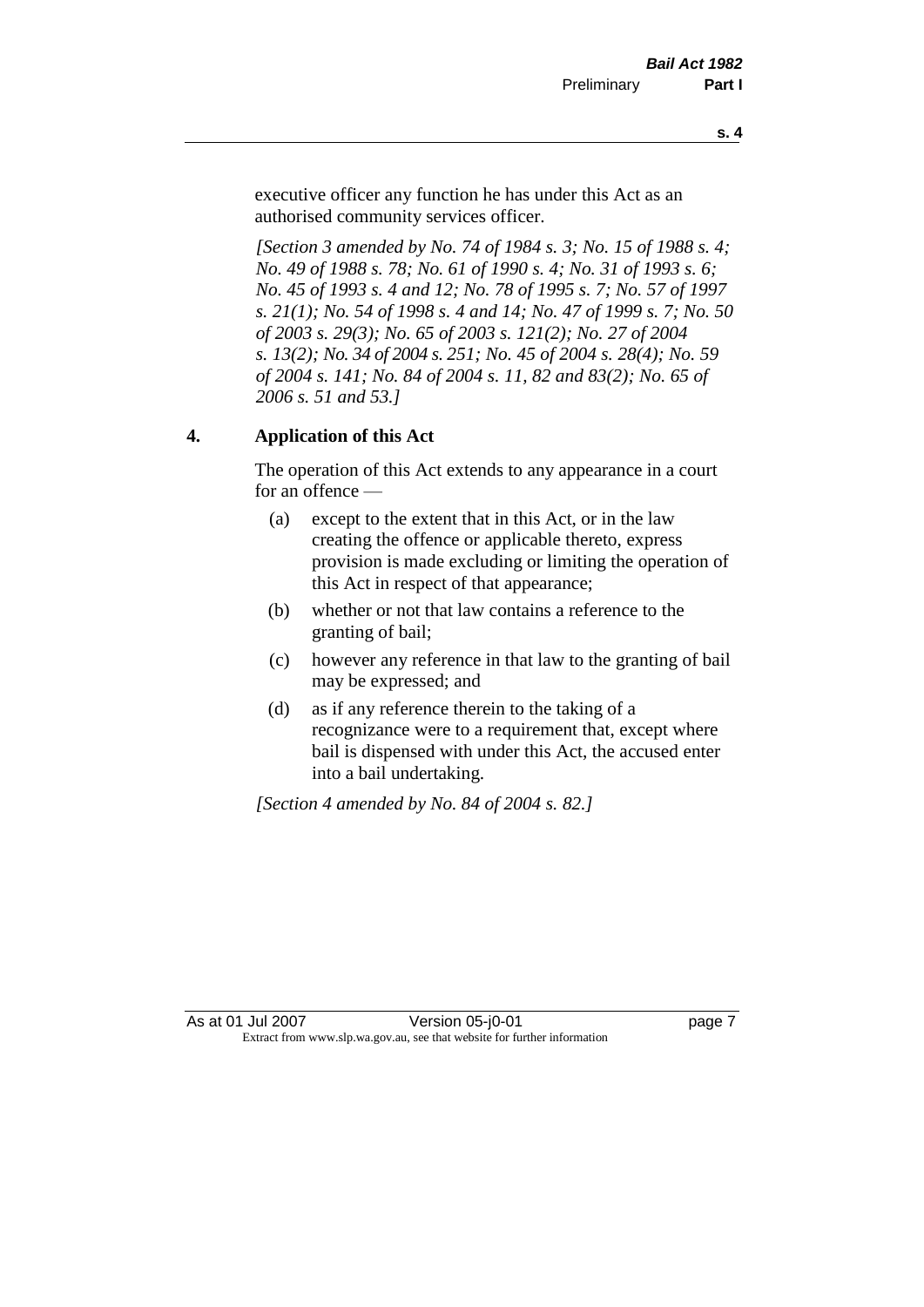executive officer any function he has under this Act as an authorised community services officer.

*[Section 3 amended by No. 74 of 1984 s. 3; No. 15 of 1988 s. 4; No. 49 of 1988 s. 78; No. 61 of 1990 s. 4; No. 31 of 1993 s. 6; No. 45 of 1993 s. 4 and 12; No. 78 of 1995 s. 7; No. 57 of 1997 s. 21(1); No. 54 of 1998 s. 4 and 14; No. 47 of 1999 s. 7; No. 50 of 2003 s. 29(3); No. 65 of 2003 s. 121(2); No. 27 of 2004 s. 13(2); No. 34 of 2004 s. 251; No. 45 of 2004 s. 28(4); No. 59 of 2004 s. 141; No. 84 of 2004 s. 11, 82 and 83(2); No. 65 of 2006 s. 51 and 53.]* 

### **4. Application of this Act**

The operation of this Act extends to any appearance in a court for an offence —

- (a) except to the extent that in this Act, or in the law creating the offence or applicable thereto, express provision is made excluding or limiting the operation of this Act in respect of that appearance;
- (b) whether or not that law contains a reference to the granting of bail;
- (c) however any reference in that law to the granting of bail may be expressed; and
- (d) as if any reference therein to the taking of a recognizance were to a requirement that, except where bail is dispensed with under this Act, the accused enter into a bail undertaking.

*[Section 4 amended by No. 84 of 2004 s. 82.]*

As at 01 Jul 2007 **Version 05-j0-01 Depays** 2 Extract from www.slp.wa.gov.au, see that website for further information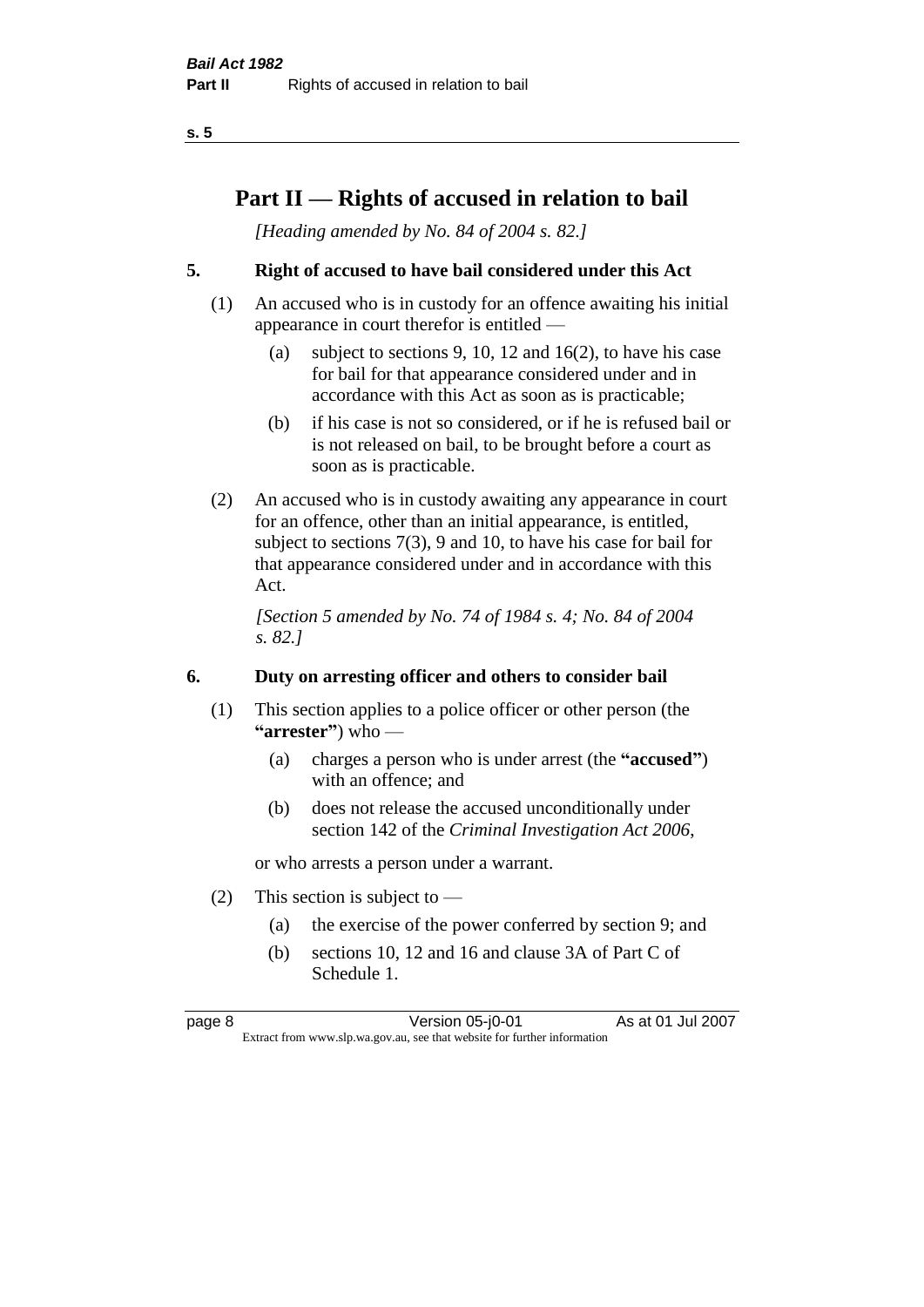### **Part II — Rights of accused in relation to bail**

*[Heading amended by No. 84 of 2004 s. 82.]* 

#### **5. Right of accused to have bail considered under this Act**

- (1) An accused who is in custody for an offence awaiting his initial appearance in court therefor is entitled —
	- (a) subject to sections 9, 10, 12 and 16(2), to have his case for bail for that appearance considered under and in accordance with this Act as soon as is practicable;
	- (b) if his case is not so considered, or if he is refused bail or is not released on bail, to be brought before a court as soon as is practicable.
- (2) An accused who is in custody awaiting any appearance in court for an offence, other than an initial appearance, is entitled, subject to sections 7(3), 9 and 10, to have his case for bail for that appearance considered under and in accordance with this Act.

*[Section 5 amended by No. 74 of 1984 s. 4; No. 84 of 2004 s. 82.]* 

#### **6. Duty on arresting officer and others to consider bail**

- (1) This section applies to a police officer or other person (the **"arrester"**) who —
	- (a) charges a person who is under arrest (the **"accused"**) with an offence; and
	- (b) does not release the accused unconditionally under section 142 of the *Criminal Investigation Act 2006*,

or who arrests a person under a warrant.

- (2) This section is subject to  $-$ 
	- (a) the exercise of the power conferred by section 9; and
	- (b) sections 10, 12 and 16 and clause 3A of Part C of Schedule 1.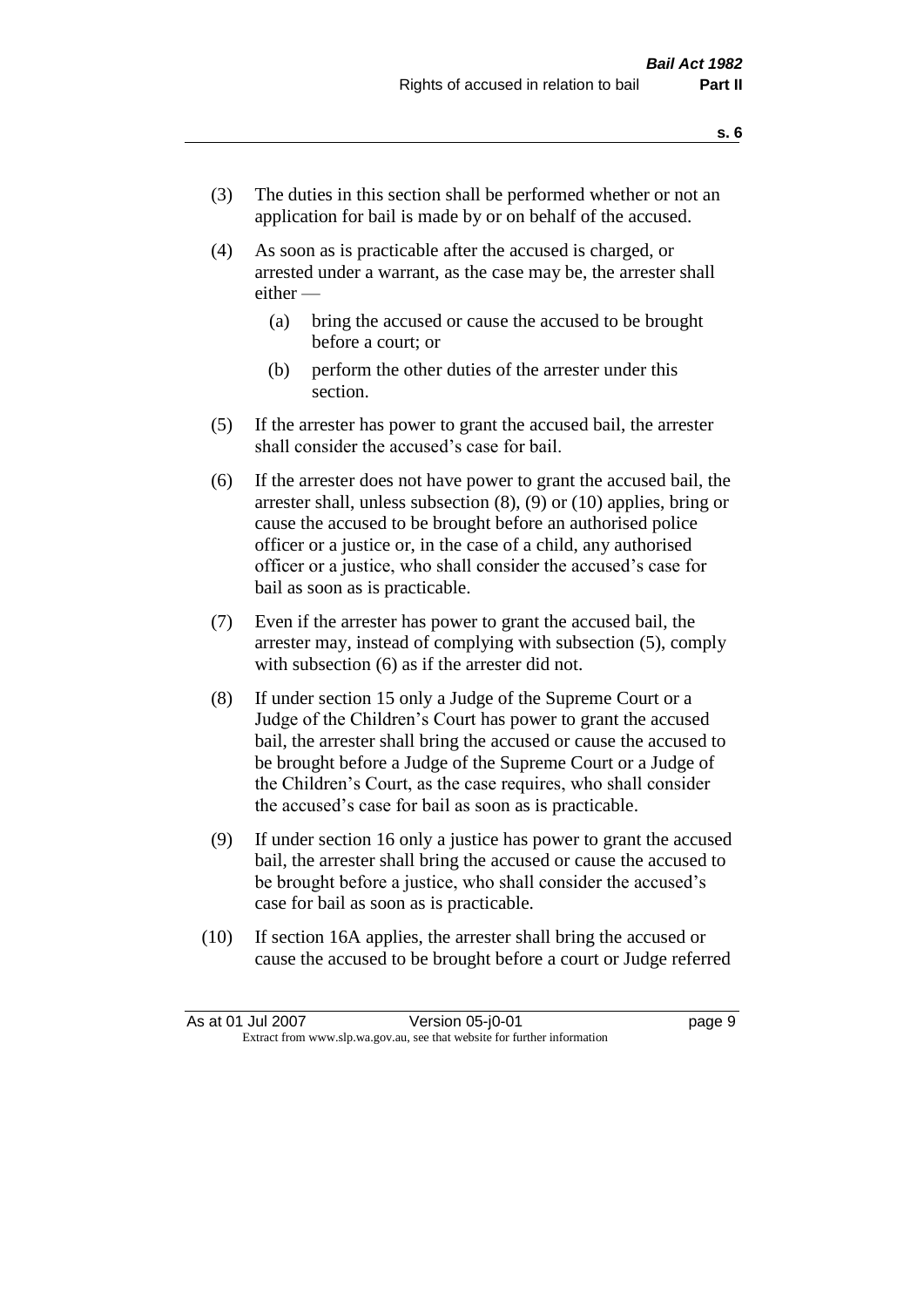- (3) The duties in this section shall be performed whether or not an application for bail is made by or on behalf of the accused.
- (4) As soon as is practicable after the accused is charged, or arrested under a warrant, as the case may be, the arrester shall either —
	- (a) bring the accused or cause the accused to be brought before a court; or
	- (b) perform the other duties of the arrester under this section.
- (5) If the arrester has power to grant the accused bail, the arrester shall consider the accused's case for bail.
- (6) If the arrester does not have power to grant the accused bail, the arrester shall, unless subsection (8), (9) or (10) applies, bring or cause the accused to be brought before an authorised police officer or a justice or, in the case of a child, any authorised officer or a justice, who shall consider the accused's case for bail as soon as is practicable.
- (7) Even if the arrester has power to grant the accused bail, the arrester may, instead of complying with subsection (5), comply with subsection (6) as if the arrester did not.
- (8) If under section 15 only a Judge of the Supreme Court or a Judge of the Children's Court has power to grant the accused bail, the arrester shall bring the accused or cause the accused to be brought before a Judge of the Supreme Court or a Judge of the Children's Court, as the case requires, who shall consider the accused's case for bail as soon as is practicable.
- (9) If under section 16 only a justice has power to grant the accused bail, the arrester shall bring the accused or cause the accused to be brought before a justice, who shall consider the accused's case for bail as soon as is practicable.
- (10) If section 16A applies, the arrester shall bring the accused or cause the accused to be brought before a court or Judge referred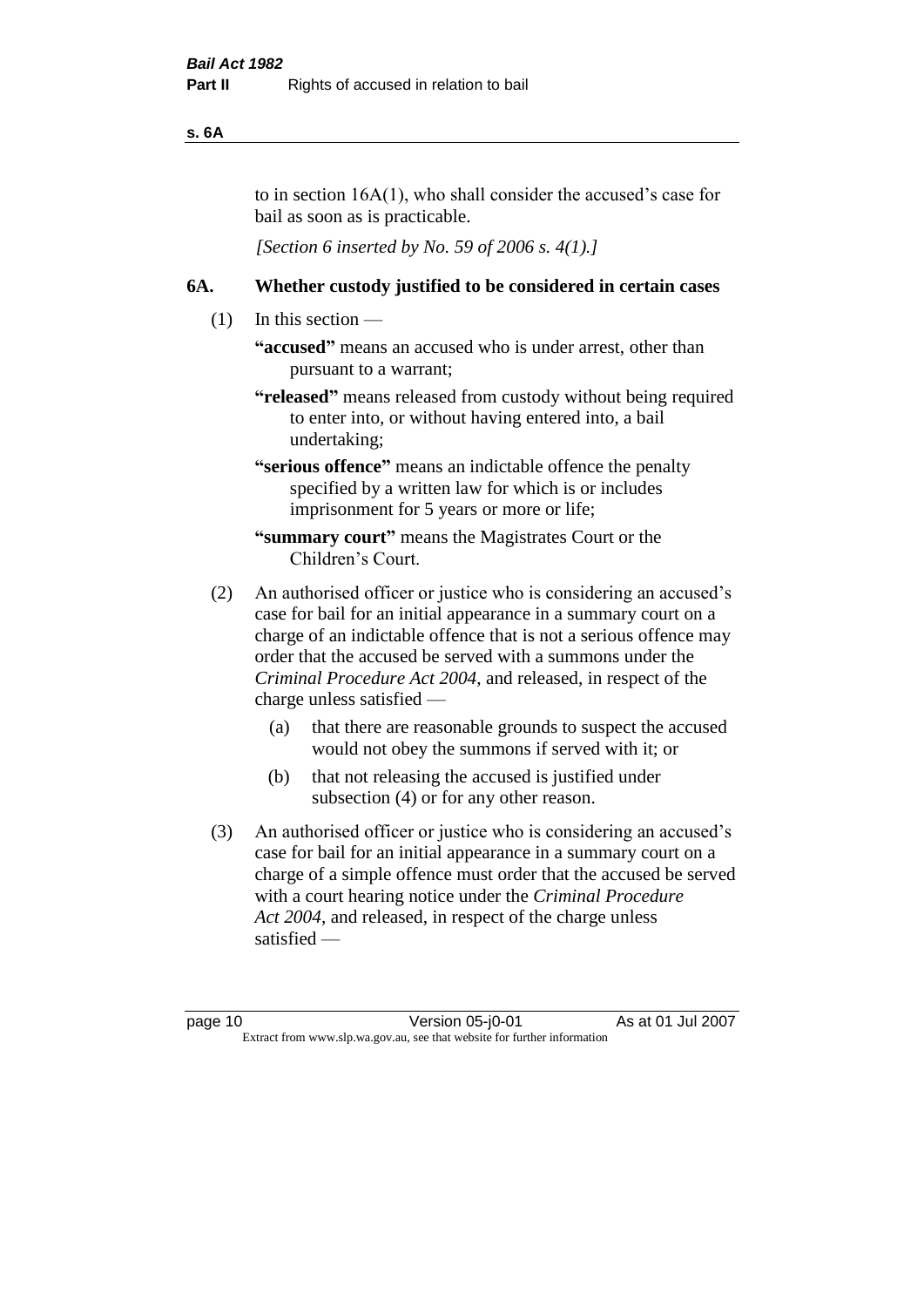#### **s. 6A**

to in section 16A(1), who shall consider the accused's case for bail as soon as is practicable.

*[Section 6 inserted by No. 59 of 2006 s. 4(1).]* 

#### **6A. Whether custody justified to be considered in certain cases**

- $(1)$  In this section
	- **"accused"** means an accused who is under arrest, other than pursuant to a warrant;
	- **"released"** means released from custody without being required to enter into, or without having entered into, a bail undertaking;
	- **"serious offence"** means an indictable offence the penalty specified by a written law for which is or includes imprisonment for 5 years or more or life;
	- **"summary court"** means the Magistrates Court or the Children's Court.
- (2) An authorised officer or justice who is considering an accused's case for bail for an initial appearance in a summary court on a charge of an indictable offence that is not a serious offence may order that the accused be served with a summons under the *Criminal Procedure Act 2004*, and released, in respect of the charge unless satisfied —
	- (a) that there are reasonable grounds to suspect the accused would not obey the summons if served with it; or
	- (b) that not releasing the accused is justified under subsection (4) or for any other reason.
- (3) An authorised officer or justice who is considering an accused's case for bail for an initial appearance in a summary court on a charge of a simple offence must order that the accused be served with a court hearing notice under the *Criminal Procedure Act 2004*, and released, in respect of the charge unless satisfied —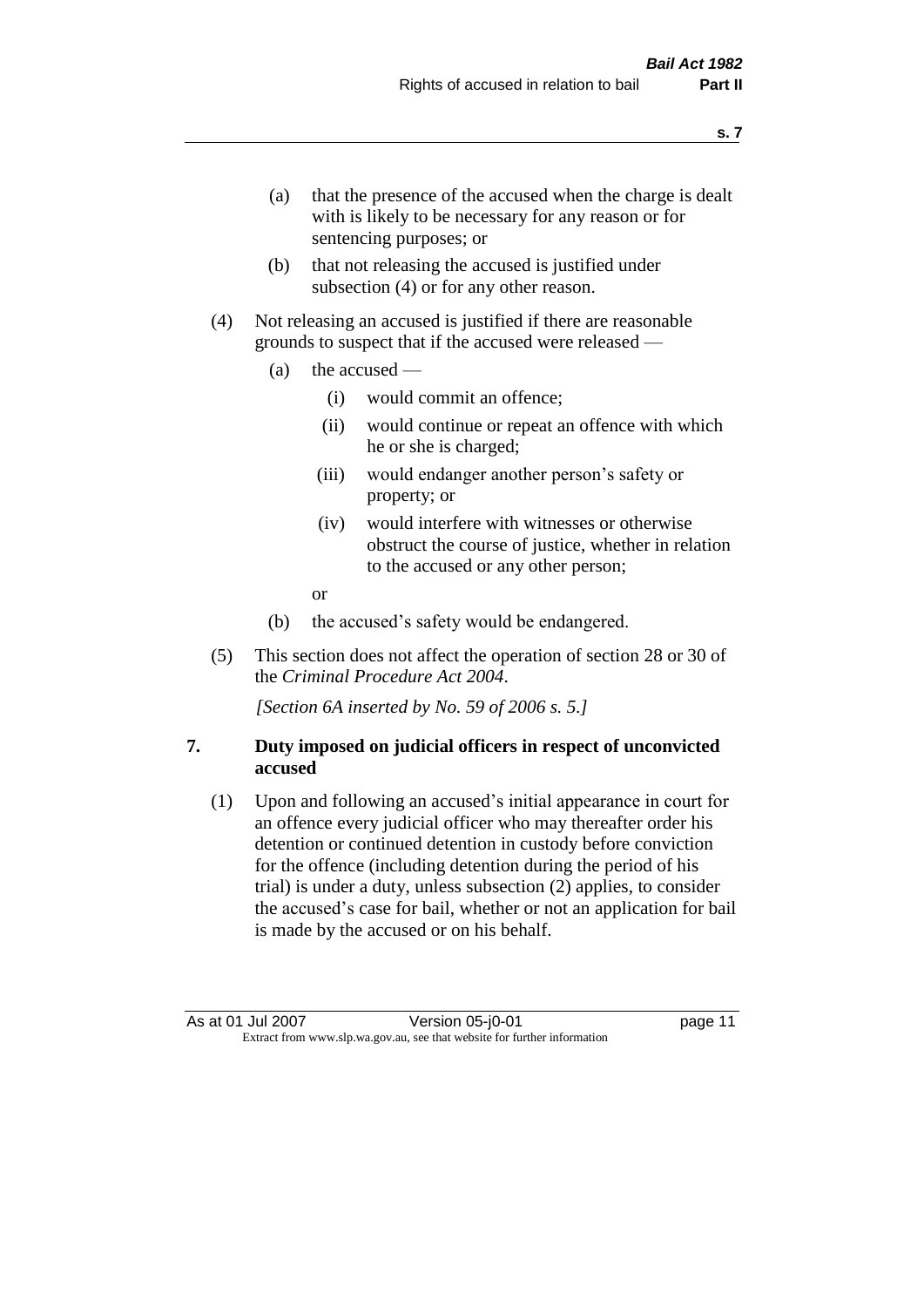- (a) that the presence of the accused when the charge is dealt with is likely to be necessary for any reason or for sentencing purposes; or
- (b) that not releasing the accused is justified under subsection (4) or for any other reason.
- (4) Not releasing an accused is justified if there are reasonable grounds to suspect that if the accused were released —
	- (a) the accused
		- (i) would commit an offence;
		- (ii) would continue or repeat an offence with which he or she is charged;
		- (iii) would endanger another person's safety or property; or
		- (iv) would interfere with witnesses or otherwise obstruct the course of justice, whether in relation to the accused or any other person;
		- or
	- (b) the accused's safety would be endangered.
- (5) This section does not affect the operation of section 28 or 30 of the *Criminal Procedure Act 2004*.

*[Section 6A inserted by No. 59 of 2006 s. 5.]* 

#### **7. Duty imposed on judicial officers in respect of unconvicted accused**

(1) Upon and following an accused's initial appearance in court for an offence every judicial officer who may thereafter order his detention or continued detention in custody before conviction for the offence (including detention during the period of his trial) is under a duty, unless subsection (2) applies, to consider the accused's case for bail, whether or not an application for bail is made by the accused or on his behalf.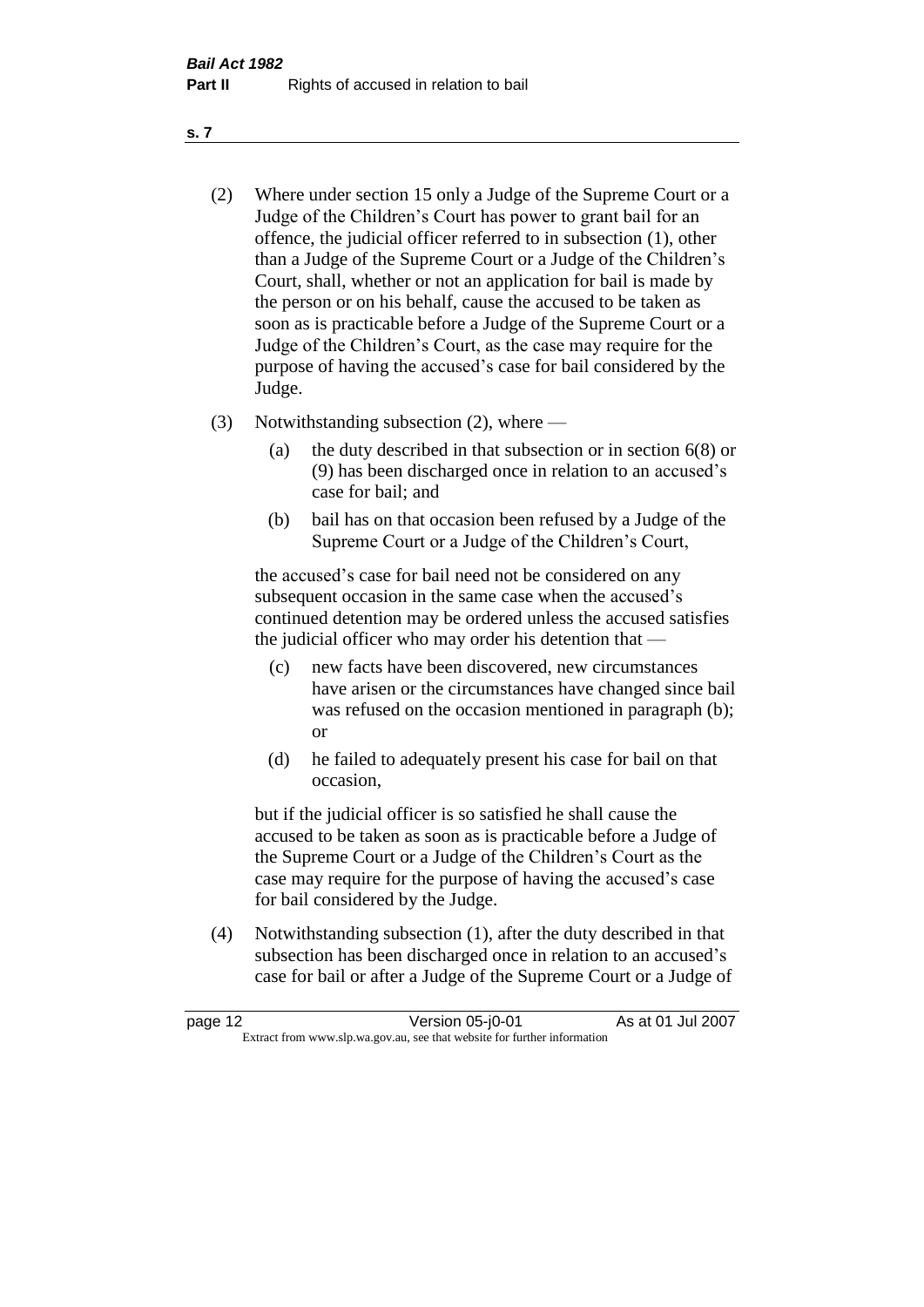- (2) Where under section 15 only a Judge of the Supreme Court or a Judge of the Children's Court has power to grant bail for an offence, the judicial officer referred to in subsection (1), other than a Judge of the Supreme Court or a Judge of the Children's Court, shall, whether or not an application for bail is made by the person or on his behalf, cause the accused to be taken as soon as is practicable before a Judge of the Supreme Court or a Judge of the Children's Court, as the case may require for the purpose of having the accused's case for bail considered by the Judge.
- (3) Notwithstanding subsection (2), where
	- (a) the duty described in that subsection or in section 6(8) or (9) has been discharged once in relation to an accused's case for bail; and
	- (b) bail has on that occasion been refused by a Judge of the Supreme Court or a Judge of the Children's Court,

the accused's case for bail need not be considered on any subsequent occasion in the same case when the accused's continued detention may be ordered unless the accused satisfies the judicial officer who may order his detention that —

- (c) new facts have been discovered, new circumstances have arisen or the circumstances have changed since bail was refused on the occasion mentioned in paragraph (b); or
- (d) he failed to adequately present his case for bail on that occasion,

but if the judicial officer is so satisfied he shall cause the accused to be taken as soon as is practicable before a Judge of the Supreme Court or a Judge of the Children's Court as the case may require for the purpose of having the accused's case for bail considered by the Judge.

(4) Notwithstanding subsection (1), after the duty described in that subsection has been discharged once in relation to an accused's case for bail or after a Judge of the Supreme Court or a Judge of

| page 12 | Version 05-j0-01                                                         | As at 01 Jul 2007 |
|---------|--------------------------------------------------------------------------|-------------------|
|         | Extract from www.slp.wa.gov.au, see that website for further information |                   |

**s. 7**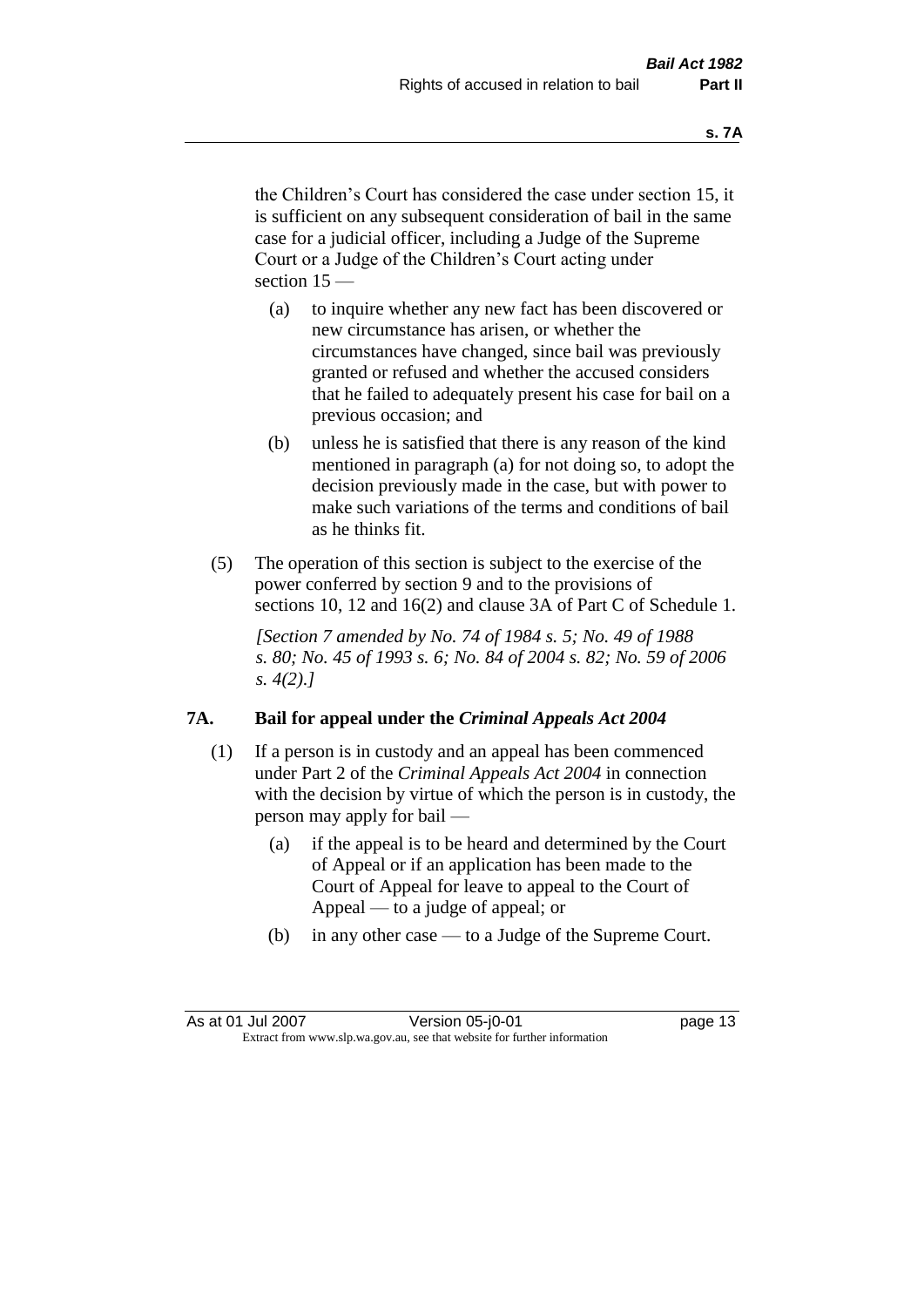the Children's Court has considered the case under section 15, it is sufficient on any subsequent consideration of bail in the same case for a judicial officer, including a Judge of the Supreme Court or a Judge of the Children's Court acting under section 15 —

- (a) to inquire whether any new fact has been discovered or new circumstance has arisen, or whether the circumstances have changed, since bail was previously granted or refused and whether the accused considers that he failed to adequately present his case for bail on a previous occasion; and
- (b) unless he is satisfied that there is any reason of the kind mentioned in paragraph (a) for not doing so, to adopt the decision previously made in the case, but with power to make such variations of the terms and conditions of bail as he thinks fit.
- (5) The operation of this section is subject to the exercise of the power conferred by section 9 and to the provisions of sections 10, 12 and 16(2) and clause 3A of Part C of Schedule 1.

*[Section 7 amended by No. 74 of 1984 s. 5; No. 49 of 1988 s. 80; No. 45 of 1993 s. 6; No. 84 of 2004 s. 82; No. 59 of 2006 s. 4(2).]* 

#### **7A. Bail for appeal under the** *Criminal Appeals Act 2004*

- (1) If a person is in custody and an appeal has been commenced under Part 2 of the *Criminal Appeals Act 2004* in connection with the decision by virtue of which the person is in custody, the person may apply for bail —
	- (a) if the appeal is to be heard and determined by the Court of Appeal or if an application has been made to the Court of Appeal for leave to appeal to the Court of Appeal — to a judge of appeal; or
	- (b) in any other case to a Judge of the Supreme Court.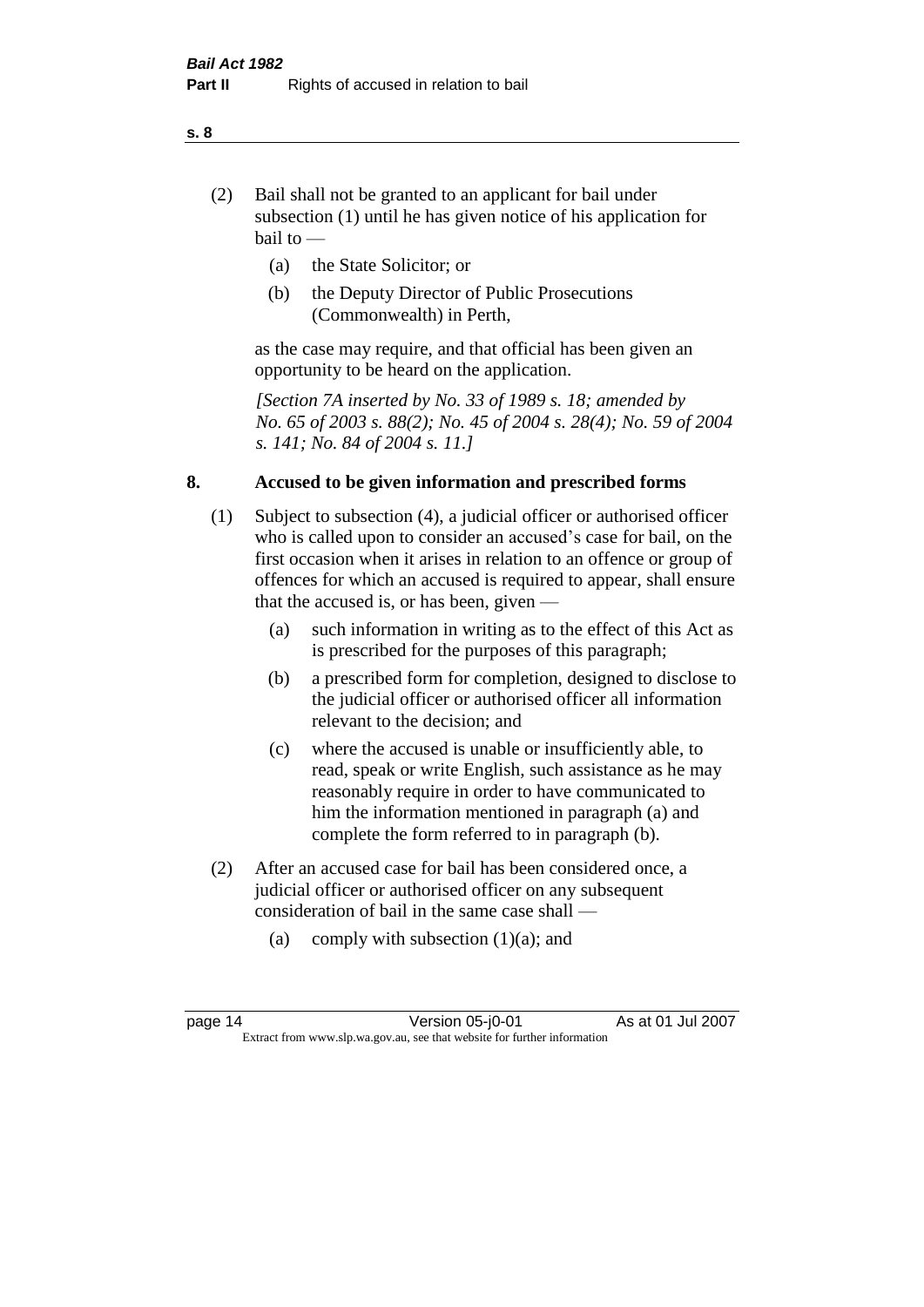- (2) Bail shall not be granted to an applicant for bail under subsection (1) until he has given notice of his application for bail to —
	- (a) the State Solicitor; or
	- (b) the Deputy Director of Public Prosecutions (Commonwealth) in Perth,

as the case may require, and that official has been given an opportunity to be heard on the application.

*[Section 7A inserted by No. 33 of 1989 s. 18; amended by No. 65 of 2003 s. 88(2); No. 45 of 2004 s. 28(4); No. 59 of 2004 s. 141; No. 84 of 2004 s. 11.]* 

#### **8. Accused to be given information and prescribed forms**

- (1) Subject to subsection (4), a judicial officer or authorised officer who is called upon to consider an accused's case for bail, on the first occasion when it arises in relation to an offence or group of offences for which an accused is required to appear, shall ensure that the accused is, or has been, given —
	- (a) such information in writing as to the effect of this Act as is prescribed for the purposes of this paragraph;
	- (b) a prescribed form for completion, designed to disclose to the judicial officer or authorised officer all information relevant to the decision; and
	- (c) where the accused is unable or insufficiently able, to read, speak or write English, such assistance as he may reasonably require in order to have communicated to him the information mentioned in paragraph (a) and complete the form referred to in paragraph (b).
- (2) After an accused case for bail has been considered once, a judicial officer or authorised officer on any subsequent consideration of bail in the same case shall —
	- (a) comply with subsection  $(1)(a)$ ; and

**s. 8**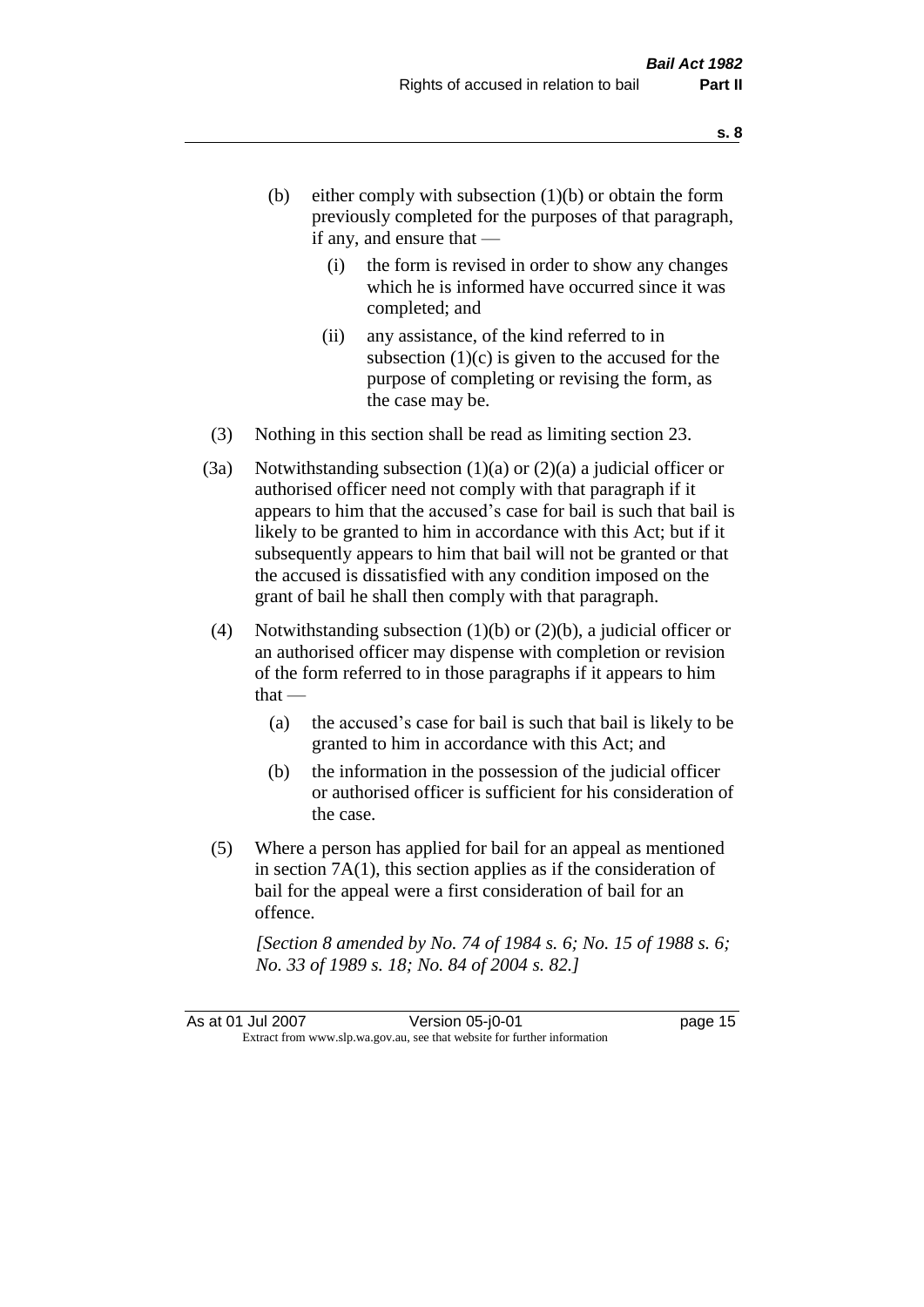- (b) either comply with subsection  $(1)(b)$  or obtain the form previously completed for the purposes of that paragraph, if any, and ensure that —
	- (i) the form is revised in order to show any changes which he is informed have occurred since it was completed; and
	- (ii) any assistance, of the kind referred to in subsection  $(1)(c)$  is given to the accused for the purpose of completing or revising the form, as the case may be.
- (3) Nothing in this section shall be read as limiting section 23.
- (3a) Notwithstanding subsection  $(1)(a)$  or  $(2)(a)$  a judicial officer or authorised officer need not comply with that paragraph if it appears to him that the accused's case for bail is such that bail is likely to be granted to him in accordance with this Act; but if it subsequently appears to him that bail will not be granted or that the accused is dissatisfied with any condition imposed on the grant of bail he shall then comply with that paragraph.
- (4) Notwithstanding subsection  $(1)(b)$  or  $(2)(b)$ , a judicial officer or an authorised officer may dispense with completion or revision of the form referred to in those paragraphs if it appears to him  $that -$ 
	- (a) the accused's case for bail is such that bail is likely to be granted to him in accordance with this Act; and
	- (b) the information in the possession of the judicial officer or authorised officer is sufficient for his consideration of the case.
- (5) Where a person has applied for bail for an appeal as mentioned in section 7A(1), this section applies as if the consideration of bail for the appeal were a first consideration of bail for an offence.

*[Section 8 amended by No. 74 of 1984 s. 6; No. 15 of 1988 s. 6; No. 33 of 1989 s. 18; No. 84 of 2004 s. 82.]*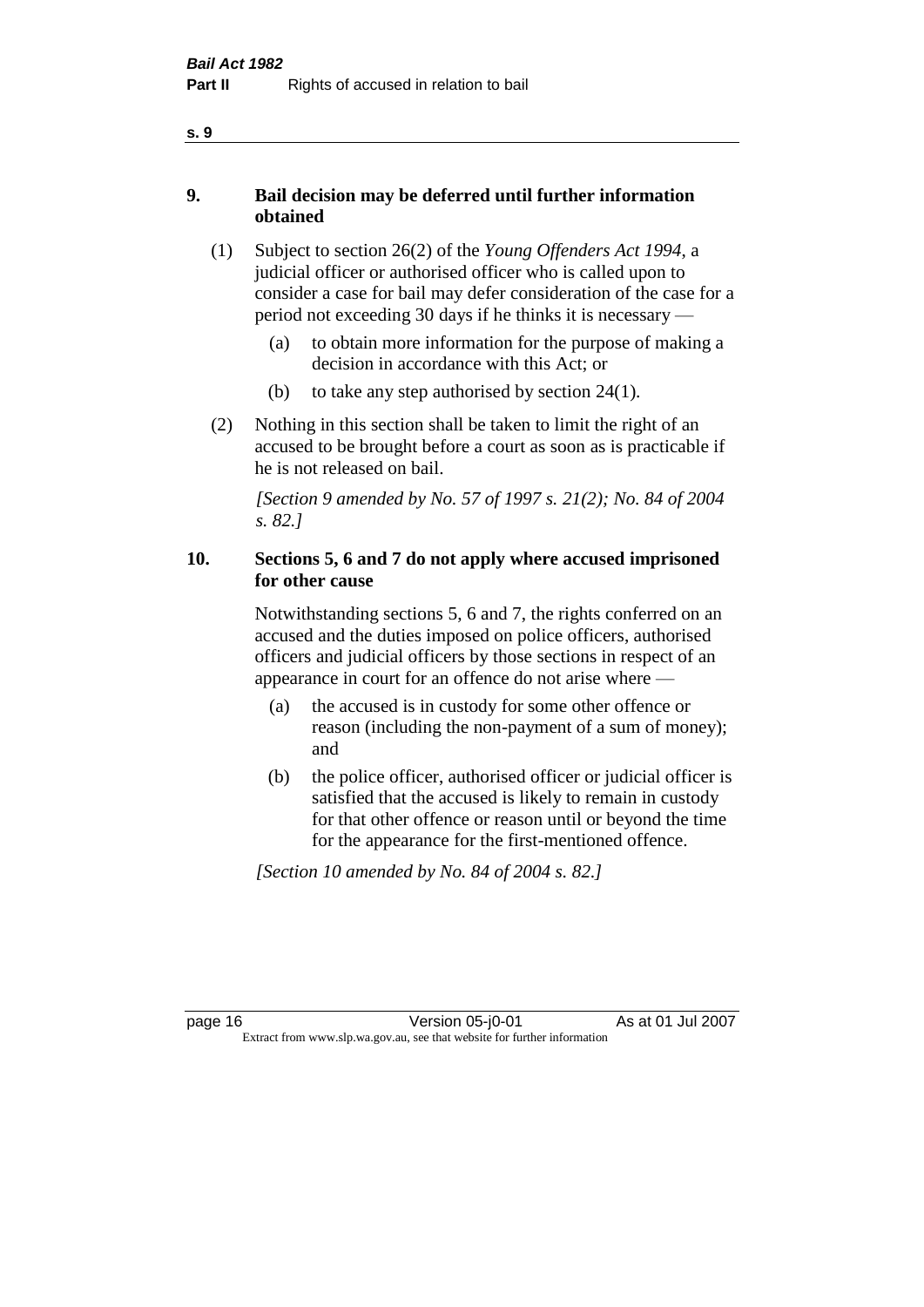- **9. Bail decision may be deferred until further information obtained** 
	- (1) Subject to section 26(2) of the *Young Offenders Act 1994*, a judicial officer or authorised officer who is called upon to consider a case for bail may defer consideration of the case for a period not exceeding 30 days if he thinks it is necessary —
		- (a) to obtain more information for the purpose of making a decision in accordance with this Act; or
		- (b) to take any step authorised by section  $24(1)$ .
	- (2) Nothing in this section shall be taken to limit the right of an accused to be brought before a court as soon as is practicable if he is not released on bail.

*[Section 9 amended by No. 57 of 1997 s. 21(2); No. 84 of 2004 s. 82.]*

#### **10. Sections 5, 6 and 7 do not apply where accused imprisoned for other cause**

Notwithstanding sections 5, 6 and 7, the rights conferred on an accused and the duties imposed on police officers, authorised officers and judicial officers by those sections in respect of an appearance in court for an offence do not arise where —

- (a) the accused is in custody for some other offence or reason (including the non-payment of a sum of money); and
- (b) the police officer, authorised officer or judicial officer is satisfied that the accused is likely to remain in custody for that other offence or reason until or beyond the time for the appearance for the first-mentioned offence.

*[Section 10 amended by No. 84 of 2004 s. 82.]*

**s. 9**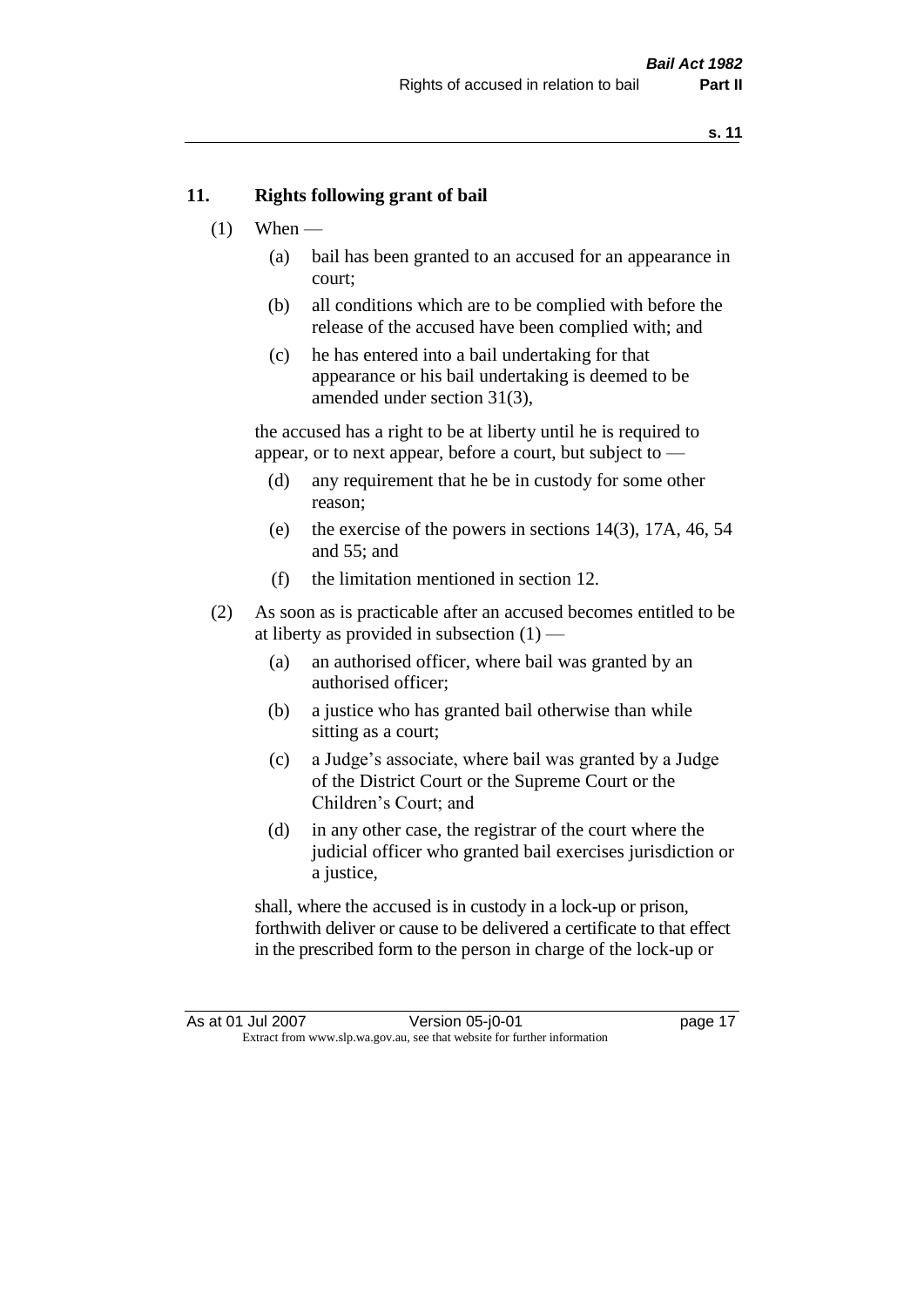#### **11. Rights following grant of bail**

- $(1)$  When
	- (a) bail has been granted to an accused for an appearance in court;
	- (b) all conditions which are to be complied with before the release of the accused have been complied with; and
	- (c) he has entered into a bail undertaking for that appearance or his bail undertaking is deemed to be amended under section 31(3),

the accused has a right to be at liberty until he is required to appear, or to next appear, before a court, but subject to —

- (d) any requirement that he be in custody for some other reason;
- (e) the exercise of the powers in sections 14(3), 17A, 46, 54 and 55; and
- (f) the limitation mentioned in section 12.
- (2) As soon as is practicable after an accused becomes entitled to be at liberty as provided in subsection  $(1)$  —
	- (a) an authorised officer, where bail was granted by an authorised officer;
	- (b) a justice who has granted bail otherwise than while sitting as a court;
	- (c) a Judge's associate, where bail was granted by a Judge of the District Court or the Supreme Court or the Children's Court; and
	- (d) in any other case, the registrar of the court where the judicial officer who granted bail exercises jurisdiction or a justice,

shall, where the accused is in custody in a lock-up or prison, forthwith deliver or cause to be delivered a certificate to that effect in the prescribed form to the person in charge of the lock-up or

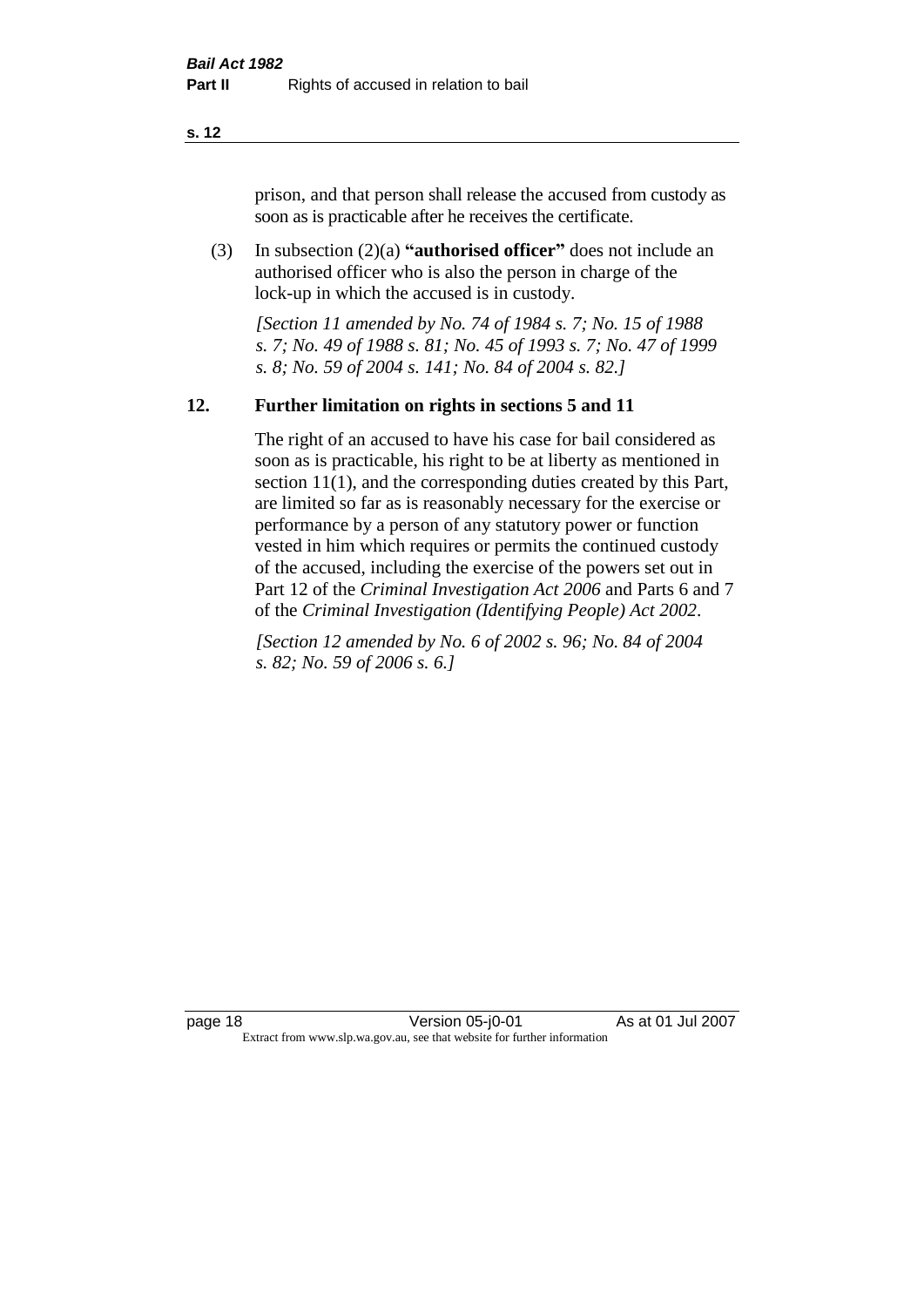prison, and that person shall release the accused from custody as soon as is practicable after he receives the certificate.

(3) In subsection (2)(a) **"authorised officer"** does not include an authorised officer who is also the person in charge of the lock-up in which the accused is in custody.

*[Section 11 amended by No. 74 of 1984 s. 7; No. 15 of 1988 s. 7; No. 49 of 1988 s. 81; No. 45 of 1993 s. 7; No. 47 of 1999 s. 8; No. 59 of 2004 s. 141; No. 84 of 2004 s. 82.]* 

#### **12. Further limitation on rights in sections 5 and 11**

The right of an accused to have his case for bail considered as soon as is practicable, his right to be at liberty as mentioned in section 11(1), and the corresponding duties created by this Part, are limited so far as is reasonably necessary for the exercise or performance by a person of any statutory power or function vested in him which requires or permits the continued custody of the accused, including the exercise of the powers set out in Part 12 of the *Criminal Investigation Act 2006* and Parts 6 and 7 of the *Criminal Investigation (Identifying People) Act 2002*.

*[Section 12 amended by No. 6 of 2002 s. 96; No. 84 of 2004 s. 82; No. 59 of 2006 s. 6.]*

page 18 Version 05-j0-01 As at 01 Jul 2007 Extract from www.slp.wa.gov.au, see that website for further information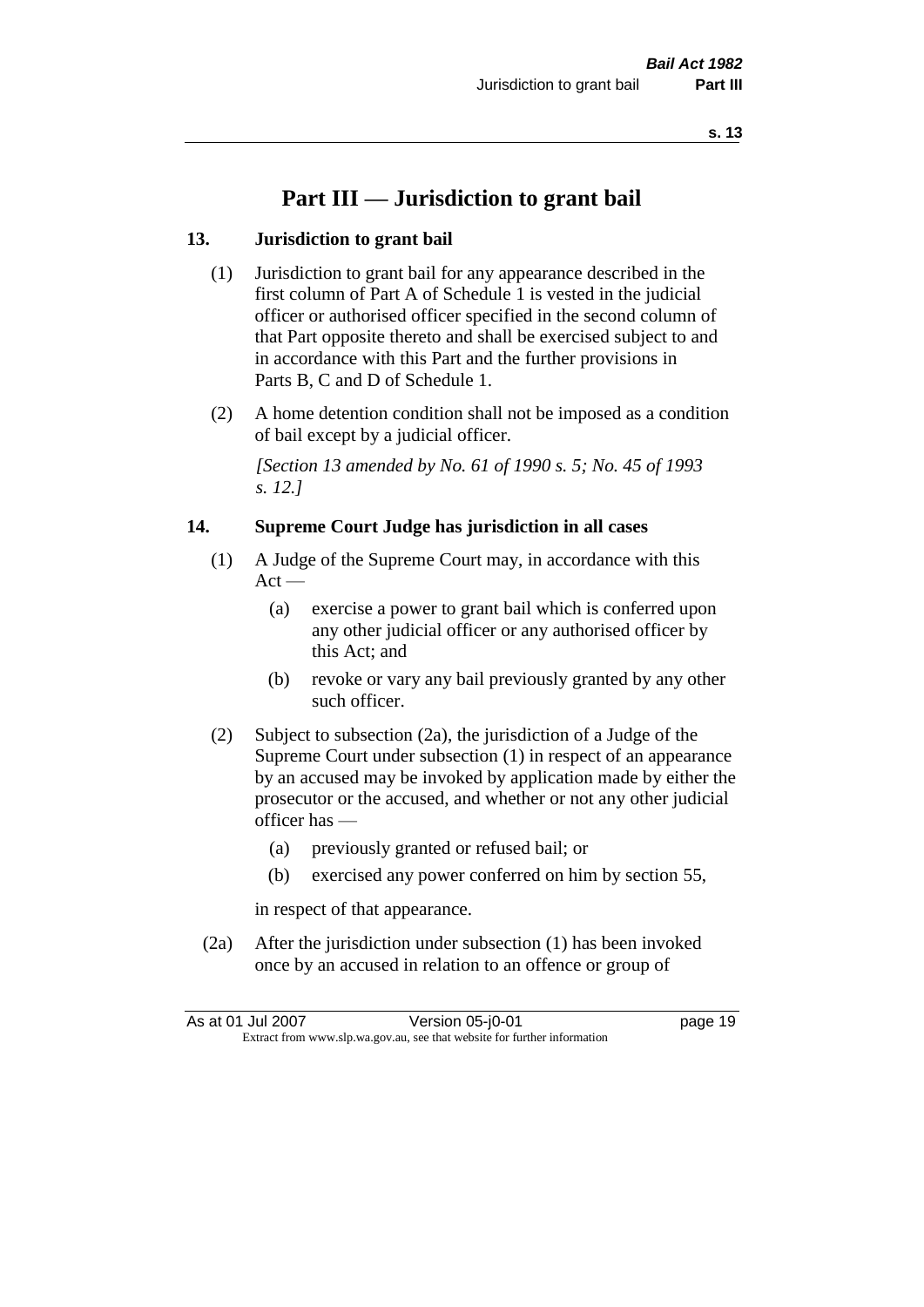### **Part III — Jurisdiction to grant bail**

#### **13. Jurisdiction to grant bail**

- (1) Jurisdiction to grant bail for any appearance described in the first column of Part A of Schedule 1 is vested in the judicial officer or authorised officer specified in the second column of that Part opposite thereto and shall be exercised subject to and in accordance with this Part and the further provisions in Parts B, C and D of Schedule 1.
- (2) A home detention condition shall not be imposed as a condition of bail except by a judicial officer.

*[Section 13 amended by No. 61 of 1990 s. 5; No. 45 of 1993 s. 12.]* 

#### **14. Supreme Court Judge has jurisdiction in all cases**

- (1) A Judge of the Supreme Court may, in accordance with this  $Act -$ 
	- (a) exercise a power to grant bail which is conferred upon any other judicial officer or any authorised officer by this Act; and
	- (b) revoke or vary any bail previously granted by any other such officer.
- (2) Subject to subsection (2a), the jurisdiction of a Judge of the Supreme Court under subsection (1) in respect of an appearance by an accused may be invoked by application made by either the prosecutor or the accused, and whether or not any other judicial officer has —
	- (a) previously granted or refused bail; or
	- (b) exercised any power conferred on him by section 55,

in respect of that appearance.

(2a) After the jurisdiction under subsection (1) has been invoked once by an accused in relation to an offence or group of

As at 01 Jul 2007 **Version 05-j0-01 Dage 19** Extract from www.slp.wa.gov.au, see that website for further information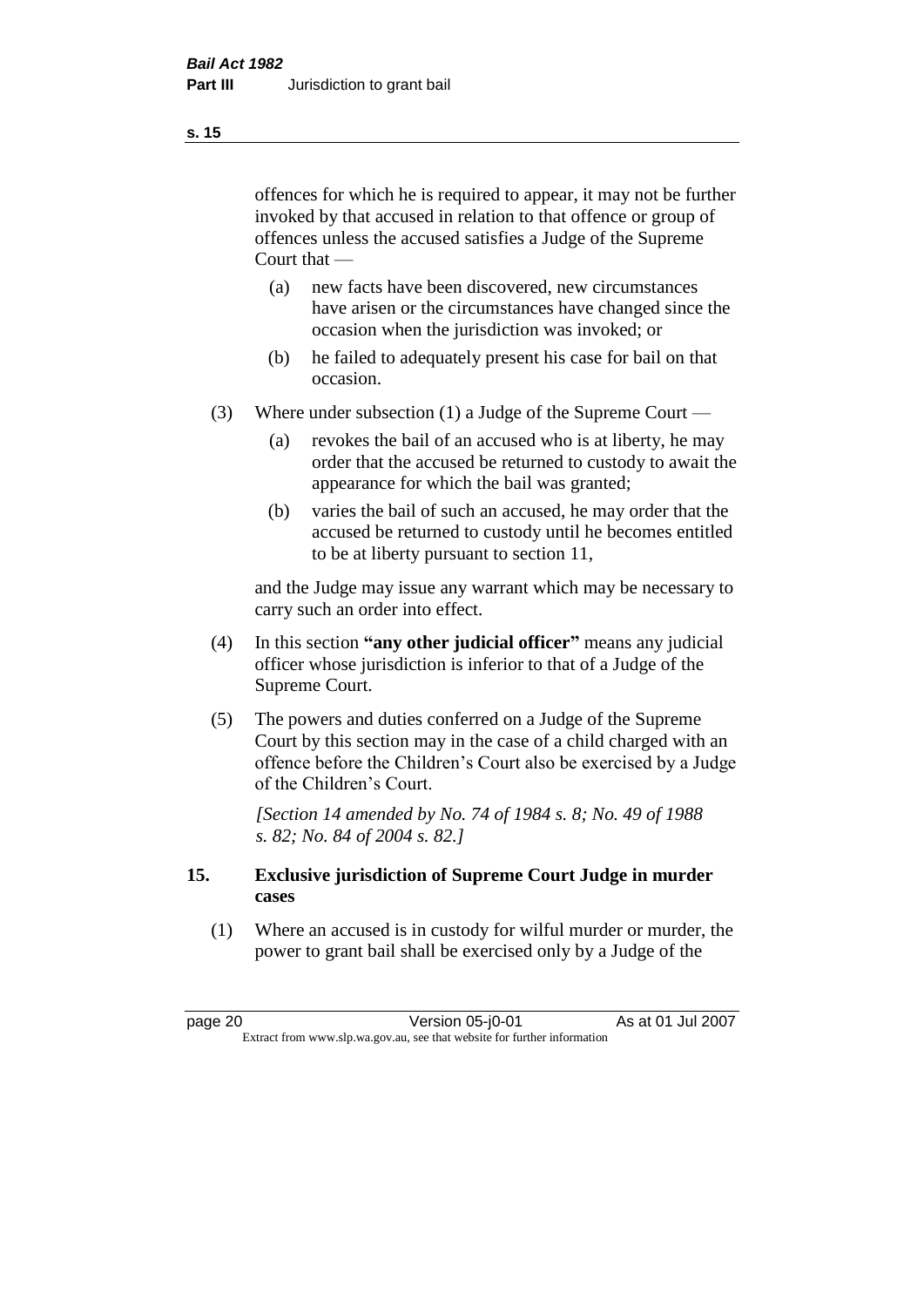offences for which he is required to appear, it may not be further invoked by that accused in relation to that offence or group of offences unless the accused satisfies a Judge of the Supreme Court that —

- (a) new facts have been discovered, new circumstances have arisen or the circumstances have changed since the occasion when the jurisdiction was invoked; or
- (b) he failed to adequately present his case for bail on that occasion.
- (3) Where under subsection (1) a Judge of the Supreme Court
	- (a) revokes the bail of an accused who is at liberty, he may order that the accused be returned to custody to await the appearance for which the bail was granted;
	- (b) varies the bail of such an accused, he may order that the accused be returned to custody until he becomes entitled to be at liberty pursuant to section 11,

and the Judge may issue any warrant which may be necessary to carry such an order into effect.

- (4) In this section **"any other judicial officer"** means any judicial officer whose jurisdiction is inferior to that of a Judge of the Supreme Court.
- (5) The powers and duties conferred on a Judge of the Supreme Court by this section may in the case of a child charged with an offence before the Children's Court also be exercised by a Judge of the Children's Court.

*[Section 14 amended by No. 74 of 1984 s. 8; No. 49 of 1988 s. 82; No. 84 of 2004 s. 82.]* 

#### **15. Exclusive jurisdiction of Supreme Court Judge in murder cases**

(1) Where an accused is in custody for wilful murder or murder, the power to grant bail shall be exercised only by a Judge of the

page 20 Version 05-j0-01 As at 01 Jul 2007 Extract from www.slp.wa.gov.au, see that website for further information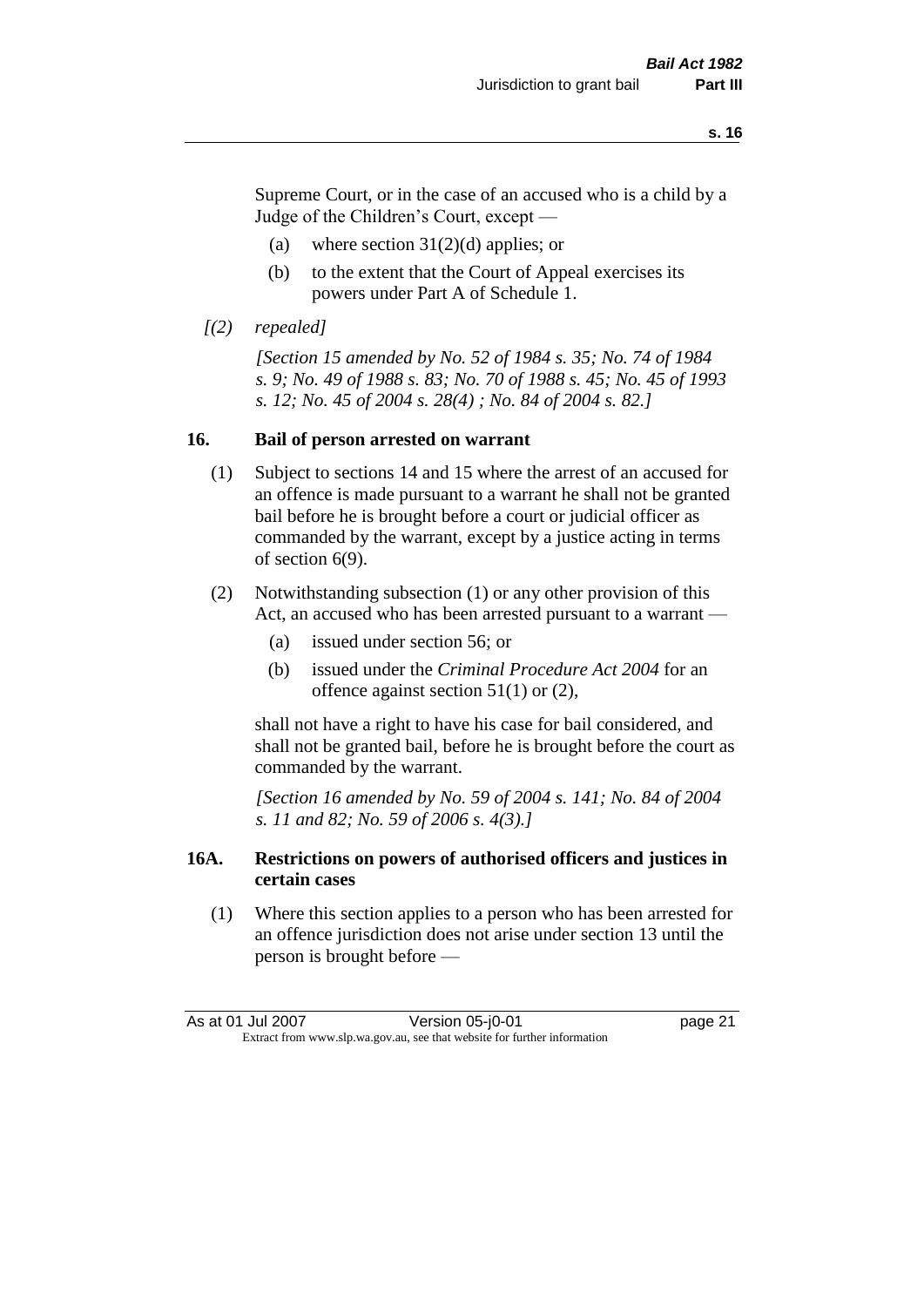Supreme Court, or in the case of an accused who is a child by a Judge of the Children's Court, except —

- (a) where section  $31(2)(d)$  applies; or
- (b) to the extent that the Court of Appeal exercises its powers under Part A of Schedule 1.
- *[(2) repealed]*

*[Section 15 amended by No. 52 of 1984 s. 35; No. 74 of 1984 s. 9; No. 49 of 1988 s. 83; No. 70 of 1988 s. 45; No. 45 of 1993 s. 12; No. 45 of 2004 s. 28(4) ; No. 84 of 2004 s. 82.]* 

#### **16. Bail of person arrested on warrant**

- (1) Subject to sections 14 and 15 where the arrest of an accused for an offence is made pursuant to a warrant he shall not be granted bail before he is brought before a court or judicial officer as commanded by the warrant, except by a justice acting in terms of section 6(9).
- (2) Notwithstanding subsection (1) or any other provision of this Act, an accused who has been arrested pursuant to a warrant —
	- (a) issued under section 56; or
	- (b) issued under the *Criminal Procedure Act 2004* for an offence against section 51(1) or (2),

shall not have a right to have his case for bail considered, and shall not be granted bail, before he is brought before the court as commanded by the warrant.

*[Section 16 amended by No. 59 of 2004 s. 141; No. 84 of 2004 s. 11 and 82; No. 59 of 2006 s. 4(3).]*

#### **16A. Restrictions on powers of authorised officers and justices in certain cases**

(1) Where this section applies to a person who has been arrested for an offence jurisdiction does not arise under section 13 until the person is brought before —

As at 01 Jul 2007 Version 05-j0-01 page 21 Extract from www.slp.wa.gov.au, see that website for further information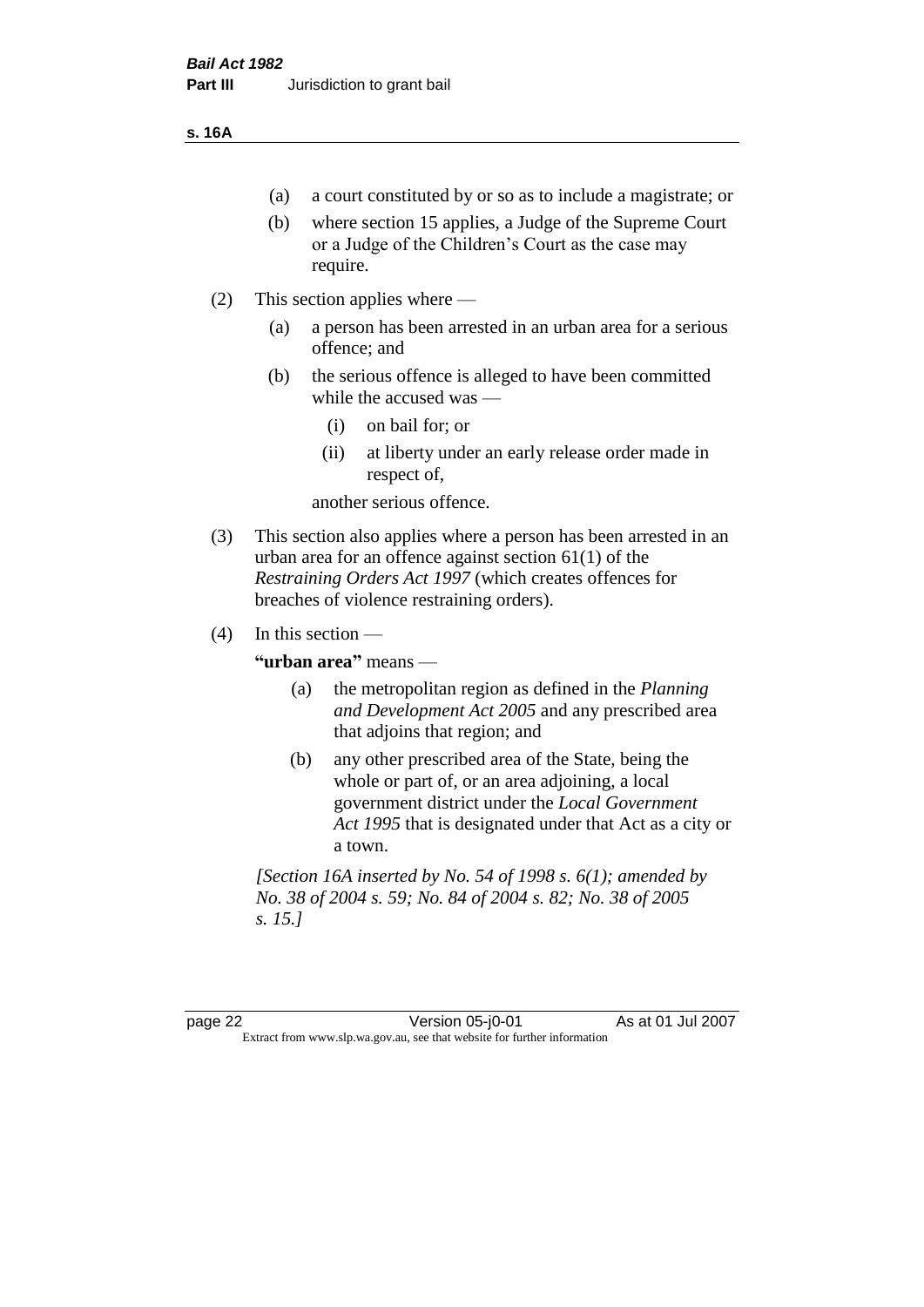#### **s. 16A**

- (a) a court constituted by or so as to include a magistrate; or
- (b) where section 15 applies, a Judge of the Supreme Court or a Judge of the Children's Court as the case may require.
- (2) This section applies where
	- (a) a person has been arrested in an urban area for a serious offence; and
	- (b) the serious offence is alleged to have been committed while the accused was —
		- (i) on bail for; or
		- (ii) at liberty under an early release order made in respect of,

another serious offence.

- (3) This section also applies where a person has been arrested in an urban area for an offence against section 61(1) of the *Restraining Orders Act 1997* (which creates offences for breaches of violence restraining orders).
- $(4)$  In this section —

**"urban area"** means —

- (a) the metropolitan region as defined in the *Planning and Development Act 2005* and any prescribed area that adjoins that region; and
- (b) any other prescribed area of the State, being the whole or part of, or an area adjoining, a local government district under the *Local Government Act 1995* that is designated under that Act as a city or a town.

*[Section 16A inserted by No. 54 of 1998 s. 6(1); amended by No. 38 of 2004 s. 59; No. 84 of 2004 s. 82; No. 38 of 2005 s. 15.]*

page 22 Version 05-j0-01 As at 01 Jul 2007 Extract from www.slp.wa.gov.au, see that website for further information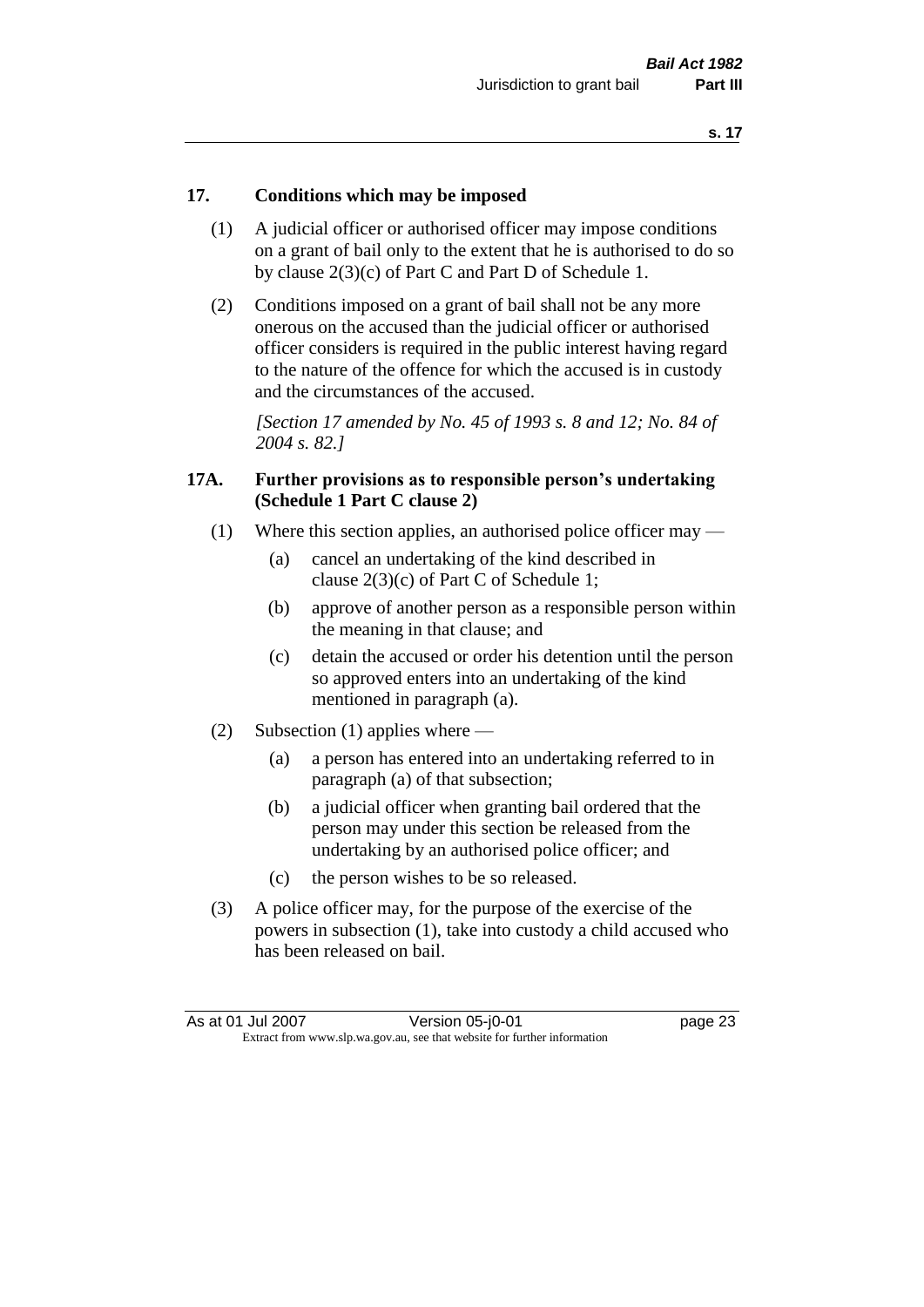#### **17. Conditions which may be imposed**

- (1) A judicial officer or authorised officer may impose conditions on a grant of bail only to the extent that he is authorised to do so by clause 2(3)(c) of Part C and Part D of Schedule 1.
- (2) Conditions imposed on a grant of bail shall not be any more onerous on the accused than the judicial officer or authorised officer considers is required in the public interest having regard to the nature of the offence for which the accused is in custody and the circumstances of the accused.

*[Section 17 amended by No. 45 of 1993 s. 8 and 12; No. 84 of 2004 s. 82.]* 

#### **17A. Further provisions as to responsible person's undertaking (Schedule 1 Part C clause 2)**

- (1) Where this section applies, an authorised police officer may
	- (a) cancel an undertaking of the kind described in clause 2(3)(c) of Part C of Schedule 1;
	- (b) approve of another person as a responsible person within the meaning in that clause; and
	- (c) detain the accused or order his detention until the person so approved enters into an undertaking of the kind mentioned in paragraph (a).
- (2) Subsection (1) applies where
	- (a) a person has entered into an undertaking referred to in paragraph (a) of that subsection;
	- (b) a judicial officer when granting bail ordered that the person may under this section be released from the undertaking by an authorised police officer; and
	- (c) the person wishes to be so released.
- (3) A police officer may, for the purpose of the exercise of the powers in subsection (1), take into custody a child accused who has been released on bail.

As at 01 Jul 2007 Version 05-j0-01 page 23 Extract from www.slp.wa.gov.au, see that website for further information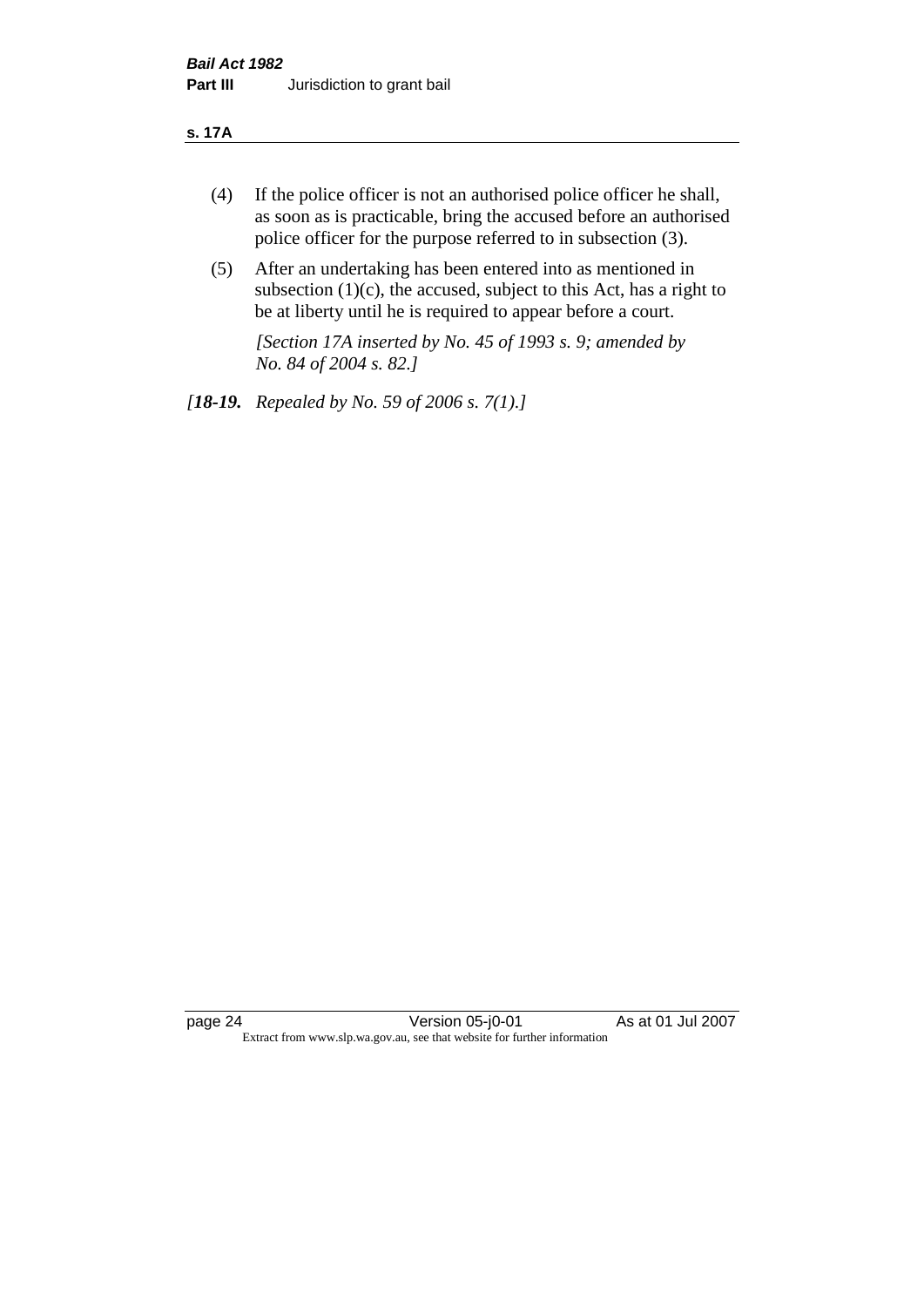#### **s. 17A**

- (4) If the police officer is not an authorised police officer he shall, as soon as is practicable, bring the accused before an authorised police officer for the purpose referred to in subsection (3).
- (5) After an undertaking has been entered into as mentioned in subsection  $(1)(c)$ , the accused, subject to this Act, has a right to be at liberty until he is required to appear before a court.

*[Section 17A inserted by No. 45 of 1993 s. 9; amended by No. 84 of 2004 s. 82.]* 

*[18-19. Repealed by No. 59 of 2006 s. 7(1).]*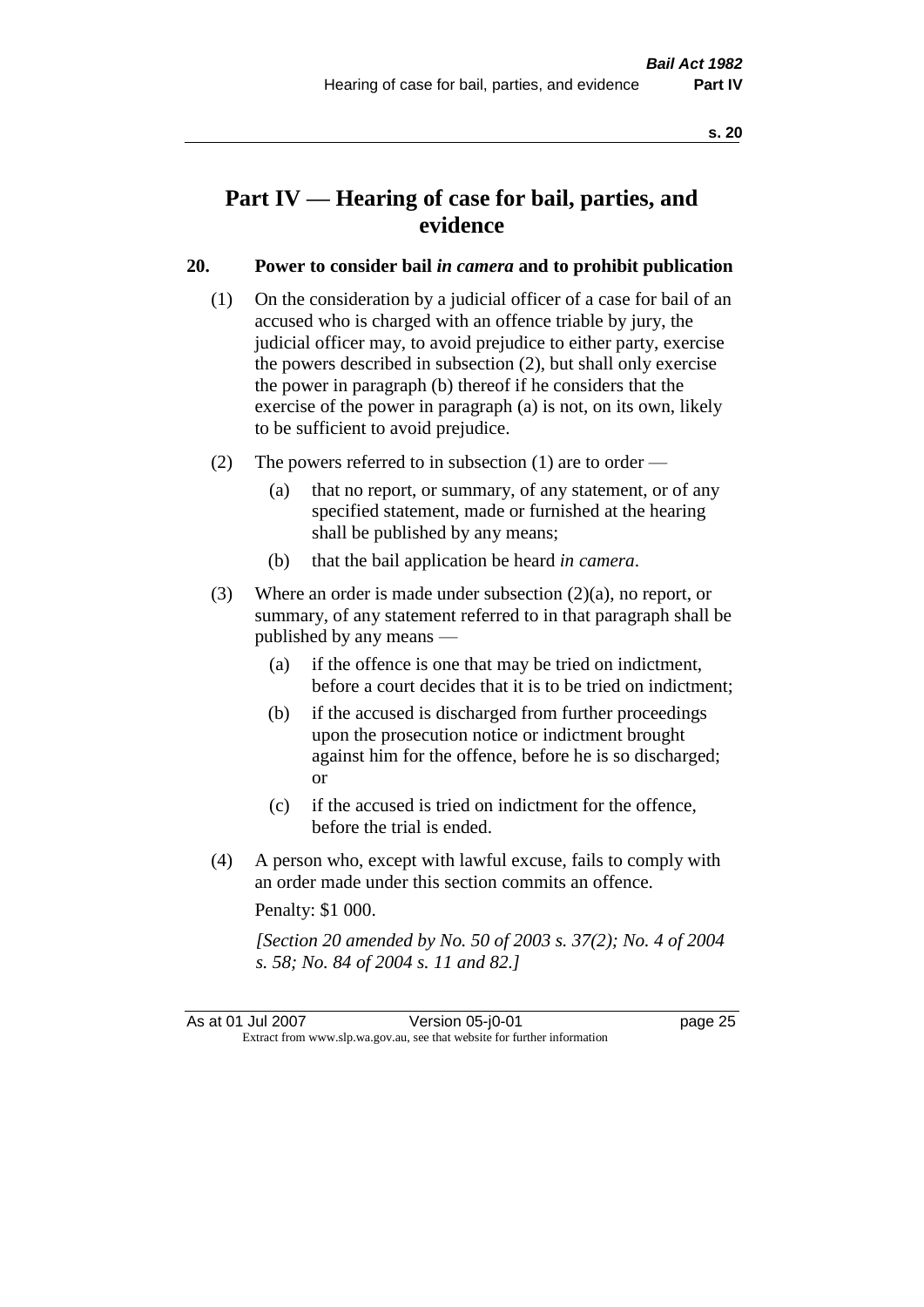### **Part IV — Hearing of case for bail, parties, and evidence**

#### **20. Power to consider bail** *in camera* **and to prohibit publication**

- (1) On the consideration by a judicial officer of a case for bail of an accused who is charged with an offence triable by jury, the judicial officer may, to avoid prejudice to either party, exercise the powers described in subsection (2), but shall only exercise the power in paragraph (b) thereof if he considers that the exercise of the power in paragraph (a) is not, on its own, likely to be sufficient to avoid prejudice.
- (2) The powers referred to in subsection (1) are to order
	- (a) that no report, or summary, of any statement, or of any specified statement, made or furnished at the hearing shall be published by any means;
	- (b) that the bail application be heard *in camera*.
- (3) Where an order is made under subsection (2)(a), no report, or summary, of any statement referred to in that paragraph shall be published by any means —
	- (a) if the offence is one that may be tried on indictment, before a court decides that it is to be tried on indictment;
	- (b) if the accused is discharged from further proceedings upon the prosecution notice or indictment brought against him for the offence, before he is so discharged; or
	- (c) if the accused is tried on indictment for the offence, before the trial is ended.
- (4) A person who, except with lawful excuse, fails to comply with an order made under this section commits an offence.

Penalty: \$1 000.

*[Section 20 amended by No. 50 of 2003 s. 37(2); No. 4 of 2004 s. 58; No. 84 of 2004 s. 11 and 82.]*

As at 01 Jul 2007 **Version 05-j0-01 Dage 25** Extract from www.slp.wa.gov.au, see that website for further information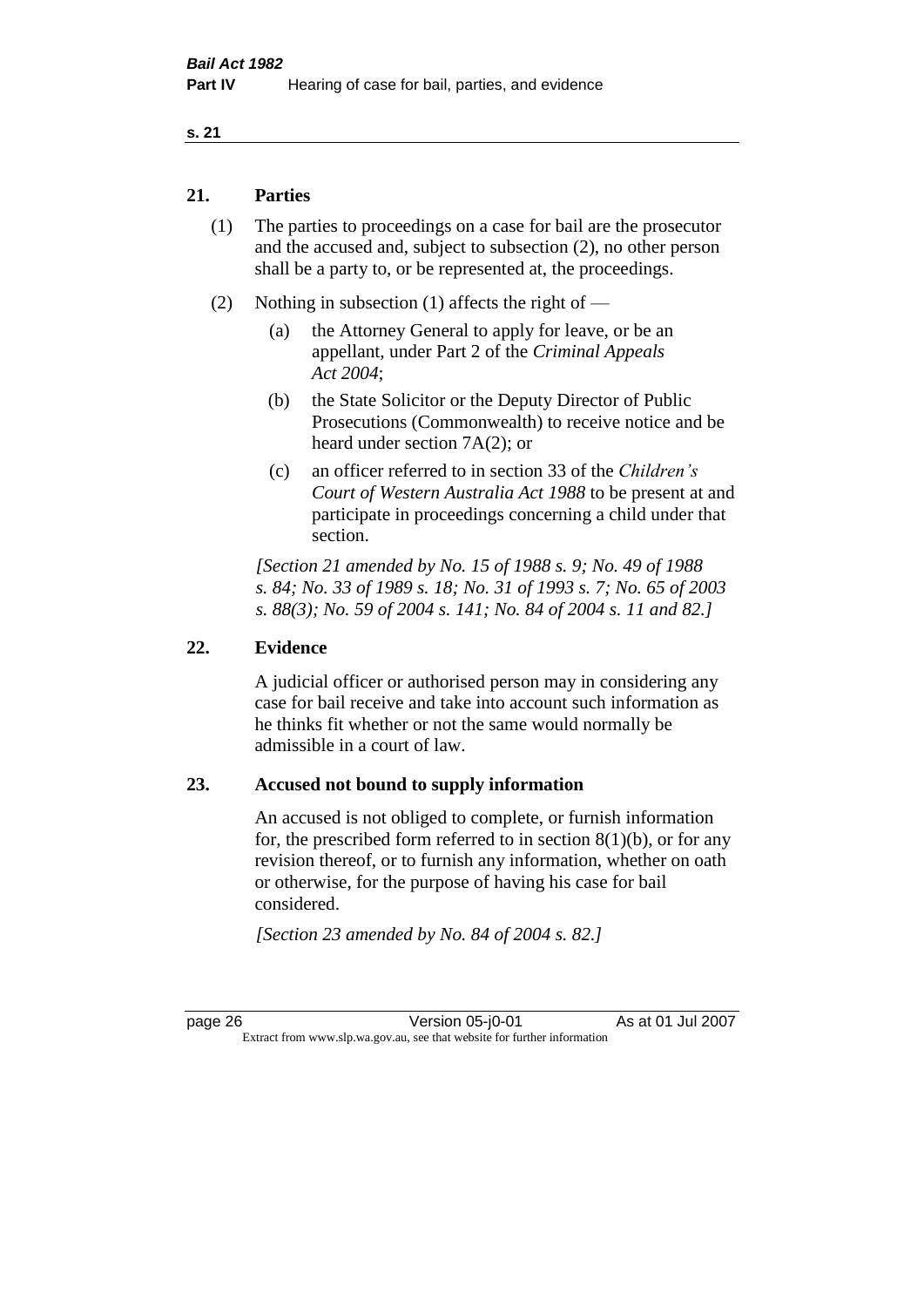#### **21. Parties**

- (1) The parties to proceedings on a case for bail are the prosecutor and the accused and, subject to subsection (2), no other person shall be a party to, or be represented at, the proceedings.
- (2) Nothing in subsection (1) affects the right of
	- (a) the Attorney General to apply for leave, or be an appellant, under Part 2 of the *Criminal Appeals Act 2004*;
	- (b) the State Solicitor or the Deputy Director of Public Prosecutions (Commonwealth) to receive notice and be heard under section 7A(2); or
	- (c) an officer referred to in section 33 of the *Children's Court of Western Australia Act 1988* to be present at and participate in proceedings concerning a child under that section.

*[Section 21 amended by No. 15 of 1988 s. 9; No. 49 of 1988 s. 84; No. 33 of 1989 s. 18; No. 31 of 1993 s. 7; No. 65 of 2003 s. 88(3); No. 59 of 2004 s. 141; No. 84 of 2004 s. 11 and 82.]* 

#### **22. Evidence**

A judicial officer or authorised person may in considering any case for bail receive and take into account such information as he thinks fit whether or not the same would normally be admissible in a court of law.

#### **23. Accused not bound to supply information**

An accused is not obliged to complete, or furnish information for, the prescribed form referred to in section  $8(1)(b)$ , or for any revision thereof, or to furnish any information, whether on oath or otherwise, for the purpose of having his case for bail considered.

*[Section 23 amended by No. 84 of 2004 s. 82.]* 

page 26 Version 05-j0-01 As at 01 Jul 2007 Extract from www.slp.wa.gov.au, see that website for further information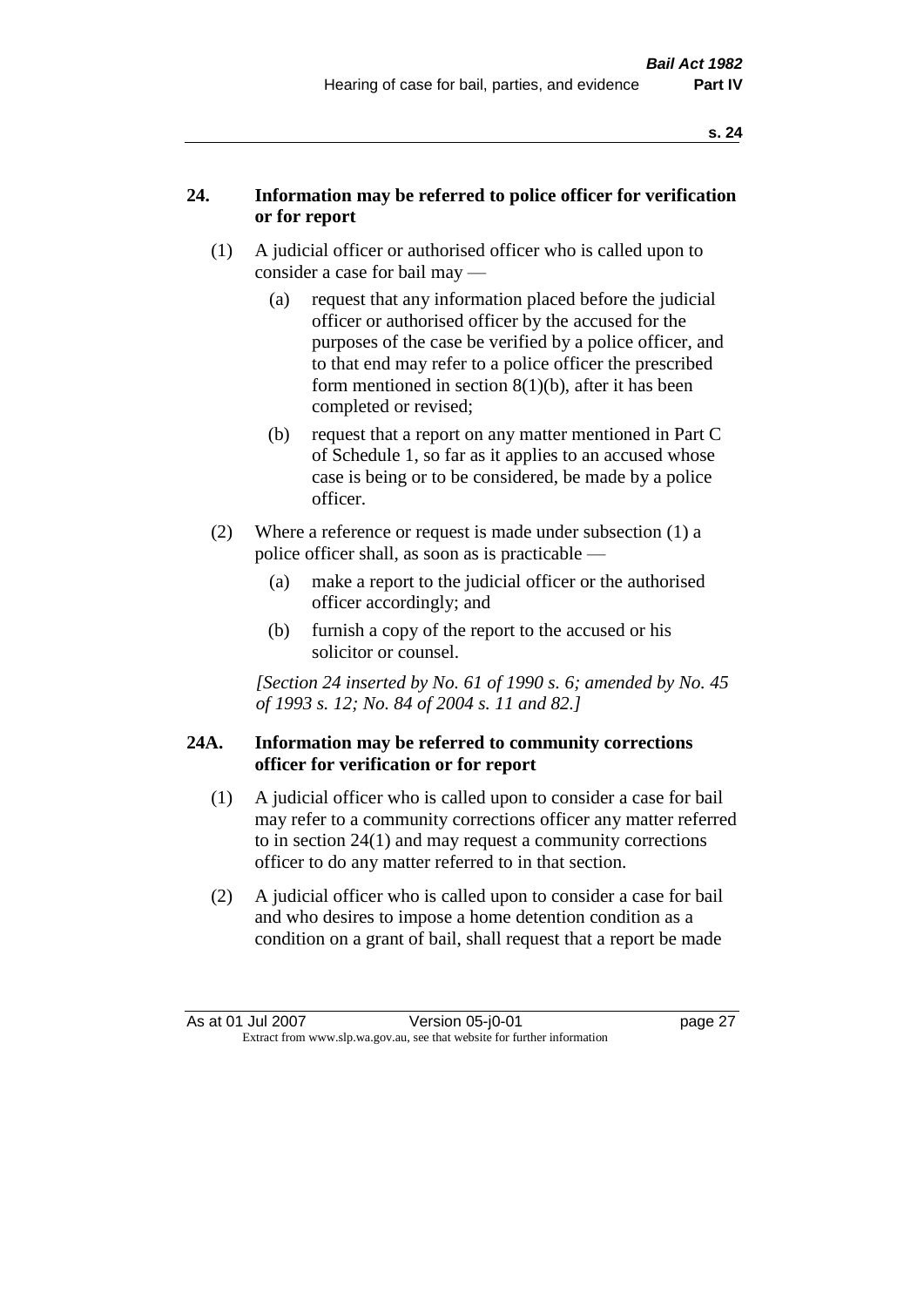#### **24. Information may be referred to police officer for verification or for report**

- (1) A judicial officer or authorised officer who is called upon to consider a case for bail may —
	- (a) request that any information placed before the judicial officer or authorised officer by the accused for the purposes of the case be verified by a police officer, and to that end may refer to a police officer the prescribed form mentioned in section 8(1)(b), after it has been completed or revised;
	- (b) request that a report on any matter mentioned in Part C of Schedule 1, so far as it applies to an accused whose case is being or to be considered, be made by a police officer.
- (2) Where a reference or request is made under subsection (1) a police officer shall, as soon as is practicable —
	- (a) make a report to the judicial officer or the authorised officer accordingly; and
	- (b) furnish a copy of the report to the accused or his solicitor or counsel.

*[Section 24 inserted by No. 61 of 1990 s. 6; amended by No. 45 of 1993 s. 12; No. 84 of 2004 s. 11 and 82.]* 

#### **24A. Information may be referred to community corrections officer for verification or for report**

- (1) A judicial officer who is called upon to consider a case for bail may refer to a community corrections officer any matter referred to in section 24(1) and may request a community corrections officer to do any matter referred to in that section.
- (2) A judicial officer who is called upon to consider a case for bail and who desires to impose a home detention condition as a condition on a grant of bail, shall request that a report be made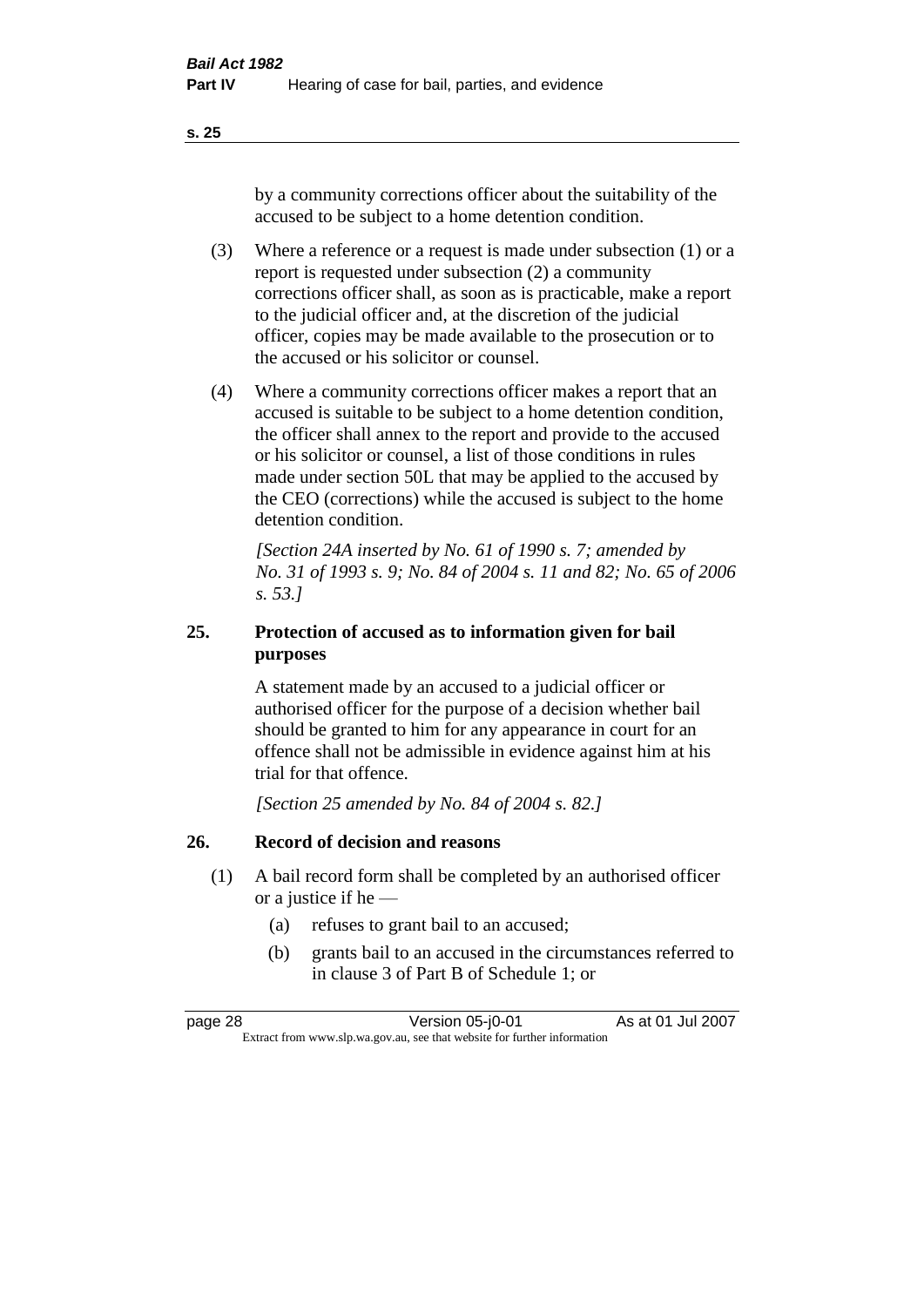by a community corrections officer about the suitability of the accused to be subject to a home detention condition.

- (3) Where a reference or a request is made under subsection (1) or a report is requested under subsection (2) a community corrections officer shall, as soon as is practicable, make a report to the judicial officer and, at the discretion of the judicial officer, copies may be made available to the prosecution or to the accused or his solicitor or counsel.
- (4) Where a community corrections officer makes a report that an accused is suitable to be subject to a home detention condition, the officer shall annex to the report and provide to the accused or his solicitor or counsel, a list of those conditions in rules made under section 50L that may be applied to the accused by the CEO (corrections) while the accused is subject to the home detention condition.

*[Section 24A inserted by No. 61 of 1990 s. 7; amended by No. 31 of 1993 s. 9; No. 84 of 2004 s. 11 and 82; No. 65 of 2006 s. 53.]* 

#### **25. Protection of accused as to information given for bail purposes**

A statement made by an accused to a judicial officer or authorised officer for the purpose of a decision whether bail should be granted to him for any appearance in court for an offence shall not be admissible in evidence against him at his trial for that offence.

*[Section 25 amended by No. 84 of 2004 s. 82.]* 

#### **26. Record of decision and reasons**

- (1) A bail record form shall be completed by an authorised officer or a justice if he —
	- (a) refuses to grant bail to an accused;
	- (b) grants bail to an accused in the circumstances referred to in clause 3 of Part B of Schedule 1; or

page 28 Version 05-j0-01 As at 01 Jul 2007 Extract from www.slp.wa.gov.au, see that website for further information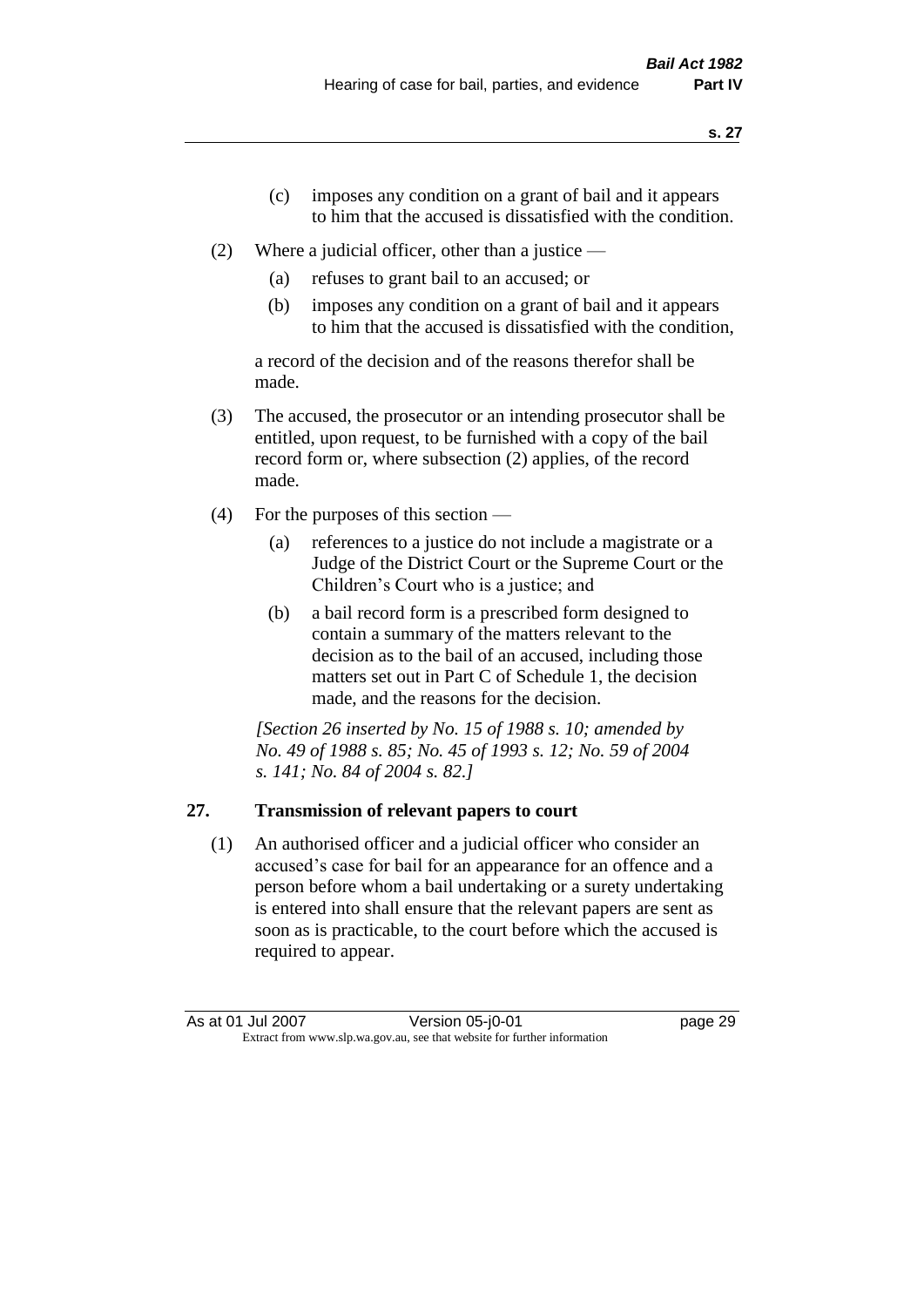- (c) imposes any condition on a grant of bail and it appears to him that the accused is dissatisfied with the condition.
- (2) Where a judicial officer, other than a justice
	- (a) refuses to grant bail to an accused; or
	- (b) imposes any condition on a grant of bail and it appears to him that the accused is dissatisfied with the condition,

a record of the decision and of the reasons therefor shall be made.

- (3) The accused, the prosecutor or an intending prosecutor shall be entitled, upon request, to be furnished with a copy of the bail record form or, where subsection (2) applies, of the record made.
- (4) For the purposes of this section
	- (a) references to a justice do not include a magistrate or a Judge of the District Court or the Supreme Court or the Children's Court who is a justice; and
	- (b) a bail record form is a prescribed form designed to contain a summary of the matters relevant to the decision as to the bail of an accused, including those matters set out in Part C of Schedule 1, the decision made, and the reasons for the decision.

*[Section 26 inserted by No. 15 of 1988 s. 10; amended by No. 49 of 1988 s. 85; No. 45 of 1993 s. 12; No. 59 of 2004 s. 141; No. 84 of 2004 s. 82.]* 

# **27. Transmission of relevant papers to court**

(1) An authorised officer and a judicial officer who consider an accused's case for bail for an appearance for an offence and a person before whom a bail undertaking or a surety undertaking is entered into shall ensure that the relevant papers are sent as soon as is practicable, to the court before which the accused is required to appear.

As at 01 Jul 2007 **Version 05-j0-01 Dage 29** Extract from www.slp.wa.gov.au, see that website for further information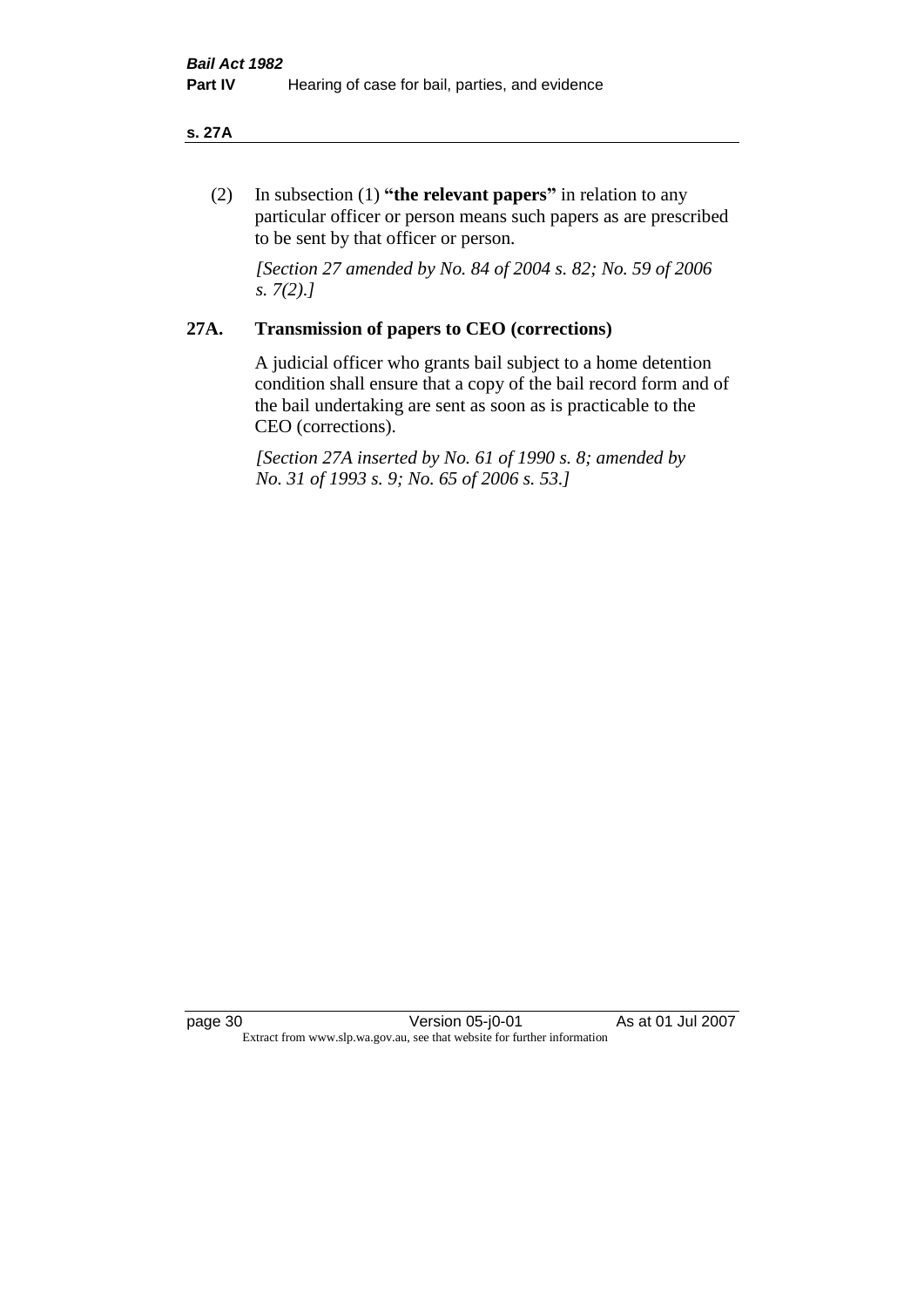#### **s. 27A**

(2) In subsection (1) **"the relevant papers"** in relation to any particular officer or person means such papers as are prescribed to be sent by that officer or person.

*[Section 27 amended by No. 84 of 2004 s. 82; No. 59 of 2006 s. 7(2).]* 

## **27A. Transmission of papers to CEO (corrections)**

A judicial officer who grants bail subject to a home detention condition shall ensure that a copy of the bail record form and of the bail undertaking are sent as soon as is practicable to the CEO (corrections).

*[Section 27A inserted by No. 61 of 1990 s. 8; amended by No. 31 of 1993 s. 9; No. 65 of 2006 s. 53.]* 

page 30 Version 05-j0-01 As at 01 Jul 2007 Extract from www.slp.wa.gov.au, see that website for further information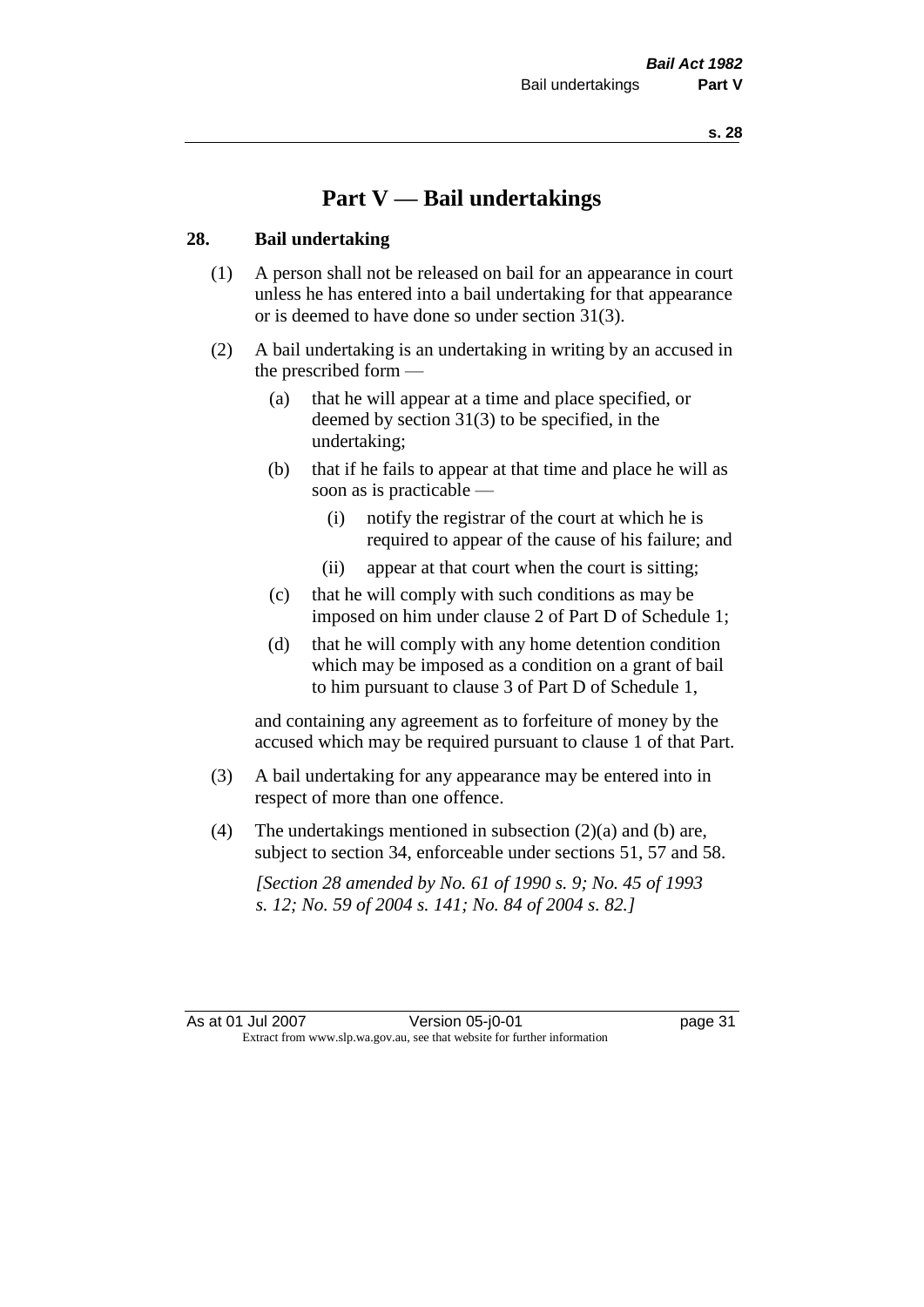# **Part V — Bail undertakings**

#### **28. Bail undertaking**

- (1) A person shall not be released on bail for an appearance in court unless he has entered into a bail undertaking for that appearance or is deemed to have done so under section 31(3).
- (2) A bail undertaking is an undertaking in writing by an accused in the prescribed form —
	- (a) that he will appear at a time and place specified, or deemed by section 31(3) to be specified, in the undertaking;
	- (b) that if he fails to appear at that time and place he will as soon as is practicable —
		- (i) notify the registrar of the court at which he is required to appear of the cause of his failure; and
		- (ii) appear at that court when the court is sitting;
	- (c) that he will comply with such conditions as may be imposed on him under clause 2 of Part D of Schedule 1;
	- (d) that he will comply with any home detention condition which may be imposed as a condition on a grant of bail to him pursuant to clause 3 of Part D of Schedule 1,

and containing any agreement as to forfeiture of money by the accused which may be required pursuant to clause 1 of that Part.

- (3) A bail undertaking for any appearance may be entered into in respect of more than one offence.
- (4) The undertakings mentioned in subsection  $(2)(a)$  and (b) are, subject to section 34, enforceable under sections 51, 57 and 58.

*[Section 28 amended by No. 61 of 1990 s. 9; No. 45 of 1993 s. 12; No. 59 of 2004 s. 141; No. 84 of 2004 s. 82.]*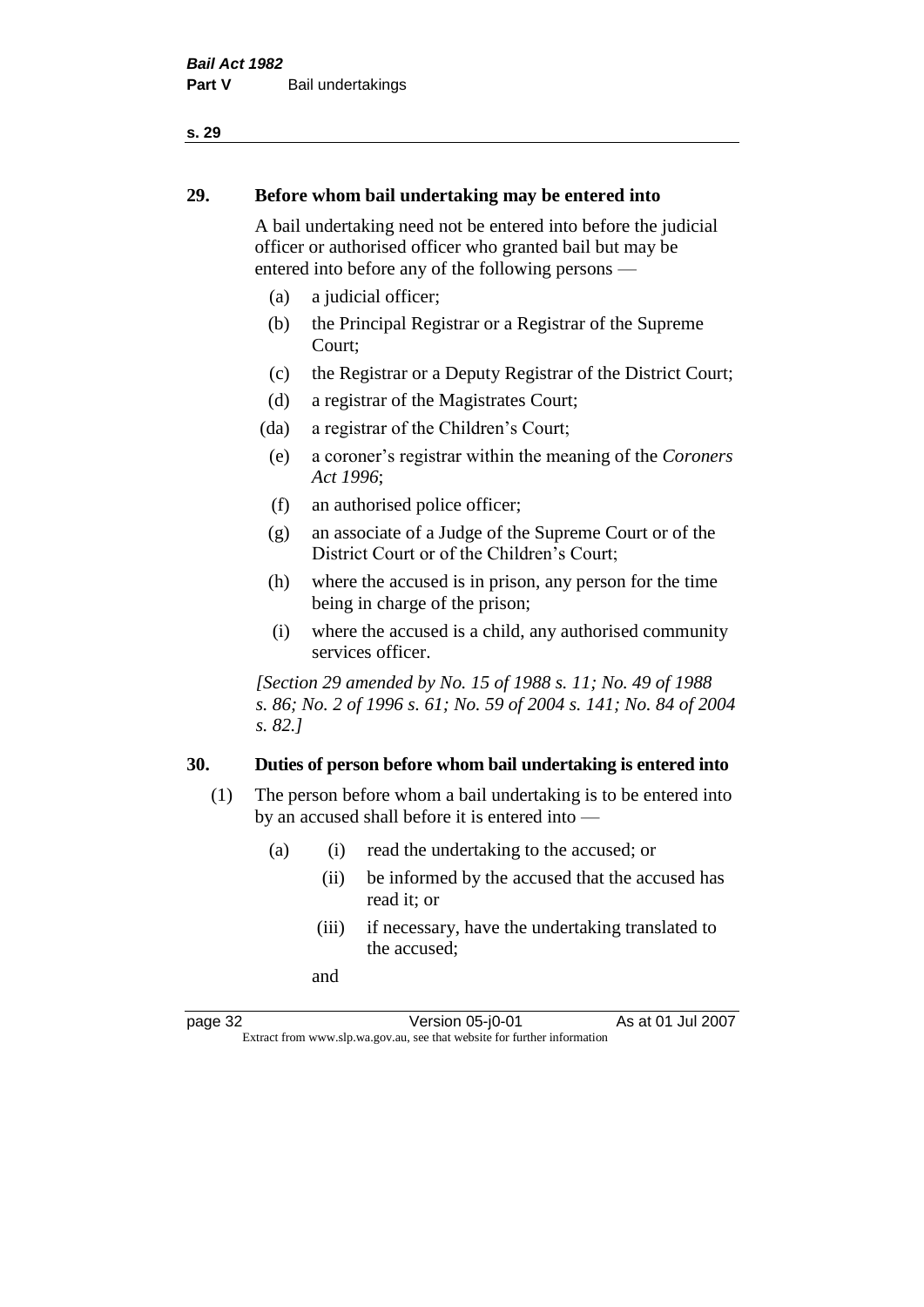#### **29. Before whom bail undertaking may be entered into**

A bail undertaking need not be entered into before the judicial officer or authorised officer who granted bail but may be entered into before any of the following persons —

- (a) a judicial officer;
- (b) the Principal Registrar or a Registrar of the Supreme Court;
- (c) the Registrar or a Deputy Registrar of the District Court;
- (d) a registrar of the Magistrates Court;
- (da) a registrar of the Children's Court;
- (e) a coroner's registrar within the meaning of the *Coroners Act 1996*;
- (f) an authorised police officer;
- (g) an associate of a Judge of the Supreme Court or of the District Court or of the Children's Court;
- (h) where the accused is in prison, any person for the time being in charge of the prison;
- (i) where the accused is a child, any authorised community services officer.

*[Section 29 amended by No. 15 of 1988 s. 11; No. 49 of 1988 s. 86; No. 2 of 1996 s. 61; No. 59 of 2004 s. 141; No. 84 of 2004 s. 82.]* 

#### **30. Duties of person before whom bail undertaking is entered into**

- (1) The person before whom a bail undertaking is to be entered into by an accused shall before it is entered into —
	- (a) (i) read the undertaking to the accused; or
		- (ii) be informed by the accused that the accused has read it; or
		- (iii) if necessary, have the undertaking translated to the accused;

and

page 32 Version 05-j0-01 As at 01 Jul 2007 Extract from www.slp.wa.gov.au, see that website for further information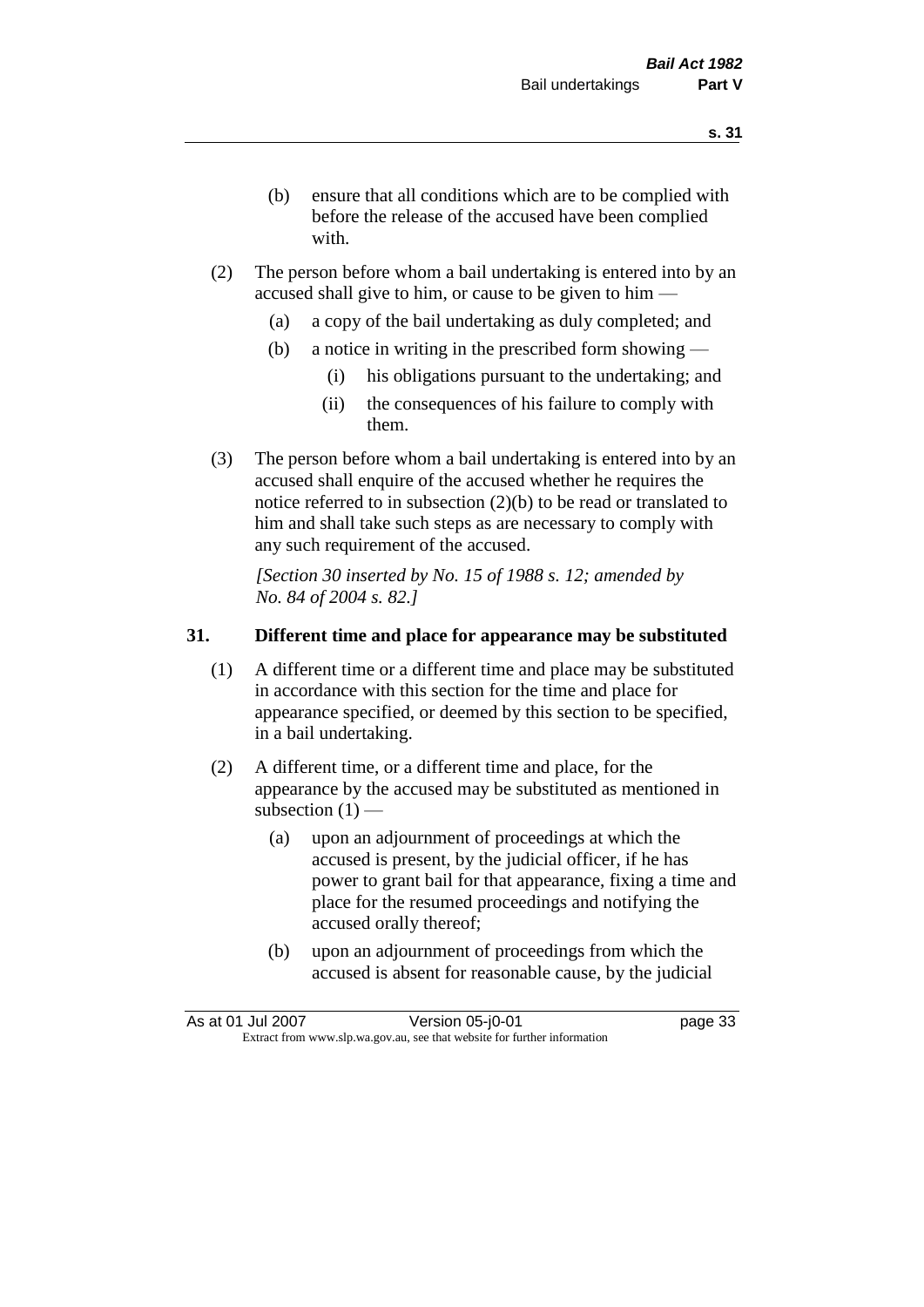- (b) ensure that all conditions which are to be complied with before the release of the accused have been complied with.
- (2) The person before whom a bail undertaking is entered into by an accused shall give to him, or cause to be given to him —
	- (a) a copy of the bail undertaking as duly completed; and
	- (b) a notice in writing in the prescribed form showing
		- (i) his obligations pursuant to the undertaking; and
		- (ii) the consequences of his failure to comply with them.
- (3) The person before whom a bail undertaking is entered into by an accused shall enquire of the accused whether he requires the notice referred to in subsection (2)(b) to be read or translated to him and shall take such steps as are necessary to comply with any such requirement of the accused.

*[Section 30 inserted by No. 15 of 1988 s. 12; amended by No. 84 of 2004 s. 82.]* 

# **31. Different time and place for appearance may be substituted**

- (1) A different time or a different time and place may be substituted in accordance with this section for the time and place for appearance specified, or deemed by this section to be specified, in a bail undertaking.
- (2) A different time, or a different time and place, for the appearance by the accused may be substituted as mentioned in subsection  $(1)$  —
	- (a) upon an adjournment of proceedings at which the accused is present, by the judicial officer, if he has power to grant bail for that appearance, fixing a time and place for the resumed proceedings and notifying the accused orally thereof;
	- (b) upon an adjournment of proceedings from which the accused is absent for reasonable cause, by the judicial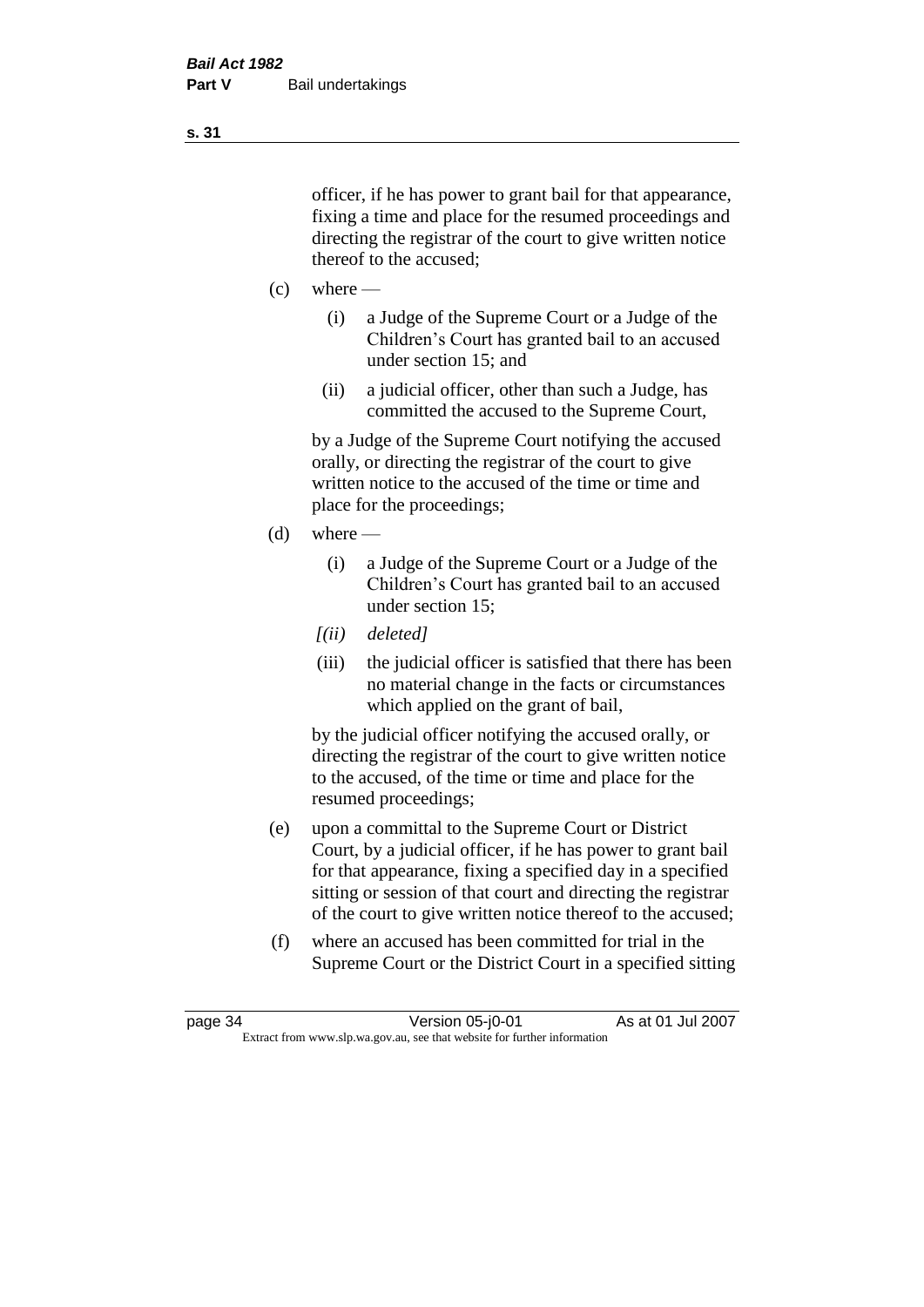officer, if he has power to grant bail for that appearance, fixing a time and place for the resumed proceedings and directing the registrar of the court to give written notice thereof to the accused;

- $(c)$  where
	- (i) a Judge of the Supreme Court or a Judge of the Children's Court has granted bail to an accused under section 15; and
	- (ii) a judicial officer, other than such a Judge, has committed the accused to the Supreme Court,

by a Judge of the Supreme Court notifying the accused orally, or directing the registrar of the court to give written notice to the accused of the time or time and place for the proceedings;

- $(d)$  where
	- (i) a Judge of the Supreme Court or a Judge of the Children's Court has granted bail to an accused under section 15;
	- *[(ii) deleted]*
	- (iii) the judicial officer is satisfied that there has been no material change in the facts or circumstances which applied on the grant of bail,

by the judicial officer notifying the accused orally, or directing the registrar of the court to give written notice to the accused, of the time or time and place for the resumed proceedings;

- (e) upon a committal to the Supreme Court or District Court, by a judicial officer, if he has power to grant bail for that appearance, fixing a specified day in a specified sitting or session of that court and directing the registrar of the court to give written notice thereof to the accused;
- (f) where an accused has been committed for trial in the Supreme Court or the District Court in a specified sitting

**s. 31**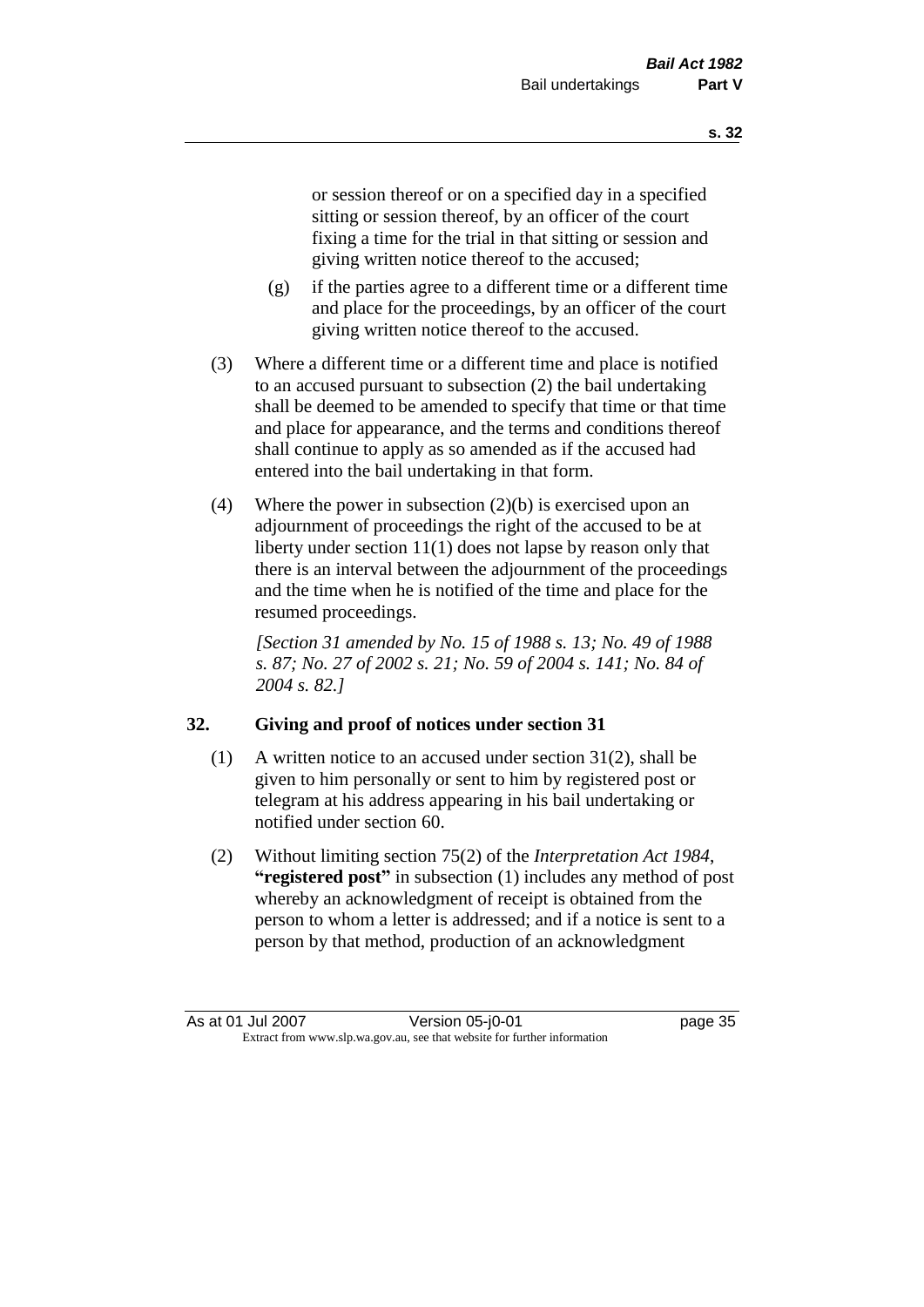or session thereof or on a specified day in a specified sitting or session thereof, by an officer of the court fixing a time for the trial in that sitting or session and giving written notice thereof to the accused;

- (g) if the parties agree to a different time or a different time and place for the proceedings, by an officer of the court giving written notice thereof to the accused.
- (3) Where a different time or a different time and place is notified to an accused pursuant to subsection (2) the bail undertaking shall be deemed to be amended to specify that time or that time and place for appearance, and the terms and conditions thereof shall continue to apply as so amended as if the accused had entered into the bail undertaking in that form.
- (4) Where the power in subsection (2)(b) is exercised upon an adjournment of proceedings the right of the accused to be at liberty under section 11(1) does not lapse by reason only that there is an interval between the adjournment of the proceedings and the time when he is notified of the time and place for the resumed proceedings.

*[Section 31 amended by No. 15 of 1988 s. 13; No. 49 of 1988 s. 87; No. 27 of 2002 s. 21; No. 59 of 2004 s. 141; No. 84 of 2004 s. 82.]* 

# **32. Giving and proof of notices under section 31**

- (1) A written notice to an accused under section 31(2), shall be given to him personally or sent to him by registered post or telegram at his address appearing in his bail undertaking or notified under section 60.
- (2) Without limiting section 75(2) of the *Interpretation Act 1984*, **"registered post"** in subsection (1) includes any method of post whereby an acknowledgment of receipt is obtained from the person to whom a letter is addressed; and if a notice is sent to a person by that method, production of an acknowledgment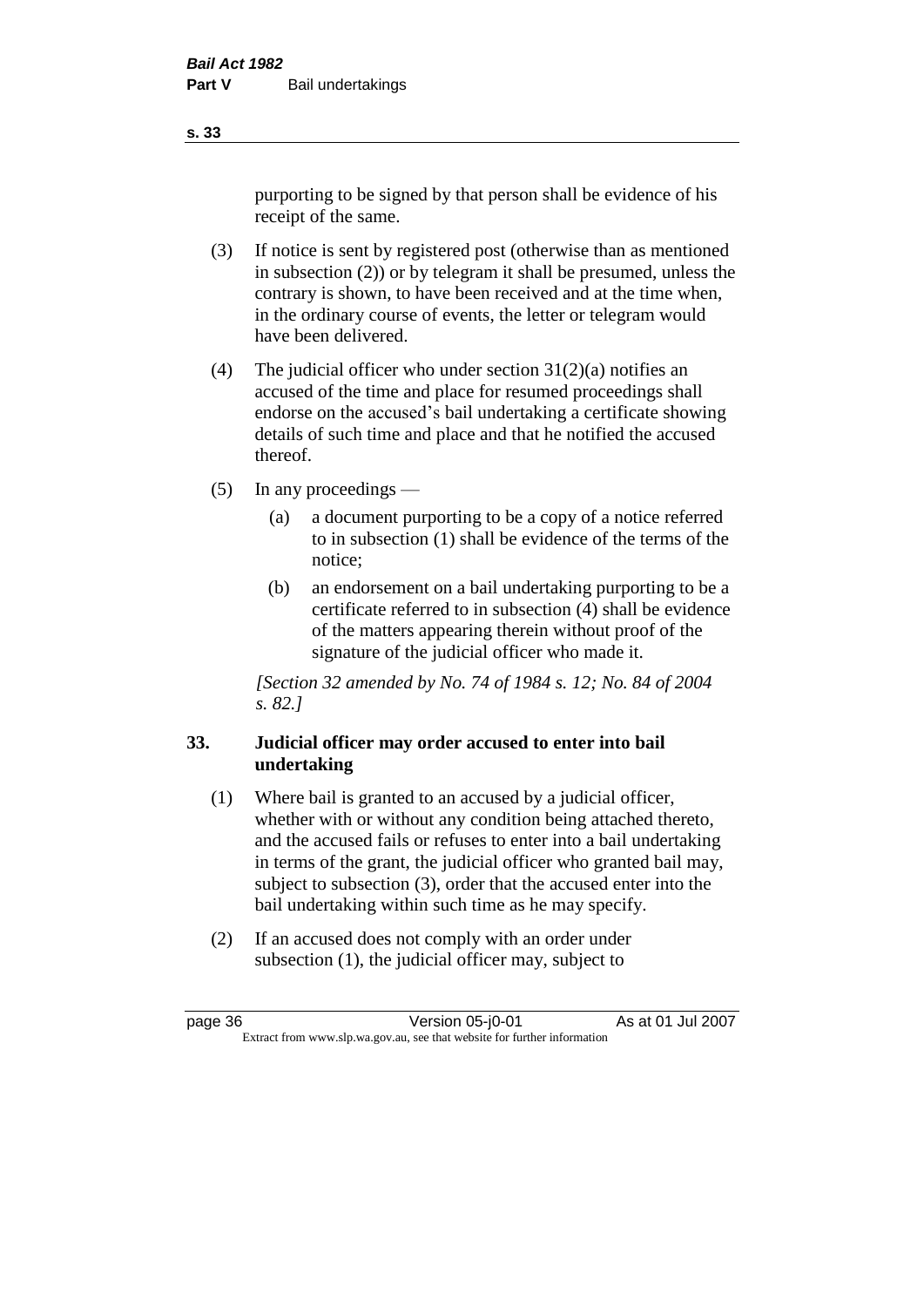purporting to be signed by that person shall be evidence of his receipt of the same.

- (3) If notice is sent by registered post (otherwise than as mentioned in subsection (2)) or by telegram it shall be presumed, unless the contrary is shown, to have been received and at the time when, in the ordinary course of events, the letter or telegram would have been delivered.
- (4) The judicial officer who under section  $31(2)(a)$  notifies an accused of the time and place for resumed proceedings shall endorse on the accused's bail undertaking a certificate showing details of such time and place and that he notified the accused thereof.
- (5) In any proceedings
	- (a) a document purporting to be a copy of a notice referred to in subsection (1) shall be evidence of the terms of the notice;
	- (b) an endorsement on a bail undertaking purporting to be a certificate referred to in subsection (4) shall be evidence of the matters appearing therein without proof of the signature of the judicial officer who made it.

*[Section 32 amended by No. 74 of 1984 s. 12; No. 84 of 2004 s. 82.]* 

# **33. Judicial officer may order accused to enter into bail undertaking**

- (1) Where bail is granted to an accused by a judicial officer, whether with or without any condition being attached thereto, and the accused fails or refuses to enter into a bail undertaking in terms of the grant, the judicial officer who granted bail may, subject to subsection (3), order that the accused enter into the bail undertaking within such time as he may specify.
- (2) If an accused does not comply with an order under subsection (1), the judicial officer may, subject to

**s. 33**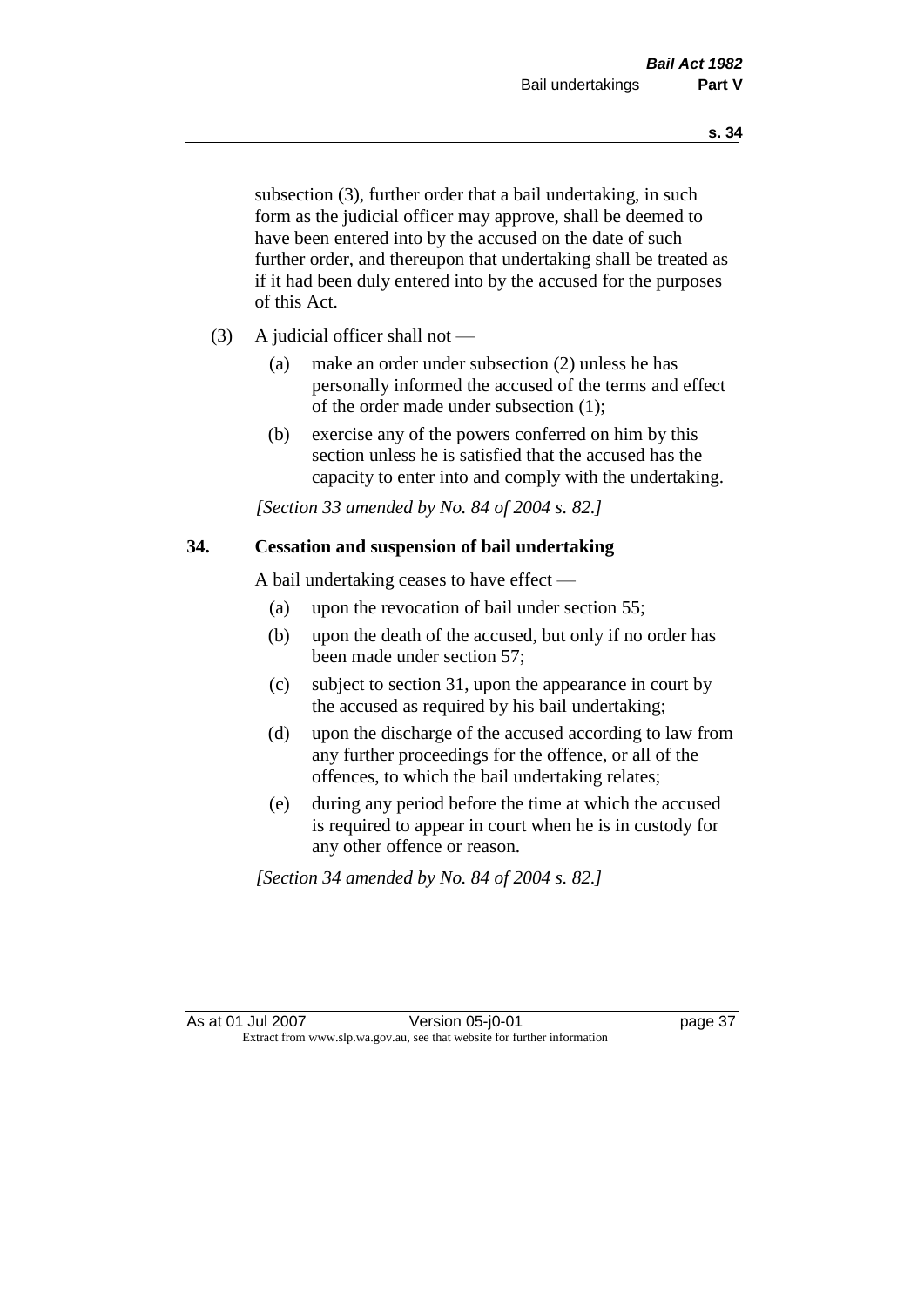subsection (3), further order that a bail undertaking, in such form as the judicial officer may approve, shall be deemed to have been entered into by the accused on the date of such further order, and thereupon that undertaking shall be treated as if it had been duly entered into by the accused for the purposes of this Act.

- (3) A judicial officer shall not
	- (a) make an order under subsection (2) unless he has personally informed the accused of the terms and effect of the order made under subsection (1);
	- (b) exercise any of the powers conferred on him by this section unless he is satisfied that the accused has the capacity to enter into and comply with the undertaking.

*[Section 33 amended by No. 84 of 2004 s. 82.]* 

# **34. Cessation and suspension of bail undertaking**

A bail undertaking ceases to have effect —

- (a) upon the revocation of bail under section 55;
- (b) upon the death of the accused, but only if no order has been made under section 57;
- (c) subject to section 31, upon the appearance in court by the accused as required by his bail undertaking;
- (d) upon the discharge of the accused according to law from any further proceedings for the offence, or all of the offences, to which the bail undertaking relates;
- (e) during any period before the time at which the accused is required to appear in court when he is in custody for any other offence or reason.

*[Section 34 amended by No. 84 of 2004 s. 82.]*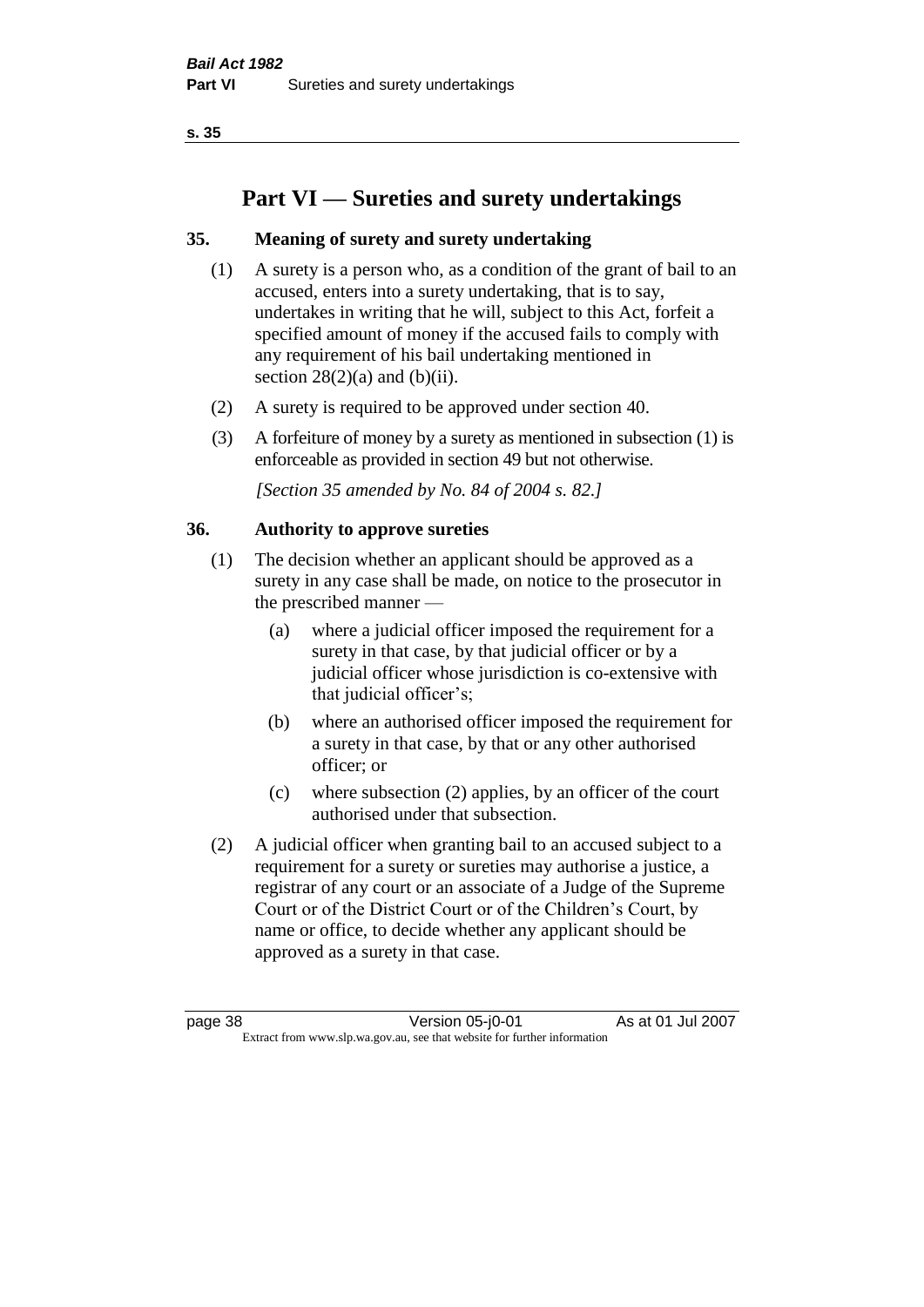# **Part VI — Sureties and surety undertakings**

# **35. Meaning of surety and surety undertaking**

- (1) A surety is a person who, as a condition of the grant of bail to an accused, enters into a surety undertaking, that is to say, undertakes in writing that he will, subject to this Act, forfeit a specified amount of money if the accused fails to comply with any requirement of his bail undertaking mentioned in section  $28(2)(a)$  and  $(b)(ii)$ .
- (2) A surety is required to be approved under section 40.
- (3) A forfeiture of money by a surety as mentioned in subsection (1) is enforceable as provided in section 49 but not otherwise.

*[Section 35 amended by No. 84 of 2004 s. 82.]* 

# **36. Authority to approve sureties**

- (1) The decision whether an applicant should be approved as a surety in any case shall be made, on notice to the prosecutor in the prescribed manner —
	- (a) where a judicial officer imposed the requirement for a surety in that case, by that judicial officer or by a judicial officer whose jurisdiction is co-extensive with that judicial officer's;
	- (b) where an authorised officer imposed the requirement for a surety in that case, by that or any other authorised officer; or
	- (c) where subsection (2) applies, by an officer of the court authorised under that subsection.
- (2) A judicial officer when granting bail to an accused subject to a requirement for a surety or sureties may authorise a justice, a registrar of any court or an associate of a Judge of the Supreme Court or of the District Court or of the Children's Court, by name or office, to decide whether any applicant should be approved as a surety in that case.

page 38 Version 05-j0-01 As at 01 Jul 2007 Extract from www.slp.wa.gov.au, see that website for further information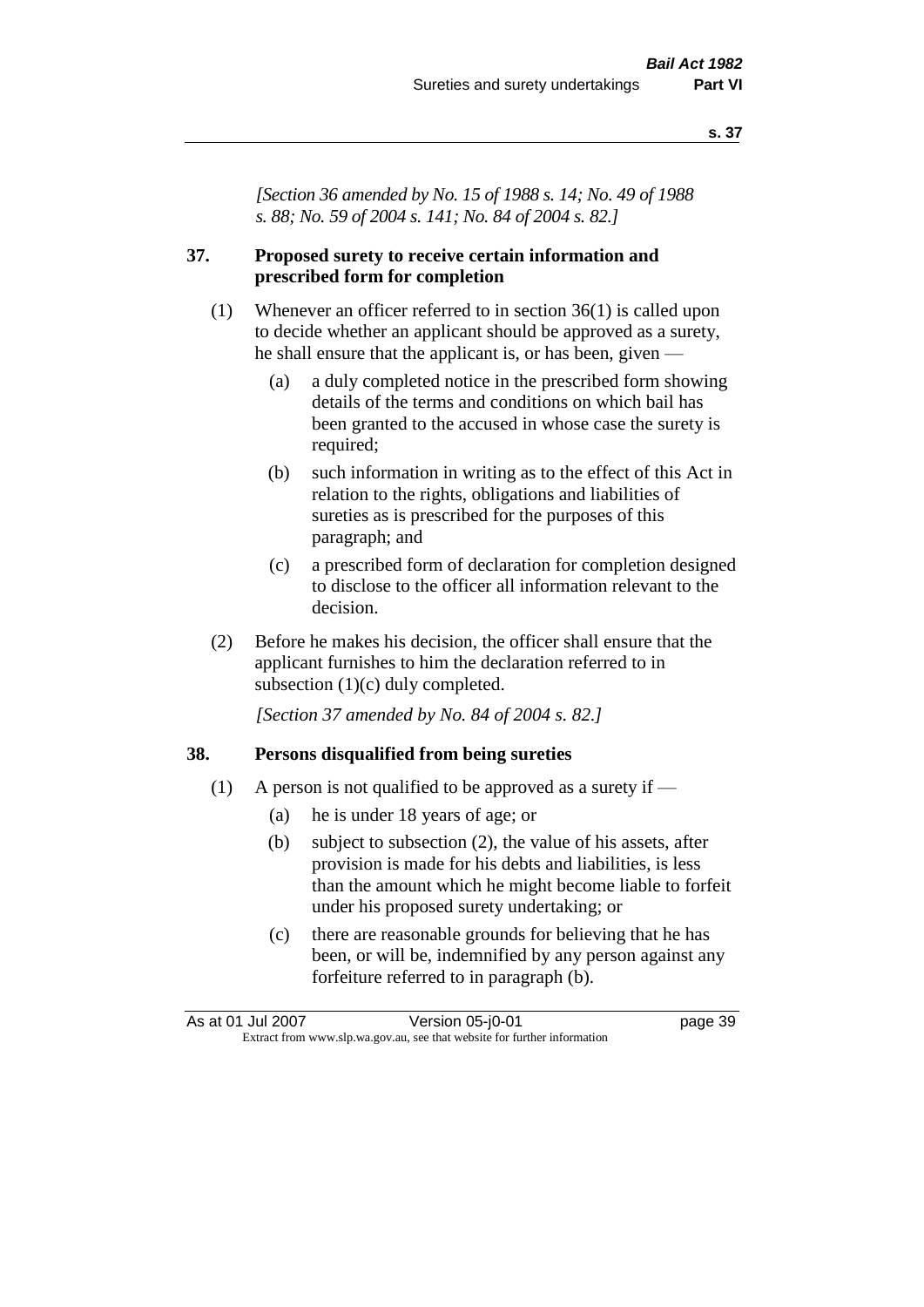*[Section 36 amended by No. 15 of 1988 s. 14; No. 49 of 1988 s. 88; No. 59 of 2004 s. 141; No. 84 of 2004 s. 82.]* 

## **37. Proposed surety to receive certain information and prescribed form for completion**

- (1) Whenever an officer referred to in section 36(1) is called upon to decide whether an applicant should be approved as a surety, he shall ensure that the applicant is, or has been, given —
	- (a) a duly completed notice in the prescribed form showing details of the terms and conditions on which bail has been granted to the accused in whose case the surety is required;
	- (b) such information in writing as to the effect of this Act in relation to the rights, obligations and liabilities of sureties as is prescribed for the purposes of this paragraph; and
	- (c) a prescribed form of declaration for completion designed to disclose to the officer all information relevant to the decision.
- (2) Before he makes his decision, the officer shall ensure that the applicant furnishes to him the declaration referred to in subsection (1)(c) duly completed.

*[Section 37 amended by No. 84 of 2004 s. 82.]* 

#### **38. Persons disqualified from being sureties**

- (1) A person is not qualified to be approved as a surety if  $-$ 
	- (a) he is under 18 years of age; or
	- (b) subject to subsection (2), the value of his assets, after provision is made for his debts and liabilities, is less than the amount which he might become liable to forfeit under his proposed surety undertaking; or
	- (c) there are reasonable grounds for believing that he has been, or will be, indemnified by any person against any forfeiture referred to in paragraph (b).

| As at 01 Jul 2007 | Version 05-j0-01                                                         | page 39 |
|-------------------|--------------------------------------------------------------------------|---------|
|                   | Extract from www.slp.wa.gov.au, see that website for further information |         |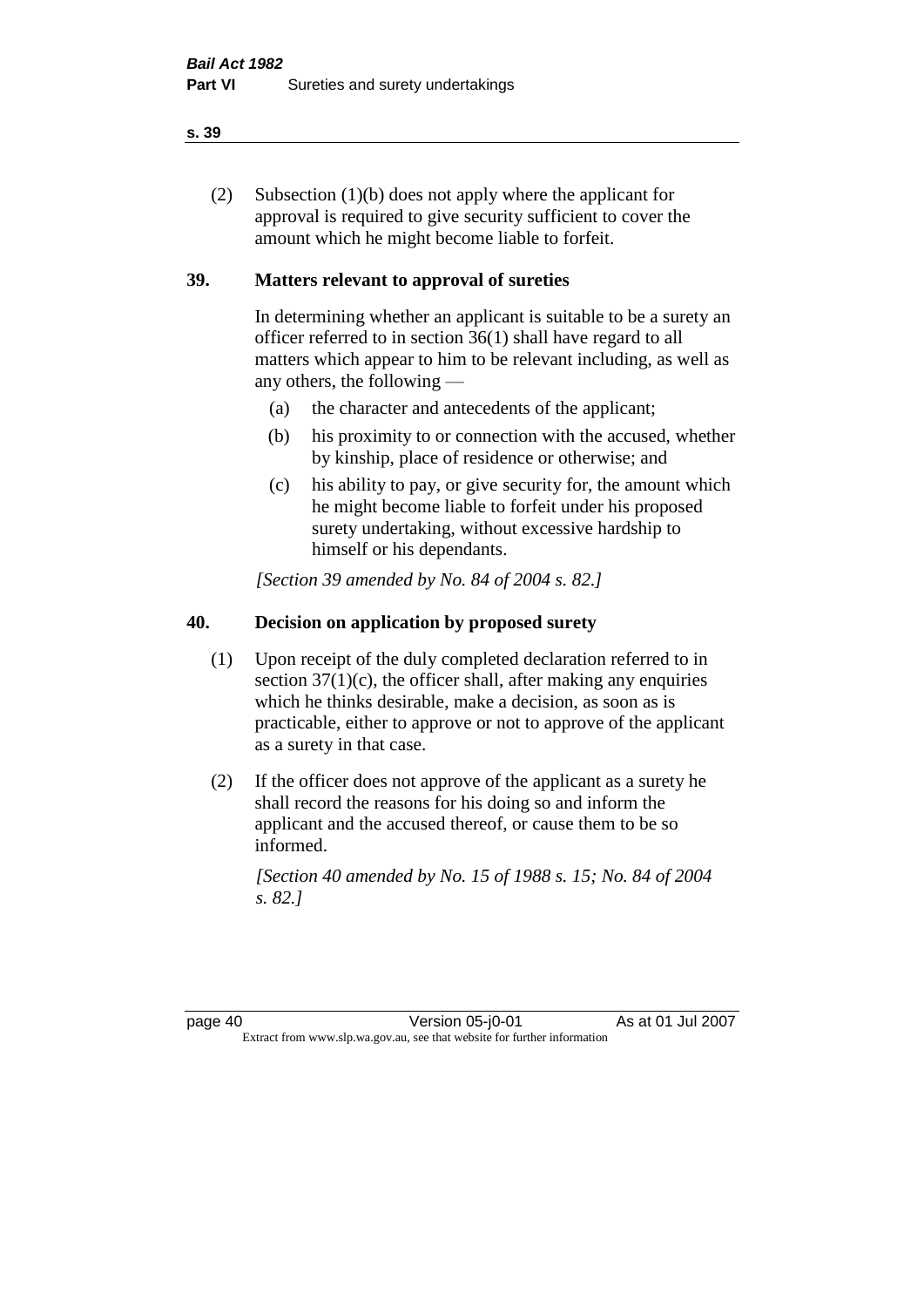(2) Subsection (1)(b) does not apply where the applicant for approval is required to give security sufficient to cover the amount which he might become liable to forfeit.

# **39. Matters relevant to approval of sureties**

In determining whether an applicant is suitable to be a surety an officer referred to in section 36(1) shall have regard to all matters which appear to him to be relevant including, as well as any others, the following —

- (a) the character and antecedents of the applicant;
- (b) his proximity to or connection with the accused, whether by kinship, place of residence or otherwise; and
- (c) his ability to pay, or give security for, the amount which he might become liable to forfeit under his proposed surety undertaking, without excessive hardship to himself or his dependants.

*[Section 39 amended by No. 84 of 2004 s. 82.]* 

# **40. Decision on application by proposed surety**

- (1) Upon receipt of the duly completed declaration referred to in section  $37(1)(c)$ , the officer shall, after making any enquiries which he thinks desirable, make a decision, as soon as is practicable, either to approve or not to approve of the applicant as a surety in that case.
- (2) If the officer does not approve of the applicant as a surety he shall record the reasons for his doing so and inform the applicant and the accused thereof, or cause them to be so informed.

*[Section 40 amended by No. 15 of 1988 s. 15; No. 84 of 2004 s. 82.]* 

page 40 Version 05-j0-01 As at 01 Jul 2007 Extract from www.slp.wa.gov.au, see that website for further information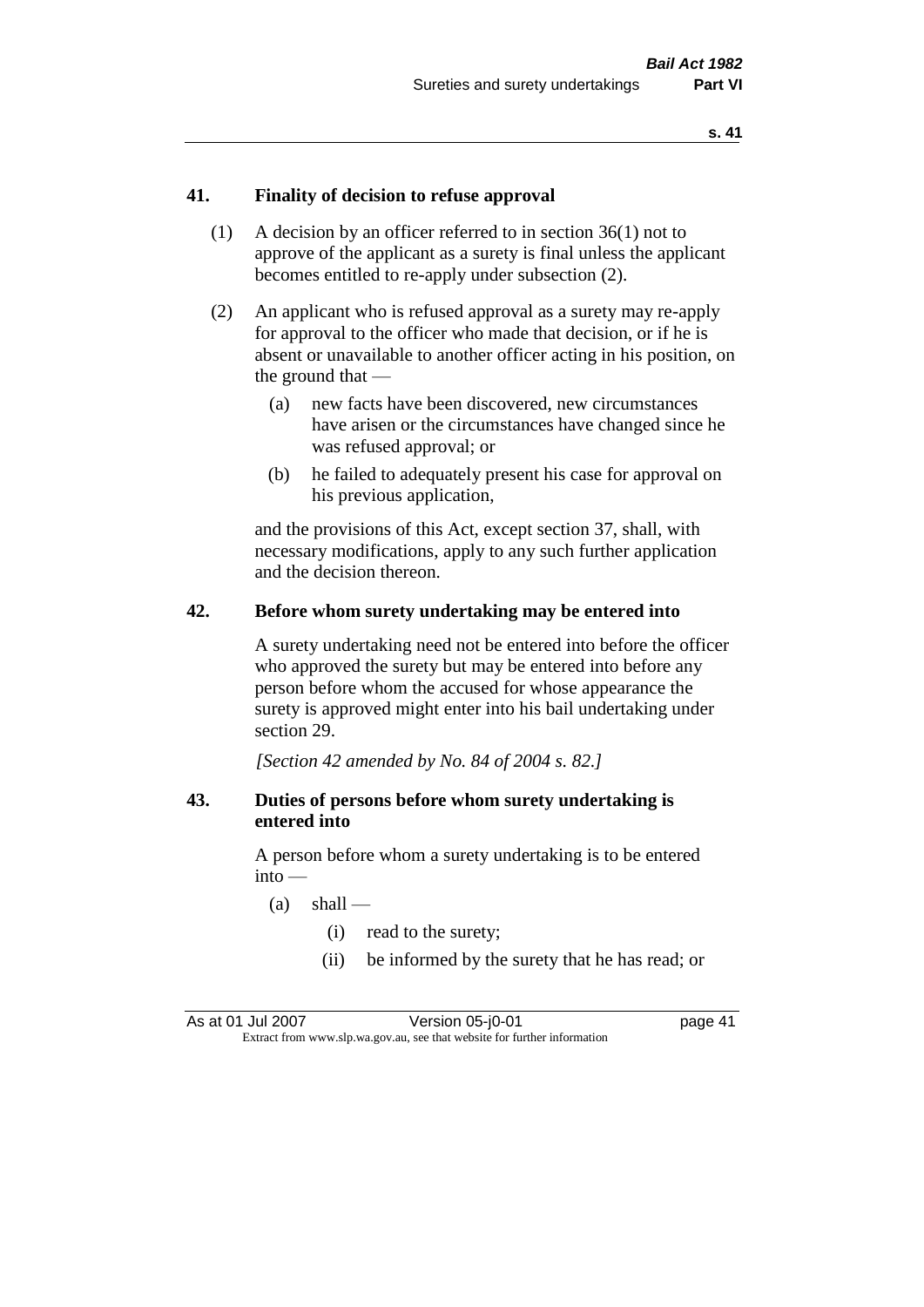#### **41. Finality of decision to refuse approval**

- (1) A decision by an officer referred to in section 36(1) not to approve of the applicant as a surety is final unless the applicant becomes entitled to re-apply under subsection (2).
- (2) An applicant who is refused approval as a surety may re-apply for approval to the officer who made that decision, or if he is absent or unavailable to another officer acting in his position, on the ground that —
	- (a) new facts have been discovered, new circumstances have arisen or the circumstances have changed since he was refused approval; or
	- (b) he failed to adequately present his case for approval on his previous application,

and the provisions of this Act, except section 37, shall, with necessary modifications, apply to any such further application and the decision thereon.

#### **42. Before whom surety undertaking may be entered into**

A surety undertaking need not be entered into before the officer who approved the surety but may be entered into before any person before whom the accused for whose appearance the surety is approved might enter into his bail undertaking under section 29.

*[Section 42 amended by No. 84 of 2004 s. 82.]* 

#### **43. Duties of persons before whom surety undertaking is entered into**

A person before whom a surety undertaking is to be entered  $into -$ 

- $(a)$  shall
	- (i) read to the surety;
	- (ii) be informed by the surety that he has read; or

As at 01 Jul 2007 Version 05-j0-01 page 41 Extract from www.slp.wa.gov.au, see that website for further information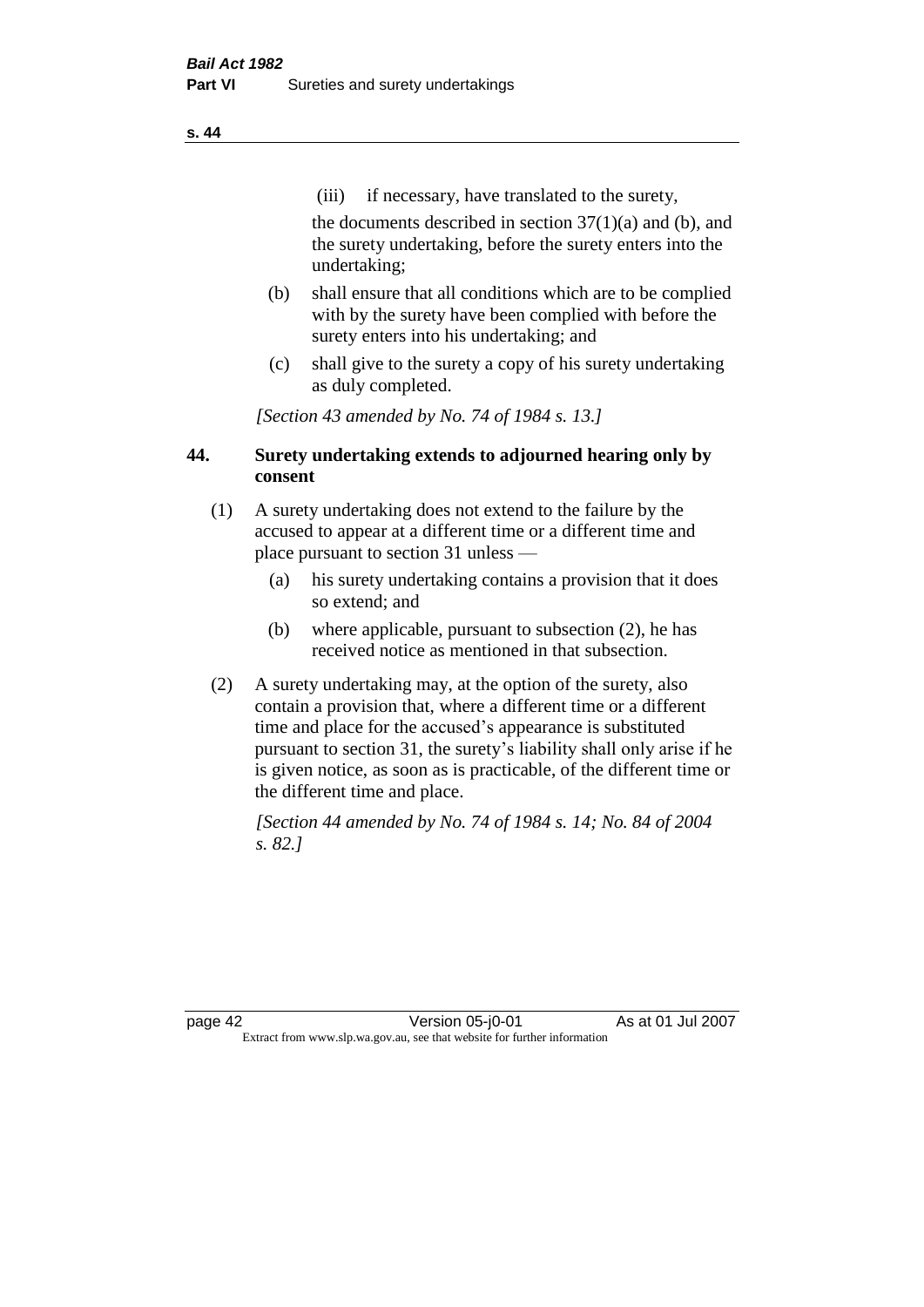(iii) if necessary, have translated to the surety,

the documents described in section  $37(1)(a)$  and (b), and the surety undertaking, before the surety enters into the undertaking;

- (b) shall ensure that all conditions which are to be complied with by the surety have been complied with before the surety enters into his undertaking; and
- (c) shall give to the surety a copy of his surety undertaking as duly completed.

*[Section 43 amended by No. 74 of 1984 s. 13.]* 

## **44. Surety undertaking extends to adjourned hearing only by consent**

- (1) A surety undertaking does not extend to the failure by the accused to appear at a different time or a different time and place pursuant to section 31 unless —
	- (a) his surety undertaking contains a provision that it does so extend; and
	- (b) where applicable, pursuant to subsection (2), he has received notice as mentioned in that subsection.
- (2) A surety undertaking may, at the option of the surety, also contain a provision that, where a different time or a different time and place for the accused's appearance is substituted pursuant to section 31, the surety's liability shall only arise if he is given notice, as soon as is practicable, of the different time or the different time and place.

*[Section 44 amended by No. 74 of 1984 s. 14; No. 84 of 2004 s. 82.]* 

page 42 Version 05-j0-01 As at 01 Jul 2007 Extract from www.slp.wa.gov.au, see that website for further information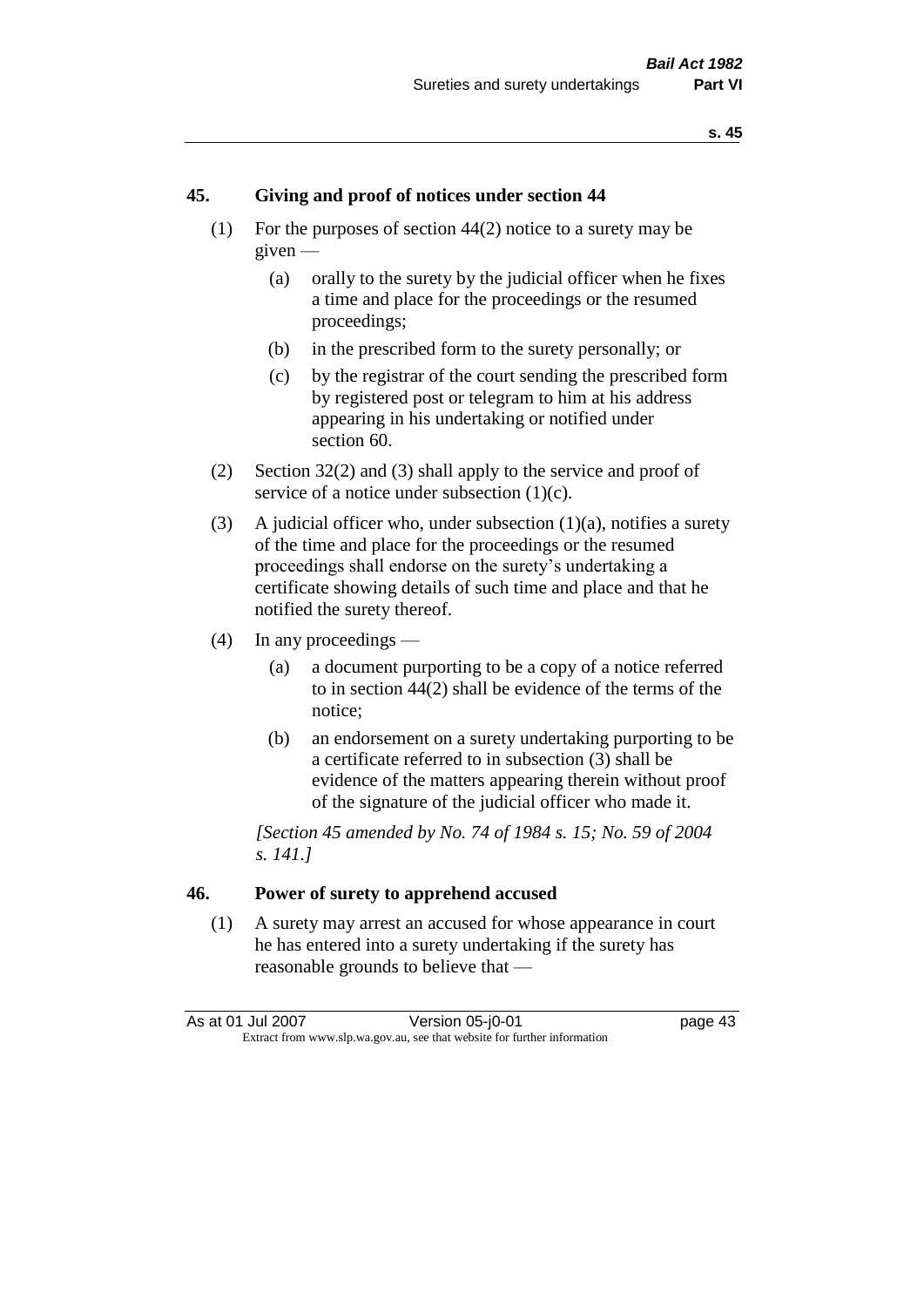#### **45. Giving and proof of notices under section 44**

- (1) For the purposes of section 44(2) notice to a surety may be given —
	- (a) orally to the surety by the judicial officer when he fixes a time and place for the proceedings or the resumed proceedings;
	- (b) in the prescribed form to the surety personally; or
	- (c) by the registrar of the court sending the prescribed form by registered post or telegram to him at his address appearing in his undertaking or notified under section 60.
- (2) Section 32(2) and (3) shall apply to the service and proof of service of a notice under subsection  $(1)(c)$ .
- (3) A judicial officer who, under subsection  $(1)(a)$ , notifies a surety of the time and place for the proceedings or the resumed proceedings shall endorse on the surety's undertaking a certificate showing details of such time and place and that he notified the surety thereof.
- (4) In any proceedings
	- (a) a document purporting to be a copy of a notice referred to in section 44(2) shall be evidence of the terms of the notice;
	- (b) an endorsement on a surety undertaking purporting to be a certificate referred to in subsection (3) shall be evidence of the matters appearing therein without proof of the signature of the judicial officer who made it.

*[Section 45 amended by No. 74 of 1984 s. 15; No. 59 of 2004 s. 141.]* 

#### **46. Power of surety to apprehend accused**

(1) A surety may arrest an accused for whose appearance in court he has entered into a surety undertaking if the surety has reasonable grounds to believe that —

As at 01 Jul 2007 Version 05-j0-01 page 43 Extract from www.slp.wa.gov.au, see that website for further information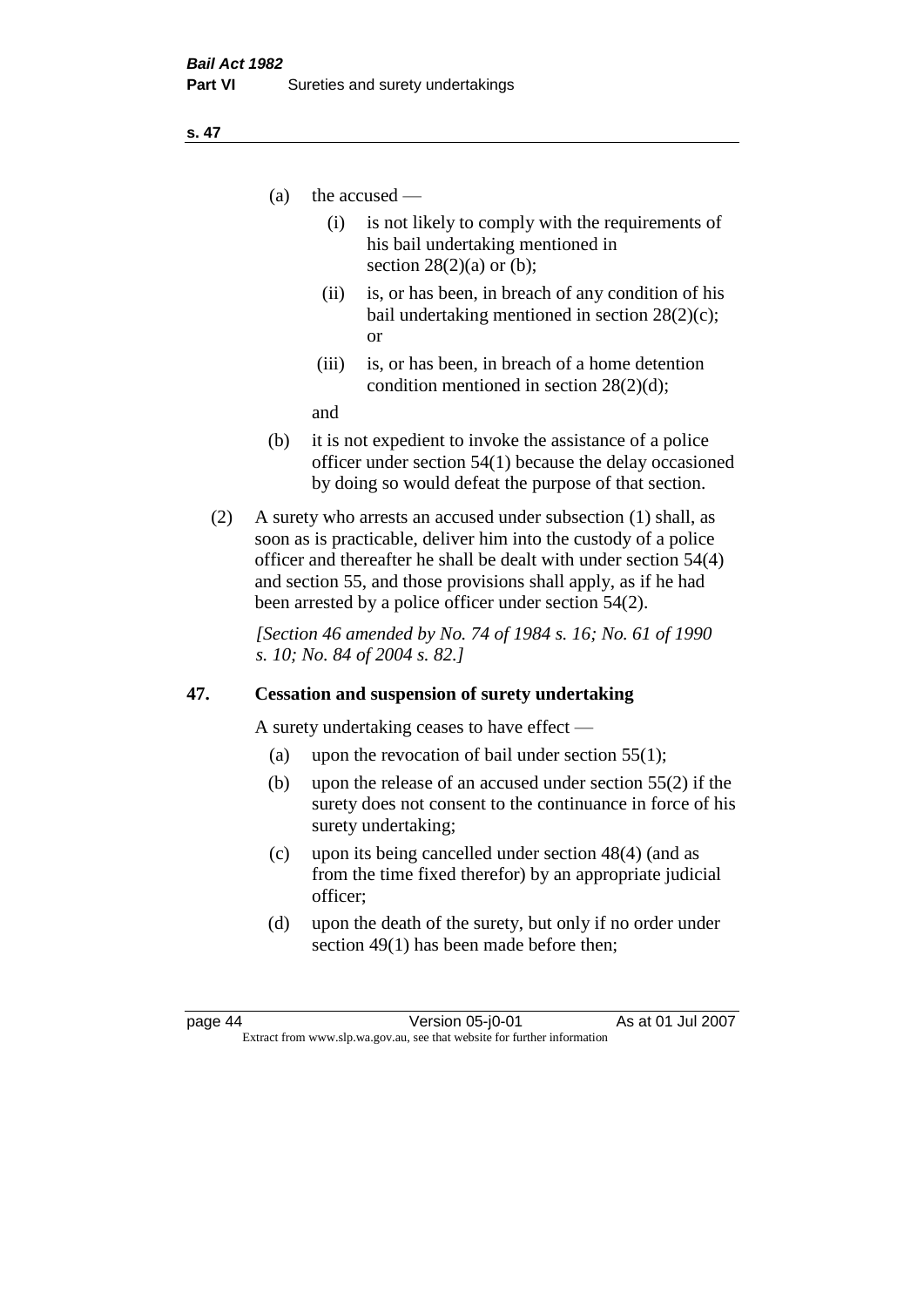- (a) the accused
	- (i) is not likely to comply with the requirements of his bail undertaking mentioned in section  $28(2)(a)$  or (b):
	- (ii) is, or has been, in breach of any condition of his bail undertaking mentioned in section 28(2)(c); or
	- (iii) is, or has been, in breach of a home detention condition mentioned in section 28(2)(d);

and

- (b) it is not expedient to invoke the assistance of a police officer under section 54(1) because the delay occasioned by doing so would defeat the purpose of that section.
- (2) A surety who arrests an accused under subsection (1) shall, as soon as is practicable, deliver him into the custody of a police officer and thereafter he shall be dealt with under section 54(4) and section 55, and those provisions shall apply, as if he had been arrested by a police officer under section 54(2).

*[Section 46 amended by No. 74 of 1984 s. 16; No. 61 of 1990 s. 10; No. 84 of 2004 s. 82.]* 

# **47. Cessation and suspension of surety undertaking**

A surety undertaking ceases to have effect —

- (a) upon the revocation of bail under section  $55(1)$ ;
- (b) upon the release of an accused under section 55(2) if the surety does not consent to the continuance in force of his surety undertaking;
- (c) upon its being cancelled under section 48(4) (and as from the time fixed therefor) by an appropriate judicial officer;
- (d) upon the death of the surety, but only if no order under section 49(1) has been made before then;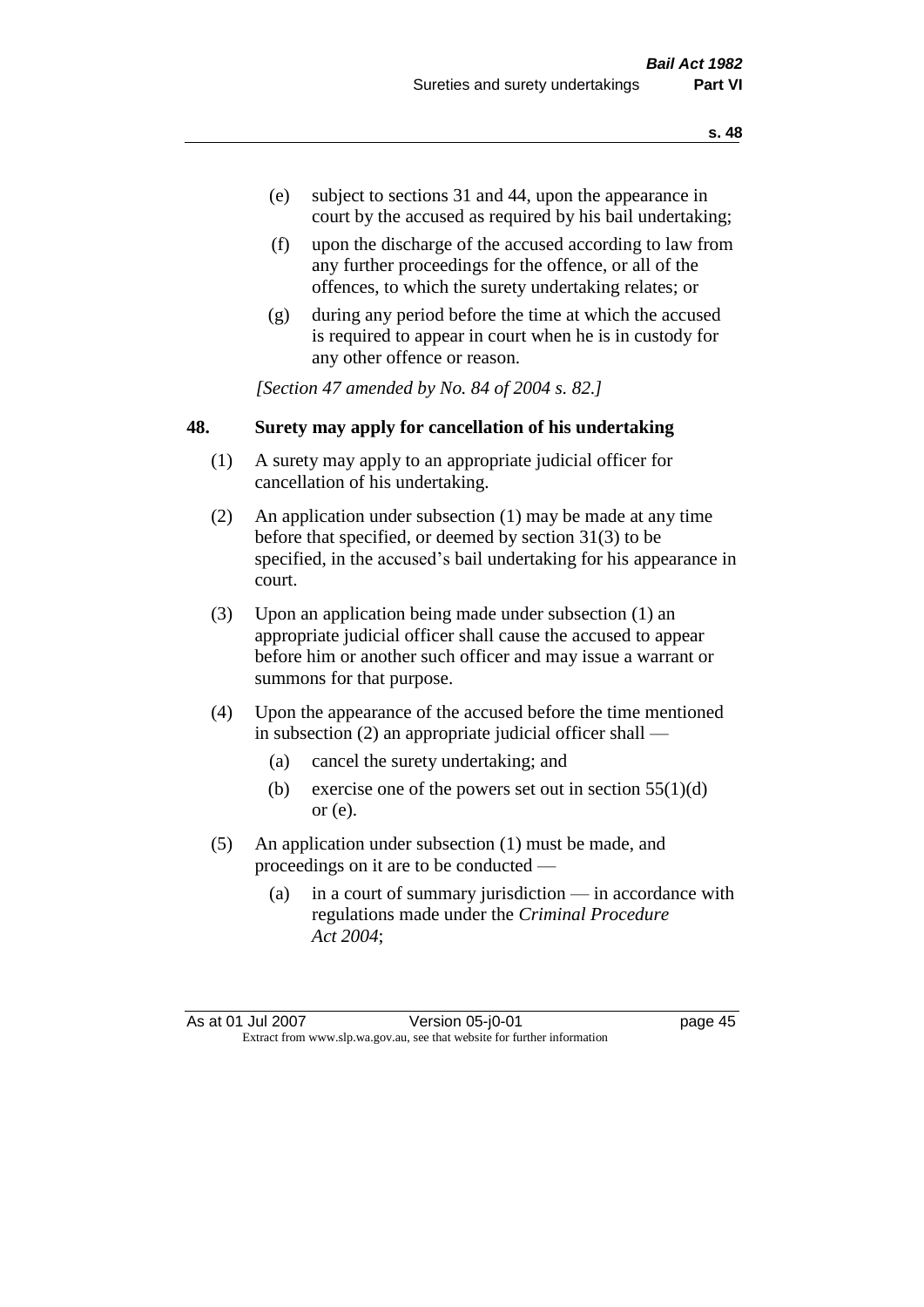- (e) subject to sections 31 and 44, upon the appearance in court by the accused as required by his bail undertaking;
- (f) upon the discharge of the accused according to law from any further proceedings for the offence, or all of the offences, to which the surety undertaking relates; or
- (g) during any period before the time at which the accused is required to appear in court when he is in custody for any other offence or reason.

*[Section 47 amended by No. 84 of 2004 s. 82.]* 

# **48. Surety may apply for cancellation of his undertaking**

- (1) A surety may apply to an appropriate judicial officer for cancellation of his undertaking.
- (2) An application under subsection (1) may be made at any time before that specified, or deemed by section 31(3) to be specified, in the accused's bail undertaking for his appearance in court.
- (3) Upon an application being made under subsection (1) an appropriate judicial officer shall cause the accused to appear before him or another such officer and may issue a warrant or summons for that purpose.
- (4) Upon the appearance of the accused before the time mentioned in subsection (2) an appropriate judicial officer shall —
	- (a) cancel the surety undertaking; and
	- (b) exercise one of the powers set out in section  $55(1)(d)$ or (e).
- (5) An application under subsection (1) must be made, and proceedings on it are to be conducted —
	- (a) in a court of summary jurisdiction in accordance with regulations made under the *Criminal Procedure Act 2004*;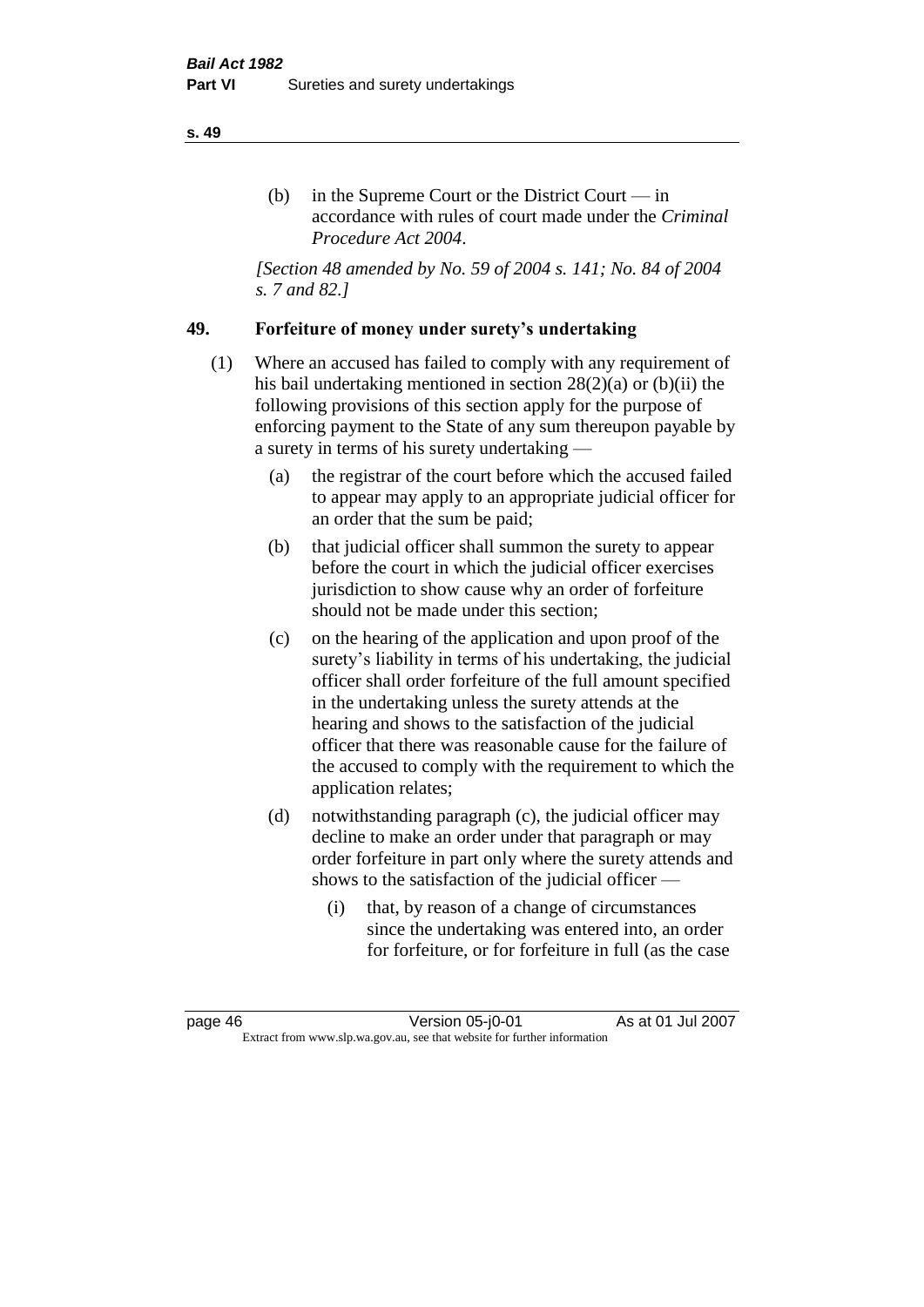# (b) in the Supreme Court or the District Court  $-\text{in}$ accordance with rules of court made under the *Criminal Procedure Act 2004*.

*[Section 48 amended by No. 59 of 2004 s. 141; No. 84 of 2004 s. 7 and 82.]* 

# **49. Forfeiture of money under surety's undertaking**

- (1) Where an accused has failed to comply with any requirement of his bail undertaking mentioned in section 28(2)(a) or (b)(ii) the following provisions of this section apply for the purpose of enforcing payment to the State of any sum thereupon payable by a surety in terms of his surety undertaking —
	- (a) the registrar of the court before which the accused failed to appear may apply to an appropriate judicial officer for an order that the sum be paid;
	- (b) that judicial officer shall summon the surety to appear before the court in which the judicial officer exercises jurisdiction to show cause why an order of forfeiture should not be made under this section;
	- (c) on the hearing of the application and upon proof of the surety's liability in terms of his undertaking, the judicial officer shall order forfeiture of the full amount specified in the undertaking unless the surety attends at the hearing and shows to the satisfaction of the judicial officer that there was reasonable cause for the failure of the accused to comply with the requirement to which the application relates;
	- (d) notwithstanding paragraph (c), the judicial officer may decline to make an order under that paragraph or may order forfeiture in part only where the surety attends and shows to the satisfaction of the judicial officer —
		- (i) that, by reason of a change of circumstances since the undertaking was entered into, an order for forfeiture, or for forfeiture in full (as the case

page 46 Version 05-j0-01 As at 01 Jul 2007 Extract from www.slp.wa.gov.au, see that website for further information

#### **s. 49**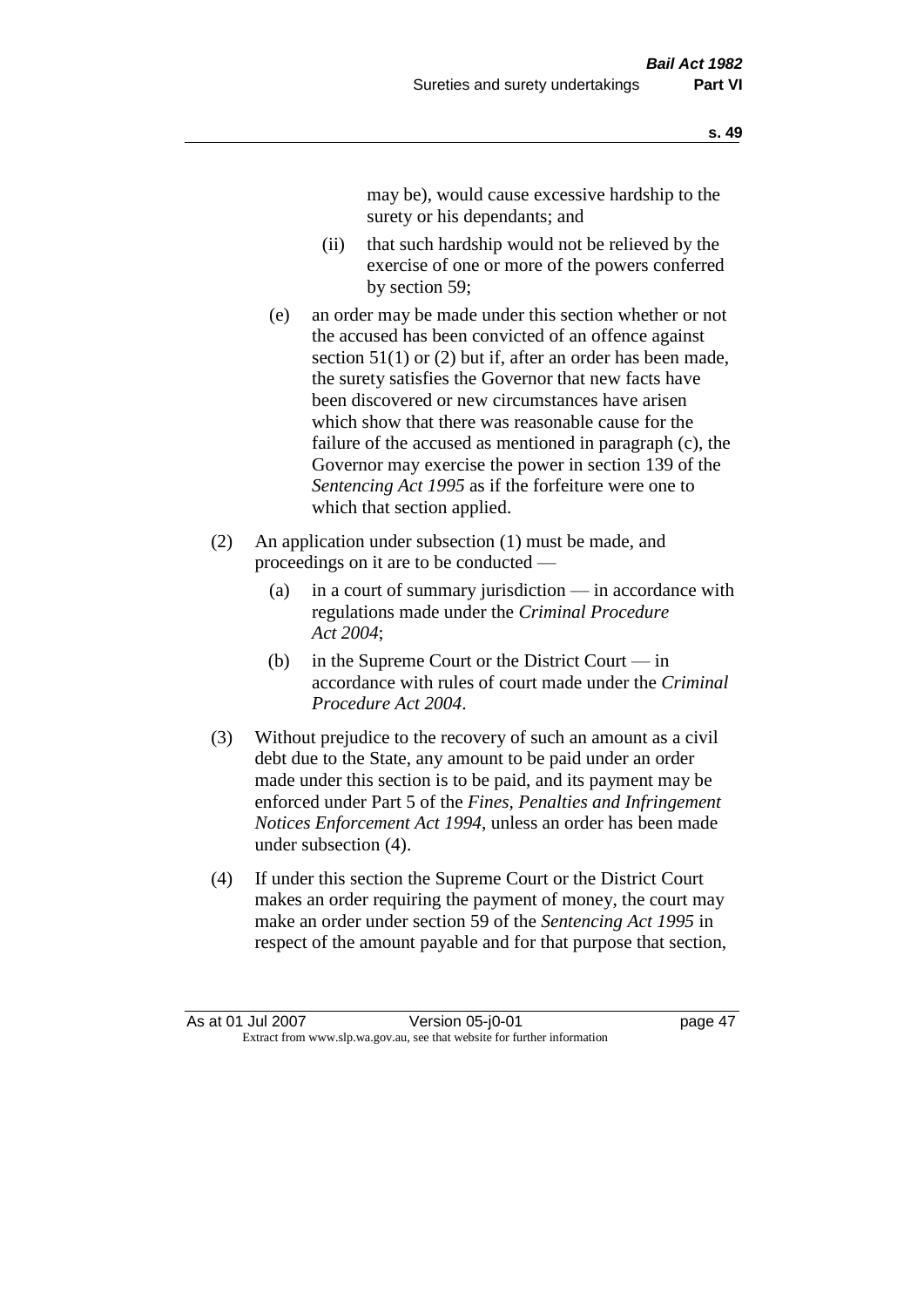may be), would cause excessive hardship to the surety or his dependants; and

- (ii) that such hardship would not be relieved by the exercise of one or more of the powers conferred by section 59;
- (e) an order may be made under this section whether or not the accused has been convicted of an offence against section 51(1) or (2) but if, after an order has been made, the surety satisfies the Governor that new facts have been discovered or new circumstances have arisen which show that there was reasonable cause for the failure of the accused as mentioned in paragraph (c), the Governor may exercise the power in section 139 of the *Sentencing Act 1995* as if the forfeiture were one to which that section applied.
- (2) An application under subsection (1) must be made, and proceedings on it are to be conducted —
	- (a) in a court of summary jurisdiction in accordance with regulations made under the *Criminal Procedure Act 2004*;
	- (b) in the Supreme Court or the District Court  $-\text{in}$ accordance with rules of court made under the *Criminal Procedure Act 2004*.
- (3) Without prejudice to the recovery of such an amount as a civil debt due to the State, any amount to be paid under an order made under this section is to be paid, and its payment may be enforced under Part 5 of the *Fines, Penalties and Infringement Notices Enforcement Act 1994*, unless an order has been made under subsection (4).
- (4) If under this section the Supreme Court or the District Court makes an order requiring the payment of money, the court may make an order under section 59 of the *Sentencing Act 1995* in respect of the amount payable and for that purpose that section,

As at 01 Jul 2007 Version 05-j0-01 page 47 Extract from www.slp.wa.gov.au, see that website for further information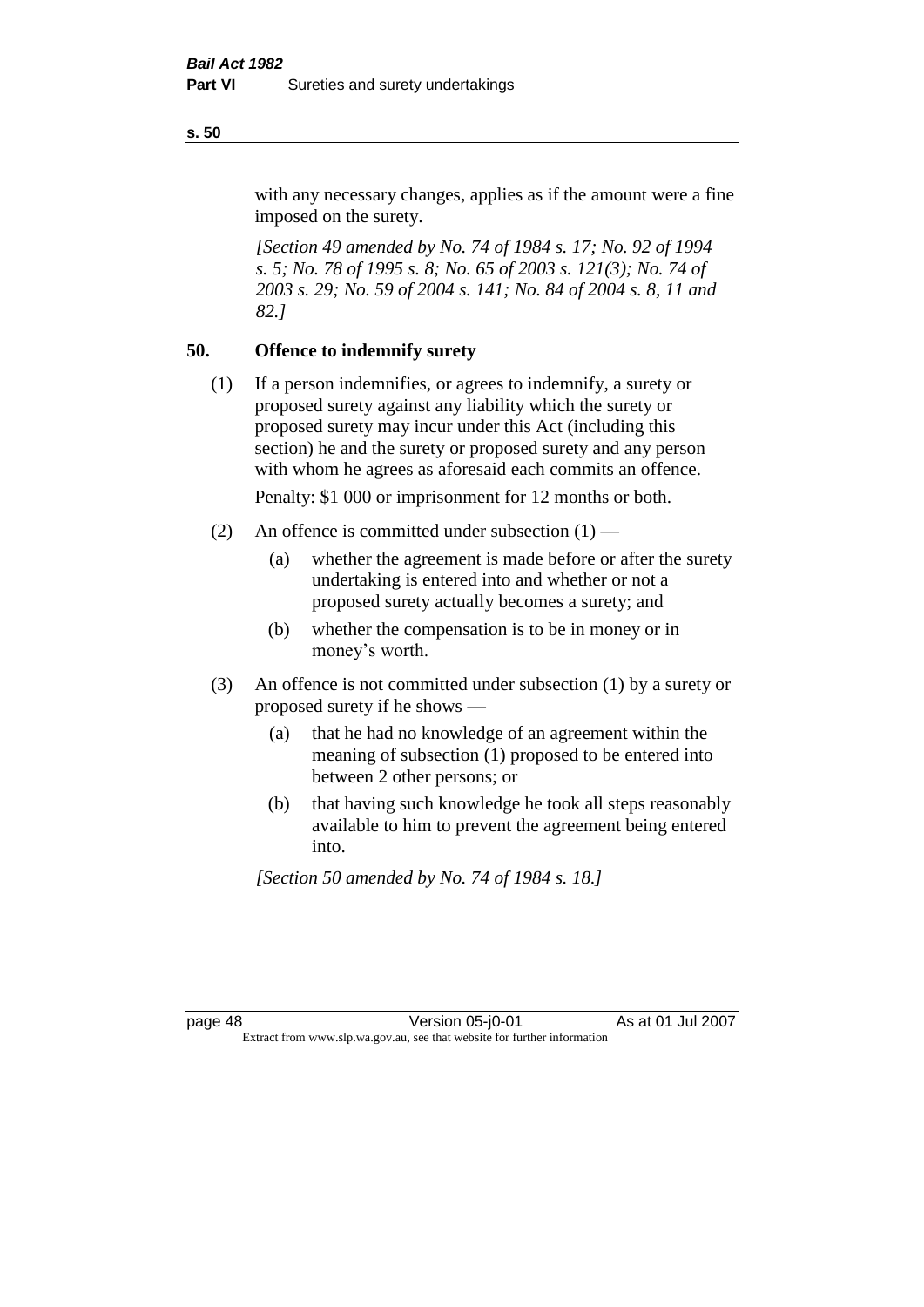with any necessary changes, applies as if the amount were a fine imposed on the surety.

*[Section 49 amended by No. 74 of 1984 s. 17; No. 92 of 1994 s. 5; No. 78 of 1995 s. 8; No. 65 of 2003 s. 121(3); No. 74 of 2003 s. 29; No. 59 of 2004 s. 141; No. 84 of 2004 s. 8, 11 and 82.]* 

#### **50. Offence to indemnify surety**

(1) If a person indemnifies, or agrees to indemnify, a surety or proposed surety against any liability which the surety or proposed surety may incur under this Act (including this section) he and the surety or proposed surety and any person with whom he agrees as aforesaid each commits an offence.

Penalty: \$1 000 or imprisonment for 12 months or both.

- (2) An offence is committed under subsection  $(1)$ 
	- (a) whether the agreement is made before or after the surety undertaking is entered into and whether or not a proposed surety actually becomes a surety; and
	- (b) whether the compensation is to be in money or in money's worth.
- (3) An offence is not committed under subsection (1) by a surety or proposed surety if he shows —
	- (a) that he had no knowledge of an agreement within the meaning of subsection (1) proposed to be entered into between 2 other persons; or
	- (b) that having such knowledge he took all steps reasonably available to him to prevent the agreement being entered into.

*[Section 50 amended by No. 74 of 1984 s. 18.]* 

page 48 Version 05-j0-01 As at 01 Jul 2007 Extract from www.slp.wa.gov.au, see that website for further information

#### **s. 50**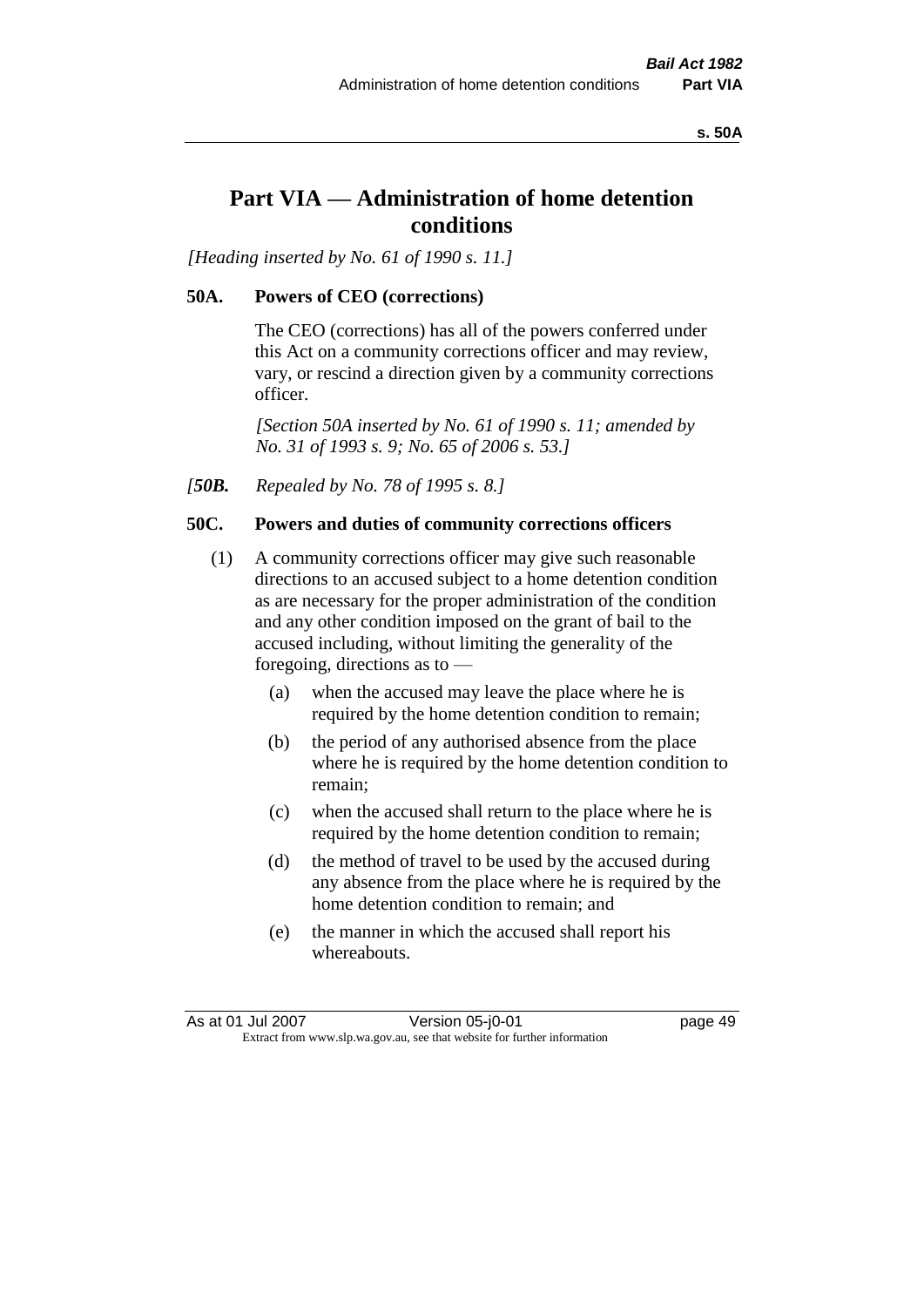**s. 50A**

# **Part VIA — Administration of home detention conditions**

*[Heading inserted by No. 61 of 1990 s. 11.]* 

## **50A. Powers of CEO (corrections)**

The CEO (corrections) has all of the powers conferred under this Act on a community corrections officer and may review, vary, or rescind a direction given by a community corrections officer.

*[Section 50A inserted by No. 61 of 1990 s. 11; amended by No. 31 of 1993 s. 9; No. 65 of 2006 s. 53.]* 

*[50B. Repealed by No. 78 of 1995 s. 8.]* 

# **50C. Powers and duties of community corrections officers**

- (1) A community corrections officer may give such reasonable directions to an accused subject to a home detention condition as are necessary for the proper administration of the condition and any other condition imposed on the grant of bail to the accused including, without limiting the generality of the foregoing, directions as to —
	- (a) when the accused may leave the place where he is required by the home detention condition to remain;
	- (b) the period of any authorised absence from the place where he is required by the home detention condition to remain;
	- (c) when the accused shall return to the place where he is required by the home detention condition to remain;
	- (d) the method of travel to be used by the accused during any absence from the place where he is required by the home detention condition to remain; and
	- (e) the manner in which the accused shall report his whereabouts.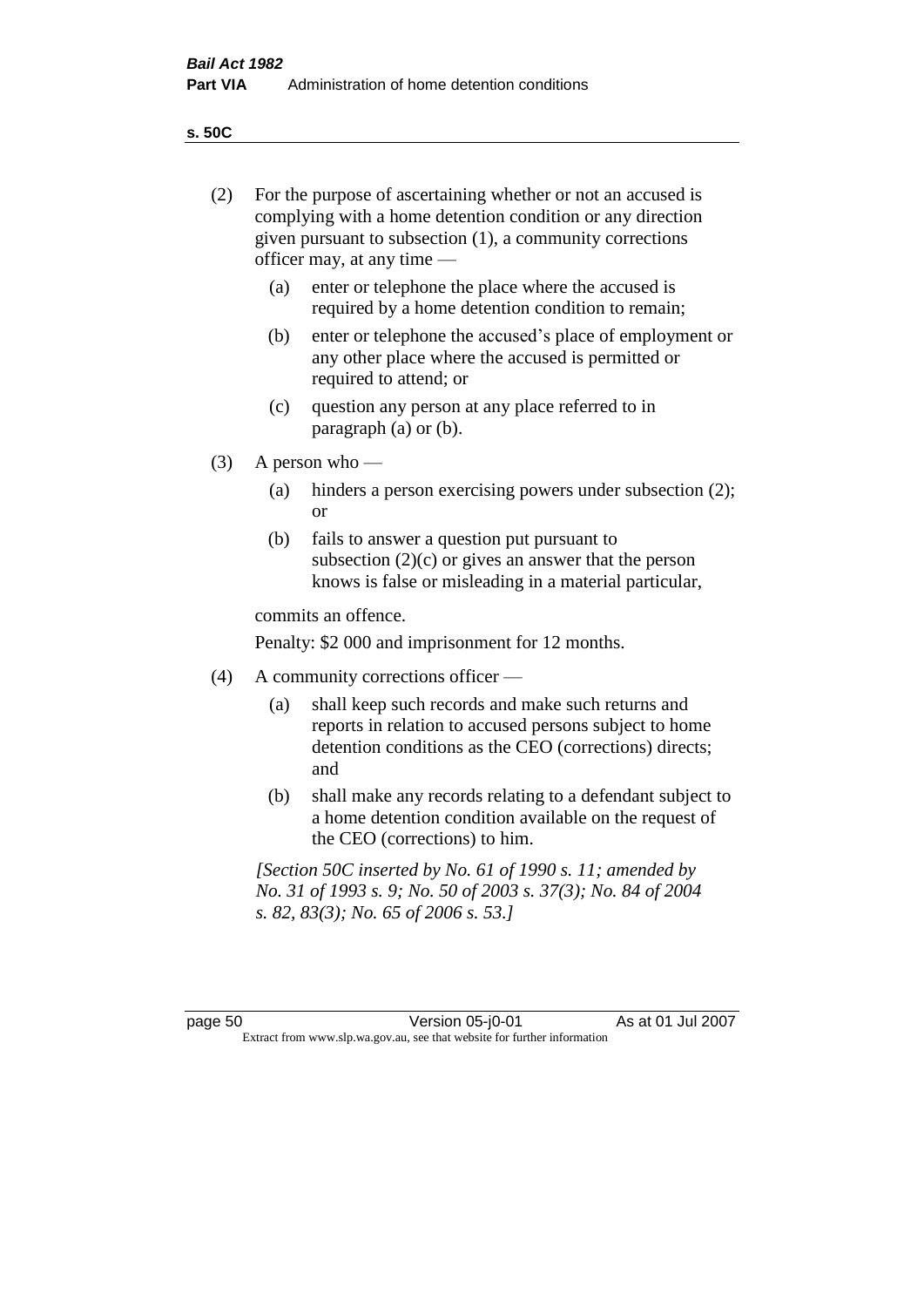**s. 50C**

| (2)     | For the purpose of ascertaining whether or not an accused is<br>complying with a home detention condition or any direction<br>given pursuant to subsection (1), a community corrections<br>officer may, at any time — |                                                                                                                                                                              |  |
|---------|-----------------------------------------------------------------------------------------------------------------------------------------------------------------------------------------------------------------------|------------------------------------------------------------------------------------------------------------------------------------------------------------------------------|--|
|         | (a)                                                                                                                                                                                                                   | enter or telephone the place where the accused is<br>required by a home detention condition to remain;                                                                       |  |
|         | (b)                                                                                                                                                                                                                   | enter or telephone the accused's place of employment or<br>any other place where the accused is permitted or<br>required to attend; or                                       |  |
|         | (c)                                                                                                                                                                                                                   | question any person at any place referred to in<br>paragraph $(a)$ or $(b)$ .                                                                                                |  |
| (3)     | A person who $-$                                                                                                                                                                                                      |                                                                                                                                                                              |  |
|         | (a)                                                                                                                                                                                                                   | hinders a person exercising powers under subsection (2);<br><sub>or</sub>                                                                                                    |  |
|         | (b)                                                                                                                                                                                                                   | fails to answer a question put pursuant to<br>subsection $(2)(c)$ or gives an answer that the person<br>knows is false or misleading in a material particular,               |  |
|         |                                                                                                                                                                                                                       | commits an offence.                                                                                                                                                          |  |
|         |                                                                                                                                                                                                                       | Penalty: \$2 000 and imprisonment for 12 months.                                                                                                                             |  |
| (4)     | A community corrections officer —                                                                                                                                                                                     |                                                                                                                                                                              |  |
|         | (a)                                                                                                                                                                                                                   | shall keep such records and make such returns and<br>reports in relation to accused persons subject to home<br>detention conditions as the CEO (corrections) directs;<br>and |  |
|         | (b)                                                                                                                                                                                                                   | shall make any records relating to a defendant subject to<br>a home detention condition available on the request of<br>the CEO (corrections) to him.                         |  |
|         |                                                                                                                                                                                                                       | [Section 50C inserted by No. 61 of 1990 s. 11; amended by<br>No. 31 of 1993 s. 9; No. 50 of 2003 s. 37(3); No. 84 of 2004<br>s. 82, 83(3); No. 65 of 2006 s. 53.]            |  |
|         |                                                                                                                                                                                                                       |                                                                                                                                                                              |  |
| page 50 |                                                                                                                                                                                                                       | As at 01 Jul 2007<br>Version 05-j0-01<br>Extract from www.slp.wa.gov.au, see that website for further information                                                            |  |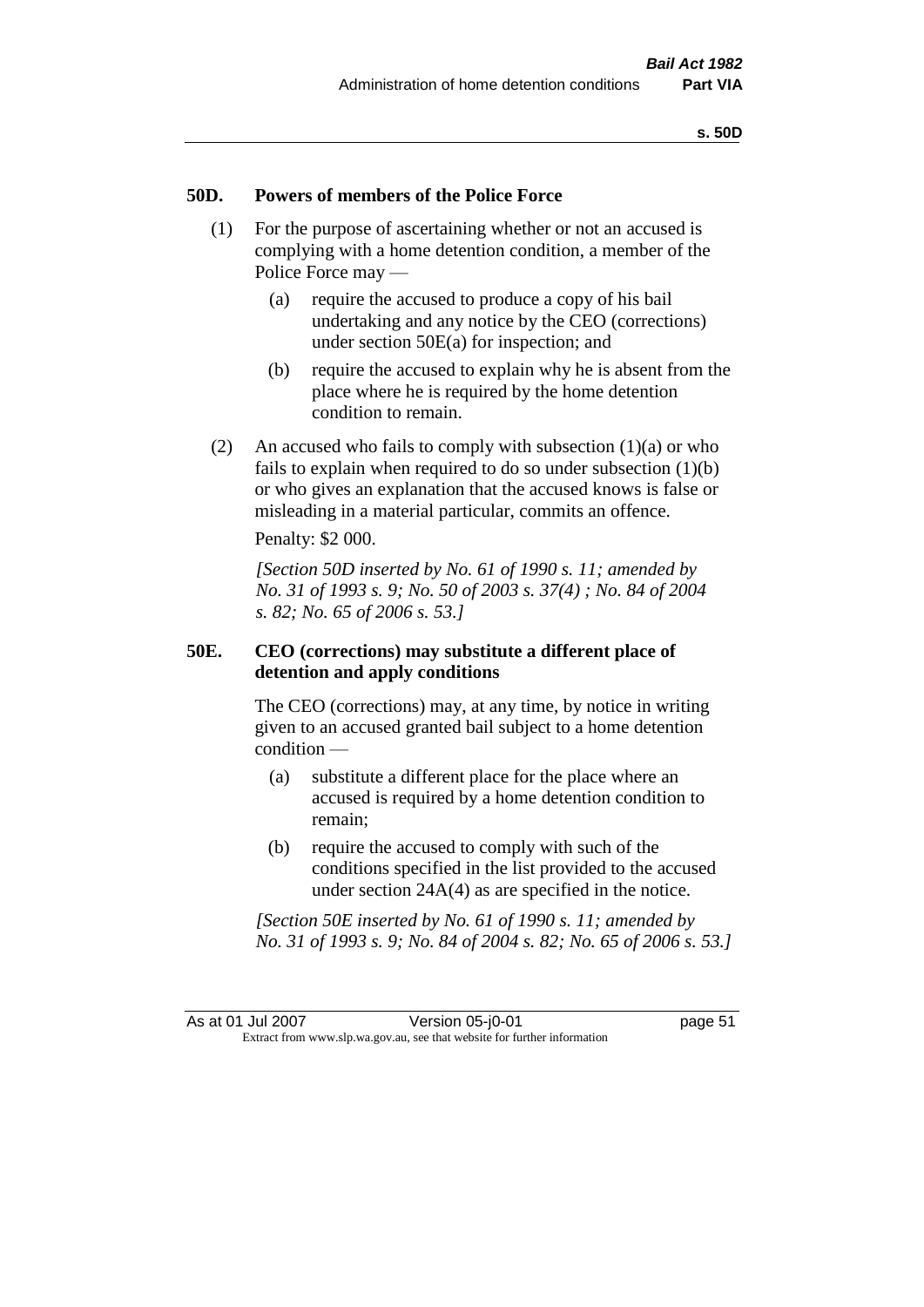#### **50D. Powers of members of the Police Force**

- (1) For the purpose of ascertaining whether or not an accused is complying with a home detention condition, a member of the Police Force may —
	- (a) require the accused to produce a copy of his bail undertaking and any notice by the CEO (corrections) under section 50E(a) for inspection; and
	- (b) require the accused to explain why he is absent from the place where he is required by the home detention condition to remain.
- (2) An accused who fails to comply with subsection  $(1)(a)$  or who fails to explain when required to do so under subsection  $(1)(b)$ or who gives an explanation that the accused knows is false or misleading in a material particular, commits an offence.

Penalty: \$2 000.

*[Section 50D inserted by No. 61 of 1990 s. 11; amended by No. 31 of 1993 s. 9; No. 50 of 2003 s. 37(4) ; No. 84 of 2004 s. 82; No. 65 of 2006 s. 53.]* 

#### **50E. CEO (corrections) may substitute a different place of detention and apply conditions**

The CEO (corrections) may, at any time, by notice in writing given to an accused granted bail subject to a home detention condition —

- (a) substitute a different place for the place where an accused is required by a home detention condition to remain;
- (b) require the accused to comply with such of the conditions specified in the list provided to the accused under section 24A(4) as are specified in the notice.

*[Section 50E inserted by No. 61 of 1990 s. 11; amended by No. 31 of 1993 s. 9; No. 84 of 2004 s. 82; No. 65 of 2006 s. 53.]*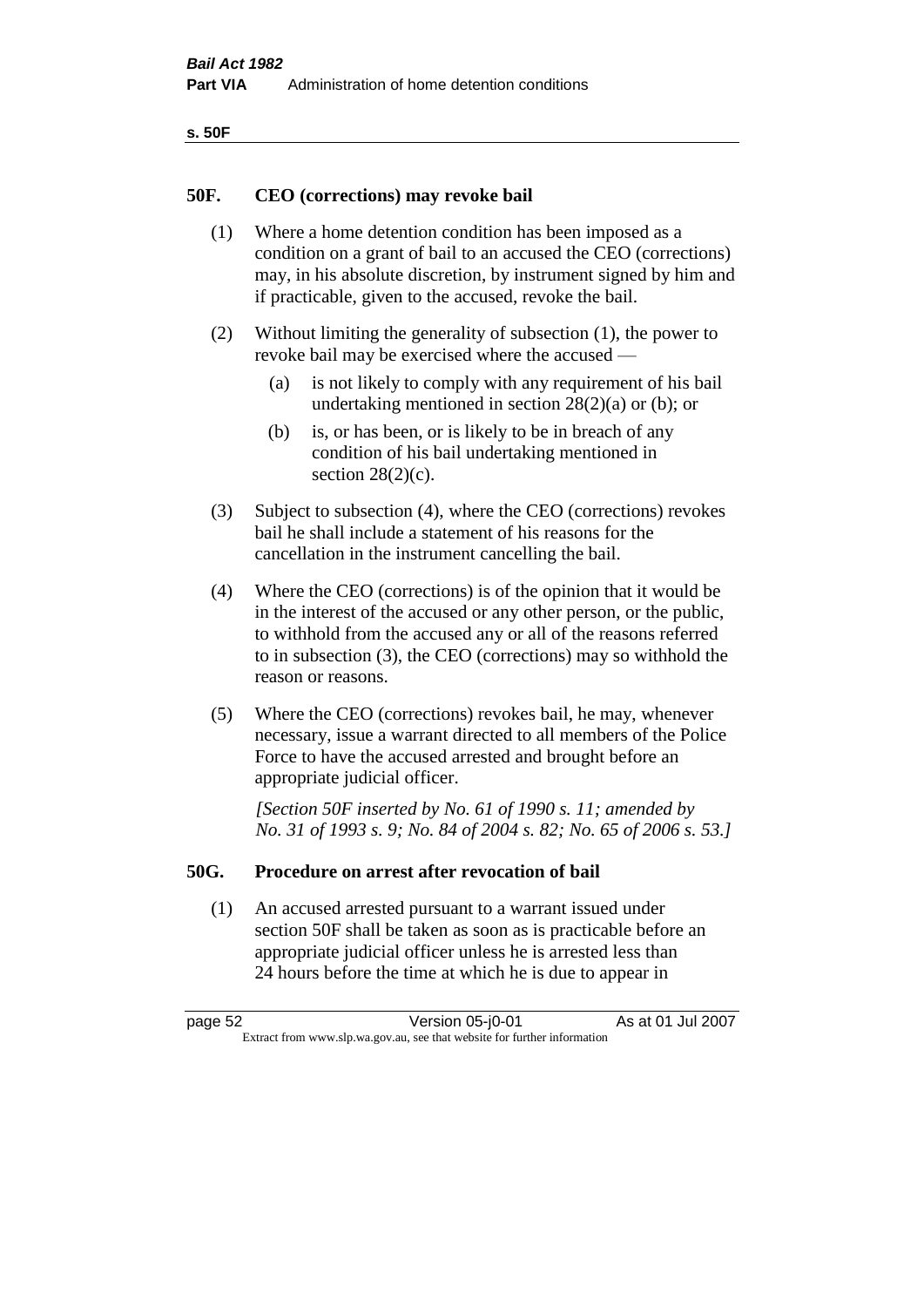| v<br>٩<br>۰,<br>×<br>× |
|------------------------|
|------------------------|

#### **50F. CEO (corrections) may revoke bail**

- (1) Where a home detention condition has been imposed as a condition on a grant of bail to an accused the CEO (corrections) may, in his absolute discretion, by instrument signed by him and if practicable, given to the accused, revoke the bail.
- (2) Without limiting the generality of subsection (1), the power to revoke bail may be exercised where the accused —
	- (a) is not likely to comply with any requirement of his bail undertaking mentioned in section  $28(2)(a)$  or (b); or
	- (b) is, or has been, or is likely to be in breach of any condition of his bail undertaking mentioned in section  $28(2)(c)$ .
- (3) Subject to subsection (4), where the CEO (corrections) revokes bail he shall include a statement of his reasons for the cancellation in the instrument cancelling the bail.
- (4) Where the CEO (corrections) is of the opinion that it would be in the interest of the accused or any other person, or the public, to withhold from the accused any or all of the reasons referred to in subsection (3), the CEO (corrections) may so withhold the reason or reasons.
- (5) Where the CEO (corrections) revokes bail, he may, whenever necessary, issue a warrant directed to all members of the Police Force to have the accused arrested and brought before an appropriate judicial officer.

*[Section 50F inserted by No. 61 of 1990 s. 11; amended by No. 31 of 1993 s. 9; No. 84 of 2004 s. 82; No. 65 of 2006 s. 53.]* 

#### **50G. Procedure on arrest after revocation of bail**

(1) An accused arrested pursuant to a warrant issued under section 50F shall be taken as soon as is practicable before an appropriate judicial officer unless he is arrested less than 24 hours before the time at which he is due to appear in

page 52 Version 05-j0-01 As at 01 Jul 2007 Extract from www.slp.wa.gov.au, see that website for further information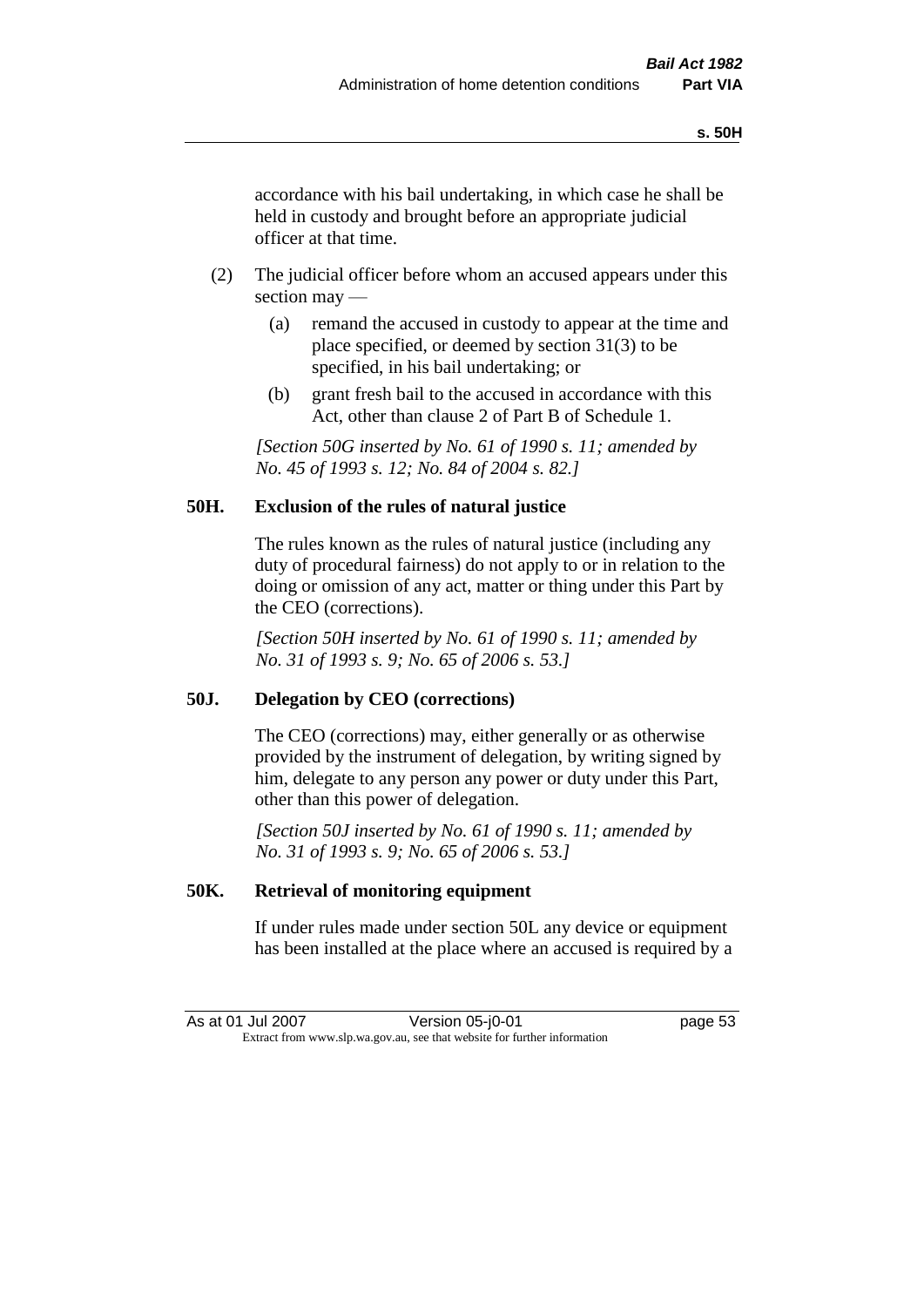accordance with his bail undertaking, in which case he shall be held in custody and brought before an appropriate judicial officer at that time.

- (2) The judicial officer before whom an accused appears under this section may —
	- (a) remand the accused in custody to appear at the time and place specified, or deemed by section 31(3) to be specified, in his bail undertaking; or
	- (b) grant fresh bail to the accused in accordance with this Act, other than clause 2 of Part B of Schedule 1.

*[Section 50G inserted by No. 61 of 1990 s. 11; amended by No. 45 of 1993 s. 12; No. 84 of 2004 s. 82.]* 

## **50H. Exclusion of the rules of natural justice**

The rules known as the rules of natural justice (including any duty of procedural fairness) do not apply to or in relation to the doing or omission of any act, matter or thing under this Part by the CEO (corrections).

*[Section 50H inserted by No. 61 of 1990 s. 11; amended by No. 31 of 1993 s. 9; No. 65 of 2006 s. 53.]* 

#### **50J. Delegation by CEO (corrections)**

The CEO (corrections) may, either generally or as otherwise provided by the instrument of delegation, by writing signed by him, delegate to any person any power or duty under this Part, other than this power of delegation.

*[Section 50J inserted by No. 61 of 1990 s. 11; amended by No. 31 of 1993 s. 9; No. 65 of 2006 s. 53.]* 

#### **50K. Retrieval of monitoring equipment**

If under rules made under section 50L any device or equipment has been installed at the place where an accused is required by a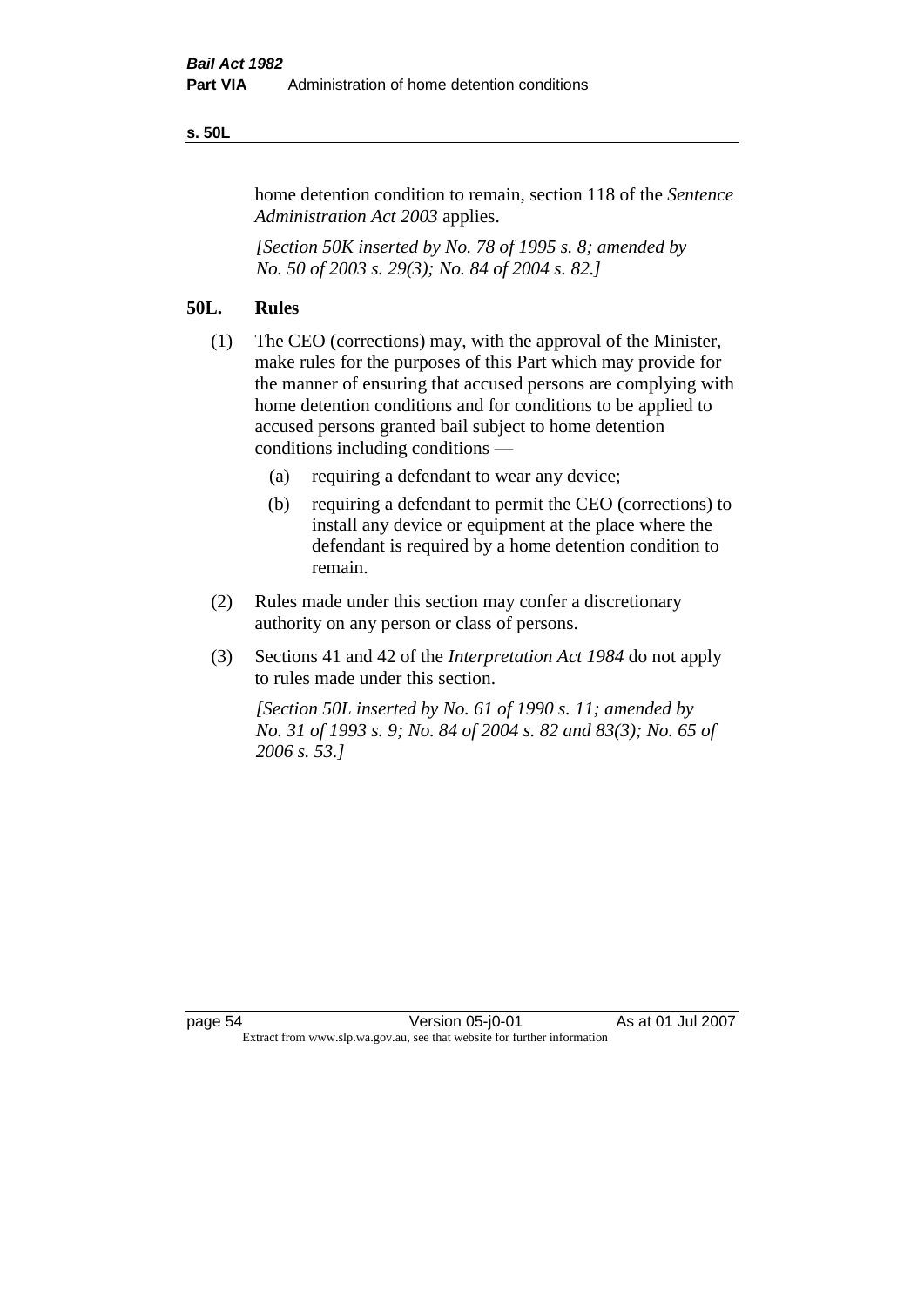#### **s. 50L**

home detention condition to remain, section 118 of the *Sentence Administration Act 2003* applies.

*[Section 50K inserted by No. 78 of 1995 s. 8; amended by No. 50 of 2003 s. 29(3); No. 84 of 2004 s. 82.]* 

# **50L. Rules**

- (1) The CEO (corrections) may, with the approval of the Minister, make rules for the purposes of this Part which may provide for the manner of ensuring that accused persons are complying with home detention conditions and for conditions to be applied to accused persons granted bail subject to home detention conditions including conditions —
	- (a) requiring a defendant to wear any device;
	- (b) requiring a defendant to permit the CEO (corrections) to install any device or equipment at the place where the defendant is required by a home detention condition to remain.
- (2) Rules made under this section may confer a discretionary authority on any person or class of persons.
- (3) Sections 41 and 42 of the *Interpretation Act 1984* do not apply to rules made under this section.

*[Section 50L inserted by No. 61 of 1990 s. 11; amended by No. 31 of 1993 s. 9; No. 84 of 2004 s. 82 and 83(3); No. 65 of 2006 s. 53.]*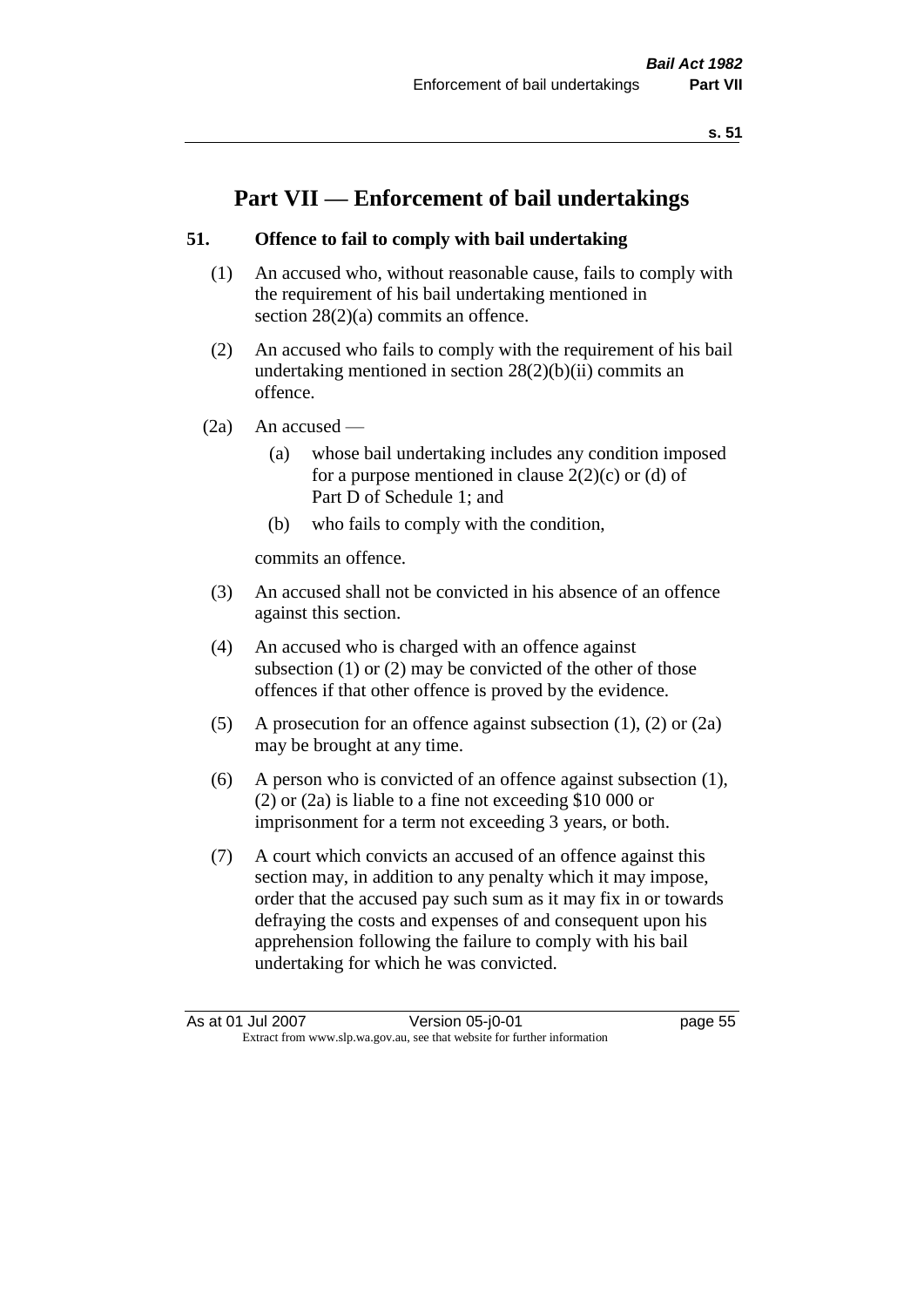# **Part VII — Enforcement of bail undertakings**

## **51. Offence to fail to comply with bail undertaking**

- (1) An accused who, without reasonable cause, fails to comply with the requirement of his bail undertaking mentioned in section  $28(2)(a)$  commits an offence.
- (2) An accused who fails to comply with the requirement of his bail undertaking mentioned in section  $28(2)(b)(ii)$  commits an offence.
- $(2a)$  An accused
	- (a) whose bail undertaking includes any condition imposed for a purpose mentioned in clause  $2(2)(c)$  or (d) of Part D of Schedule 1; and
	- (b) who fails to comply with the condition,

commits an offence.

- (3) An accused shall not be convicted in his absence of an offence against this section.
- (4) An accused who is charged with an offence against subsection (1) or (2) may be convicted of the other of those offences if that other offence is proved by the evidence.
- (5) A prosecution for an offence against subsection (1), (2) or (2a) may be brought at any time.
- (6) A person who is convicted of an offence against subsection (1), (2) or (2a) is liable to a fine not exceeding \$10 000 or imprisonment for a term not exceeding 3 years, or both.
- (7) A court which convicts an accused of an offence against this section may, in addition to any penalty which it may impose, order that the accused pay such sum as it may fix in or towards defraying the costs and expenses of and consequent upon his apprehension following the failure to comply with his bail undertaking for which he was convicted.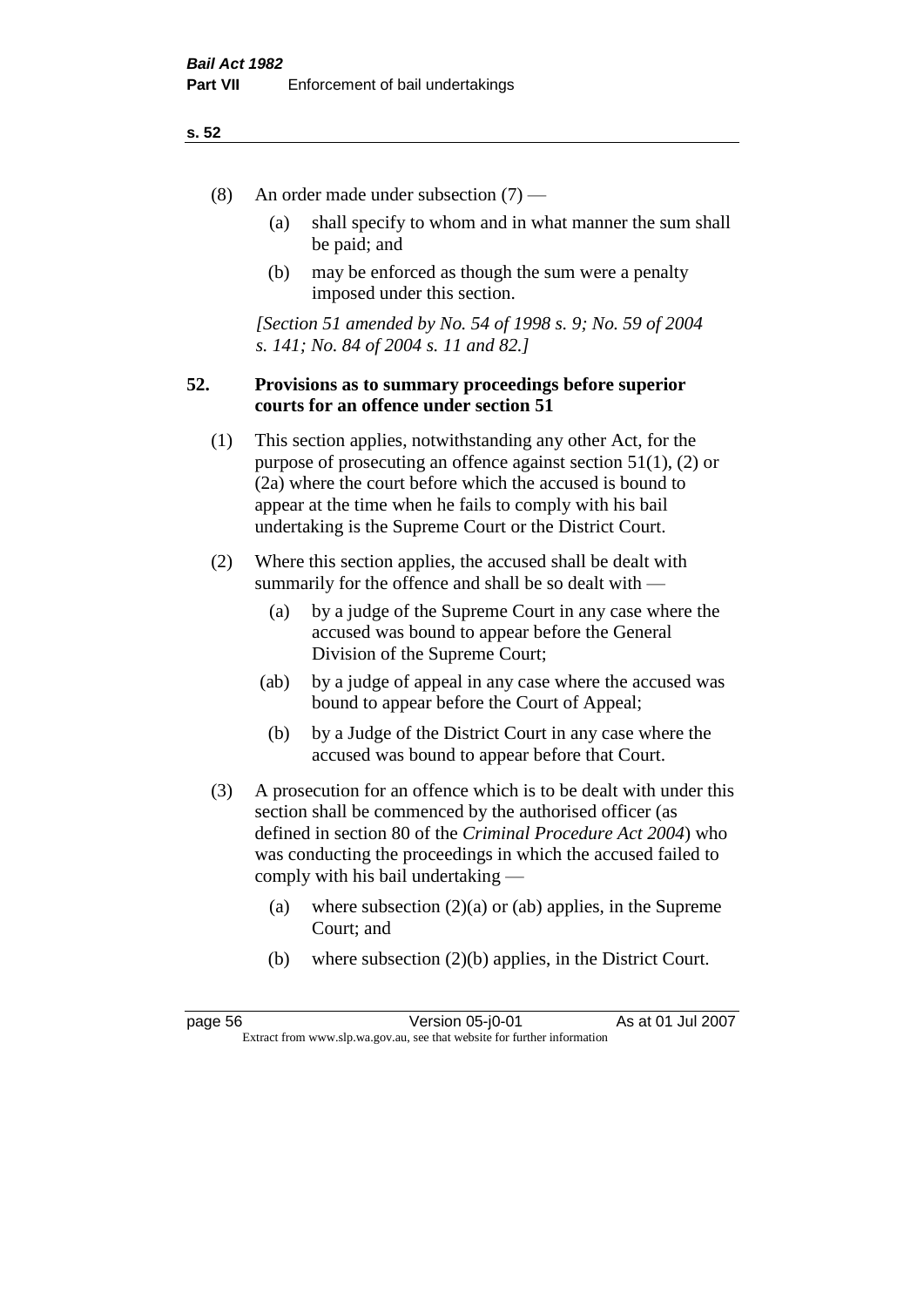- (8) An order made under subsection (7)
	- (a) shall specify to whom and in what manner the sum shall be paid; and
	- (b) may be enforced as though the sum were a penalty imposed under this section.

*[Section 51 amended by No. 54 of 1998 s. 9; No. 59 of 2004 s. 141; No. 84 of 2004 s. 11 and 82.]*

#### **52. Provisions as to summary proceedings before superior courts for an offence under section 51**

- (1) This section applies, notwithstanding any other Act, for the purpose of prosecuting an offence against section 51(1), (2) or (2a) where the court before which the accused is bound to appear at the time when he fails to comply with his bail undertaking is the Supreme Court or the District Court.
- (2) Where this section applies, the accused shall be dealt with summarily for the offence and shall be so dealt with —
	- (a) by a judge of the Supreme Court in any case where the accused was bound to appear before the General Division of the Supreme Court;
	- (ab) by a judge of appeal in any case where the accused was bound to appear before the Court of Appeal;
	- (b) by a Judge of the District Court in any case where the accused was bound to appear before that Court.
- (3) A prosecution for an offence which is to be dealt with under this section shall be commenced by the authorised officer (as defined in section 80 of the *Criminal Procedure Act 2004*) who was conducting the proceedings in which the accused failed to comply with his bail undertaking —
	- (a) where subsection  $(2)(a)$  or (ab) applies, in the Supreme Court; and
	- (b) where subsection (2)(b) applies, in the District Court.

page 56 Version 05-j0-01 As at 01 Jul 2007 Extract from www.slp.wa.gov.au, see that website for further information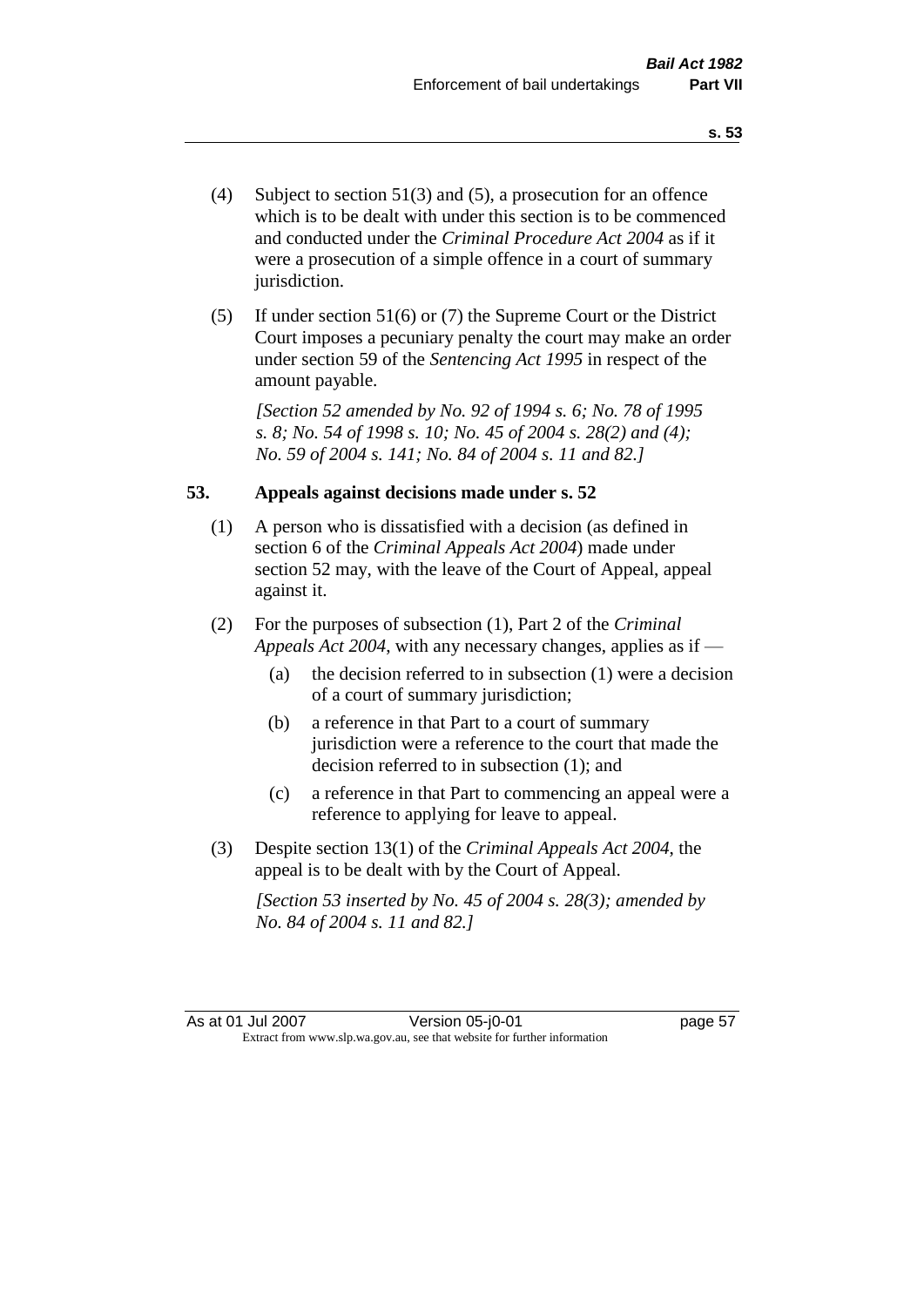- (4) Subject to section 51(3) and (5), a prosecution for an offence which is to be dealt with under this section is to be commenced and conducted under the *Criminal Procedure Act 2004* as if it were a prosecution of a simple offence in a court of summary jurisdiction.
- (5) If under section 51(6) or (7) the Supreme Court or the District Court imposes a pecuniary penalty the court may make an order under section 59 of the *Sentencing Act 1995* in respect of the amount payable.

*[Section 52 amended by No. 92 of 1994 s. 6; No. 78 of 1995 s. 8; No. 54 of 1998 s. 10; No. 45 of 2004 s. 28(2) and (4); No. 59 of 2004 s. 141; No. 84 of 2004 s. 11 and 82.]* 

#### **53. Appeals against decisions made under s. 52**

- (1) A person who is dissatisfied with a decision (as defined in section 6 of the *Criminal Appeals Act 2004*) made under section 52 may, with the leave of the Court of Appeal, appeal against it.
- (2) For the purposes of subsection (1), Part 2 of the *Criminal Appeals Act 2004*, with any necessary changes, applies as if —
	- (a) the decision referred to in subsection (1) were a decision of a court of summary jurisdiction;
	- (b) a reference in that Part to a court of summary jurisdiction were a reference to the court that made the decision referred to in subsection (1); and
	- (c) a reference in that Part to commencing an appeal were a reference to applying for leave to appeal.
- (3) Despite section 13(1) of the *Criminal Appeals Act 2004*, the appeal is to be dealt with by the Court of Appeal.

*[Section 53 inserted by No. 45 of 2004 s. 28(3); amended by No. 84 of 2004 s. 11 and 82.]*

As at 01 Jul 2007 Version 05-j0-01 page 57 Extract from www.slp.wa.gov.au, see that website for further information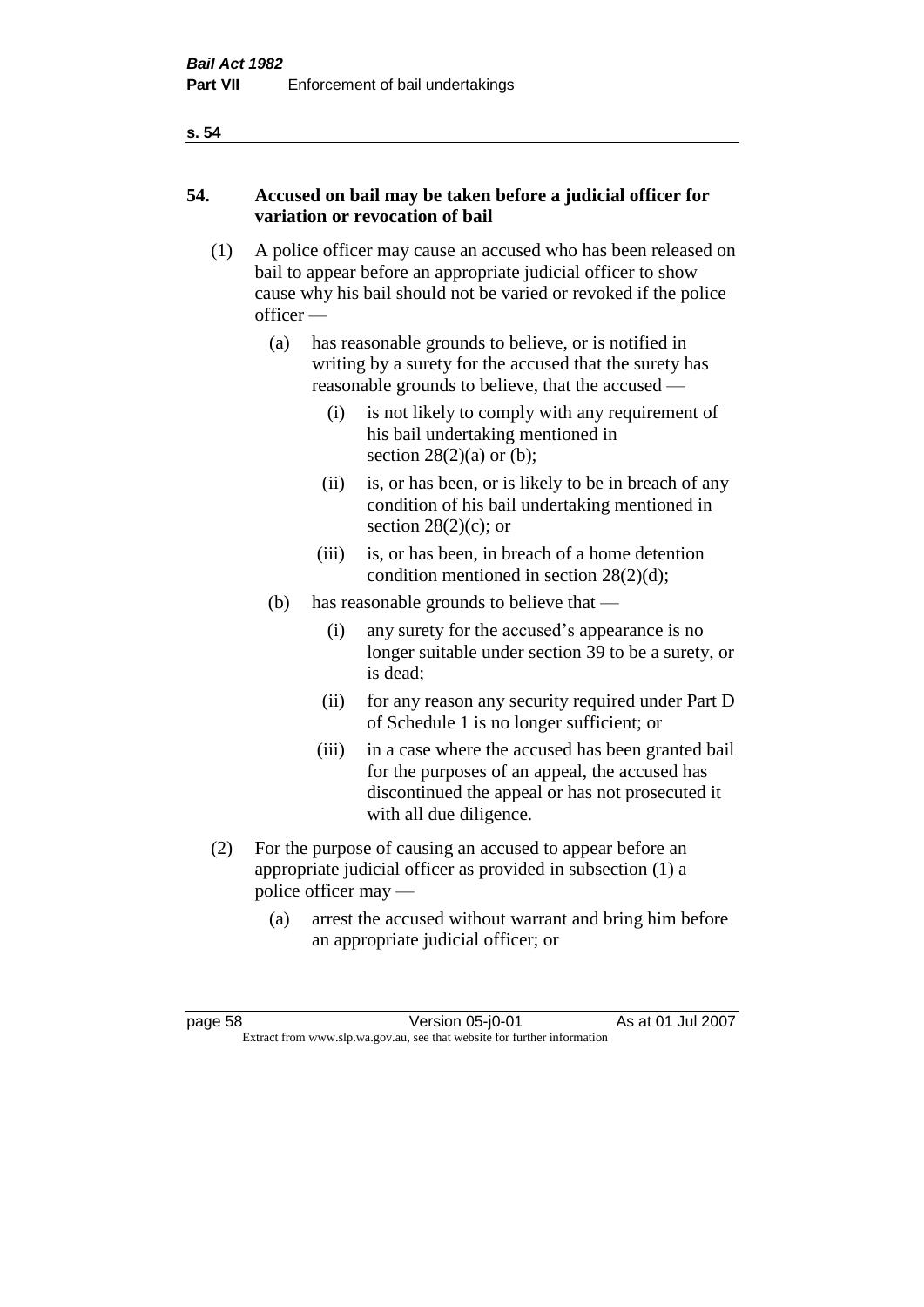# **54. Accused on bail may be taken before a judicial officer for variation or revocation of bail**

- (1) A police officer may cause an accused who has been released on bail to appear before an appropriate judicial officer to show cause why his bail should not be varied or revoked if the police officer —
	- (a) has reasonable grounds to believe, or is notified in writing by a surety for the accused that the surety has reasonable grounds to believe, that the accused —
		- (i) is not likely to comply with any requirement of his bail undertaking mentioned in section  $28(2)(a)$  or (b);
		- (ii) is, or has been, or is likely to be in breach of any condition of his bail undertaking mentioned in section  $28(2)(c)$ ; or
		- (iii) is, or has been, in breach of a home detention condition mentioned in section 28(2)(d);
	- (b) has reasonable grounds to believe that
		- (i) any surety for the accused's appearance is no longer suitable under section 39 to be a surety, or is dead;
		- (ii) for any reason any security required under Part D of Schedule 1 is no longer sufficient; or
		- (iii) in a case where the accused has been granted bail for the purposes of an appeal, the accused has discontinued the appeal or has not prosecuted it with all due diligence.
- (2) For the purpose of causing an accused to appear before an appropriate judicial officer as provided in subsection (1) a police officer may —
	- (a) arrest the accused without warrant and bring him before an appropriate judicial officer; or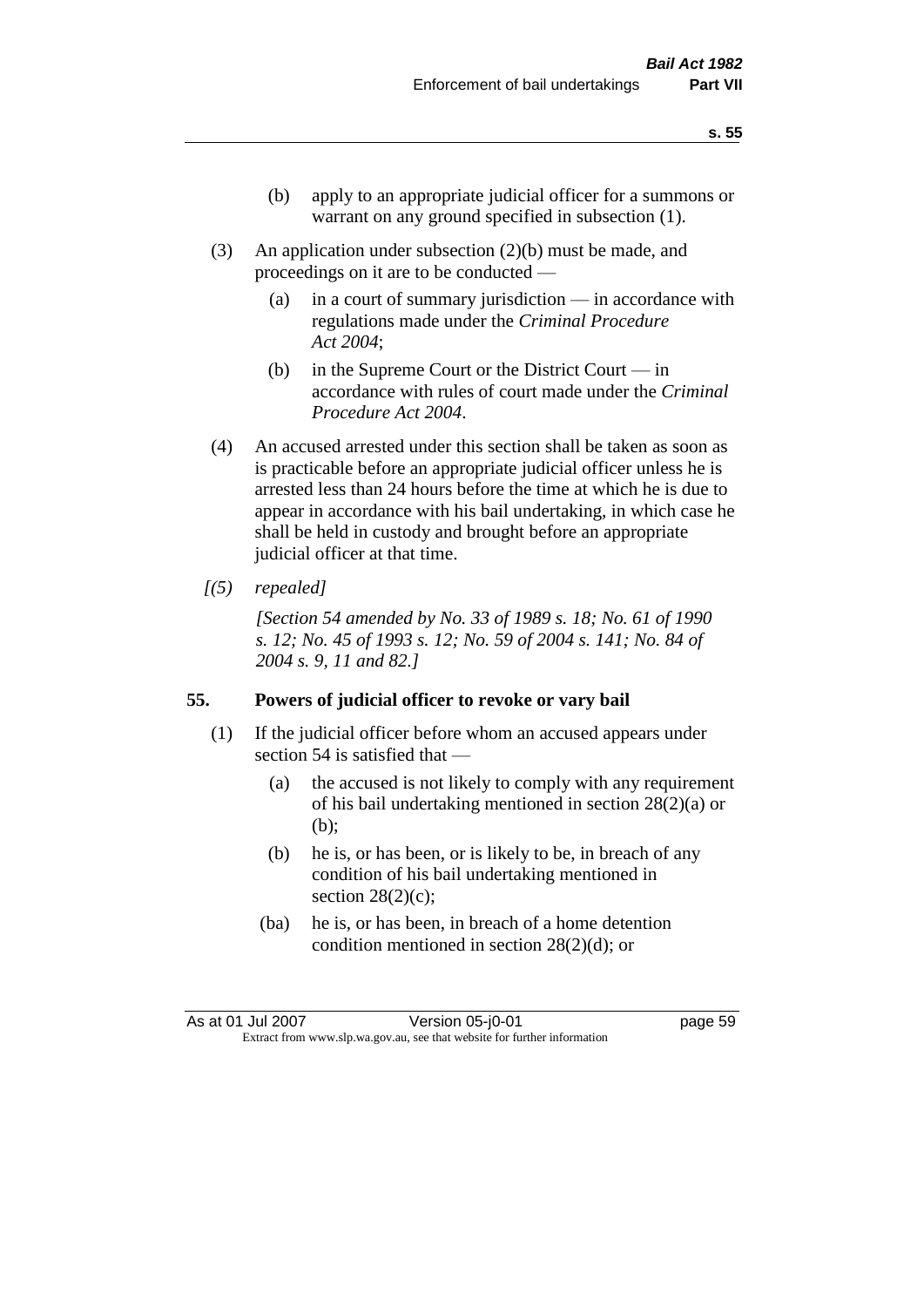- (b) apply to an appropriate judicial officer for a summons or warrant on any ground specified in subsection (1).
- (3) An application under subsection (2)(b) must be made, and proceedings on it are to be conducted —
	- (a) in a court of summary jurisdiction in accordance with regulations made under the *Criminal Procedure Act 2004*;
	- (b) in the Supreme Court or the District Court in accordance with rules of court made under the *Criminal Procedure Act 2004*.
- (4) An accused arrested under this section shall be taken as soon as is practicable before an appropriate judicial officer unless he is arrested less than 24 hours before the time at which he is due to appear in accordance with his bail undertaking, in which case he shall be held in custody and brought before an appropriate judicial officer at that time.
- *[(5) repealed]*

*[Section 54 amended by No. 33 of 1989 s. 18; No. 61 of 1990 s. 12; No. 45 of 1993 s. 12; No. 59 of 2004 s. 141; No. 84 of 2004 s. 9, 11 and 82.]* 

#### **55. Powers of judicial officer to revoke or vary bail**

- (1) If the judicial officer before whom an accused appears under section 54 is satisfied that —
	- (a) the accused is not likely to comply with any requirement of his bail undertaking mentioned in section 28(2)(a) or (b);
	- (b) he is, or has been, or is likely to be, in breach of any condition of his bail undertaking mentioned in section  $28(2)(c)$ ;
	- (ba) he is, or has been, in breach of a home detention condition mentioned in section 28(2)(d); or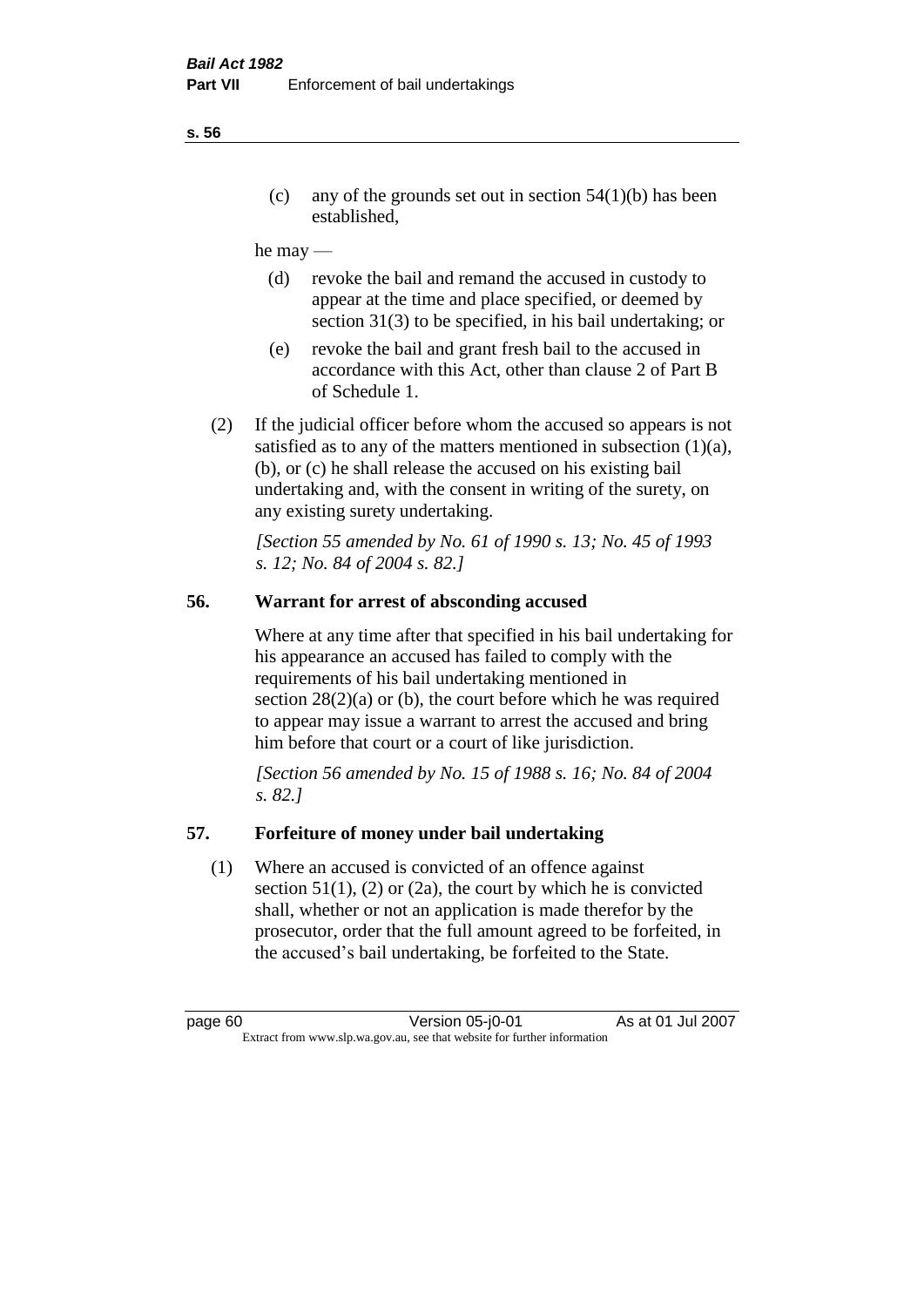(c) any of the grounds set out in section  $54(1)(b)$  has been established,

#### he may —

- (d) revoke the bail and remand the accused in custody to appear at the time and place specified, or deemed by section 31(3) to be specified, in his bail undertaking; or
- (e) revoke the bail and grant fresh bail to the accused in accordance with this Act, other than clause 2 of Part B of Schedule 1.
- (2) If the judicial officer before whom the accused so appears is not satisfied as to any of the matters mentioned in subsection (1)(a), (b), or (c) he shall release the accused on his existing bail undertaking and, with the consent in writing of the surety, on any existing surety undertaking.

*[Section 55 amended by No. 61 of 1990 s. 13; No. 45 of 1993 s. 12; No. 84 of 2004 s. 82.]* 

# **56. Warrant for arrest of absconding accused**

Where at any time after that specified in his bail undertaking for his appearance an accused has failed to comply with the requirements of his bail undertaking mentioned in section  $28(2)(a)$  or (b), the court before which he was required to appear may issue a warrant to arrest the accused and bring him before that court or a court of like jurisdiction.

*[Section 56 amended by No. 15 of 1988 s. 16; No. 84 of 2004 s. 82.]* 

#### **57. Forfeiture of money under bail undertaking**

(1) Where an accused is convicted of an offence against section  $51(1)$ , (2) or (2a), the court by which he is convicted shall, whether or not an application is made therefor by the prosecutor, order that the full amount agreed to be forfeited, in the accused's bail undertaking, be forfeited to the State.

**s. 56**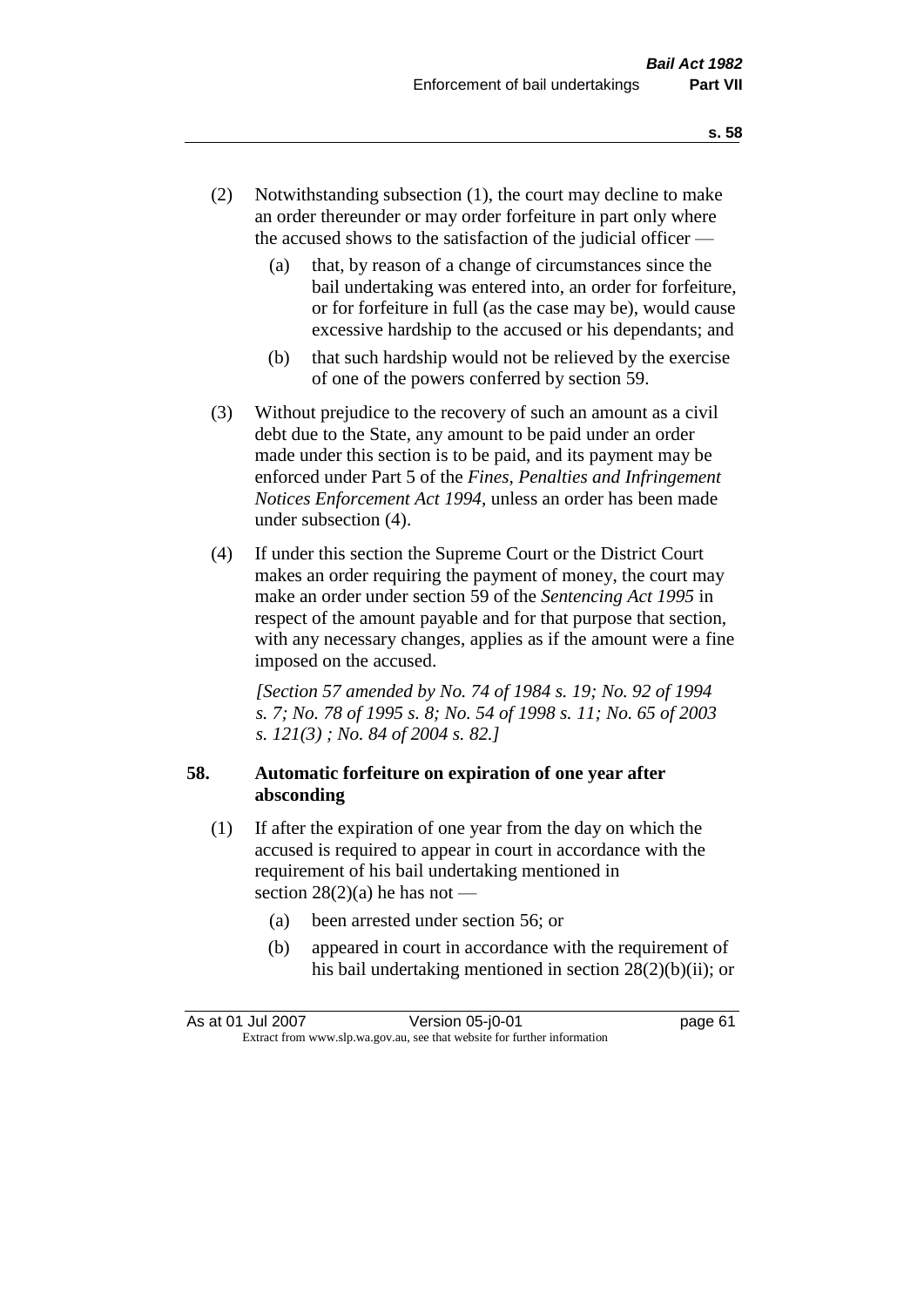- (2) Notwithstanding subsection (1), the court may decline to make an order thereunder or may order forfeiture in part only where the accused shows to the satisfaction of the judicial officer —
	- (a) that, by reason of a change of circumstances since the bail undertaking was entered into, an order for forfeiture, or for forfeiture in full (as the case may be), would cause excessive hardship to the accused or his dependants; and
	- (b) that such hardship would not be relieved by the exercise of one of the powers conferred by section 59.
- (3) Without prejudice to the recovery of such an amount as a civil debt due to the State, any amount to be paid under an order made under this section is to be paid, and its payment may be enforced under Part 5 of the *Fines, Penalties and Infringement Notices Enforcement Act 1994*, unless an order has been made under subsection (4).
- (4) If under this section the Supreme Court or the District Court makes an order requiring the payment of money, the court may make an order under section 59 of the *Sentencing Act 1995* in respect of the amount payable and for that purpose that section, with any necessary changes, applies as if the amount were a fine imposed on the accused.

*[Section 57 amended by No. 74 of 1984 s. 19; No. 92 of 1994 s. 7; No. 78 of 1995 s. 8; No. 54 of 1998 s. 11; No. 65 of 2003 s. 121(3) ; No. 84 of 2004 s. 82.]* 

## **58. Automatic forfeiture on expiration of one year after absconding**

- (1) If after the expiration of one year from the day on which the accused is required to appear in court in accordance with the requirement of his bail undertaking mentioned in section  $28(2)(a)$  he has not —
	- (a) been arrested under section 56; or
	- (b) appeared in court in accordance with the requirement of his bail undertaking mentioned in section 28(2)(b)(ii); or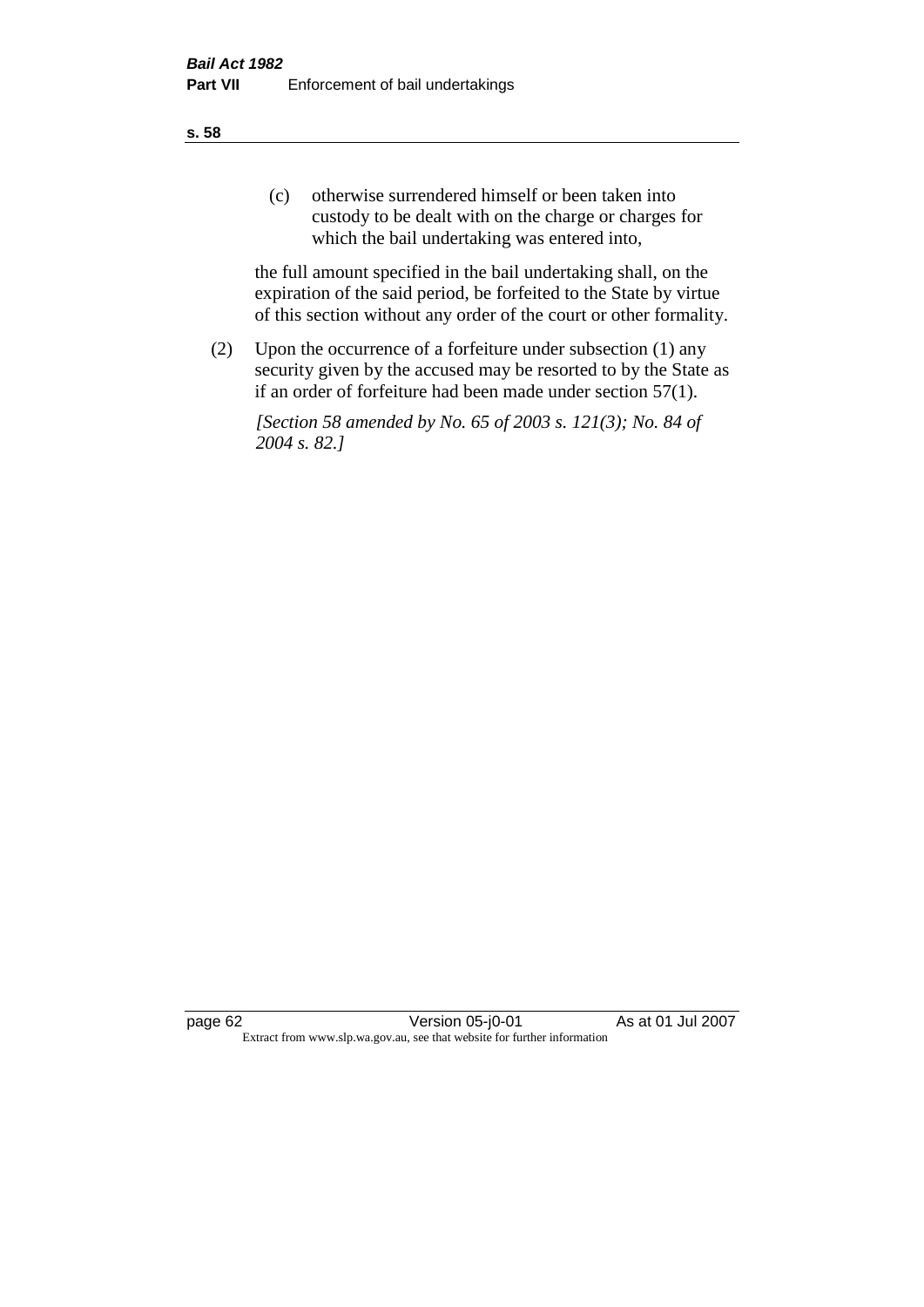(c) otherwise surrendered himself or been taken into custody to be dealt with on the charge or charges for which the bail undertaking was entered into,

the full amount specified in the bail undertaking shall, on the expiration of the said period, be forfeited to the State by virtue of this section without any order of the court or other formality.

(2) Upon the occurrence of a forfeiture under subsection (1) any security given by the accused may be resorted to by the State as if an order of forfeiture had been made under section 57(1).

*[Section 58 amended by No. 65 of 2003 s. 121(3); No. 84 of 2004 s. 82.]*

page 62 Version 05-j0-01 As at 01 Jul 2007 Extract from www.slp.wa.gov.au, see that website for further information

#### **s. 58**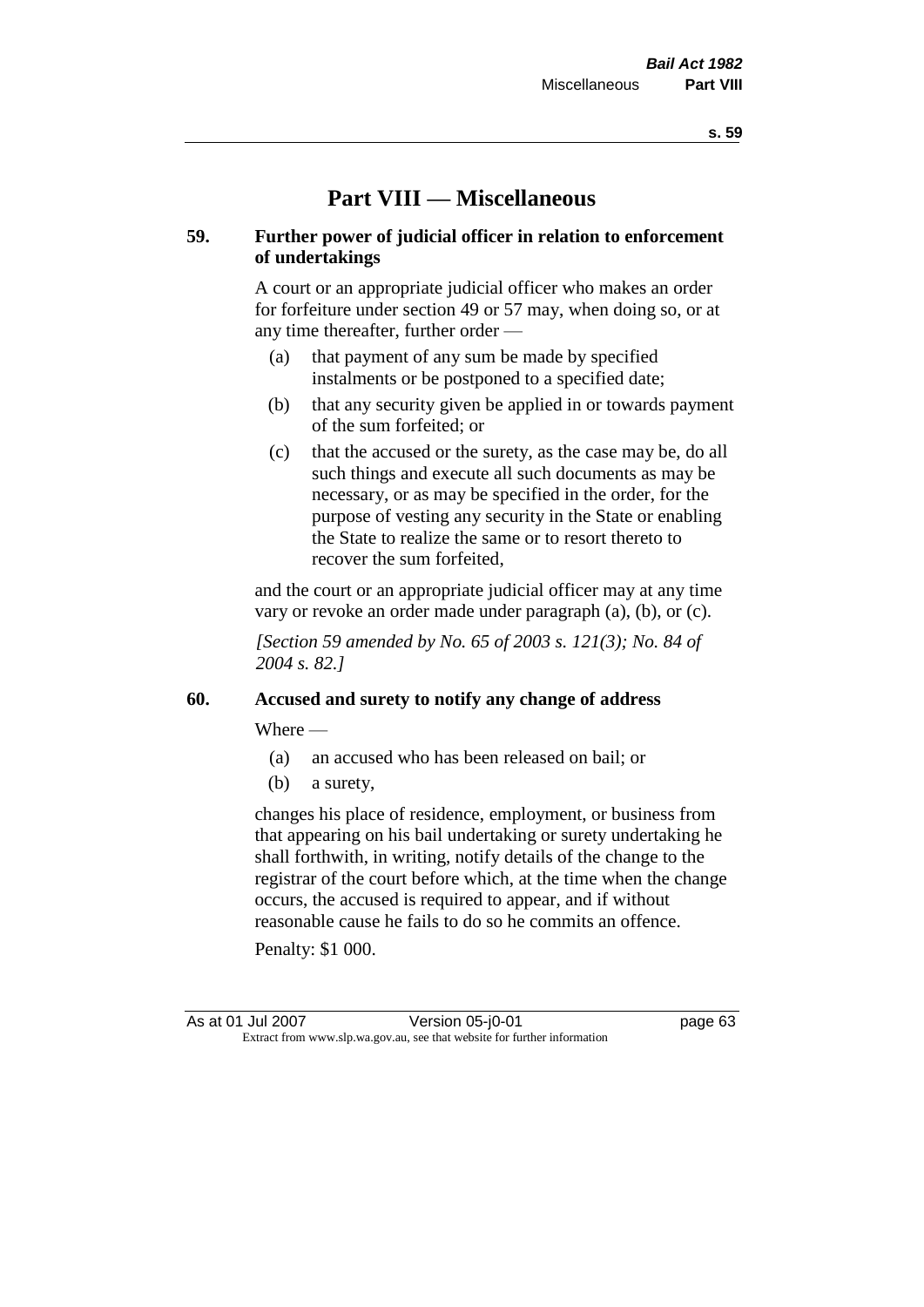# **Part VIII — Miscellaneous**

## **59. Further power of judicial officer in relation to enforcement of undertakings**

A court or an appropriate judicial officer who makes an order for forfeiture under section 49 or 57 may, when doing so, or at any time thereafter, further order —

- (a) that payment of any sum be made by specified instalments or be postponed to a specified date;
- (b) that any security given be applied in or towards payment of the sum forfeited; or
- (c) that the accused or the surety, as the case may be, do all such things and execute all such documents as may be necessary, or as may be specified in the order, for the purpose of vesting any security in the State or enabling the State to realize the same or to resort thereto to recover the sum forfeited,

and the court or an appropriate judicial officer may at any time vary or revoke an order made under paragraph (a), (b), or (c).

*[Section 59 amended by No. 65 of 2003 s. 121(3); No. 84 of 2004 s. 82.]*

#### **60. Accused and surety to notify any change of address**

Where —

- (a) an accused who has been released on bail; or
- (b) a surety,

changes his place of residence, employment, or business from that appearing on his bail undertaking or surety undertaking he shall forthwith, in writing, notify details of the change to the registrar of the court before which, at the time when the change occurs, the accused is required to appear, and if without reasonable cause he fails to do so he commits an offence.

Penalty: \$1 000.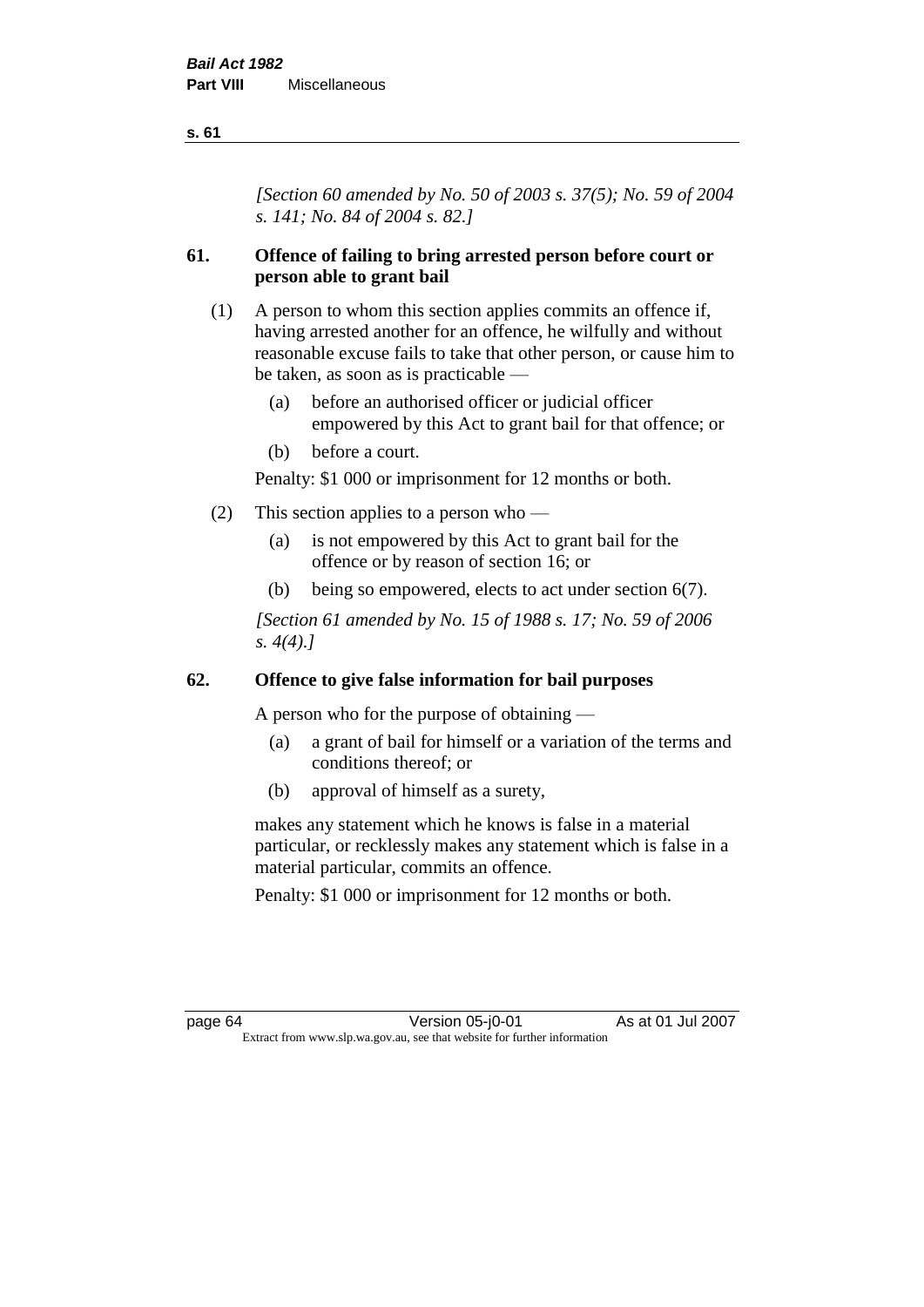*[Section 60 amended by No. 50 of 2003 s. 37(5); No. 59 of 2004 s. 141; No. 84 of 2004 s. 82.]*

# **61. Offence of failing to bring arrested person before court or person able to grant bail**

- (1) A person to whom this section applies commits an offence if, having arrested another for an offence, he wilfully and without reasonable excuse fails to take that other person, or cause him to be taken, as soon as is practicable —
	- (a) before an authorised officer or judicial officer empowered by this Act to grant bail for that offence; or
	- (b) before a court.

Penalty: \$1 000 or imprisonment for 12 months or both.

- (2) This section applies to a person who
	- (a) is not empowered by this Act to grant bail for the offence or by reason of section 16; or
	- (b) being so empowered, elects to act under section 6(7).

*[Section 61 amended by No. 15 of 1988 s. 17; No. 59 of 2006 s. 4(4).]* 

#### **62. Offence to give false information for bail purposes**

A person who for the purpose of obtaining —

- (a) a grant of bail for himself or a variation of the terms and conditions thereof; or
- (b) approval of himself as a surety,

makes any statement which he knows is false in a material particular, or recklessly makes any statement which is false in a material particular, commits an offence.

Penalty: \$1 000 or imprisonment for 12 months or both.

page 64 Version 05-j0-01 As at 01 Jul 2007 Extract from www.slp.wa.gov.au, see that website for further information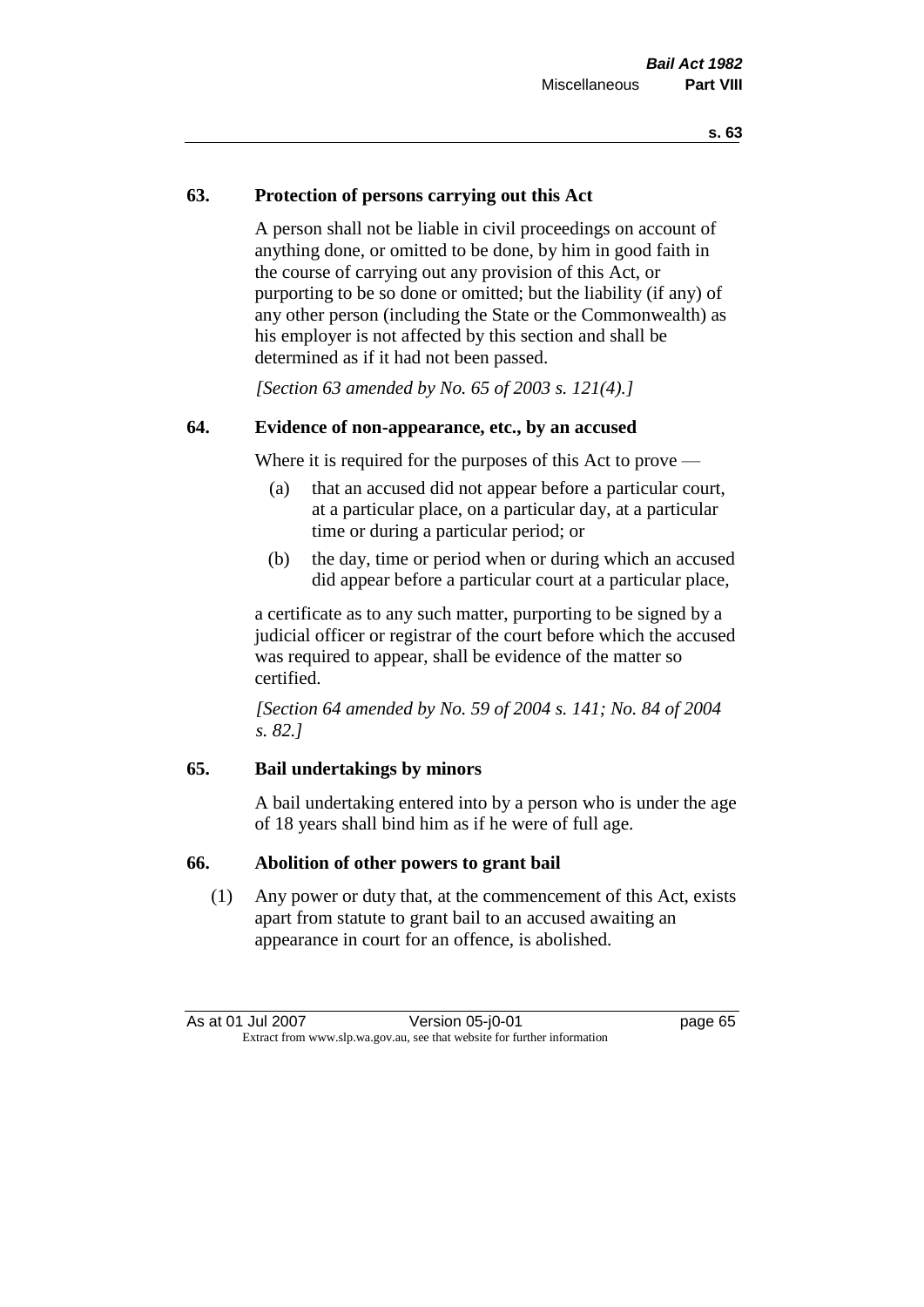# **63. Protection of persons carrying out this Act**

A person shall not be liable in civil proceedings on account of anything done, or omitted to be done, by him in good faith in the course of carrying out any provision of this Act, or purporting to be so done or omitted; but the liability (if any) of any other person (including the State or the Commonwealth) as his employer is not affected by this section and shall be determined as if it had not been passed.

*[Section 63 amended by No. 65 of 2003 s. 121(4).]*

# **64. Evidence of non-appearance, etc., by an accused**

Where it is required for the purposes of this Act to prove —

- (a) that an accused did not appear before a particular court, at a particular place, on a particular day, at a particular time or during a particular period; or
- (b) the day, time or period when or during which an accused did appear before a particular court at a particular place,

a certificate as to any such matter, purporting to be signed by a judicial officer or registrar of the court before which the accused was required to appear, shall be evidence of the matter so certified.

*[Section 64 amended by No. 59 of 2004 s. 141; No. 84 of 2004 s. 82.]* 

# **65. Bail undertakings by minors**

A bail undertaking entered into by a person who is under the age of 18 years shall bind him as if he were of full age.

## **66. Abolition of other powers to grant bail**

(1) Any power or duty that, at the commencement of this Act, exists apart from statute to grant bail to an accused awaiting an appearance in court for an offence, is abolished.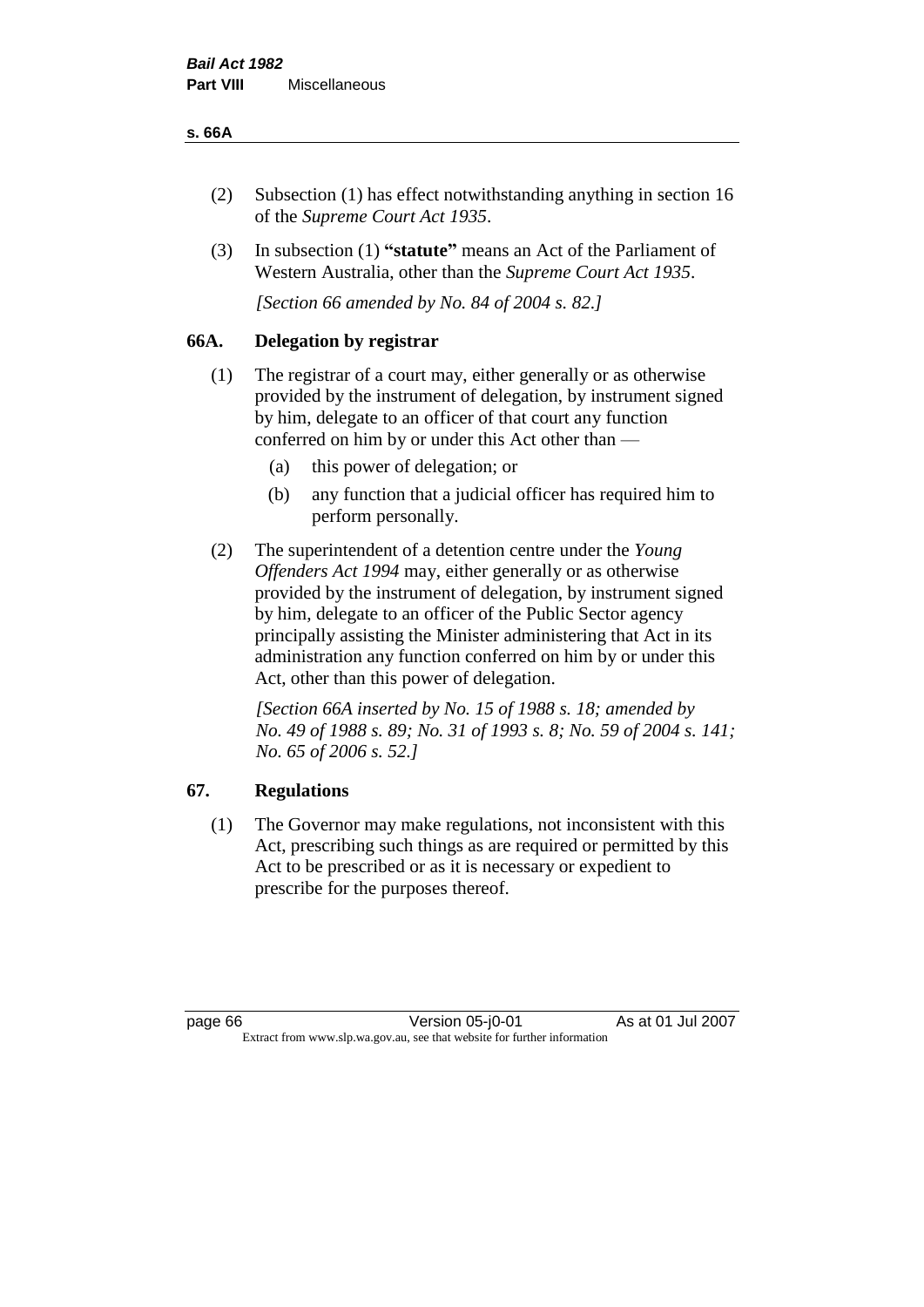# **s. 66A**

- (2) Subsection (1) has effect notwithstanding anything in section 16 of the *Supreme Court Act 1935*.
- (3) In subsection (1) **"statute"** means an Act of the Parliament of Western Australia, other than the *Supreme Court Act 1935*.

*[Section 66 amended by No. 84 of 2004 s. 82.]*

# **66A. Delegation by registrar**

- (1) The registrar of a court may, either generally or as otherwise provided by the instrument of delegation, by instrument signed by him, delegate to an officer of that court any function conferred on him by or under this Act other than —
	- (a) this power of delegation; or
	- (b) any function that a judicial officer has required him to perform personally.
- (2) The superintendent of a detention centre under the *Young Offenders Act 1994* may, either generally or as otherwise provided by the instrument of delegation, by instrument signed by him, delegate to an officer of the Public Sector agency principally assisting the Minister administering that Act in its administration any function conferred on him by or under this Act, other than this power of delegation.

*[Section 66A inserted by No. 15 of 1988 s. 18; amended by No. 49 of 1988 s. 89; No. 31 of 1993 s. 8; No. 59 of 2004 s. 141; No. 65 of 2006 s. 52.]* 

# **67. Regulations**

(1) The Governor may make regulations, not inconsistent with this Act, prescribing such things as are required or permitted by this Act to be prescribed or as it is necessary or expedient to prescribe for the purposes thereof.

page 66 Version 05-j0-01 As at 01 Jul 2007 Extract from www.slp.wa.gov.au, see that website for further information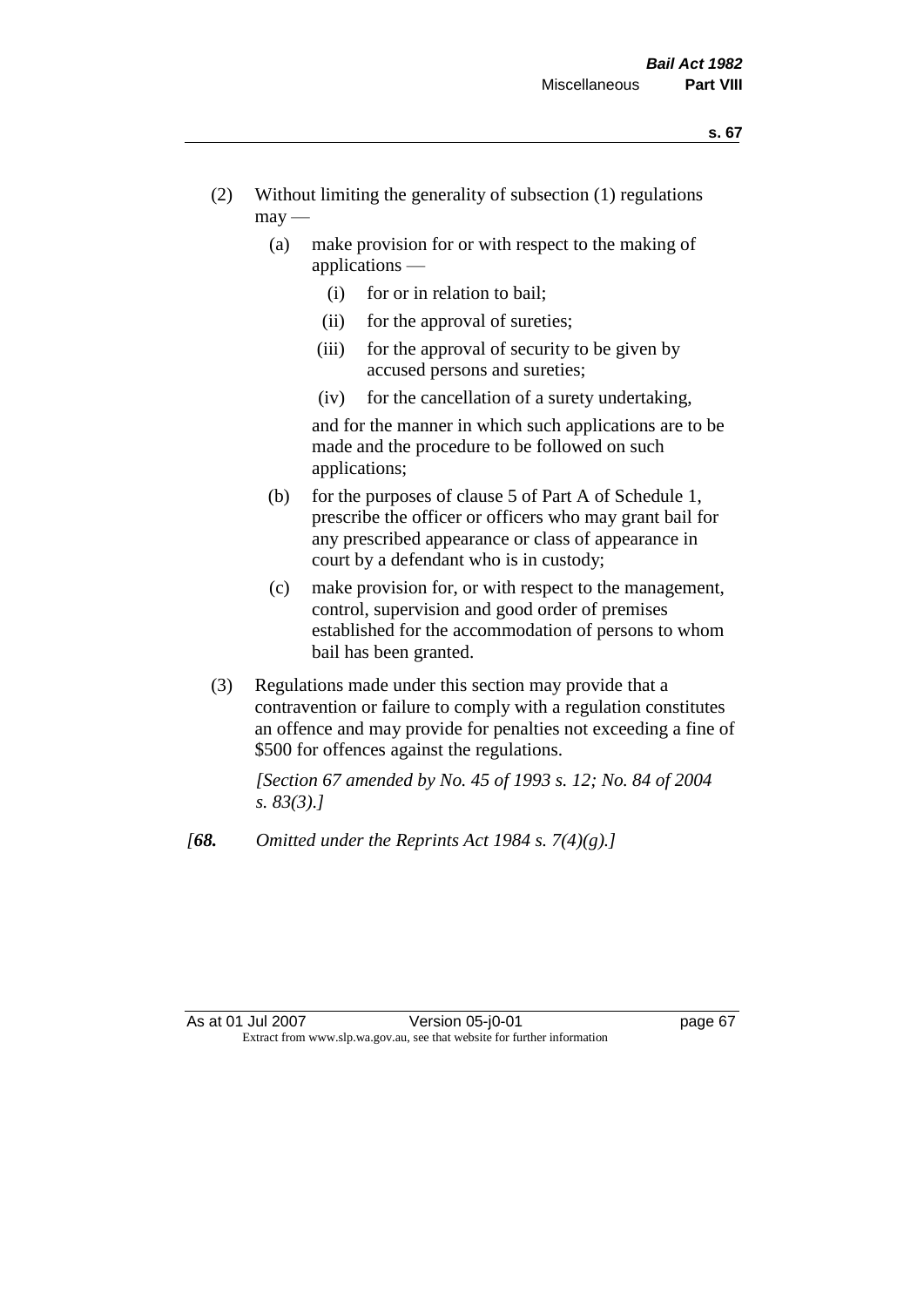- (2) Without limiting the generality of subsection (1) regulations  $\text{max}$  —
	- (a) make provision for or with respect to the making of applications —
		- (i) for or in relation to bail;
		- (ii) for the approval of sureties;
		- (iii) for the approval of security to be given by accused persons and sureties;
		- (iv) for the cancellation of a surety undertaking,

and for the manner in which such applications are to be made and the procedure to be followed on such applications;

- (b) for the purposes of clause 5 of Part A of Schedule 1, prescribe the officer or officers who may grant bail for any prescribed appearance or class of appearance in court by a defendant who is in custody;
- (c) make provision for, or with respect to the management, control, supervision and good order of premises established for the accommodation of persons to whom bail has been granted.
- (3) Regulations made under this section may provide that a contravention or failure to comply with a regulation constitutes an offence and may provide for penalties not exceeding a fine of \$500 for offences against the regulations.

*[Section 67 amended by No. 45 of 1993 s. 12; No. 84 of 2004 s. 83(3).]* 

*[68. Omitted under the Reprints Act 1984 s. 7(4)(g).]*

As at 01 Jul 2007 **Version 05-j0-01 Department of the UP 100 Page 67** Extract from www.slp.wa.gov.au, see that website for further information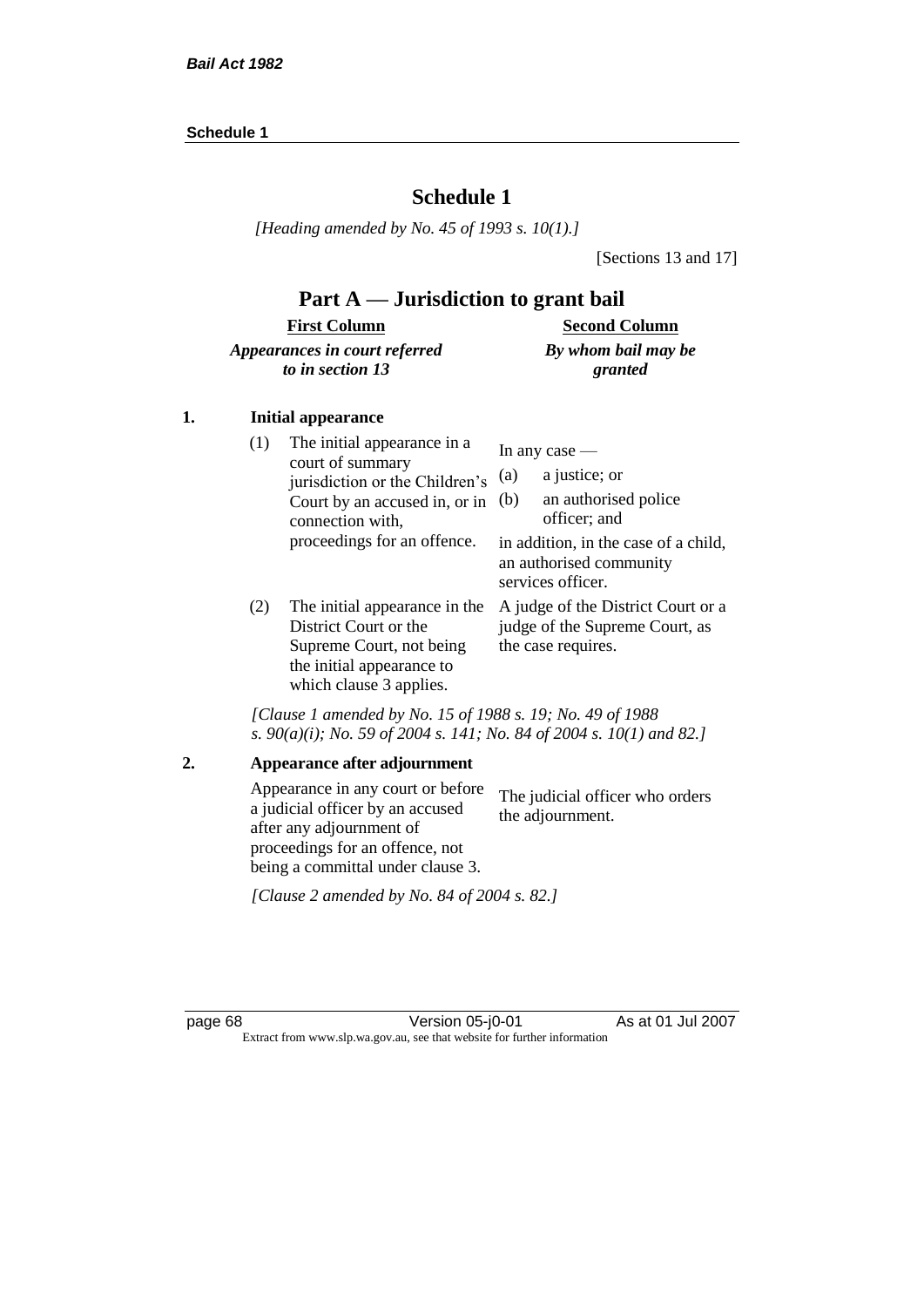# **Schedule 1**

*[Heading amended by No. 45 of 1993 s. 10(1).]*

[Sections 13 and 17]

# **Part A — Jurisdiction to grant bail**

#### **First Column** *Appearances in court referred to in section 13* **Second Column** *By whom bail may be granted*

# **1. Initial appearance**

| (1) | The initial appearance in a<br>court of summary<br>jurisdiction or the Children's<br>Court by an accused in, or in<br>connection with,<br>proceedings for an offence. | In any case $-$<br>a justice; or<br>(a)<br>an authorised police<br>(b)<br>officer; and<br>in addition, in the case of a child,<br>an authorised community<br>services officer. |
|-----|-----------------------------------------------------------------------------------------------------------------------------------------------------------------------|--------------------------------------------------------------------------------------------------------------------------------------------------------------------------------|
| (2) | The initial appearance in the<br>Dictrict Court on the                                                                                                                | A judge of the District Court or a<br>index of the Summon Oout                                                                                                                 |

District Court or the Supreme Court, not being the initial appearance to which clause 3 applies.

A judge of the District Court or a judge of the Supreme Court, as the case requires.

*[Clause 1 amended by No. 15 of 1988 s. 19; No. 49 of 1988 s. 90(a)(i); No. 59 of 2004 s. 141; No. 84 of 2004 s. 10(1) and 82.]*

#### **2. Appearance after adjournment**

Appearance in any court or before a judicial officer by an accused after any adjournment of proceedings for an offence, not being a committal under clause 3. The judicial officer who orders the adjournment.

*[Clause 2 amended by No. 84 of 2004 s. 82.]*

page 68 Version 05-j0-01 As at 01 Jul 2007 Extract from www.slp.wa.gov.au, see that website for further information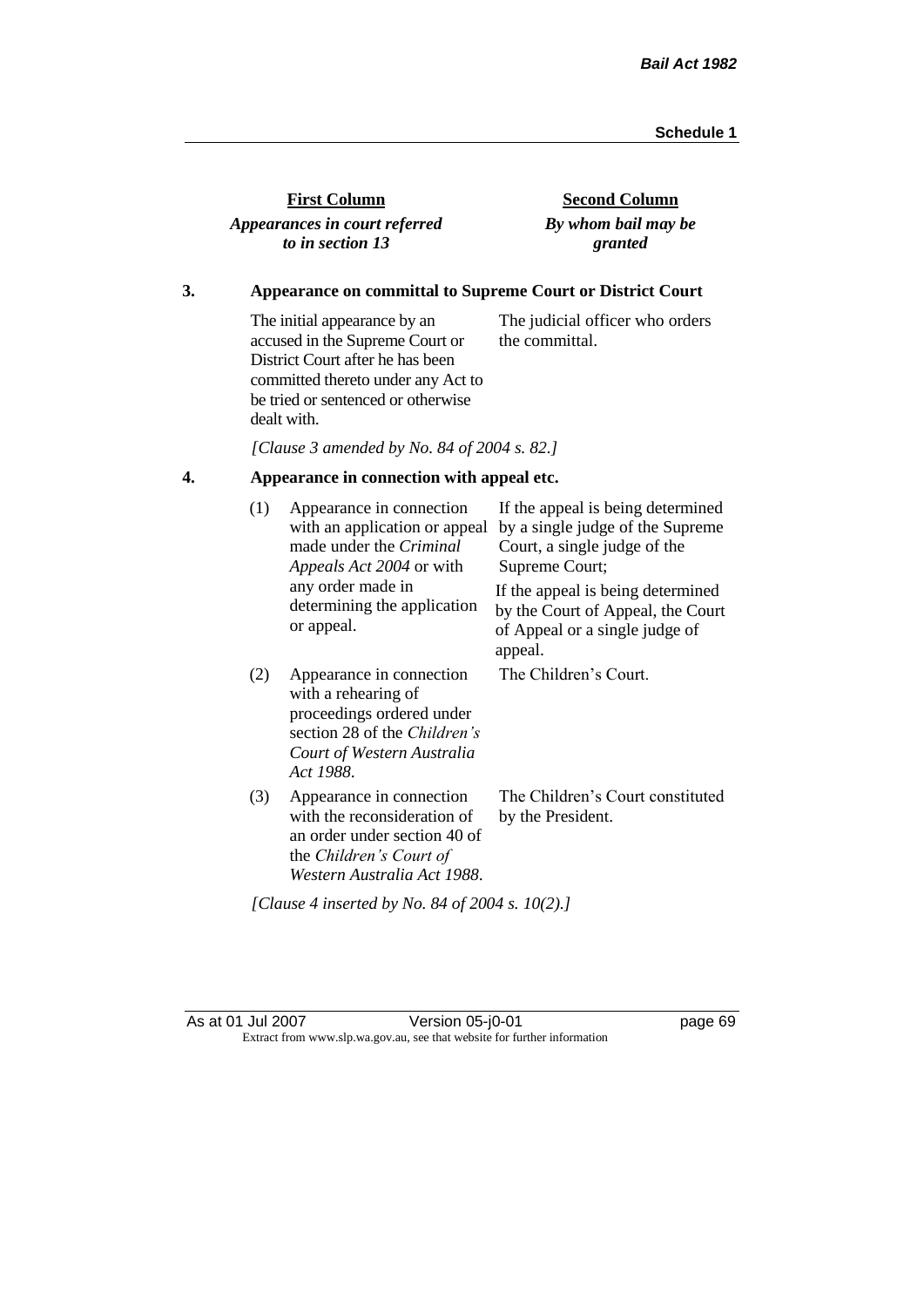| <b>First Column</b>           |  |
|-------------------------------|--|
| Appearances in court referred |  |
| to in section 13              |  |

**Second Column** *By whom bail may be granted*

# **3. Appearance on committal to Supreme Court or District Court**

The initial appearance by an accused in the Supreme Court or District Court after he has been committed thereto under any Act to be tried or sentenced or otherwise dealt with. The judicial officer who orders the committal.

*[Clause 3 amended by No. 84 of 2004 s. 82.]*

# **4. Appearance in connection with appeal etc.**

| (1)                                             | Appearance in connection<br>with an application or appeal<br>made under the <i>Criminal</i><br><i>Appeals Act 2004</i> or with                          | If the appeal is being determined<br>by a single judge of the Supreme<br>Court, a single judge of the<br>Supreme Court; |  |
|-------------------------------------------------|---------------------------------------------------------------------------------------------------------------------------------------------------------|-------------------------------------------------------------------------------------------------------------------------|--|
|                                                 | any order made in<br>determining the application<br>or appeal.                                                                                          | If the appeal is being determined<br>by the Court of Appeal, the Court<br>of Appeal or a single judge of<br>appeal.     |  |
| (2)                                             | Appearance in connection<br>with a rehearing of<br>proceedings ordered under<br>section 28 of the Children's<br>Court of Western Australia<br>Act 1988. | The Children's Court.                                                                                                   |  |
| (3)                                             | Appearance in connection<br>with the reconsideration of<br>an order under section 40 of<br>the Children's Court of<br>Western Australia Act 1988.       | The Children's Court constituted<br>by the President.                                                                   |  |
| [Clause 4 inserted by No. 84 of 2004 s. 10(2).] |                                                                                                                                                         |                                                                                                                         |  |

As at 01 Jul 2007 Version 05-j0-01 Page 69 Extract from www.slp.wa.gov.au, see that website for further information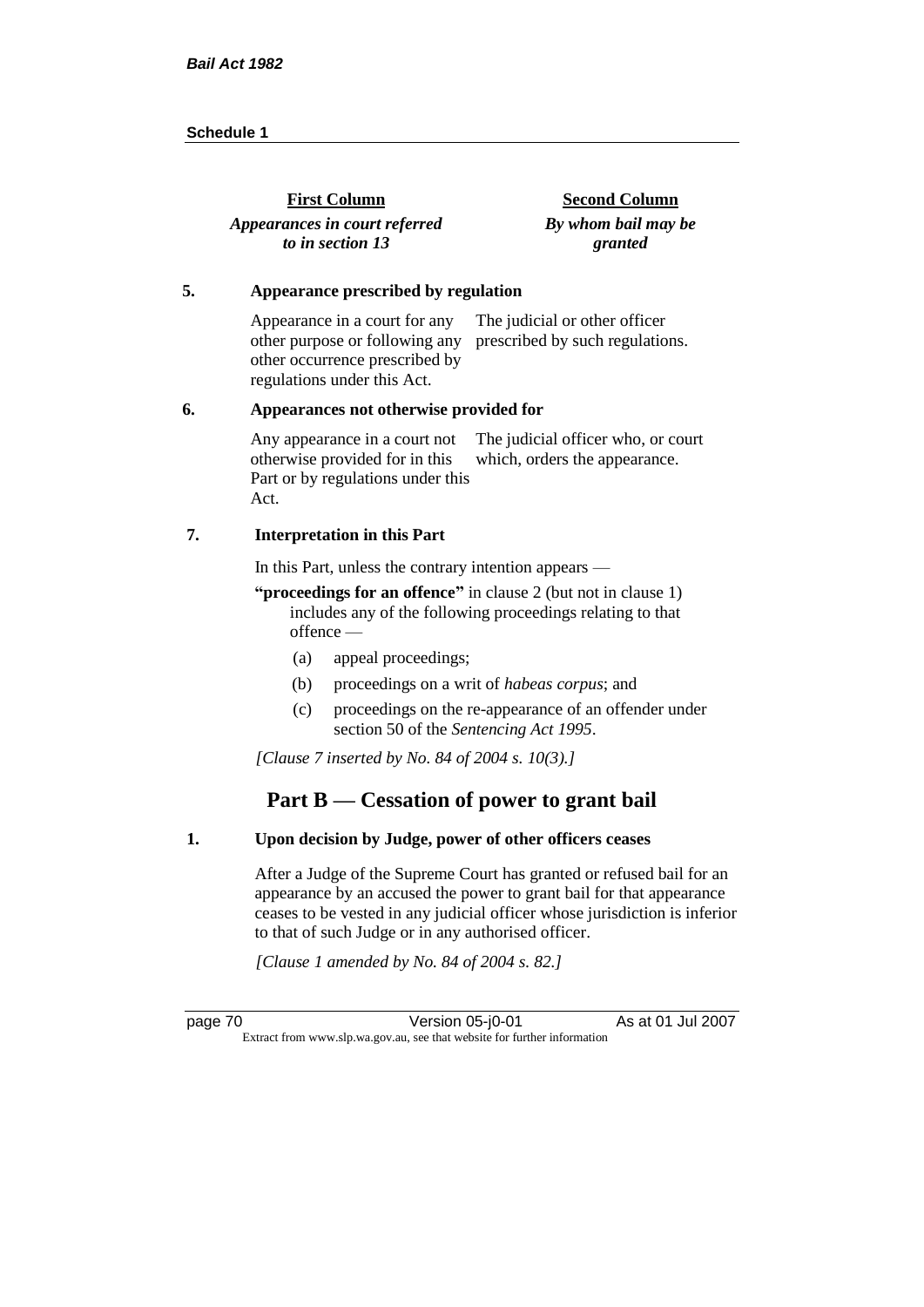| <b>First Column</b>           | <b>Second Column</b> |
|-------------------------------|----------------------|
| Appearances in court referred | By whom bail may be  |
| to in section 13              | granted              |

#### **5. Appearance prescribed by regulation**

Appearance in a court for any other purpose or following any prescribed by such regulations. other occurrence prescribed by regulations under this Act. The judicial or other officer

#### **6. Appearances not otherwise provided for**

Any appearance in a court not otherwise provided for in this Part or by regulations under this Act. The judicial officer who, or court which, orders the appearance.

#### **7. Interpretation in this Part**

In this Part, unless the contrary intention appears —

**"proceedings for an offence"** in clause 2 (but not in clause 1) includes any of the following proceedings relating to that offence —

- (a) appeal proceedings;
- (b) proceedings on a writ of *habeas corpus*; and
- (c) proceedings on the re-appearance of an offender under section 50 of the *Sentencing Act 1995*.

*[Clause 7 inserted by No. 84 of 2004 s. 10(3).]*

# **Part B — Cessation of power to grant bail**

### **1. Upon decision by Judge, power of other officers ceases**

After a Judge of the Supreme Court has granted or refused bail for an appearance by an accused the power to grant bail for that appearance ceases to be vested in any judicial officer whose jurisdiction is inferior to that of such Judge or in any authorised officer.

*[Clause 1 amended by No. 84 of 2004 s. 82.]*

page 70 Version 05-j0-01 As at 01 Jul 2007 Extract from www.slp.wa.gov.au, see that website for further information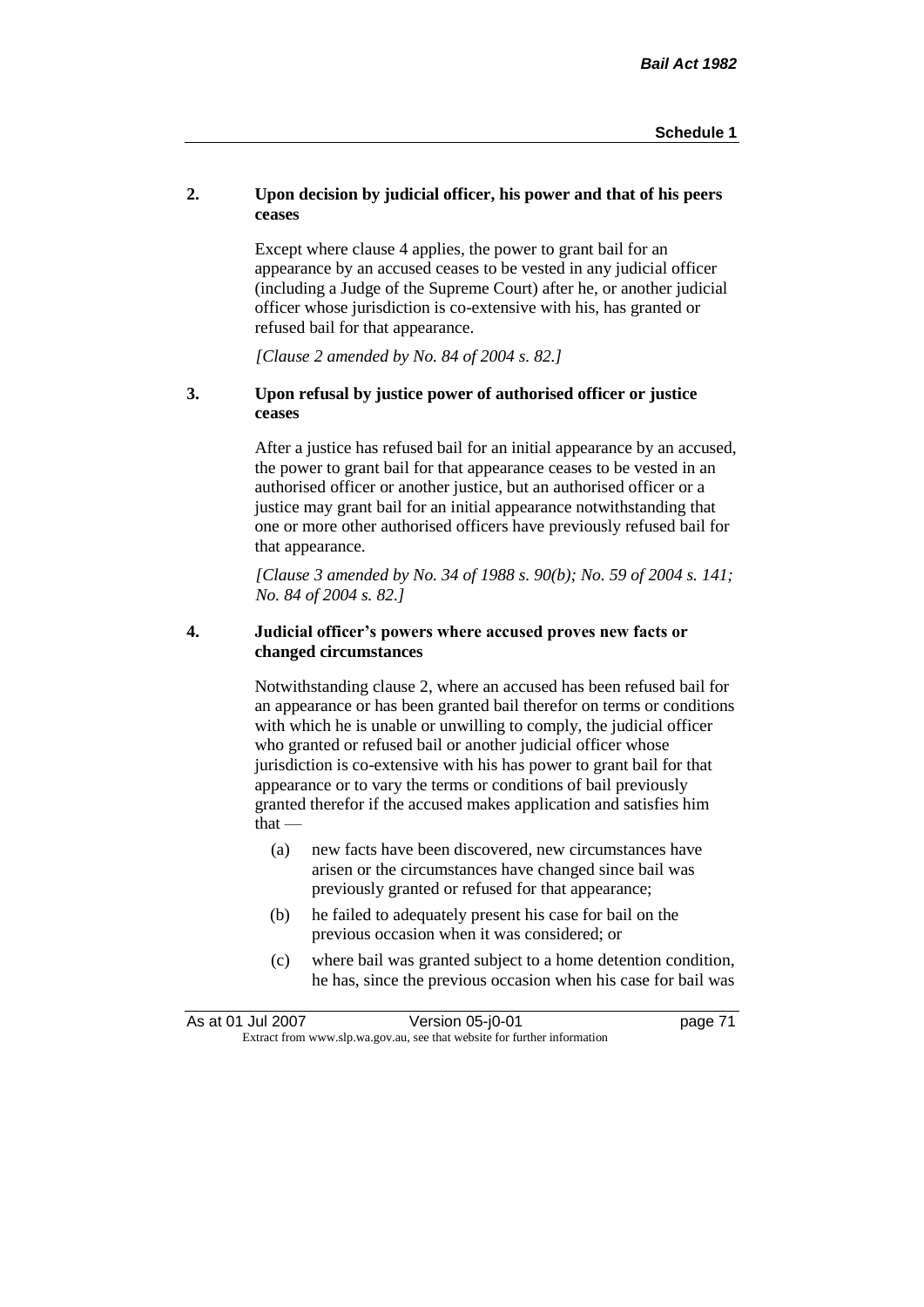# **2. Upon decision by judicial officer, his power and that of his peers ceases**

Except where clause 4 applies, the power to grant bail for an appearance by an accused ceases to be vested in any judicial officer (including a Judge of the Supreme Court) after he, or another judicial officer whose jurisdiction is co-extensive with his, has granted or refused bail for that appearance.

*[Clause 2 amended by No. 84 of 2004 s. 82.]*

# **3. Upon refusal by justice power of authorised officer or justice ceases**

After a justice has refused bail for an initial appearance by an accused, the power to grant bail for that appearance ceases to be vested in an authorised officer or another justice, but an authorised officer or a justice may grant bail for an initial appearance notwithstanding that one or more other authorised officers have previously refused bail for that appearance.

*[Clause 3 amended by No. 34 of 1988 s. 90(b); No. 59 of 2004 s. 141; No. 84 of 2004 s. 82.]*

## **4. Judicial officer's powers where accused proves new facts or changed circumstances**

Notwithstanding clause 2, where an accused has been refused bail for an appearance or has been granted bail therefor on terms or conditions with which he is unable or unwilling to comply, the judicial officer who granted or refused bail or another judicial officer whose jurisdiction is co-extensive with his has power to grant bail for that appearance or to vary the terms or conditions of bail previously granted therefor if the accused makes application and satisfies him  $that -$ 

- (a) new facts have been discovered, new circumstances have arisen or the circumstances have changed since bail was previously granted or refused for that appearance;
- (b) he failed to adequately present his case for bail on the previous occasion when it was considered; or
- (c) where bail was granted subject to a home detention condition, he has, since the previous occasion when his case for bail was

| As at 01 Jul 2007 | Version 05-j0-01                                                         | page 71 |
|-------------------|--------------------------------------------------------------------------|---------|
|                   | Extract from www.slp.wa.gov.au, see that website for further information |         |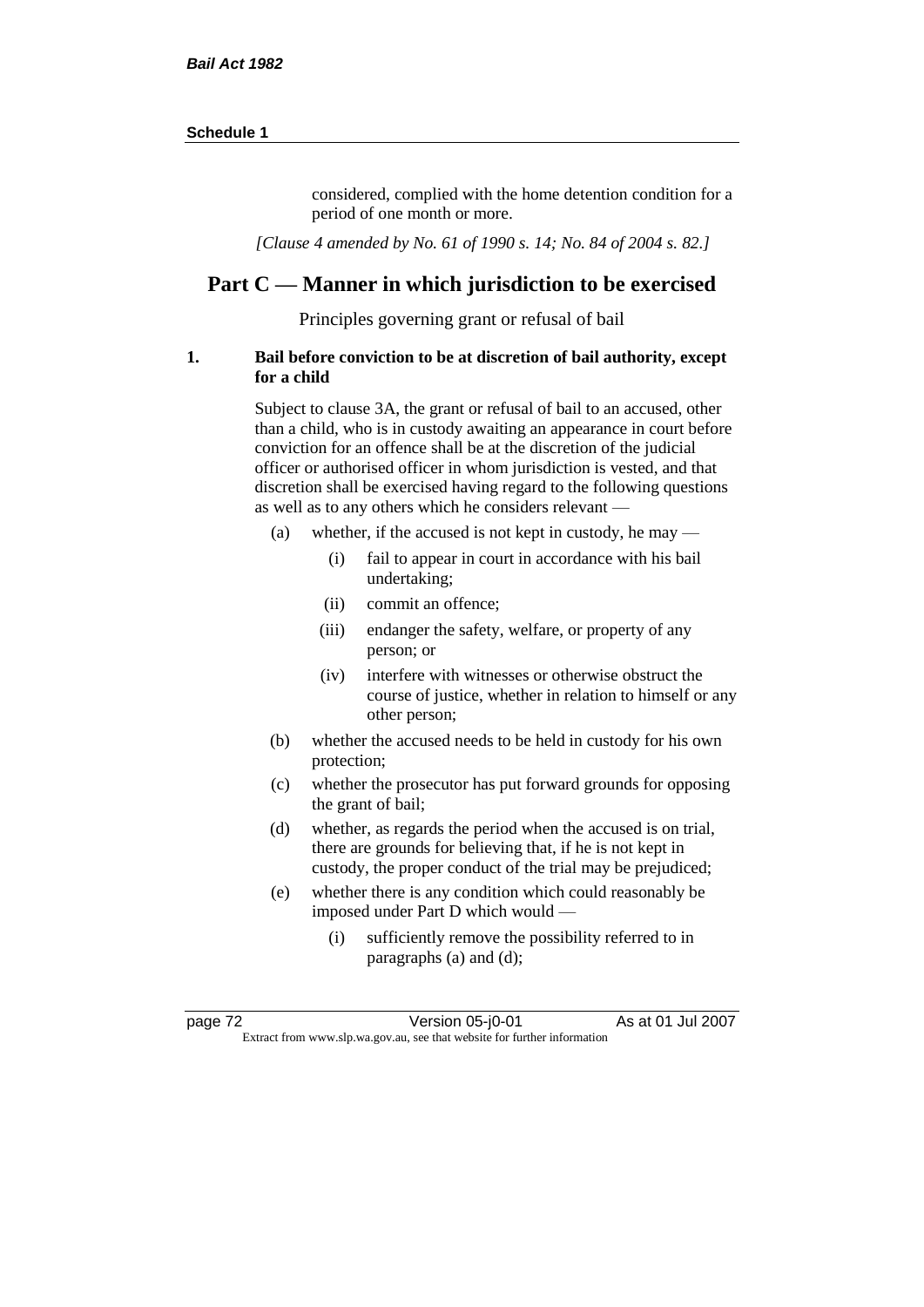considered, complied with the home detention condition for a period of one month or more.

*[Clause 4 amended by No. 61 of 1990 s. 14; No. 84 of 2004 s. 82.]*

# **Part C — Manner in which jurisdiction to be exercised**

Principles governing grant or refusal of bail

#### **1. Bail before conviction to be at discretion of bail authority, except for a child**

Subject to clause 3A, the grant or refusal of bail to an accused, other than a child, who is in custody awaiting an appearance in court before conviction for an offence shall be at the discretion of the judicial officer or authorised officer in whom jurisdiction is vested, and that discretion shall be exercised having regard to the following questions as well as to any others which he considers relevant —

- (a) whether, if the accused is not kept in custody, he may
	- (i) fail to appear in court in accordance with his bail undertaking;
	- (ii) commit an offence;
	- (iii) endanger the safety, welfare, or property of any person; or
	- (iv) interfere with witnesses or otherwise obstruct the course of justice, whether in relation to himself or any other person;
- (b) whether the accused needs to be held in custody for his own protection;
- (c) whether the prosecutor has put forward grounds for opposing the grant of bail;
- (d) whether, as regards the period when the accused is on trial, there are grounds for believing that, if he is not kept in custody, the proper conduct of the trial may be prejudiced;
- (e) whether there is any condition which could reasonably be imposed under Part D which would —
	- (i) sufficiently remove the possibility referred to in paragraphs (a) and (d);

page 72 Version 05-j0-01 As at 01 Jul 2007 Extract from www.slp.wa.gov.au, see that website for further information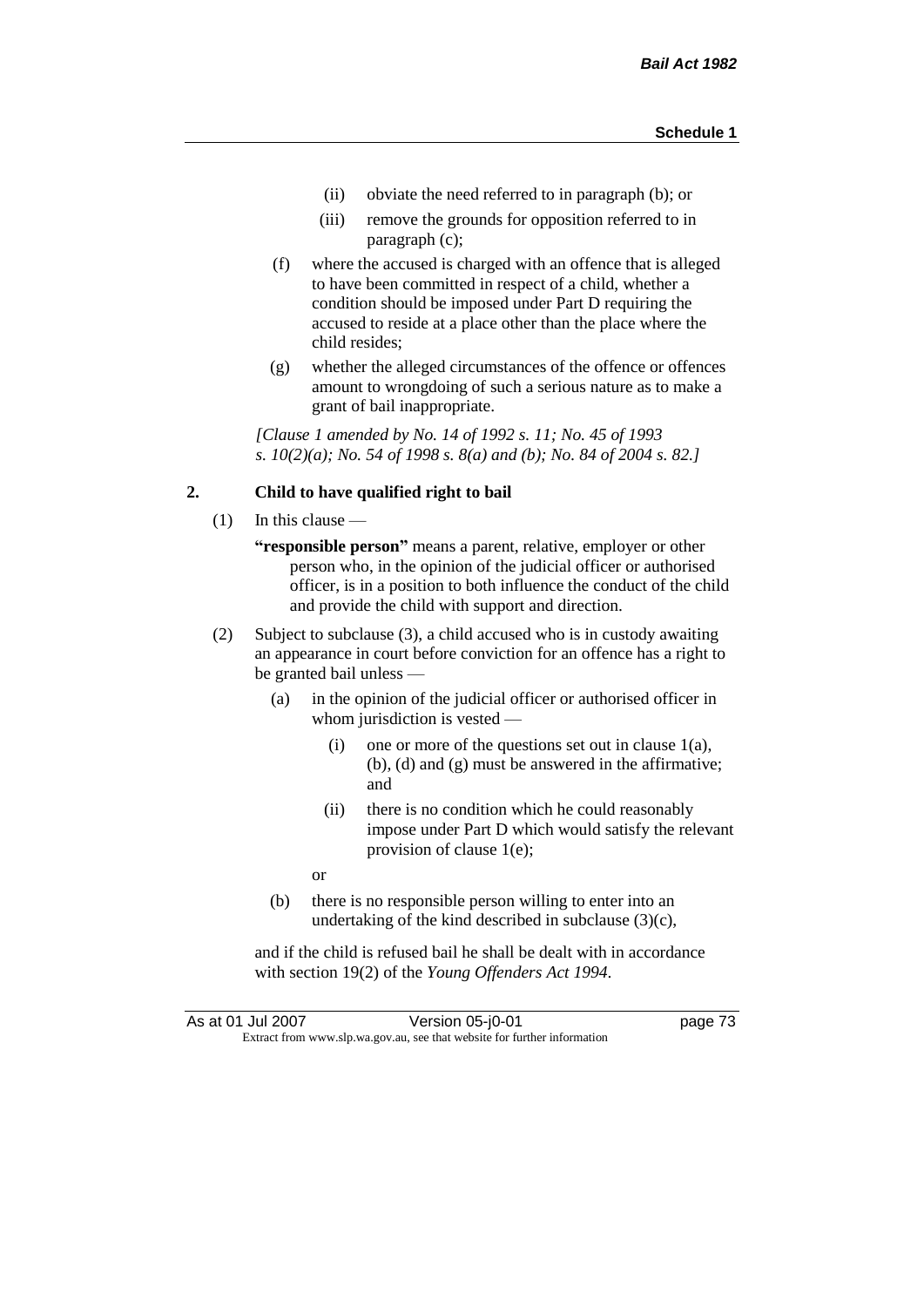- (ii) obviate the need referred to in paragraph (b); or
- (iii) remove the grounds for opposition referred to in paragraph (c);
- (f) where the accused is charged with an offence that is alleged to have been committed in respect of a child, whether a condition should be imposed under Part D requiring the accused to reside at a place other than the place where the child resides;
- (g) whether the alleged circumstances of the offence or offences amount to wrongdoing of such a serious nature as to make a grant of bail inappropriate.

*[Clause 1 amended by No. 14 of 1992 s. 11; No. 45 of 1993 s. 10(2)(a); No. 54 of 1998 s. 8(a) and (b); No. 84 of 2004 s. 82.]*

## **2. Child to have qualified right to bail**

- (1) In this clause
	- **"responsible person"** means a parent, relative, employer or other person who, in the opinion of the judicial officer or authorised officer, is in a position to both influence the conduct of the child and provide the child with support and direction.
- (2) Subject to subclause (3), a child accused who is in custody awaiting an appearance in court before conviction for an offence has a right to be granted bail unless —
	- (a) in the opinion of the judicial officer or authorised officer in whom jurisdiction is vested —
		- (i) one or more of the questions set out in clause 1(a), (b), (d) and (g) must be answered in the affirmative; and
		- (ii) there is no condition which he could reasonably impose under Part D which would satisfy the relevant provision of clause 1(e);
		- or
	- (b) there is no responsible person willing to enter into an undertaking of the kind described in subclause  $(3)(c)$ ,

and if the child is refused bail he shall be dealt with in accordance with section 19(2) of the *Young Offenders Act 1994*.

| As at 01 Jul 2007                                                        |  | Version 05-j0-01 | page 73 |
|--------------------------------------------------------------------------|--|------------------|---------|
| Extract from www.slp.wa.gov.au, see that website for further information |  |                  |         |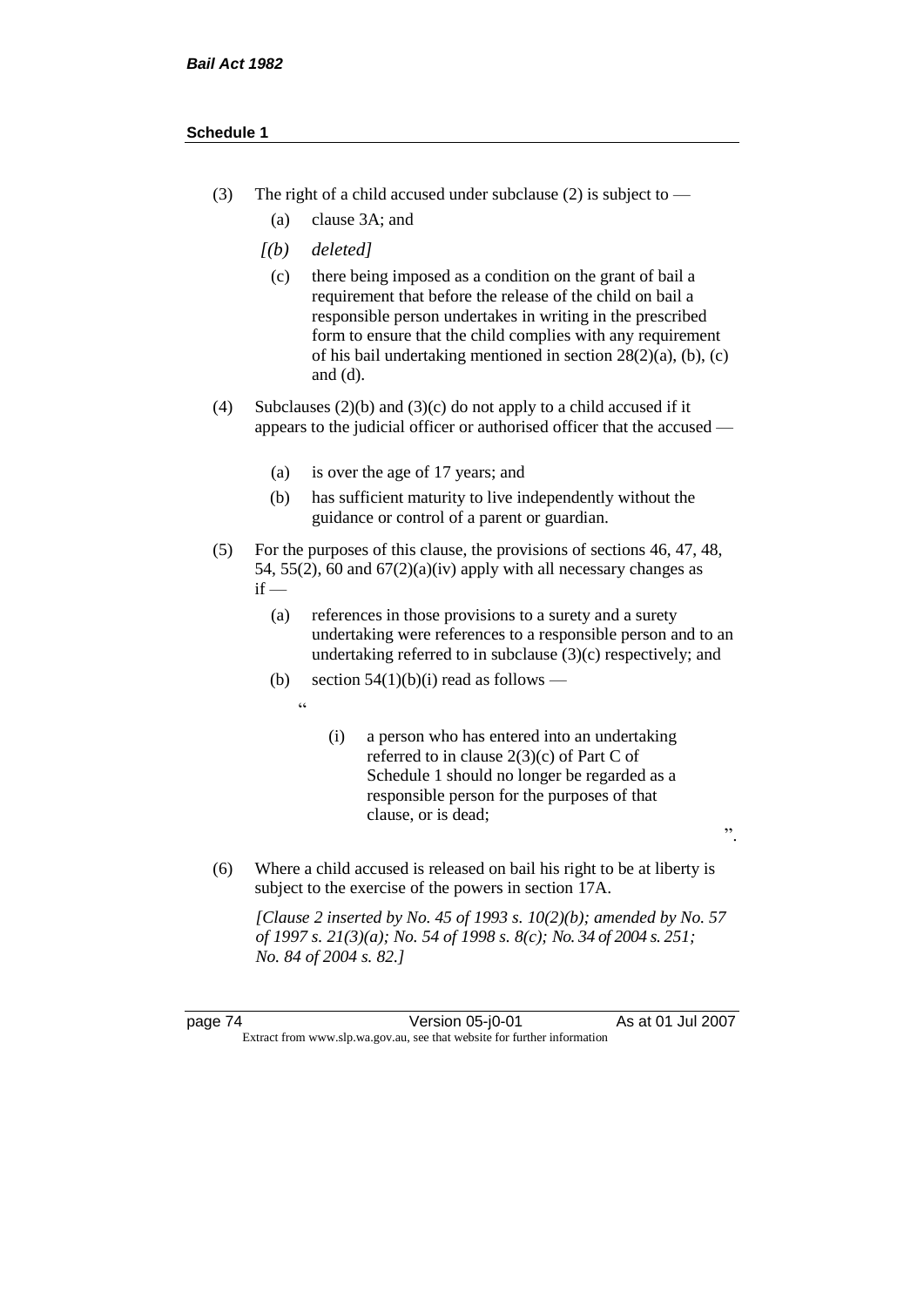- (3) The right of a child accused under subclause (2) is subject to  $-$ 
	- (a) clause 3A; and
	- *[(b) deleted]*
		- (c) there being imposed as a condition on the grant of bail a requirement that before the release of the child on bail a responsible person undertakes in writing in the prescribed form to ensure that the child complies with any requirement of his bail undertaking mentioned in section 28(2)(a), (b), (c) and (d).
- (4) Subclauses (2)(b) and (3)(c) do not apply to a child accused if it appears to the judicial officer or authorised officer that the accused —
	- (a) is over the age of 17 years; and
	- (b) has sufficient maturity to live independently without the guidance or control of a parent or guardian.
- (5) For the purposes of this clause, the provisions of sections 46, 47, 48, 54, 55(2), 60 and  $67(2)(a)(iv)$  apply with all necessary changes as  $if -$ 
	- (a) references in those provisions to a surety and a surety undertaking were references to a responsible person and to an undertaking referred to in subclause  $(3)(c)$  respectively; and
	- (b) section  $54(1)(b)(i)$  read as follows
		- "
- (i) a person who has entered into an undertaking referred to in clause 2(3)(c) of Part C of Schedule 1 should no longer be regarded as a responsible person for the purposes of that clause, or is dead;

".

(6) Where a child accused is released on bail his right to be at liberty is subject to the exercise of the powers in section 17A.

*[Clause 2 inserted by No. 45 of 1993 s. 10(2)(b); amended by No. 57 of 1997 s. 21(3)(a); No. 54 of 1998 s. 8(c); No. 34 of 2004 s. 251; No. 84 of 2004 s. 82.]*

page 74 Version 05-j0-01 As at 01 Jul 2007 Extract from www.slp.wa.gov.au, see that website for further information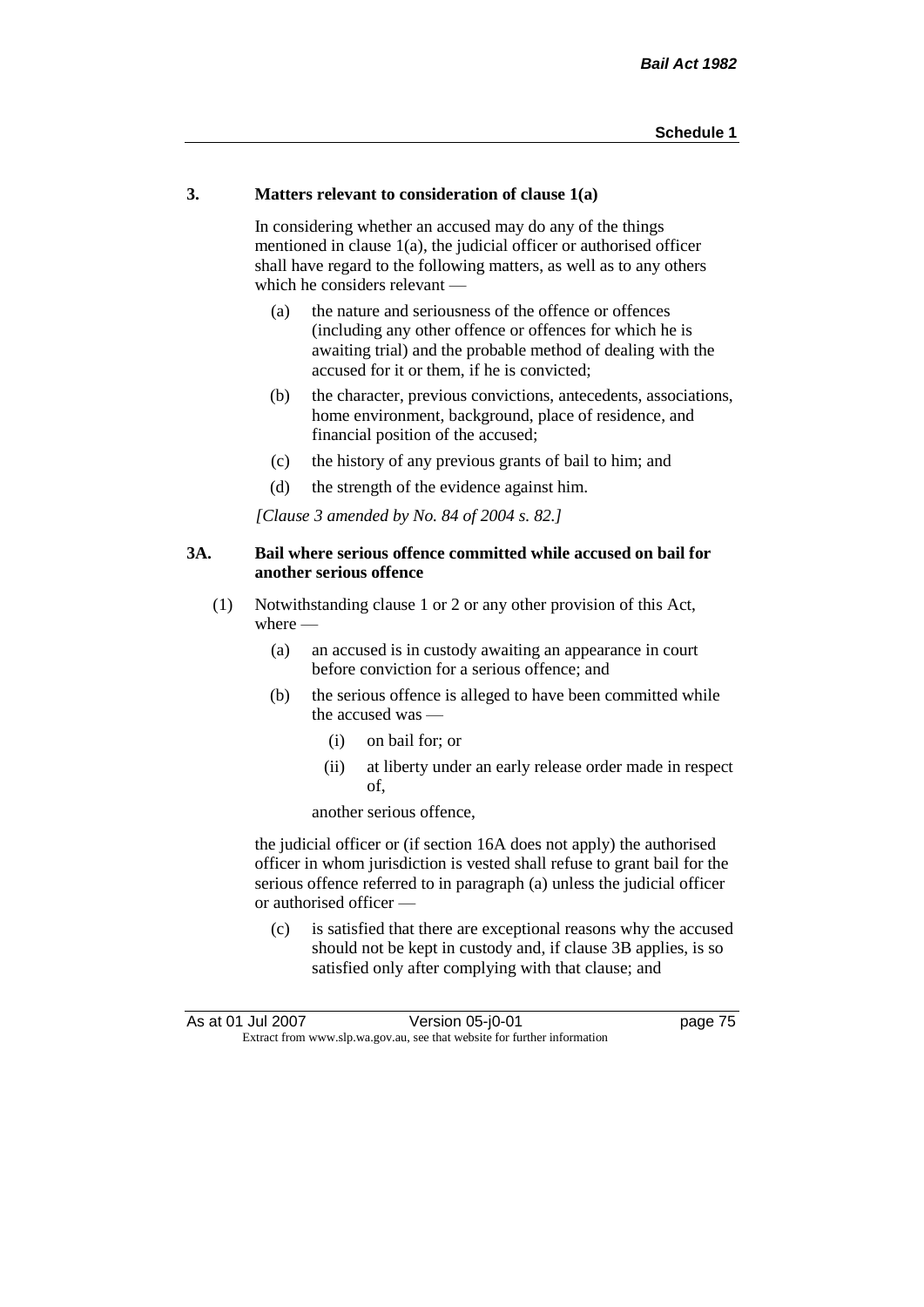# **3. Matters relevant to consideration of clause 1(a)**

In considering whether an accused may do any of the things mentioned in clause 1(a), the judicial officer or authorised officer shall have regard to the following matters, as well as to any others which he considers relevant —

- (a) the nature and seriousness of the offence or offences (including any other offence or offences for which he is awaiting trial) and the probable method of dealing with the accused for it or them, if he is convicted;
- (b) the character, previous convictions, antecedents, associations, home environment, background, place of residence, and financial position of the accused;
- (c) the history of any previous grants of bail to him; and
- (d) the strength of the evidence against him.

*[Clause 3 amended by No. 84 of 2004 s. 82.]*

# **3A. Bail where serious offence committed while accused on bail for another serious offence**

- (1) Notwithstanding clause 1 or 2 or any other provision of this Act, where —
	- (a) an accused is in custody awaiting an appearance in court before conviction for a serious offence; and
	- (b) the serious offence is alleged to have been committed while the accused was —
		- (i) on bail for; or
		- (ii) at liberty under an early release order made in respect of,

another serious offence,

the judicial officer or (if section 16A does not apply) the authorised officer in whom jurisdiction is vested shall refuse to grant bail for the serious offence referred to in paragraph (a) unless the judicial officer or authorised officer —

(c) is satisfied that there are exceptional reasons why the accused should not be kept in custody and, if clause 3B applies, is so satisfied only after complying with that clause; and

| As at 01 Jul 2007                                                        | Version 05-j0-01 | page 75 |
|--------------------------------------------------------------------------|------------------|---------|
| Extract from www.slp.wa.gov.au, see that website for further information |                  |         |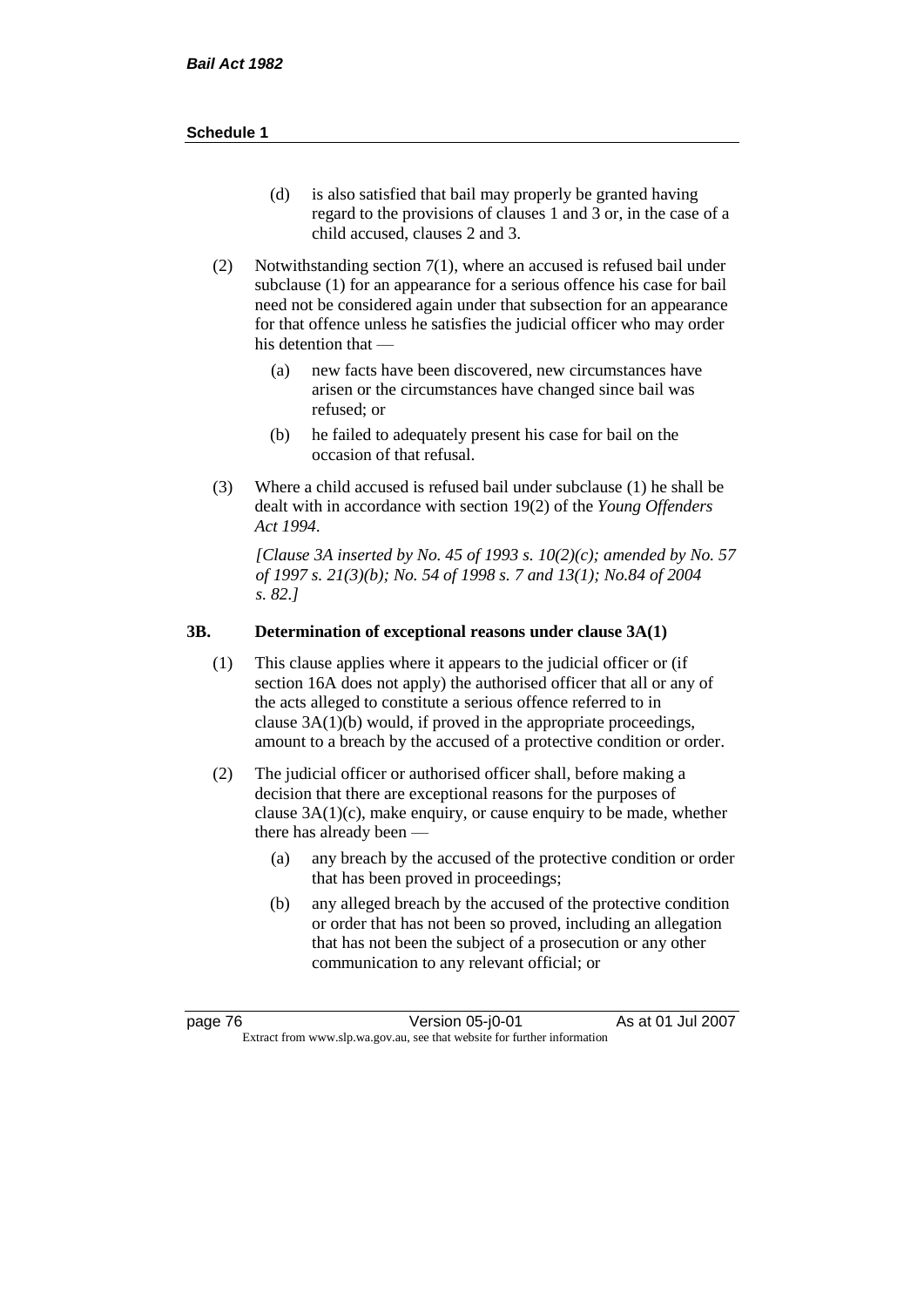- (d) is also satisfied that bail may properly be granted having regard to the provisions of clauses 1 and 3 or, in the case of a child accused, clauses 2 and 3.
- (2) Notwithstanding section 7(1), where an accused is refused bail under subclause (1) for an appearance for a serious offence his case for bail need not be considered again under that subsection for an appearance for that offence unless he satisfies the judicial officer who may order his detention that —
	- (a) new facts have been discovered, new circumstances have arisen or the circumstances have changed since bail was refused; or
	- (b) he failed to adequately present his case for bail on the occasion of that refusal.
- (3) Where a child accused is refused bail under subclause (1) he shall be dealt with in accordance with section 19(2) of the *Young Offenders Act 1994*.

*[Clause 3A inserted by No. 45 of 1993 s. 10(2)(c); amended by No. 57 of 1997 s. 21(3)(b); No. 54 of 1998 s. 7 and 13(1); No.84 of 2004 s. 82.]*

# **3B. Determination of exceptional reasons under clause 3A(1)**

- (1) This clause applies where it appears to the judicial officer or (if section 16A does not apply) the authorised officer that all or any of the acts alleged to constitute a serious offence referred to in clause 3A(1)(b) would, if proved in the appropriate proceedings, amount to a breach by the accused of a protective condition or order.
- (2) The judicial officer or authorised officer shall, before making a decision that there are exceptional reasons for the purposes of clause  $3A(1)(c)$ , make enquiry, or cause enquiry to be made, whether there has already been -
	- (a) any breach by the accused of the protective condition or order that has been proved in proceedings;
	- (b) any alleged breach by the accused of the protective condition or order that has not been so proved, including an allegation that has not been the subject of a prosecution or any other communication to any relevant official; or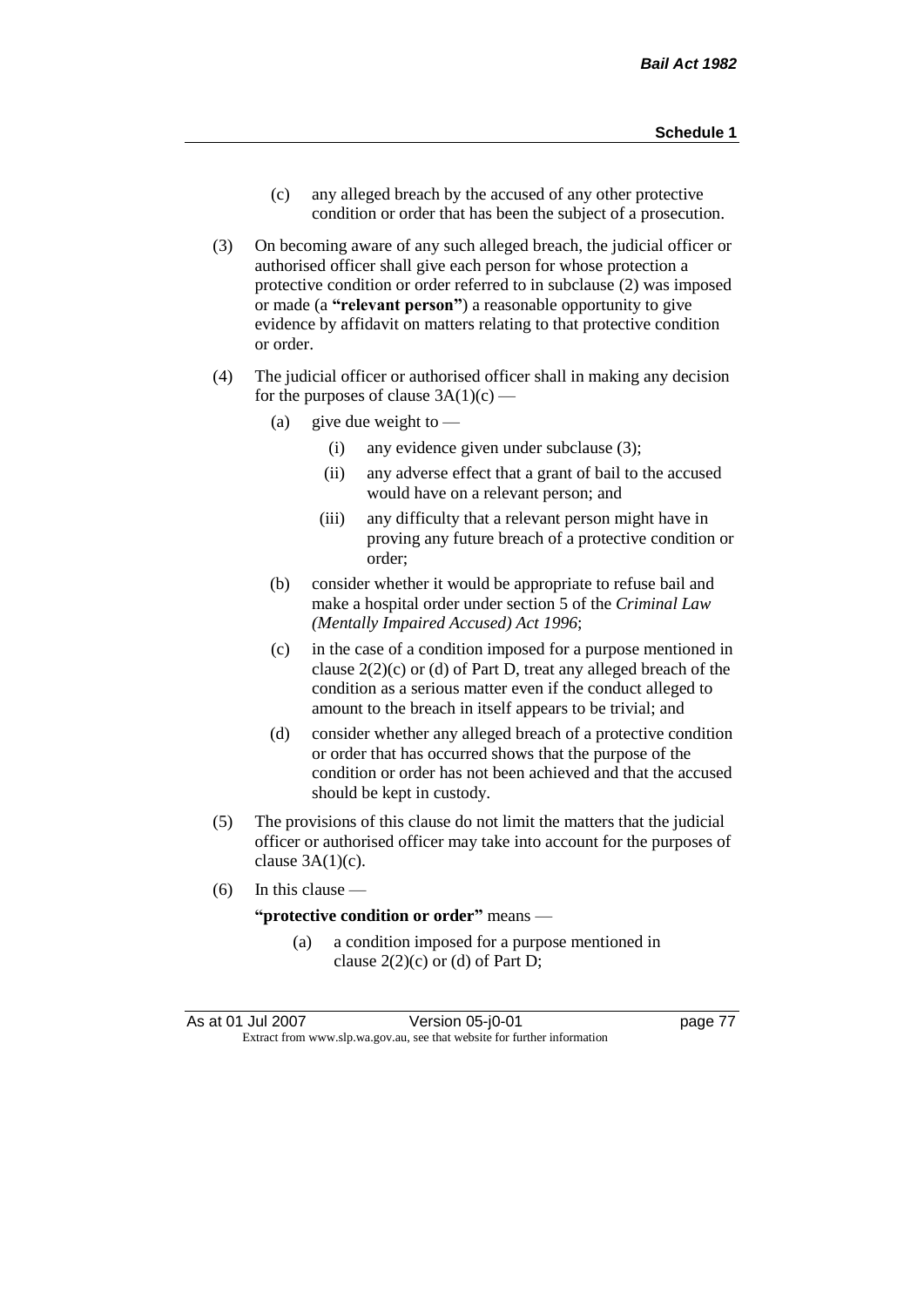- (c) any alleged breach by the accused of any other protective condition or order that has been the subject of a prosecution.
- (3) On becoming aware of any such alleged breach, the judicial officer or authorised officer shall give each person for whose protection a protective condition or order referred to in subclause (2) was imposed or made (a **"relevant person"**) a reasonable opportunity to give evidence by affidavit on matters relating to that protective condition or order.
- (4) The judicial officer or authorised officer shall in making any decision for the purposes of clause  $3A(1)(c)$  —
	- (a) give due weight to  $-$ 
		- (i) any evidence given under subclause (3);
		- (ii) any adverse effect that a grant of bail to the accused would have on a relevant person; and
		- (iii) any difficulty that a relevant person might have in proving any future breach of a protective condition or order;
	- (b) consider whether it would be appropriate to refuse bail and make a hospital order under section 5 of the *Criminal Law (Mentally Impaired Accused) Act 1996*;
	- (c) in the case of a condition imposed for a purpose mentioned in clause  $2(2)(c)$  or (d) of Part D, treat any alleged breach of the condition as a serious matter even if the conduct alleged to amount to the breach in itself appears to be trivial; and
	- (d) consider whether any alleged breach of a protective condition or order that has occurred shows that the purpose of the condition or order has not been achieved and that the accused should be kept in custody.
- (5) The provisions of this clause do not limit the matters that the judicial officer or authorised officer may take into account for the purposes of clause  $3A(1)(c)$ .
- (6) In this clause —

# **"protective condition or order"** means —

(a) a condition imposed for a purpose mentioned in clause  $2(2)(c)$  or (d) of Part D;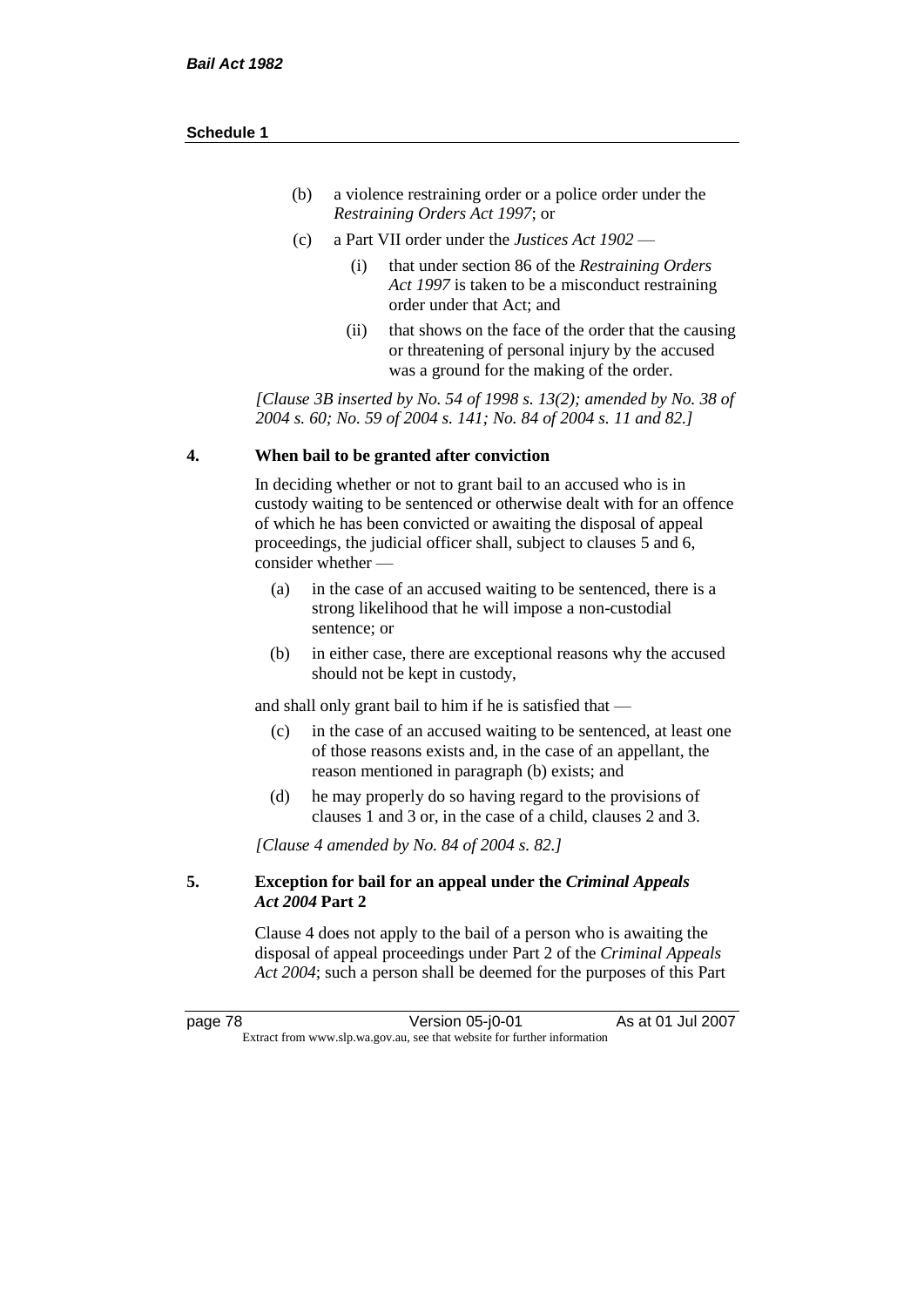| (b) | a violence restraining order or a police order under the |
|-----|----------------------------------------------------------|
|     | <i>Restraining Orders Act 1997; or</i>                   |

- (c) a Part VII order under the *Justices Act 1902*
	- (i) that under section 86 of the *Restraining Orders Act 1997* is taken to be a misconduct restraining order under that Act; and
	- (ii) that shows on the face of the order that the causing or threatening of personal injury by the accused was a ground for the making of the order.

*[Clause 3B inserted by No. 54 of 1998 s. 13(2); amended by No. 38 of 2004 s. 60; No. 59 of 2004 s. 141; No. 84 of 2004 s. 11 and 82.]*

### **4. When bail to be granted after conviction**

In deciding whether or not to grant bail to an accused who is in custody waiting to be sentenced or otherwise dealt with for an offence of which he has been convicted or awaiting the disposal of appeal proceedings, the judicial officer shall, subject to clauses 5 and 6, consider whether —

- (a) in the case of an accused waiting to be sentenced, there is a strong likelihood that he will impose a non-custodial sentence; or
- (b) in either case, there are exceptional reasons why the accused should not be kept in custody,

and shall only grant bail to him if he is satisfied that —

- (c) in the case of an accused waiting to be sentenced, at least one of those reasons exists and, in the case of an appellant, the reason mentioned in paragraph (b) exists; and
- (d) he may properly do so having regard to the provisions of clauses 1 and 3 or, in the case of a child, clauses 2 and 3.

*[Clause 4 amended by No. 84 of 2004 s. 82.]*

# **5. Exception for bail for an appeal under the** *Criminal Appeals Act 2004* **Part 2**

Clause 4 does not apply to the bail of a person who is awaiting the disposal of appeal proceedings under Part 2 of the *Criminal Appeals Act 2004*; such a person shall be deemed for the purposes of this Part

page 78 Version 05-j0-01 As at 01 Jul 2007 Extract from www.slp.wa.gov.au, see that website for further information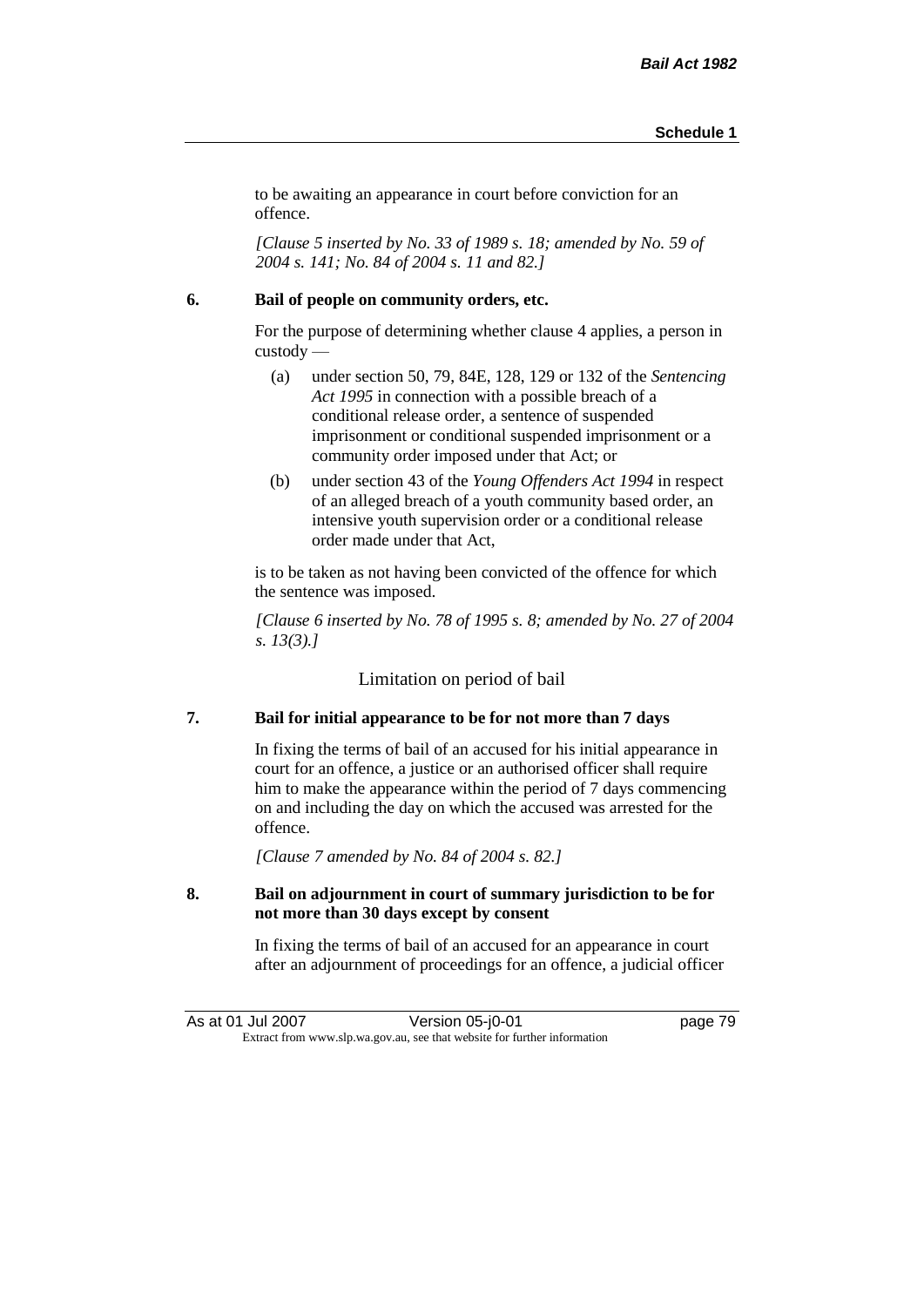to be awaiting an appearance in court before conviction for an offence.

*[Clause 5 inserted by No. 33 of 1989 s. 18; amended by No. 59 of 2004 s. 141; No. 84 of 2004 s. 11 and 82.]*

### **6. Bail of people on community orders, etc.**

For the purpose of determining whether clause 4 applies, a person in custody —

- (a) under section 50, 79, 84E, 128, 129 or 132 of the *Sentencing Act 1995* in connection with a possible breach of a conditional release order, a sentence of suspended imprisonment or conditional suspended imprisonment or a community order imposed under that Act; or
- (b) under section 43 of the *Young Offenders Act 1994* in respect of an alleged breach of a youth community based order, an intensive youth supervision order or a conditional release order made under that Act,

is to be taken as not having been convicted of the offence for which the sentence was imposed.

*[Clause 6 inserted by No. 78 of 1995 s. 8; amended by No. 27 of 2004 s. 13(3).]*

Limitation on period of bail

# **7. Bail for initial appearance to be for not more than 7 days**

In fixing the terms of bail of an accused for his initial appearance in court for an offence, a justice or an authorised officer shall require him to make the appearance within the period of 7 days commencing on and including the day on which the accused was arrested for the offence.

*[Clause 7 amended by No. 84 of 2004 s. 82.]*

## **8. Bail on adjournment in court of summary jurisdiction to be for not more than 30 days except by consent**

In fixing the terms of bail of an accused for an appearance in court after an adjournment of proceedings for an offence, a judicial officer

As at 01 Jul 2007 Version 05-j0-01 page 79 Extract from www.slp.wa.gov.au, see that website for further information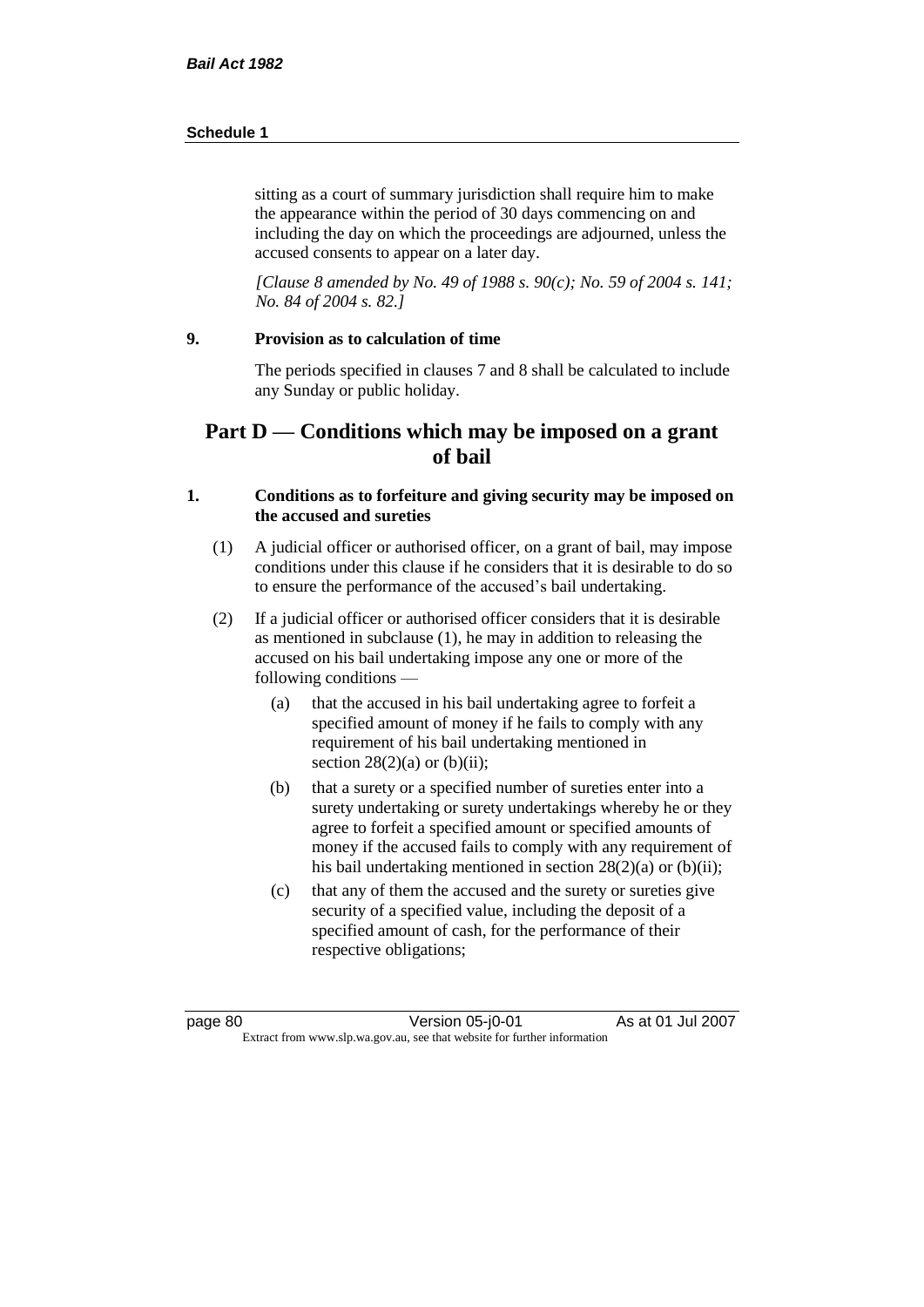sitting as a court of summary jurisdiction shall require him to make the appearance within the period of 30 days commencing on and including the day on which the proceedings are adjourned, unless the accused consents to appear on a later day.

*[Clause 8 amended by No. 49 of 1988 s. 90(c); No. 59 of 2004 s. 141; No. 84 of 2004 s. 82.]*

# **9. Provision as to calculation of time**

The periods specified in clauses 7 and 8 shall be calculated to include any Sunday or public holiday.

# **Part D — Conditions which may be imposed on a grant of bail**

# **1. Conditions as to forfeiture and giving security may be imposed on the accused and sureties**

- (1) A judicial officer or authorised officer, on a grant of bail, may impose conditions under this clause if he considers that it is desirable to do so to ensure the performance of the accused's bail undertaking.
- (2) If a judicial officer or authorised officer considers that it is desirable as mentioned in subclause (1), he may in addition to releasing the accused on his bail undertaking impose any one or more of the following conditions —
	- (a) that the accused in his bail undertaking agree to forfeit a specified amount of money if he fails to comply with any requirement of his bail undertaking mentioned in section  $28(2)(a)$  or (b)(ii);
	- (b) that a surety or a specified number of sureties enter into a surety undertaking or surety undertakings whereby he or they agree to forfeit a specified amount or specified amounts of money if the accused fails to comply with any requirement of his bail undertaking mentioned in section 28(2)(a) or (b)(ii);
	- (c) that any of them the accused and the surety or sureties give security of a specified value, including the deposit of a specified amount of cash, for the performance of their respective obligations;

page 80 Version 05-j0-01 As at 01 Jul 2007 Extract from www.slp.wa.gov.au, see that website for further information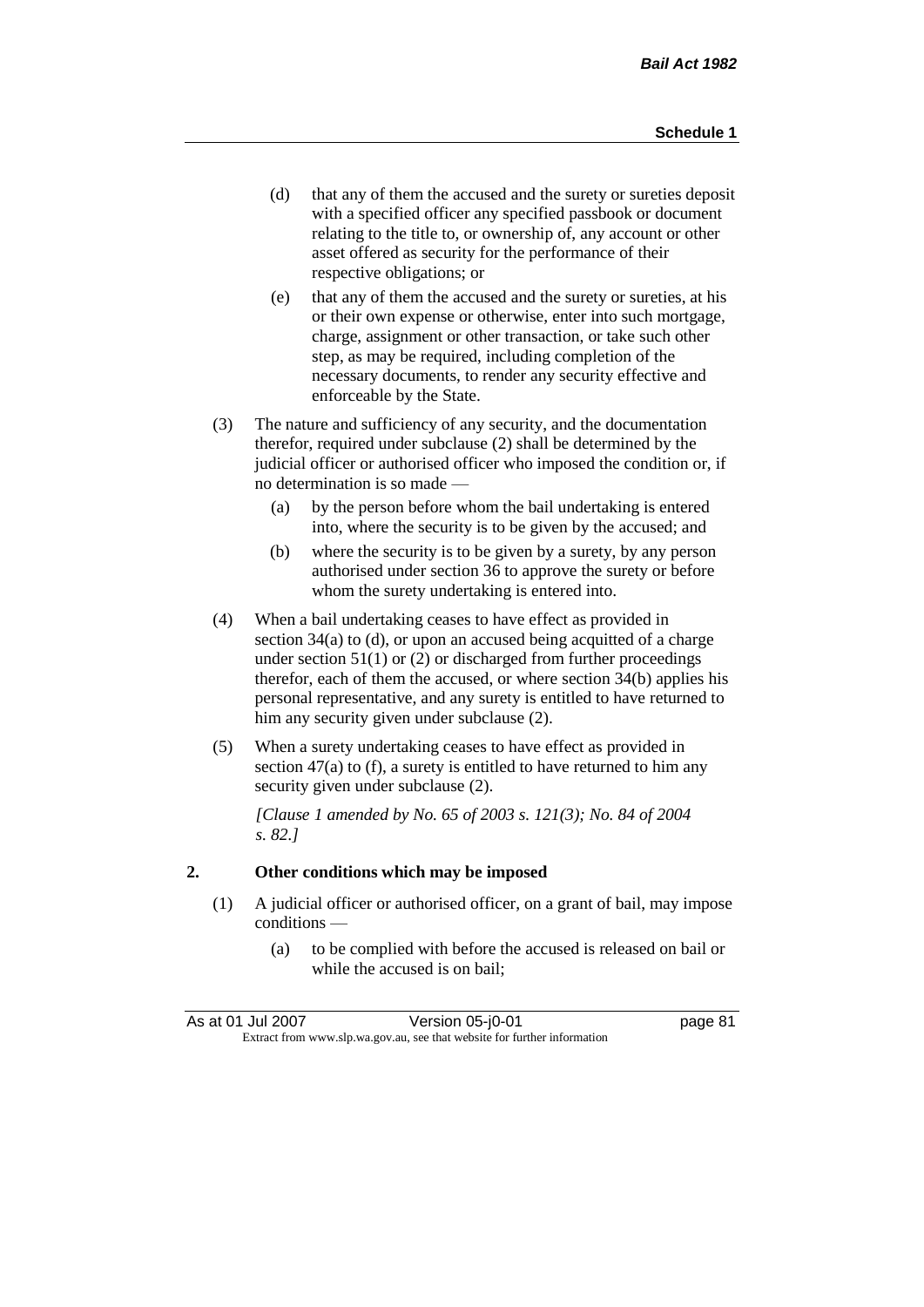- (d) that any of them the accused and the surety or sureties deposit with a specified officer any specified passbook or document relating to the title to, or ownership of, any account or other asset offered as security for the performance of their respective obligations; or
- (e) that any of them the accused and the surety or sureties, at his or their own expense or otherwise, enter into such mortgage, charge, assignment or other transaction, or take such other step, as may be required, including completion of the necessary documents, to render any security effective and enforceable by the State.
- (3) The nature and sufficiency of any security, and the documentation therefor, required under subclause (2) shall be determined by the judicial officer or authorised officer who imposed the condition or, if no determination is so made —
	- (a) by the person before whom the bail undertaking is entered into, where the security is to be given by the accused; and
	- (b) where the security is to be given by a surety, by any person authorised under section 36 to approve the surety or before whom the surety undertaking is entered into.
- (4) When a bail undertaking ceases to have effect as provided in section 34(a) to (d), or upon an accused being acquitted of a charge under section  $51(1)$  or (2) or discharged from further proceedings therefor, each of them the accused, or where section 34(b) applies his personal representative, and any surety is entitled to have returned to him any security given under subclause (2).
- (5) When a surety undertaking ceases to have effect as provided in section 47(a) to (f), a surety is entitled to have returned to him any security given under subclause  $(2)$ .

*[Clause 1 amended by No. 65 of 2003 s. 121(3); No. 84 of 2004 s. 82.]*

## **2. Other conditions which may be imposed**

- (1) A judicial officer or authorised officer, on a grant of bail, may impose conditions —
	- (a) to be complied with before the accused is released on bail or while the accused is on bail;

| As at 01 Jul 2007                                                        | Version 05-j0-01 | page 81 |
|--------------------------------------------------------------------------|------------------|---------|
| Extract from www.slp.wa.gov.au, see that website for further information |                  |         |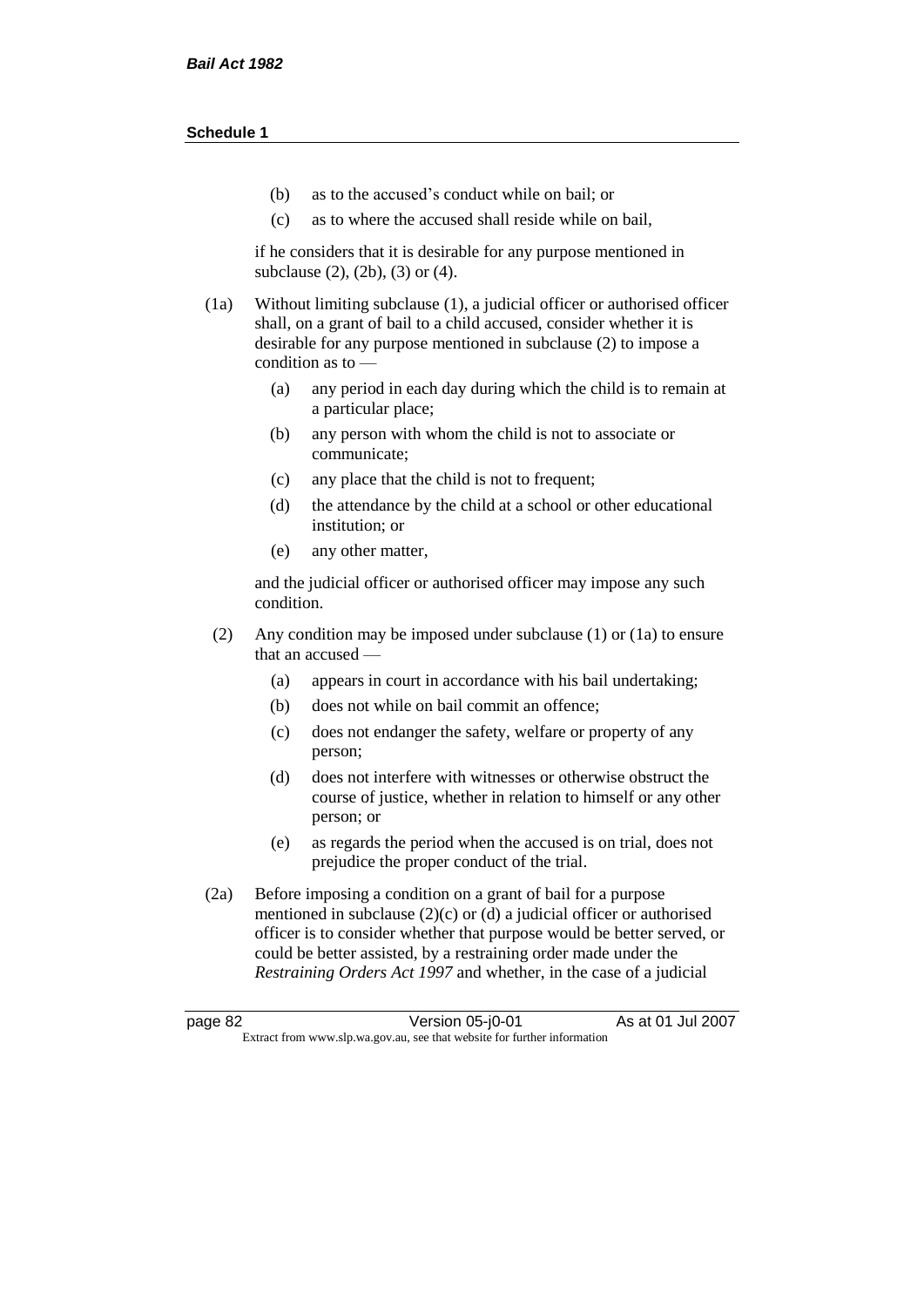- (b) as to the accused's conduct while on bail; or
- (c) as to where the accused shall reside while on bail,

if he considers that it is desirable for any purpose mentioned in subclause (2), (2b), (3) or (4).

(1a) Without limiting subclause (1), a judicial officer or authorised officer shall, on a grant of bail to a child accused, consider whether it is desirable for any purpose mentioned in subclause (2) to impose a condition as to —

- (a) any period in each day during which the child is to remain at a particular place;
- (b) any person with whom the child is not to associate or communicate;
- (c) any place that the child is not to frequent;
- (d) the attendance by the child at a school or other educational institution; or
- (e) any other matter,

and the judicial officer or authorised officer may impose any such condition.

- (2) Any condition may be imposed under subclause (1) or (1a) to ensure that an accused —
	- (a) appears in court in accordance with his bail undertaking;
	- (b) does not while on bail commit an offence;
	- (c) does not endanger the safety, welfare or property of any person;
	- (d) does not interfere with witnesses or otherwise obstruct the course of justice, whether in relation to himself or any other person; or
	- (e) as regards the period when the accused is on trial, does not prejudice the proper conduct of the trial.
- (2a) Before imposing a condition on a grant of bail for a purpose mentioned in subclause (2)(c) or (d) a judicial officer or authorised officer is to consider whether that purpose would be better served, or could be better assisted, by a restraining order made under the *Restraining Orders Act 1997* and whether, in the case of a judicial

page 82 Version 05-j0-01 As at 01 Jul 2007 Extract from www.slp.wa.gov.au, see that website for further information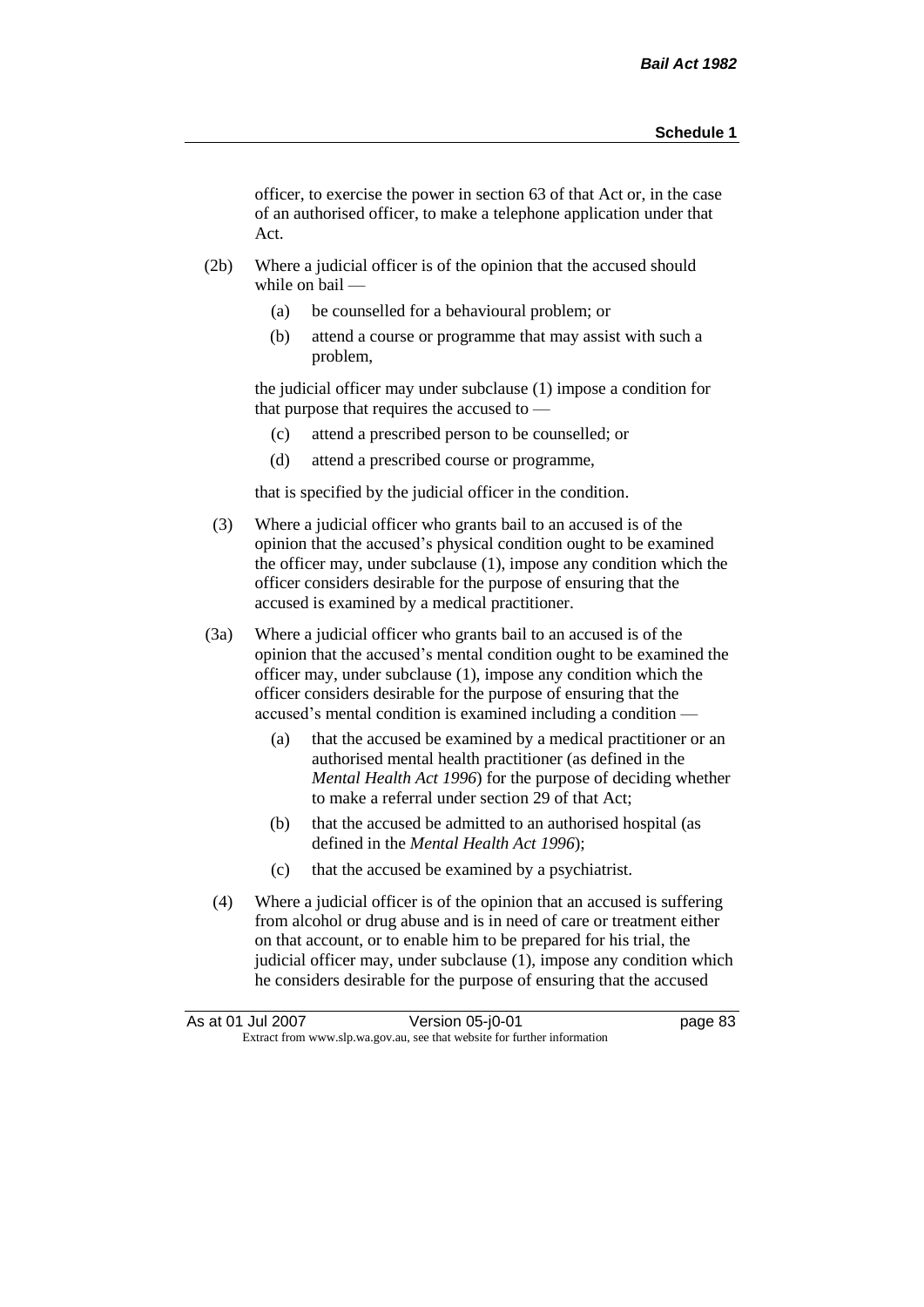officer, to exercise the power in section 63 of that Act or, in the case of an authorised officer, to make a telephone application under that Act.

- (2b) Where a judicial officer is of the opinion that the accused should while on bail —
	- (a) be counselled for a behavioural problem; or
	- (b) attend a course or programme that may assist with such a problem,

the judicial officer may under subclause (1) impose a condition for that purpose that requires the accused to —

- (c) attend a prescribed person to be counselled; or
- (d) attend a prescribed course or programme,

that is specified by the judicial officer in the condition.

- (3) Where a judicial officer who grants bail to an accused is of the opinion that the accused's physical condition ought to be examined the officer may, under subclause (1), impose any condition which the officer considers desirable for the purpose of ensuring that the accused is examined by a medical practitioner.
- (3a) Where a judicial officer who grants bail to an accused is of the opinion that the accused's mental condition ought to be examined the officer may, under subclause (1), impose any condition which the officer considers desirable for the purpose of ensuring that the accused's mental condition is examined including a condition —
	- (a) that the accused be examined by a medical practitioner or an authorised mental health practitioner (as defined in the *Mental Health Act 1996*) for the purpose of deciding whether to make a referral under section 29 of that Act;
	- (b) that the accused be admitted to an authorised hospital (as defined in the *Mental Health Act 1996*);
	- (c) that the accused be examined by a psychiatrist.
- (4) Where a judicial officer is of the opinion that an accused is suffering from alcohol or drug abuse and is in need of care or treatment either on that account, or to enable him to be prepared for his trial, the judicial officer may, under subclause (1), impose any condition which he considers desirable for the purpose of ensuring that the accused

| As at 01 Jul 2007 | Version 05-j0-01                                                         | page 83 |
|-------------------|--------------------------------------------------------------------------|---------|
|                   | Extract from www.slp.wa.gov.au, see that website for further information |         |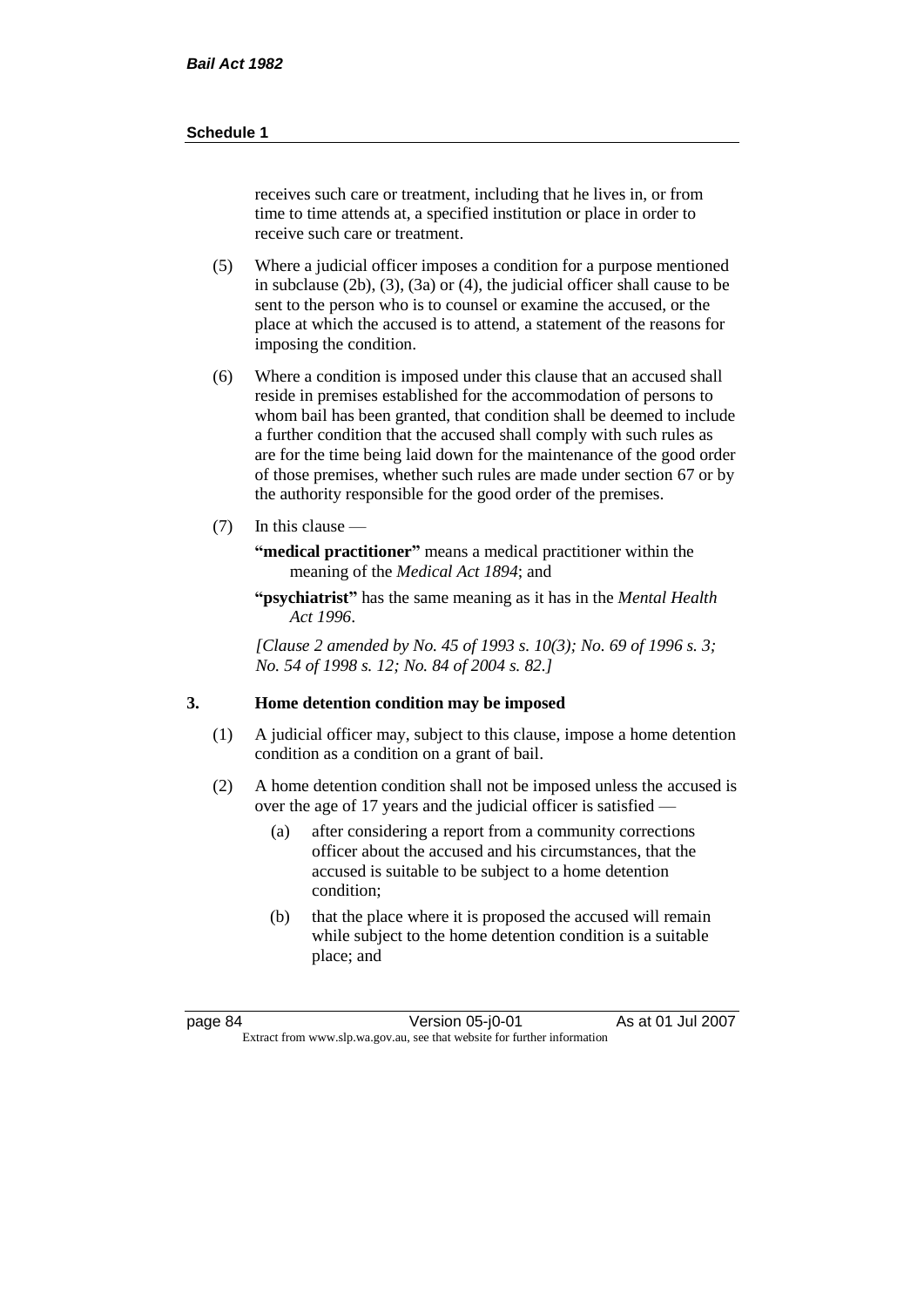receives such care or treatment, including that he lives in, or from time to time attends at, a specified institution or place in order to receive such care or treatment.

- (5) Where a judicial officer imposes a condition for a purpose mentioned in subclause (2b), (3), (3a) or (4), the judicial officer shall cause to be sent to the person who is to counsel or examine the accused, or the place at which the accused is to attend, a statement of the reasons for imposing the condition.
- (6) Where a condition is imposed under this clause that an accused shall reside in premises established for the accommodation of persons to whom bail has been granted, that condition shall be deemed to include a further condition that the accused shall comply with such rules as are for the time being laid down for the maintenance of the good order of those premises, whether such rules are made under section 67 or by the authority responsible for the good order of the premises.
- (7) In this clause —

**"medical practitioner"** means a medical practitioner within the meaning of the *Medical Act 1894*; and

**"psychiatrist"** has the same meaning as it has in the *Mental Health Act 1996*.

*[Clause 2 amended by No. 45 of 1993 s. 10(3); No. 69 of 1996 s. 3; No. 54 of 1998 s. 12; No. 84 of 2004 s. 82.]*

# **3. Home detention condition may be imposed**

- (1) A judicial officer may, subject to this clause, impose a home detention condition as a condition on a grant of bail.
- (2) A home detention condition shall not be imposed unless the accused is over the age of 17 years and the judicial officer is satisfied —
	- (a) after considering a report from a community corrections officer about the accused and his circumstances, that the accused is suitable to be subject to a home detention condition;
	- (b) that the place where it is proposed the accused will remain while subject to the home detention condition is a suitable place; and

page 84 Version 05-j0-01 As at 01 Jul 2007 Extract from www.slp.wa.gov.au, see that website for further information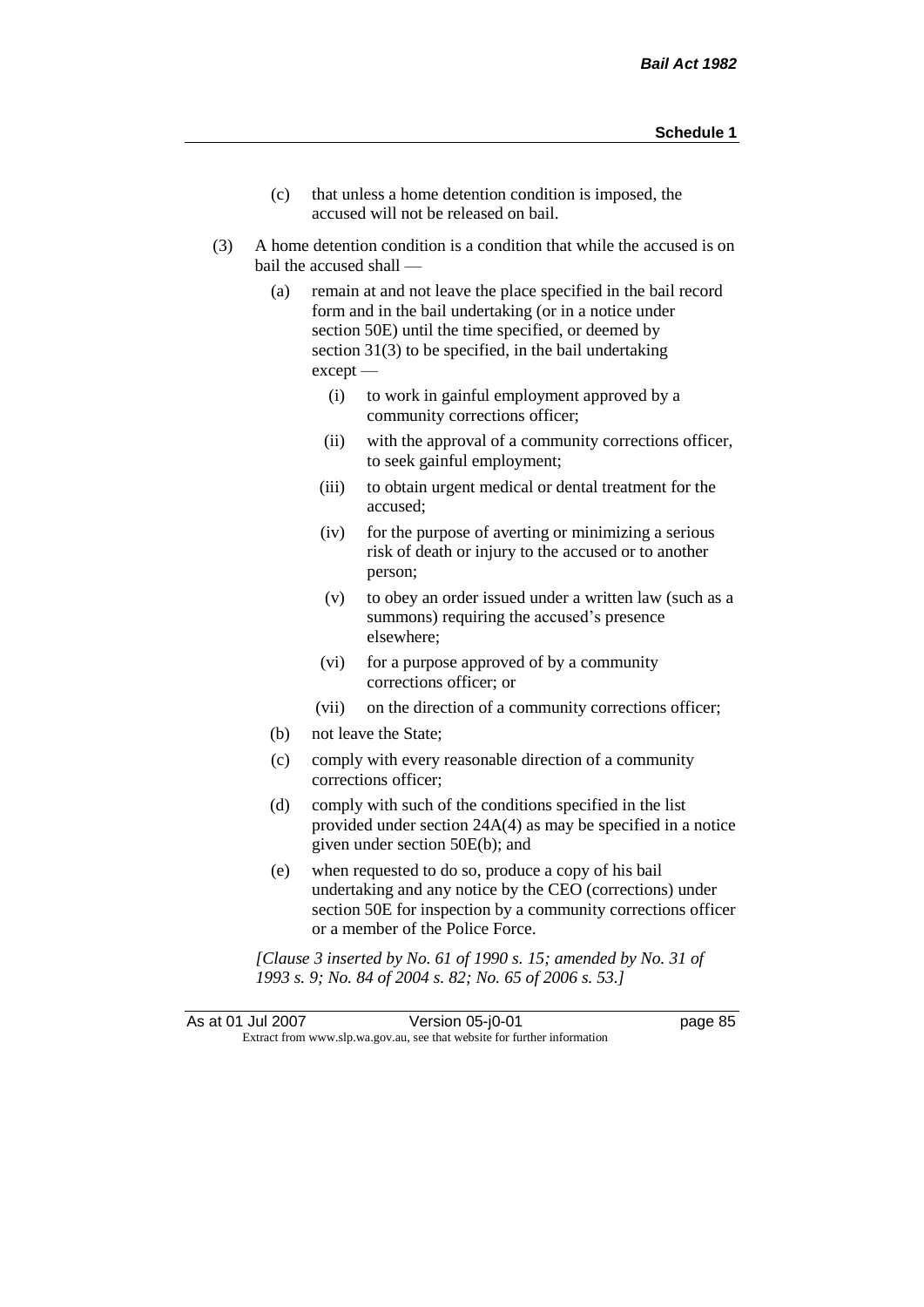- (c) that unless a home detention condition is imposed, the accused will not be released on bail.
- (3) A home detention condition is a condition that while the accused is on bail the accused shall —
	- (a) remain at and not leave the place specified in the bail record form and in the bail undertaking (or in a notice under section 50E) until the time specified, or deemed by section 31(3) to be specified, in the bail undertaking except —
		- (i) to work in gainful employment approved by a community corrections officer;
		- (ii) with the approval of a community corrections officer, to seek gainful employment;
		- (iii) to obtain urgent medical or dental treatment for the accused;
		- (iv) for the purpose of averting or minimizing a serious risk of death or injury to the accused or to another person;
		- (v) to obey an order issued under a written law (such as a summons) requiring the accused's presence elsewhere;
		- (vi) for a purpose approved of by a community corrections officer; or
		- (vii) on the direction of a community corrections officer;
	- (b) not leave the State;
	- (c) comply with every reasonable direction of a community corrections officer;
	- (d) comply with such of the conditions specified in the list provided under section 24A(4) as may be specified in a notice given under section 50E(b); and
	- (e) when requested to do so, produce a copy of his bail undertaking and any notice by the CEO (corrections) under section 50E for inspection by a community corrections officer or a member of the Police Force.

*[Clause 3 inserted by No. 61 of 1990 s. 15; amended by No. 31 of 1993 s. 9; No. 84 of 2004 s. 82; No. 65 of 2006 s. 53.]*

As at 01 Jul 2007 Version 05-j0-01 page 85 Extract from www.slp.wa.gov.au, see that website for further information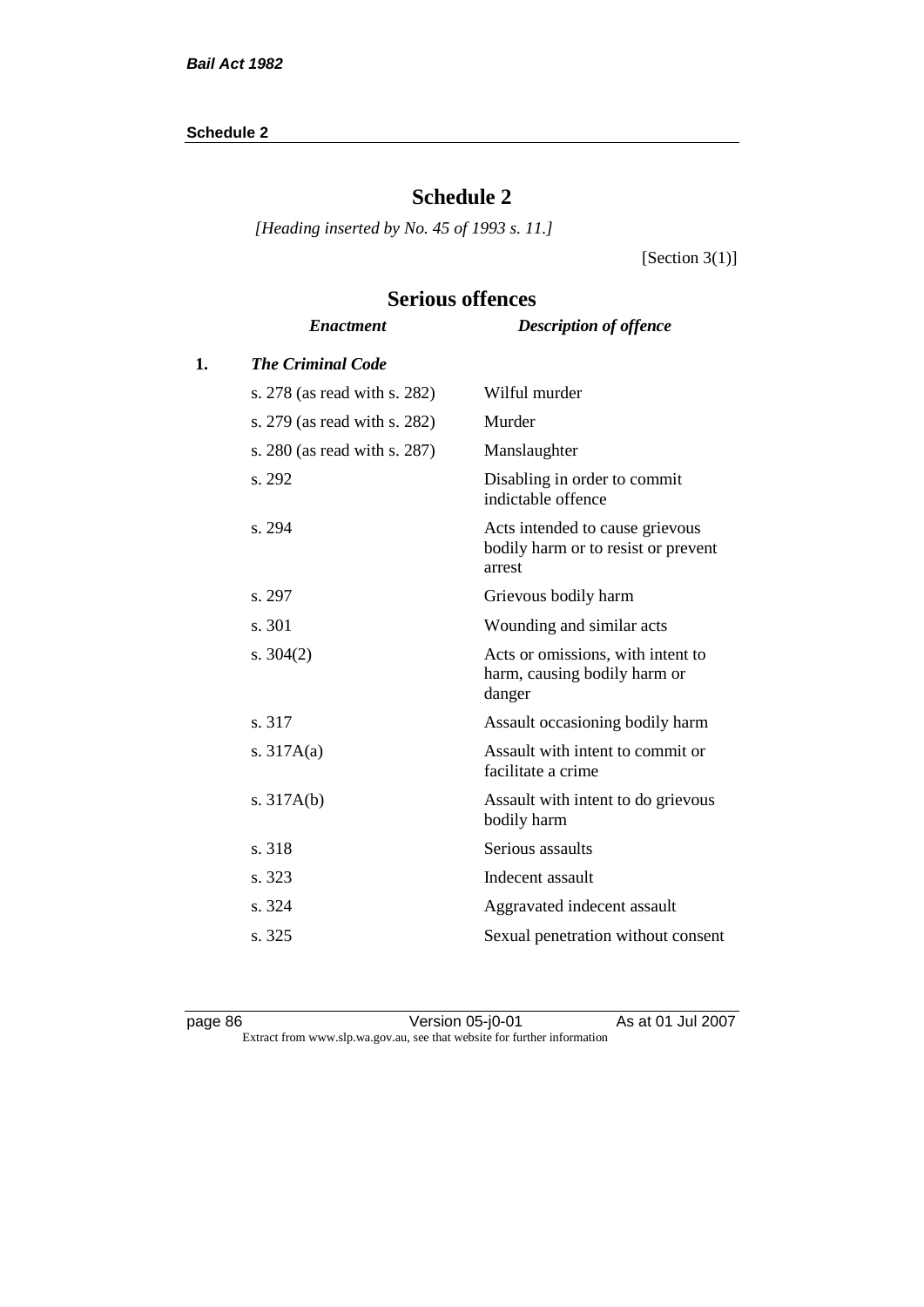# **Schedule 2**

*[Heading inserted by No. 45 of 1993 s. 11.]*

[Section 3(1)]

|    | <b>Enactment</b>             | <b>Description of offence</b>                                                    |
|----|------------------------------|----------------------------------------------------------------------------------|
| 1. | <b>The Criminal Code</b>     |                                                                                  |
|    | s. 278 (as read with s. 282) | Wilful murder                                                                    |
|    | s. 279 (as read with s. 282) | Murder                                                                           |
|    | s. 280 (as read with s. 287) | Manslaughter                                                                     |
|    | s. 292                       | Disabling in order to commit<br>indictable offence                               |
|    | s. 294                       | Acts intended to cause grievous<br>bodily harm or to resist or prevent<br>arrest |
|    | s. 297                       | Grievous bodily harm                                                             |
|    | s. 301                       | Wounding and similar acts                                                        |
|    | s. $304(2)$                  | Acts or omissions, with intent to<br>harm, causing bodily harm or<br>danger      |
|    | s. 317                       | Assault occasioning bodily harm                                                  |
|    | s. $317A(a)$                 | Assault with intent to commit or<br>facilitate a crime                           |
|    | s. $317A(b)$                 | Assault with intent to do grievous<br>bodily harm                                |
|    | s. 318                       | Serious assaults                                                                 |
|    | s. 323                       | Indecent assault                                                                 |
|    | s. 324                       | Aggravated indecent assault                                                      |
|    | s. 325                       | Sexual penetration without consent                                               |
|    |                              |                                                                                  |

# **Serious offences**

page 86 Version 05-j0-01 As at 01 Jul 2007 Extract from www.slp.wa.gov.au, see that website for further information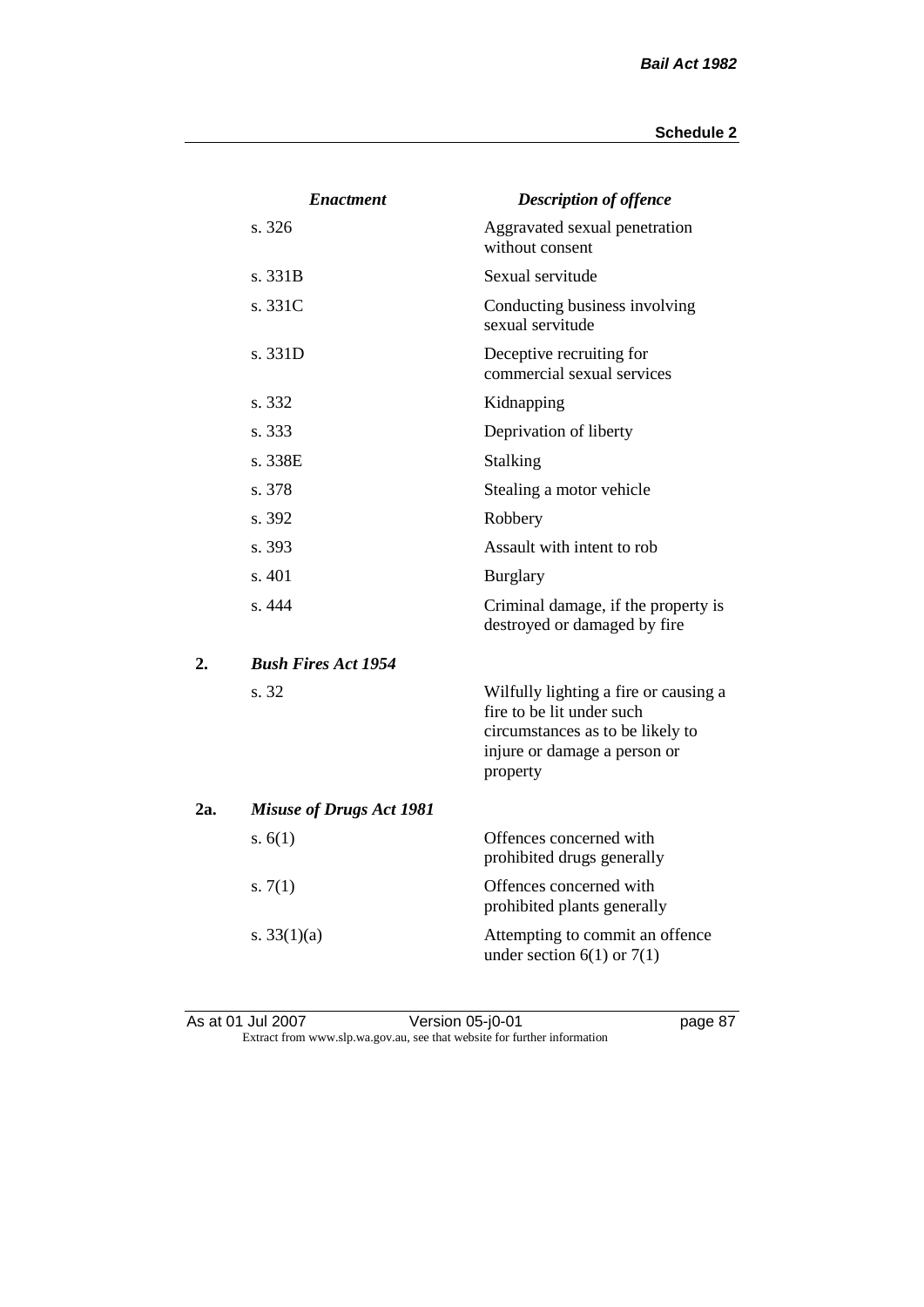|     | <b>Enactment</b>                | <b>Description of offence</b>                                                                                                                      |
|-----|---------------------------------|----------------------------------------------------------------------------------------------------------------------------------------------------|
|     | s. 326                          | Aggravated sexual penetration<br>without consent                                                                                                   |
|     | s. 331B                         | Sexual servitude                                                                                                                                   |
|     | s. 331C                         | Conducting business involving<br>sexual servitude                                                                                                  |
|     | s. 331D                         | Deceptive recruiting for<br>commercial sexual services                                                                                             |
|     | s. 332                          | Kidnapping                                                                                                                                         |
|     | s. 333                          | Deprivation of liberty                                                                                                                             |
|     | s. 338E                         | <b>Stalking</b>                                                                                                                                    |
|     | s. 378                          | Stealing a motor vehicle                                                                                                                           |
|     | s. 392                          | Robbery                                                                                                                                            |
|     | s. 393                          | Assault with intent to rob                                                                                                                         |
|     | s. 401                          | <b>Burglary</b>                                                                                                                                    |
|     | s.444                           | Criminal damage, if the property is<br>destroyed or damaged by fire                                                                                |
| 2.  | <b>Bush Fires Act 1954</b>      |                                                                                                                                                    |
|     | s. 32                           | Wilfully lighting a fire or causing a<br>fire to be lit under such<br>circumstances as to be likely to<br>injure or damage a person or<br>property |
| 2a. | <b>Misuse of Drugs Act 1981</b> |                                                                                                                                                    |
|     | s. $6(1)$                       | Offences concerned with<br>prohibited drugs generally                                                                                              |
|     | s. $7(1)$                       | Offences concerned with<br>prohibited plants generally                                                                                             |
|     | s. $33(1)(a)$                   | Attempting to commit an offence<br>under section $6(1)$ or $7(1)$                                                                                  |
|     |                                 |                                                                                                                                                    |

As at 01 Jul 2007 Version 05-j0-01 page 87 Extract from www.slp.wa.gov.au, see that website for further information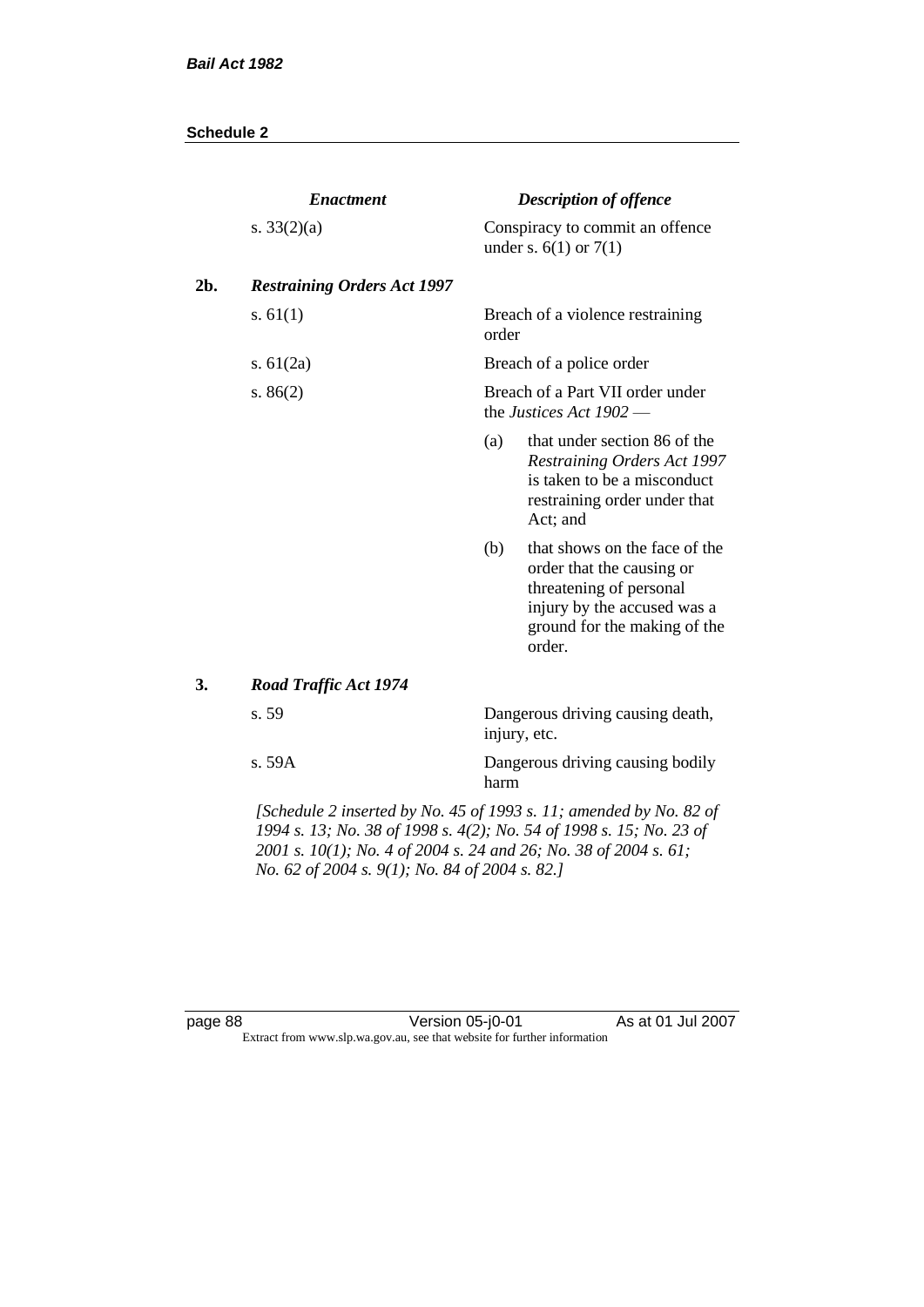|     | <b>Enactment</b>                                                   | <b>Description of offence</b>                                 |                                                                                                                                                                |  |
|-----|--------------------------------------------------------------------|---------------------------------------------------------------|----------------------------------------------------------------------------------------------------------------------------------------------------------------|--|
|     | s. $33(2)(a)$                                                      |                                                               | Conspiracy to commit an offence<br>under s. $6(1)$ or $7(1)$                                                                                                   |  |
| 2b. | <b>Restraining Orders Act 1997</b>                                 |                                                               |                                                                                                                                                                |  |
|     | s. $61(1)$                                                         | order                                                         | Breach of a violence restraining                                                                                                                               |  |
|     | s. $61(2a)$                                                        |                                                               | Breach of a police order                                                                                                                                       |  |
|     | s. $86(2)$                                                         | Breach of a Part VII order under<br>the Justices Act $1902$ - |                                                                                                                                                                |  |
|     |                                                                    | (a)                                                           | that under section 86 of the<br>Restraining Orders Act 1997<br>is taken to be a misconduct<br>restraining order under that<br>Act; and                         |  |
|     |                                                                    | (b)                                                           | that shows on the face of the<br>order that the causing or<br>threatening of personal<br>injury by the accused was a<br>ground for the making of the<br>order. |  |
| 3.  | <b>Road Traffic Act 1974</b>                                       |                                                               |                                                                                                                                                                |  |
|     | s. 59                                                              | Dangerous driving causing death,<br>injury, etc.              |                                                                                                                                                                |  |
|     | s. 59A                                                             | harm                                                          | Dangerous driving causing bodily                                                                                                                               |  |
|     | [Schedule 2 inserted by No. 45 of 1993 s. 11; amended by No. 82 of |                                                               |                                                                                                                                                                |  |

*1994 s. 13; No. 38 of 1998 s. 4(2); No. 54 of 1998 s. 15; No. 23 of 2001 s. 10(1); No. 4 of 2004 s. 24 and 26; No. 38 of 2004 s. 61; No. 62 of 2004 s. 9(1); No. 84 of 2004 s. 82.]* 

page 88 Version 05-j0-01 As at 01 Jul 2007 Extract from www.slp.wa.gov.au, see that website for further information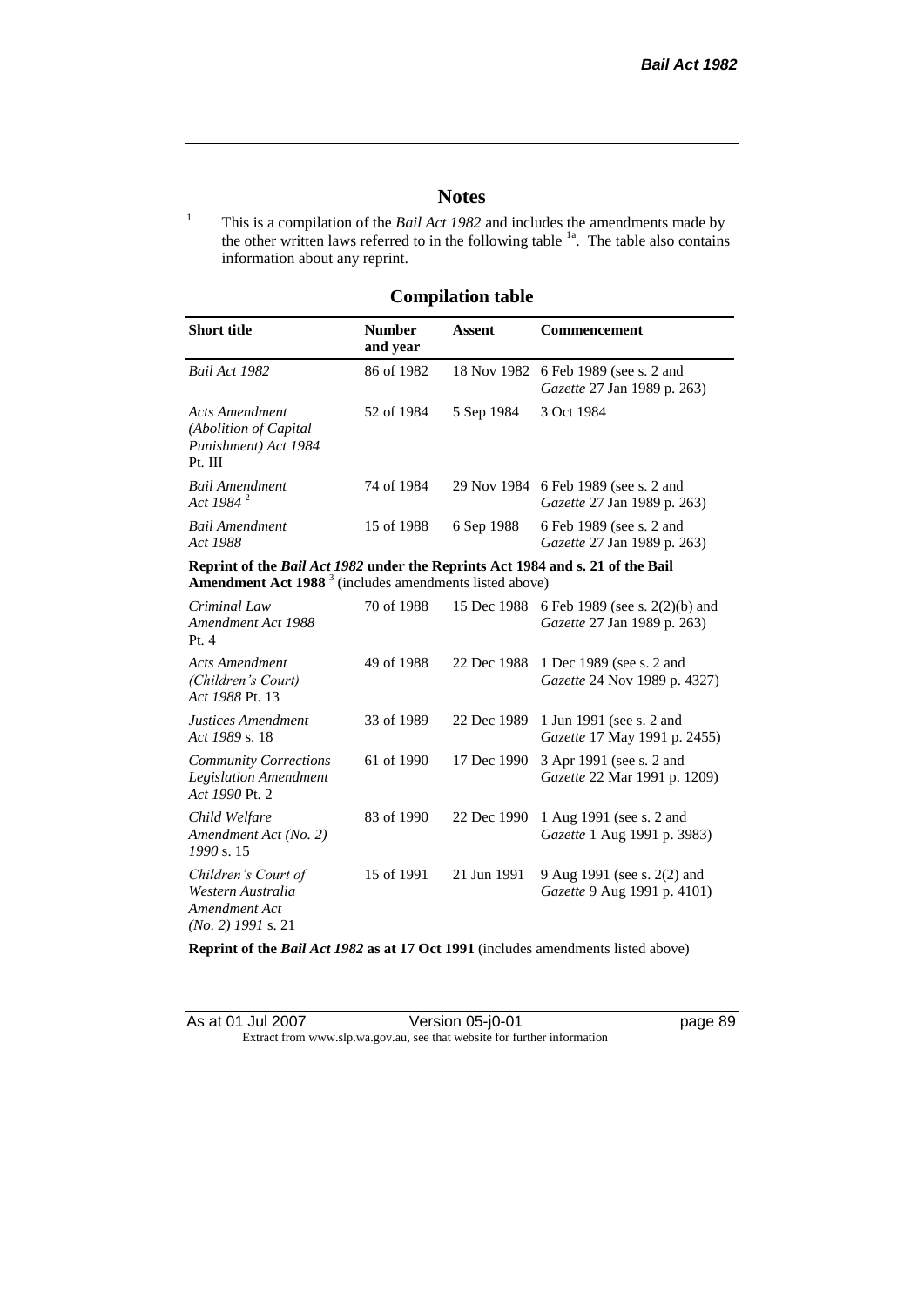# **Notes**

<sup>1</sup> This is a compilation of the *Bail Act 1982* and includes the amendments made by the other written laws referred to in the following table  $1a$ . The table also contains information about any reprint.

# **Compilation table**

| <b>Short title</b>                                                          | <b>Number</b><br>and year | Assent     | <b>Commencement</b>                                                        |
|-----------------------------------------------------------------------------|---------------------------|------------|----------------------------------------------------------------------------|
| <b>Bail Act 1982</b>                                                        | 86 of 1982                |            | 18 Nov 1982 6 Feb 1989 (see s. 2 and<br><i>Gazette</i> 27 Jan 1989 p. 263) |
| Acts Amendment<br>(Abolition of Capital)<br>Punishment) Act 1984<br>Pt. III | 52 of 1984                | 5 Sep 1984 | 3 Oct 1984                                                                 |
| <b>Bail Amendment</b><br>Act 1984 $^{2}$                                    | 74 of 1984                |            | 29 Nov 1984 6 Feb 1989 (see s. 2 and<br><i>Gazette</i> 27 Jan 1989 p. 263) |
| <b>Bail Amendment</b><br>Act 1988                                           | 15 of 1988                | 6 Sep 1988 | 6 Feb 1989 (see s. 2 and<br><i>Gazette</i> 27 Jan 1989 p. 263)             |
|                                                                             |                           |            |                                                                            |

**Reprint of the** *Bail Act 1982* **under the Reprints Act 1984 and s. 21 of the Bail Amendment Act 1988** <sup>3</sup> (includes amendments listed above)

| Criminal Law<br>Amendment Act 1988<br>Pt.4                                        | 70 of 1988 | 15 Dec 1988 | 6 Feb 1989 (see s. 2(2)(b) and<br>Gazette 27 Jan 1989 p. 263)     |
|-----------------------------------------------------------------------------------|------------|-------------|-------------------------------------------------------------------|
| Acts Amendment<br>(Children's Court)<br>Act 1988 Pt. 13                           | 49 of 1988 | 22 Dec 1988 | 1 Dec 1989 (see s. 2 and<br><i>Gazette</i> 24 Nov 1989 p. 4327)   |
| Justices Amendment<br>Act 1989 s. 18                                              | 33 of 1989 | 22 Dec 1989 | 1 Jun 1991 (see s. 2 and<br><i>Gazette</i> 17 May 1991 p. 2455)   |
| <b>Community Corrections</b><br><b>Legislation Amendment</b><br>Act 1990 Pt. 2    | 61 of 1990 | 17 Dec 1990 | 3 Apr 1991 (see s. 2 and<br><i>Gazette</i> 22 Mar 1991 p. 1209)   |
| Child Welfare<br>Amendment Act (No. 2)<br>1990 s. 15                              | 83 of 1990 | 22 Dec 1990 | 1 Aug 1991 (see s. 2 and<br><i>Gazette</i> 1 Aug 1991 p. 3983)    |
| Children's Court of<br>Western Australia<br>Amendment Act<br>$(No. 2)$ 1991 s. 21 | 15 of 1991 | 21 Jun 1991 | 9 Aug 1991 (see s. 2(2) and<br><i>Gazette</i> 9 Aug 1991 p. 4101) |

**Reprint of the** *Bail Act 1982* **as at 17 Oct 1991** (includes amendments listed above)

| As at 01 Jul 2007 | Version 05-j0-01                                                         |  |
|-------------------|--------------------------------------------------------------------------|--|
|                   | Extract from www.slp.wa.gov.au, see that website for further information |  |

page 89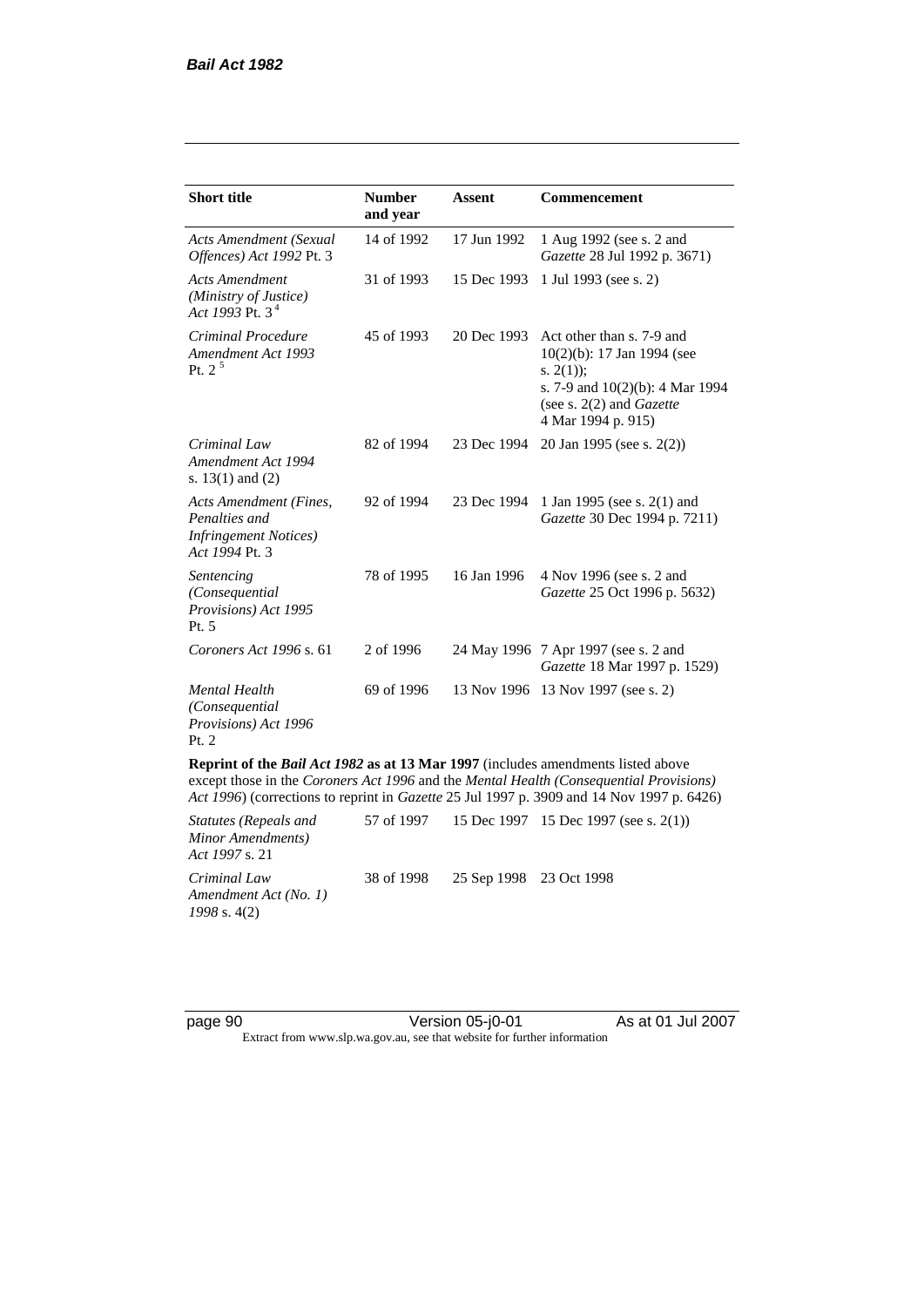| <b>Short title</b>                                                                                                                                                               | <b>Number</b><br>and year | <b>Assent</b> | Commencement                                                                                                                                                            |
|----------------------------------------------------------------------------------------------------------------------------------------------------------------------------------|---------------------------|---------------|-------------------------------------------------------------------------------------------------------------------------------------------------------------------------|
| Acts Amendment (Sexual<br>Offences) Act 1992 Pt. 3                                                                                                                               | 14 of 1992                | 17 Jun 1992   | 1 Aug 1992 (see s. 2 and<br>Gazette 28 Jul 1992 p. 3671)                                                                                                                |
| <b>Acts Amendment</b><br>(Ministry of Justice)<br>Act 1993 Pt. $3^4$                                                                                                             | 31 of 1993                | 15 Dec 1993   | 1 Jul 1993 (see s. 2)                                                                                                                                                   |
| Criminal Procedure<br>Amendment Act 1993<br>Pt. $2^5$                                                                                                                            | 45 of 1993                | 20 Dec 1993   | Act other than s. 7-9 and<br>$10(2)(b)$ : 17 Jan 1994 (see<br>s. $2(1)$ ;<br>s. 7-9 and 10(2)(b): 4 Mar 1994<br>(see s. $2(2)$ and <i>Gazette</i><br>4 Mar 1994 p. 915) |
| Criminal Law<br>Amendment Act 1994<br>s. $13(1)$ and $(2)$                                                                                                                       | 82 of 1994                | 23 Dec 1994   | 20 Jan 1995 (see s. 2(2))                                                                                                                                               |
| Acts Amendment (Fines,<br>Penalties and<br><b>Infringement Notices</b> )<br>Act 1994 Pt. 3                                                                                       | 92 of 1994                | 23 Dec 1994   | 1 Jan 1995 (see s. 2(1) and<br>Gazette 30 Dec 1994 p. 7211)                                                                                                             |
| Sentencing<br>(Consequential<br>Provisions) Act 1995<br>Pt. 5                                                                                                                    | 78 of 1995                | 16 Jan 1996   | 4 Nov 1996 (see s. 2 and<br>Gazette 25 Oct 1996 p. 5632)                                                                                                                |
| Coroners Act 1996 s. 61                                                                                                                                                          | 2 of 1996                 |               | 24 May 1996 7 Apr 1997 (see s. 2 and<br>Gazette 18 Mar 1997 p. 1529)                                                                                                    |
| <b>Mental Health</b><br>(Consequential<br>Provisions) Act 1996<br>Pt. 2                                                                                                          | 69 of 1996                |               | 13 Nov 1996 13 Nov 1997 (see s. 2)                                                                                                                                      |
| Reprint of the <i>Bail Act 1982</i> as at 13 Mar 1997 (includes amendments listed above<br>execut those in the Covey are Act 1006 and the Martel Health (Covesser with Drawings) |                           |               |                                                                                                                                                                         |

except those in the *Coroners Act 1996* and the *Mental Health (Consequential Provisions) Act 1996*) (corrections to reprint in *Gazette* 25 Jul 1997 p. 3909 and 14 Nov 1997 p. 6426)

| Statutes (Repeals and<br>Minor Amendments)<br><i>Act 1997 s.</i> 21 |                                    | 57 of 1997 15 Dec 1997 15 Dec 1997 (see s. 2(1)) |
|---------------------------------------------------------------------|------------------------------------|--------------------------------------------------|
| Criminal Law<br>Amendment Act (No. 1)<br>$1998$ s. 4(2)             | 38 of 1998 25 Sep 1998 23 Oct 1998 |                                                  |

page 90 Version 05-j0-01 As at 01 Jul 2007 Extract from www.slp.wa.gov.au, see that website for further information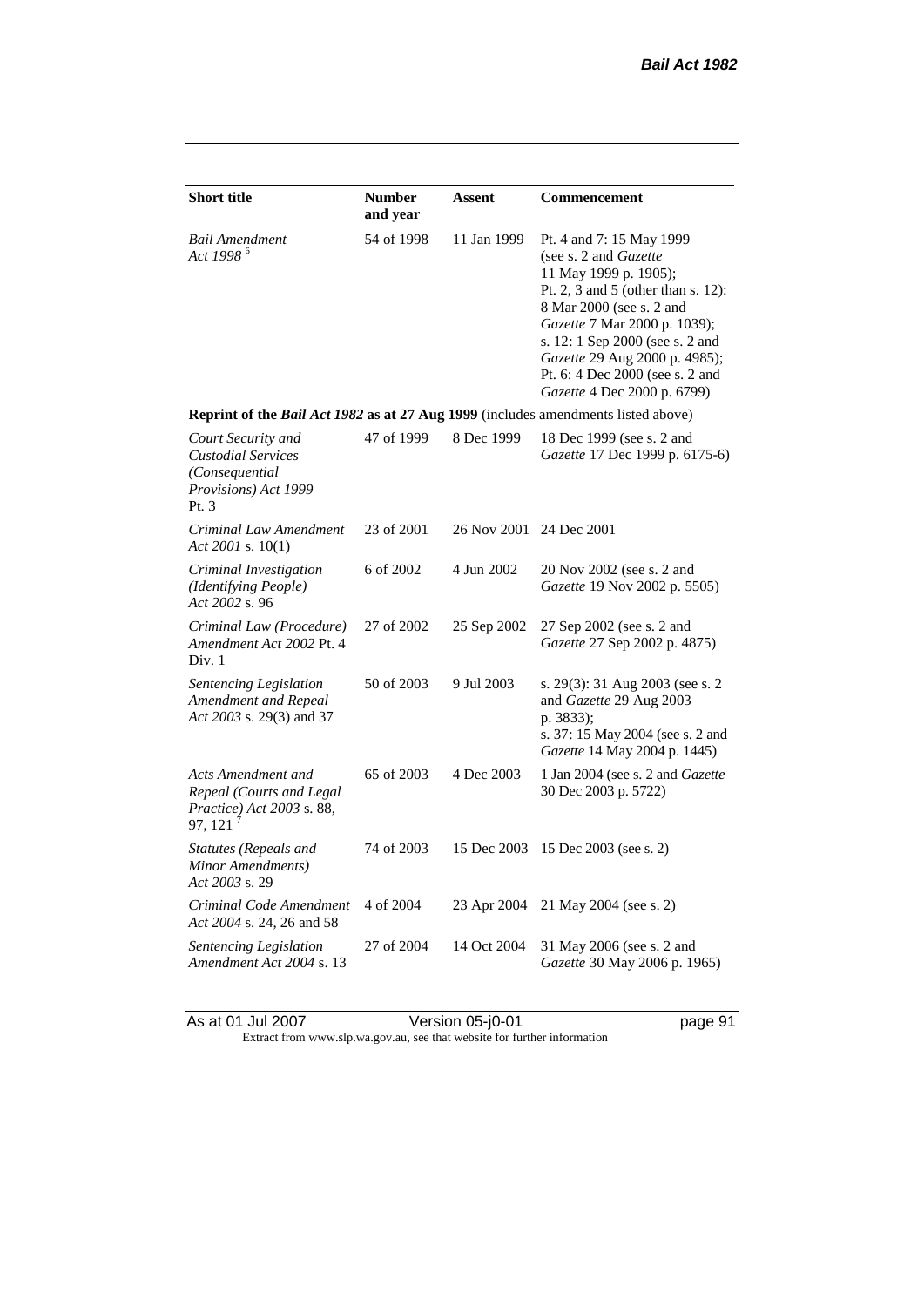| <b>Short title</b>                                                                                | <b>Number</b><br>and year | <b>Assent</b>           | Commencement                                                                                                                                                                                                                                                                                                                |
|---------------------------------------------------------------------------------------------------|---------------------------|-------------------------|-----------------------------------------------------------------------------------------------------------------------------------------------------------------------------------------------------------------------------------------------------------------------------------------------------------------------------|
| <b>Bail Amendment</b><br>Act 1998 <sup>6</sup>                                                    | 54 of 1998                | 11 Jan 1999             | Pt. 4 and 7: 15 May 1999<br>(see s. 2 and <i>Gazette</i> )<br>11 May 1999 p. 1905);<br>Pt. 2, 3 and 5 (other than s. 12):<br>8 Mar 2000 (see s. 2 and<br>Gazette 7 Mar 2000 p. 1039);<br>s. 12: 1 Sep 2000 (see s. 2 and<br>Gazette 29 Aug 2000 p. 4985);<br>Pt. 6: 4 Dec 2000 (see s. 2 and<br>Gazette 4 Dec 2000 p. 6799) |
| Reprint of the Bail Act 1982 as at 27 Aug 1999 (includes amendments listed above)                 |                           |                         |                                                                                                                                                                                                                                                                                                                             |
| Court Security and<br><b>Custodial Services</b><br>(Consequential<br>Provisions) Act 1999<br>Pt.3 | 47 of 1999                | 8 Dec 1999              | 18 Dec 1999 (see s. 2 and<br>Gazette 17 Dec 1999 p. 6175-6)                                                                                                                                                                                                                                                                 |
| Criminal Law Amendment<br>Act 2001 s. $10(1)$                                                     | 23 of 2001                | 26 Nov 2001 24 Dec 2001 |                                                                                                                                                                                                                                                                                                                             |
| Criminal Investigation<br>(Identifying People)<br>Act 2002 s. 96                                  | 6 of 2002                 | 4 Jun 2002              | 20 Nov 2002 (see s. 2 and<br>Gazette 19 Nov 2002 p. 5505)                                                                                                                                                                                                                                                                   |
| Criminal Law (Procedure)<br>Amendment Act 2002 Pt. 4<br>Div. 1                                    | 27 of 2002                | 25 Sep 2002             | 27 Sep 2002 (see s. 2 and<br>Gazette 27 Sep 2002 p. 4875)                                                                                                                                                                                                                                                                   |
| <b>Sentencing Legislation</b><br>Amendment and Repeal<br>Act 2003 s. 29(3) and 37                 | 50 of 2003                | 9 Jul 2003              | s. 29(3): 31 Aug 2003 (see s. 2<br>and Gazette 29 Aug 2003<br>p. 3833);<br>s. 37: 15 May 2004 (see s. 2 and<br><i>Gazette</i> 14 May 2004 p. 1445)                                                                                                                                                                          |
| Acts Amendment and<br>Repeal (Courts and Legal<br>Practice) Act 2003 s. 88,<br>97, 121            | 65 of 2003                | 4 Dec 2003              | 1 Jan 2004 (see s. 2 and <i>Gazette</i><br>30 Dec 2003 p. 5722)                                                                                                                                                                                                                                                             |
| Statutes (Repeals and<br>Minor Amendments)<br>Act 2003 s. 29                                      | 74 of 2003                | 15 Dec 2003             | 15 Dec 2003 (see s. 2)                                                                                                                                                                                                                                                                                                      |
| Criminal Code Amendment<br>Act 2004 s. 24, 26 and 58                                              | 4 of 2004                 | 23 Apr 2004             | 21 May 2004 (see s. 2)                                                                                                                                                                                                                                                                                                      |
| <b>Sentencing Legislation</b><br>Amendment Act 2004 s. 13                                         | 27 of 2004                | 14 Oct 2004             | 31 May 2006 (see s. 2 and<br>Gazette 30 May 2006 p. 1965)                                                                                                                                                                                                                                                                   |

As at 01 Jul 2007 Version 05-j0-01 page 91 Extract from www.slp.wa.gov.au, see that website for further information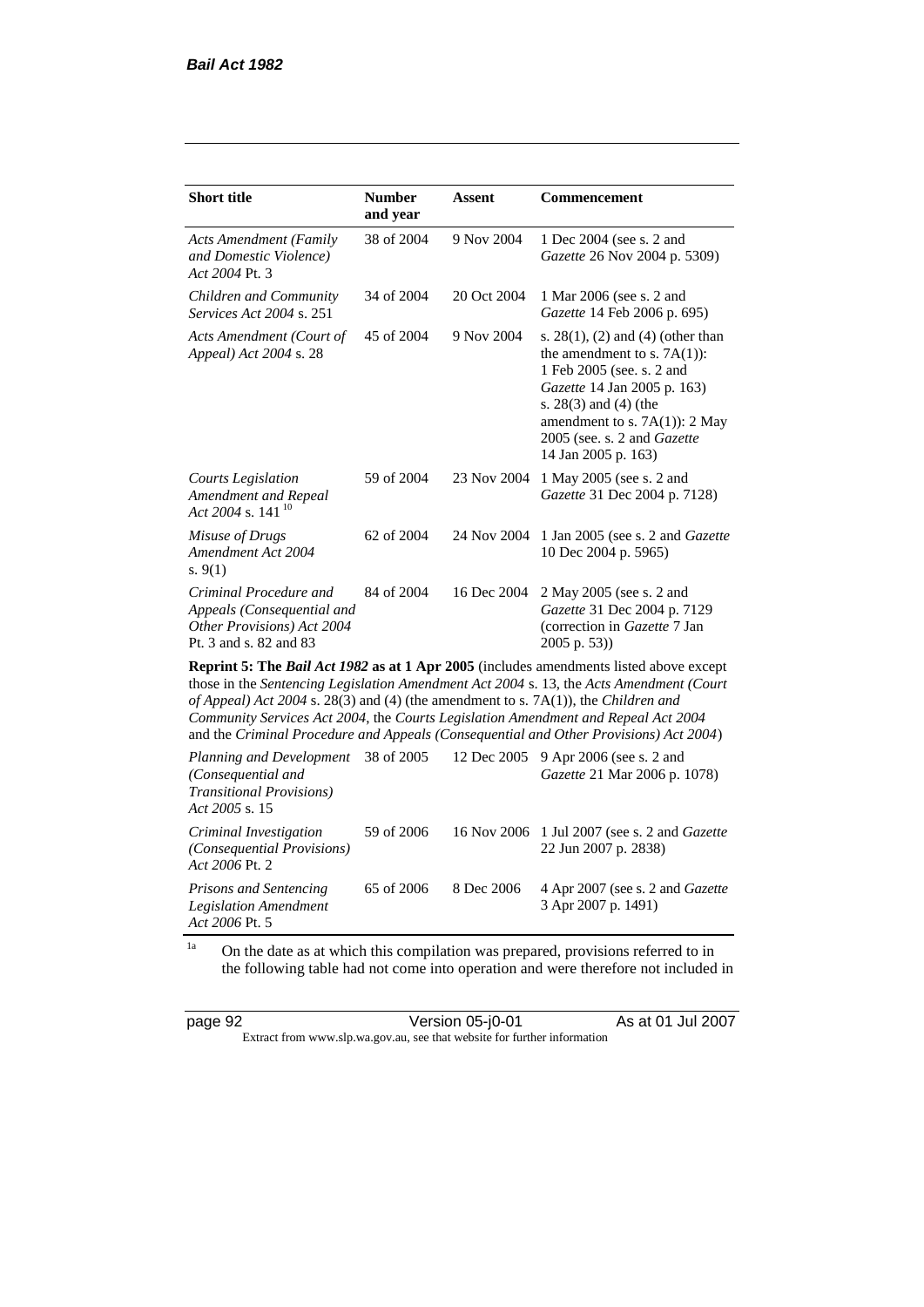| <b>Short title</b>                                                                                           | <b>Number</b><br>and year | <b>Assent</b> | <b>Commencement</b>                                                                                                                                                                                                                                 |
|--------------------------------------------------------------------------------------------------------------|---------------------------|---------------|-----------------------------------------------------------------------------------------------------------------------------------------------------------------------------------------------------------------------------------------------------|
| <b>Acts Amendment (Family</b><br>and Domestic Violence)<br>Act 2004 Pt. 3                                    | 38 of 2004                | 9 Nov 2004    | 1 Dec 2004 (see s. 2 and<br>Gazette 26 Nov 2004 p. 5309)                                                                                                                                                                                            |
| Children and Community<br><i>Services Act 2004 s. 251</i>                                                    | 34 of 2004                | 20 Oct 2004   | 1 Mar 2006 (see s. 2 and<br>Gazette 14 Feb 2006 p. 695)                                                                                                                                                                                             |
| Acts Amendment (Court of<br>Appeal) Act 2004 s. 28                                                           | 45 of 2004                | 9 Nov 2004    | s. $28(1)$ , (2) and (4) (other than<br>the amendment to s. $7A(1)$ :<br>1 Feb 2005 (see. s. 2 and<br>Gazette 14 Jan 2005 p. 163)<br>s. 28(3) and (4) (the<br>amendment to s. $7A(1)$ : 2 May<br>2005 (see. s. 2 and Gazette<br>14 Jan 2005 p. 163) |
| Courts Legislation<br>Amendment and Repeal<br>Act 2004 s. 141 <sup>10</sup>                                  | 59 of 2004                | 23 Nov 2004   | 1 May 2005 (see s. 2 and<br>Gazette 31 Dec 2004 p. 7128)                                                                                                                                                                                            |
| Misuse of Drugs<br>Amendment Act 2004<br>s. $9(1)$                                                           | 62 of 2004                | 24 Nov 2004   | 1 Jan 2005 (see s. 2 and <i>Gazette</i><br>10 Dec 2004 p. 5965)                                                                                                                                                                                     |
| Criminal Procedure and<br>Appeals (Consequential and<br>Other Provisions) Act 2004<br>Pt. 3 and s. 82 and 83 | 84 of 2004                | 16 Dec 2004   | 2 May 2005 (see s. 2 and<br>Gazette 31 Dec 2004 p. 7129<br>(correction in Gazette 7 Jan<br>$2005$ p. 53))                                                                                                                                           |
|                                                                                                              |                           |               | <b>Reprint 5: The Bail Act 1982 as at 1 Apr 2005</b> (includes amendments listed above except<br>those in the Sentencing Legislation Amendment Act $2004 \times 13$ the Acts Amendment (Court                                                       |

those in the *Sentencing Legislation Amendment Act 2004* s. 13, the *Acts Amendment (Court of Appeal) Act 2004* s. 28(3) and (4) (the amendment to s. 7A(1)), the *Children and Community Services Act 2004*, the *Courts Legislation Amendment and Repeal Act 2004* and the *Criminal Procedure and Appeals (Consequential and Other Provisions) Act 2004*)

*Planning and Development (Consequential and Transitional Provisions) Act 2005* s. 15 12 Dec 2005 9 Apr 2006 (see s. 2 and *Gazette* 21 Mar 2006 p. 1078) *Criminal Investigation (Consequential Provisions) Act 2006* Pt. 2 59 of 2006 16 Nov 2006 1 Jul 2007 (see s. 2 and *Gazette* 22 Jun 2007 p. 2838) *Prisons and Sentencing Legislation Amendment Act 2006* Pt. 5 65 of 2006 8 Dec 2006 4 Apr 2007 (see s. 2 and *Gazette* 3 Apr 2007 p. 1491)

<sup>1a</sup> On the date as at which this compilation was prepared, provisions referred to in the following table had not come into operation and were therefore not included in

| page 92 | Version 05-j0-01                                                         | As at 01 Jul 2007 |
|---------|--------------------------------------------------------------------------|-------------------|
|         | Extract from www.slp.wa.gov.au, see that website for further information |                   |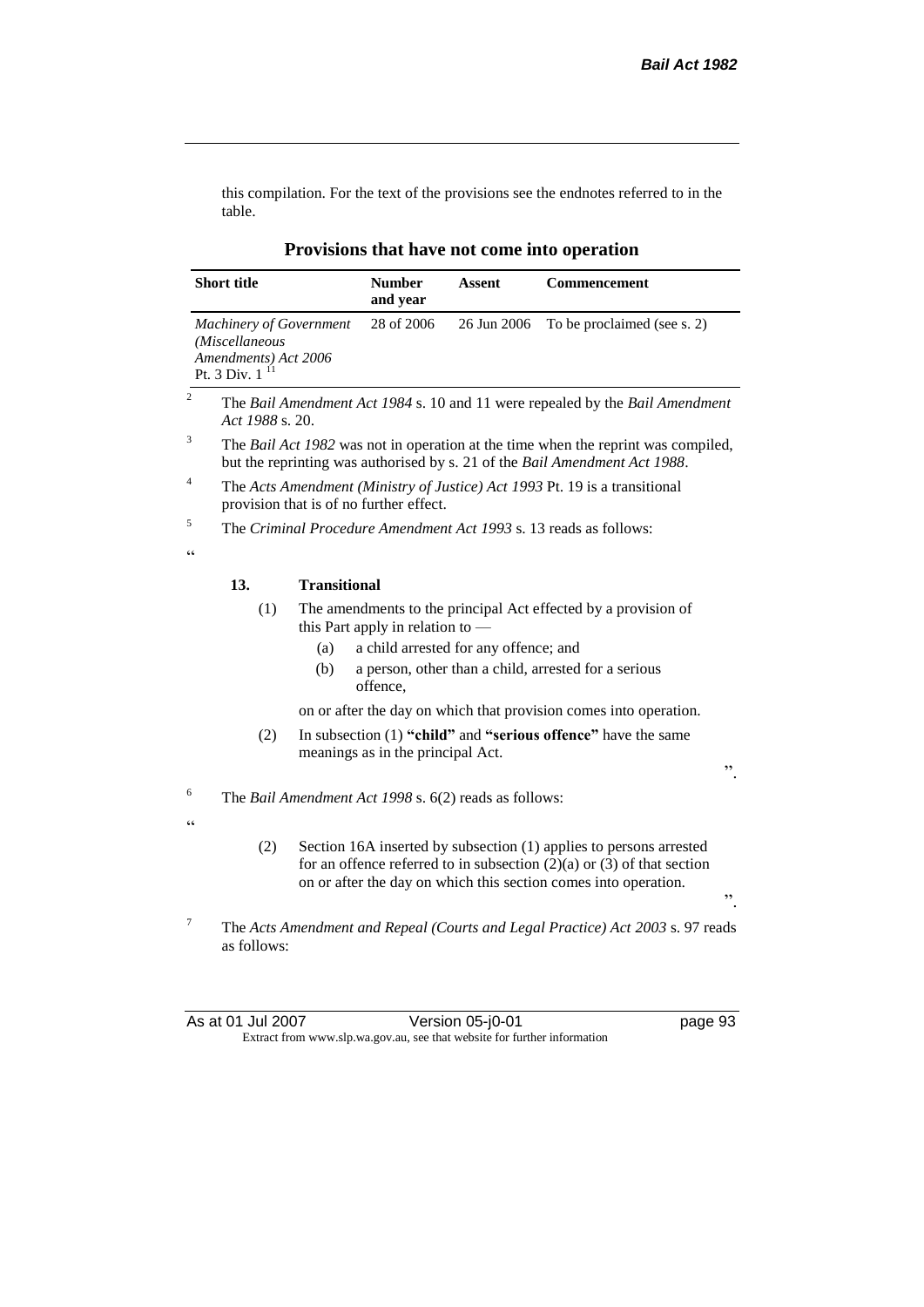this compilation. For the text of the provisions see the endnotes referred to in the table.

|                  | <b>Short title</b>                                                                             |                     | <b>Number</b><br>and year                      | Assent                                                | <b>Commencement</b>                                                                                                                                                                                                       |
|------------------|------------------------------------------------------------------------------------------------|---------------------|------------------------------------------------|-------------------------------------------------------|---------------------------------------------------------------------------------------------------------------------------------------------------------------------------------------------------------------------------|
|                  | <b>Machinery of Government</b><br>(Miscellaneous<br>Amendments) Act 2006<br>11<br>Pt. 3 Div. 1 |                     | 28 of 2006                                     | 26 Jun 2006                                           | To be proclaimed (see s. 2)                                                                                                                                                                                               |
| $\mathbf{2}$     | Act 1988 s. 20.                                                                                |                     |                                                |                                                       | The Bail Amendment Act 1984 s. 10 and 11 were repealed by the Bail Amendment                                                                                                                                              |
| 3                |                                                                                                |                     |                                                |                                                       | The Bail Act 1982 was not in operation at the time when the reprint was compiled,<br>but the reprinting was authorised by s. 21 of the Bail Amendment Act 1988.                                                           |
| 4                |                                                                                                |                     | provision that is of no further effect.        |                                                       | The Acts Amendment (Ministry of Justice) Act 1993 Pt. 19 is a transitional                                                                                                                                                |
| 5                |                                                                                                |                     |                                                |                                                       | The Criminal Procedure Amendment Act 1993 s. 13 reads as follows:                                                                                                                                                         |
| C                |                                                                                                |                     |                                                |                                                       |                                                                                                                                                                                                                           |
|                  | 13.                                                                                            | <b>Transitional</b> |                                                |                                                       |                                                                                                                                                                                                                           |
|                  | (1)                                                                                            | (a)<br>(b)          | this Part apply in relation to $-$<br>offence, | a child arrested for any offence; and                 | The amendments to the principal Act effected by a provision of<br>a person, other than a child, arrested for a serious                                                                                                    |
|                  |                                                                                                |                     |                                                |                                                       | on or after the day on which that provision comes into operation.                                                                                                                                                         |
|                  | (2)                                                                                            |                     | meanings as in the principal Act.              |                                                       | In subsection (1) "child" and "serious offence" have the same<br>,,                                                                                                                                                       |
| 6                |                                                                                                |                     |                                                | The Bail Amendment Act 1998 s. 6(2) reads as follows: |                                                                                                                                                                                                                           |
| C                |                                                                                                |                     |                                                |                                                       |                                                                                                                                                                                                                           |
|                  | (2)                                                                                            |                     |                                                |                                                       | Section 16A inserted by subsection (1) applies to persons arrested<br>for an offence referred to in subsection $(2)(a)$ or $(3)$ of that section<br>on or after the day on which this section comes into operation.<br>,, |
| $\boldsymbol{7}$ | as follows:                                                                                    |                     |                                                |                                                       | The Acts Amendment and Repeal (Courts and Legal Practice) Act 2003 s. 97 reads                                                                                                                                            |

### **Provisions that have not come into operation**

As at 01 Jul 2007 Version 05-j0-01 page 93 Extract from www.slp.wa.gov.au, see that website for further information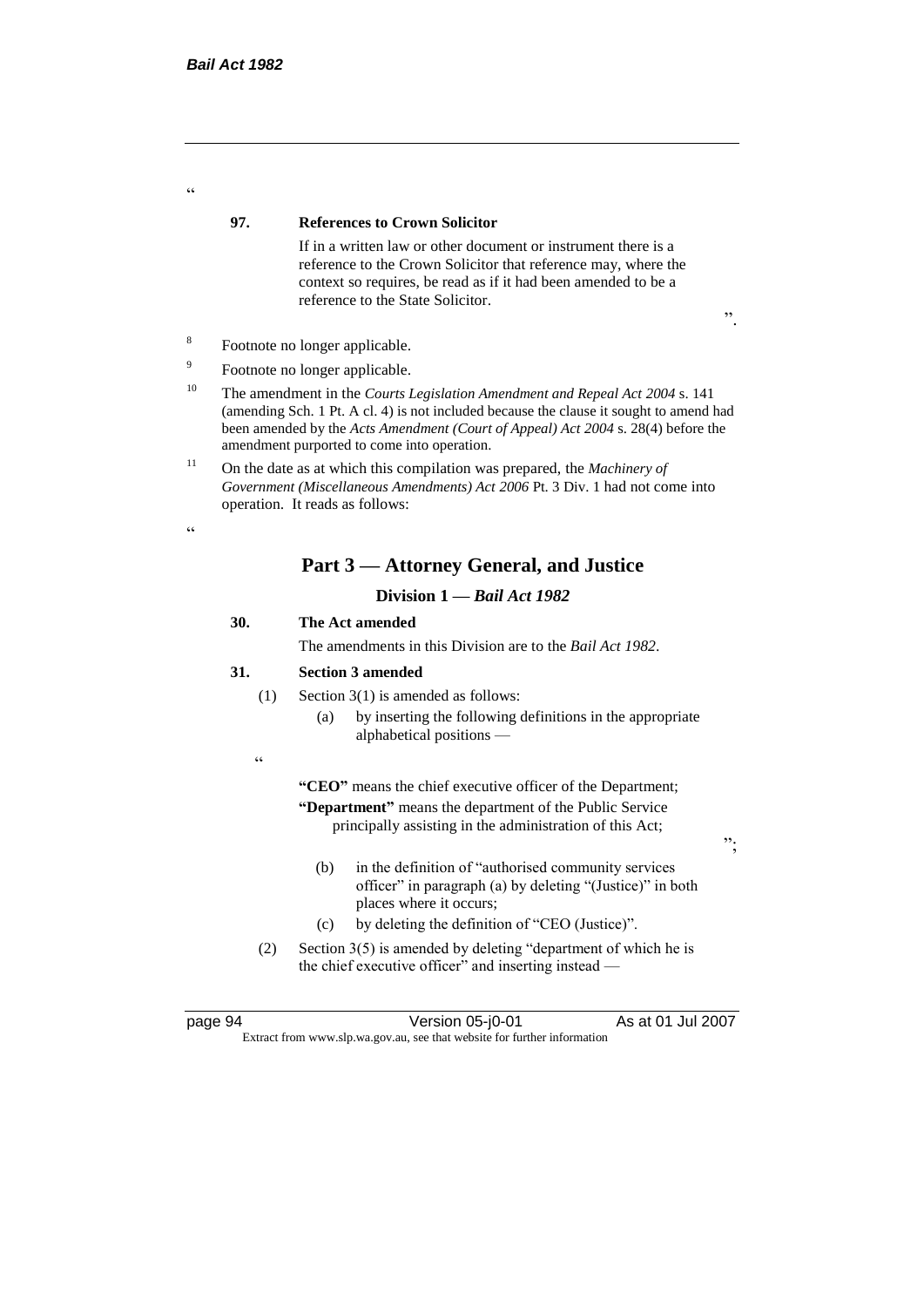#### **97. References to Crown Solicitor**

If in a written law or other document or instrument there is a reference to the Crown Solicitor that reference may, where the context so requires, be read as if it had been amended to be a reference to the State Solicitor.

- Footnote no longer applicable.
- 9 Footnote no longer applicable.
- <sup>10</sup> The amendment in the *Courts Legislation Amendment and Repeal Act 2004* s. 141 (amending Sch. 1 Pt. A cl. 4) is not included because the clause it sought to amend had been amended by the *Acts Amendment (Court of Appeal) Act 2004* s. 28(4) before the amendment purported to come into operation.
- <sup>11</sup> On the date as at which this compilation was prepared, the *Machinery of Government (Miscellaneous Amendments) Act 2006* Pt. 3 Div. 1 had not come into operation. It reads as follows:

.<br>44

 $\alpha$ 

8

# **Part 3 — Attorney General, and Justice**

# **Division 1 —** *Bail Act 1982*

# **30. The Act amended**

The amendments in this Division are to the *Bail Act 1982*.

#### **31. Section 3 amended**

- (1) Section 3(1) is amended as follows:
	- (a) by inserting the following definitions in the appropriate alphabetical positions —
- .<br>.

**"CEO"** means the chief executive officer of the Department; **"Department"** means the department of the Public Service principally assisting in the administration of this Act;

- (b) in the definition of "authorised community services officer" in paragraph (a) by deleting "(Justice)" in both places where it occurs;
- (c) by deleting the definition of "CEO (Justice)".
- (2) Section 3(5) is amended by deleting "department of which he is the chief executive officer" and inserting instead —

page 94 Version 05-j0-01 As at 01 Jul 2007 Extract from www.slp.wa.gov.au, see that website for further information

 $, ,$ 

".